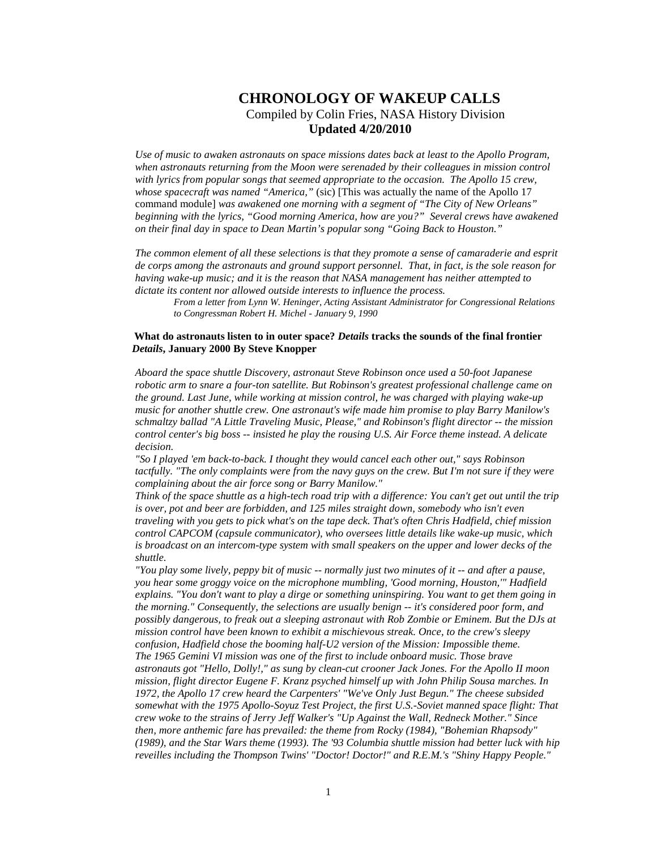# **CHRONOLOGY OF WAKEUP CALLS** Compiled by Colin Fries, NASA History Division  **Updated 4/20/2010**

*Use of music to awaken astronauts on space missions dates back at least to the Apollo Program, when astronauts returning from the Moon were serenaded by their colleagues in mission control with lyrics from popular songs that seemed appropriate to the occasion. The Apollo 15 crew, whose spacecraft was named "America,"* (sic) [This was actually the name of the Apollo 17 command module] *was awakened one morning with a segment of "The City of New Orleans" beginning with the lyrics, "Good morning America, how are you?" Several crews have awakened on their final day in space to Dean Martin's popular song "Going Back to Houston."*

*The common element of all these selections is that they promote a sense of camaraderie and esprit de corps among the astronauts and ground support personnel. That, in fact, is the sole reason for having wake-up music; and it is the reason that NASA management has neither attempted to dictate its content nor allowed outside interests to influence the process.*

*From a letter from Lynn W. Heninger, Acting Assistant Administrator for Congressional Relations to Congressman Robert H. Michel - January 9, 1990*

### **What do astronauts listen to in outer space?** *Details* **tracks the sounds of the final frontier** *Details***, January 2000 By Steve Knopper**

*Aboard the space shuttle Discovery, astronaut Steve Robinson once used a 50-foot Japanese robotic arm to snare a four-ton satellite. But Robinson's greatest professional challenge came on the ground. Last June, while working at mission control, he was charged with playing wake-up music for another shuttle crew. One astronaut's wife made him promise to play Barry Manilow's schmaltzy ballad "A Little Traveling Music, Please," and Robinson's flight director -- the mission control center's big boss -- insisted he play the rousing U.S. Air Force theme instead. A delicate decision.*

*"So I played 'em back-to-back. I thought they would cancel each other out," says Robinson tactfully. "The only complaints were from the navy guys on the crew. But I'm not sure if they were complaining about the air force song or Barry Manilow."*

*Think of the space shuttle as a high-tech road trip with a difference: You can't get out until the trip is over, pot and beer are forbidden, and 125 miles straight down, somebody who isn't even traveling with you gets to pick what's on the tape deck. That's often Chris Hadfield, chief mission control CAPCOM (capsule communicator), who oversees little details like wake-up music, which is broadcast on an intercom-type system with small speakers on the upper and lower decks of the shuttle.*

*"You play some lively, peppy bit of music -- normally just two minutes of it -- and after a pause, you hear some groggy voice on the microphone mumbling, 'Good morning, Houston,'" Hadfield explains. "You don't want to play a dirge or something uninspiring. You want to get them going in the morning." Consequently, the selections are usually benign -- it's considered poor form, and possibly dangerous, to freak out a sleeping astronaut with Rob Zombie or Eminem. But the DJs at mission control have been known to exhibit a mischievous streak. Once, to the crew's sleepy confusion, Hadfield chose the booming half-U2 version of the Mission: Impossible theme. The 1965 Gemini VI mission was one of the first to include onboard music. Those brave astronauts got "Hello, Dolly!," as sung by clean-cut crooner Jack Jones. For the Apollo II moon mission, flight director Eugene F. Kranz psyched himself up with John Philip Sousa marches. In 1972, the Apollo 17 crew heard the Carpenters' "We've Only Just Begun." The cheese subsided somewhat with the 1975 Apollo-Soyuz Test Project, the first U.S.-Soviet manned space flight: That crew woke to the strains of Jerry Jeff Walker's "Up Against the Wall, Redneck Mother." Since then, more anthemic fare has prevailed: the theme from Rocky (1984), "Bohemian Rhapsody" (1989), and the Star Wars theme (1993). The '93 Columbia shuttle mission had better luck with hip reveilles including the Thompson Twins' "Doctor! Doctor!" and R.E.M.'s "Shiny Happy People."*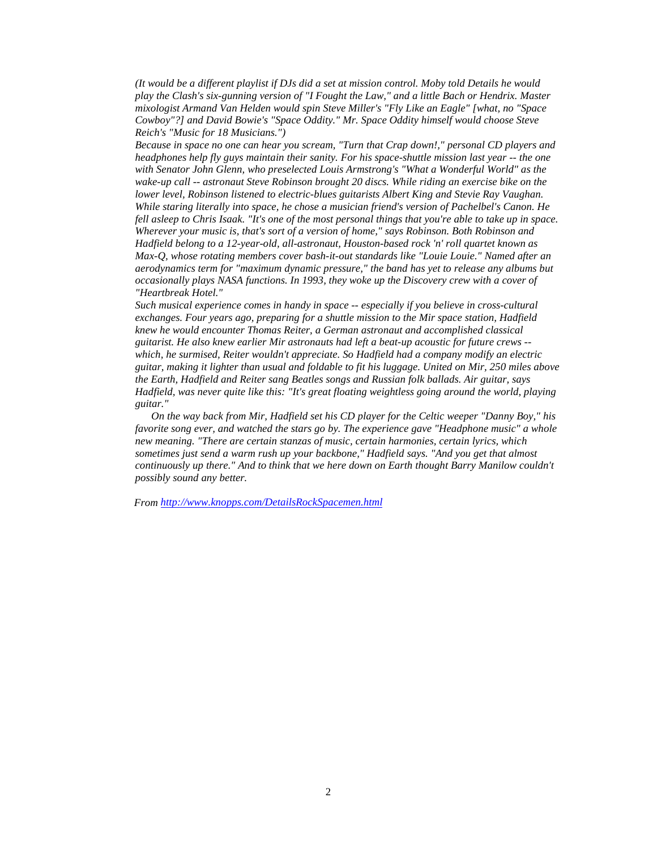*(It would be a different playlist if DJs did a set at mission control. Moby told Details he would play the Clash's six-gunning version of "I Fought the Law," and a little Bach or Hendrix. Master mixologist Armand Van Helden would spin Steve Miller's "Fly Like an Eagle" [what, no "Space Cowboy"?] and David Bowie's "Space Oddity." Mr. Space Oddity himself would choose Steve Reich's "Music for 18 Musicians.")*

*Because in space no one can hear you scream, "Turn that Crap down!," personal CD players and headphones help fly guys maintain their sanity. For his space-shuttle mission last year -- the one with Senator John Glenn, who preselected Louis Armstrong's "What a Wonderful World" as the wake-up call -- astronaut Steve Robinson brought 20 discs. While riding an exercise bike on the lower level, Robinson listened to electric-blues guitarists Albert King and Stevie Ray Vaughan. While staring literally into space, he chose a musician friend's version of Pachelbel's Canon. He fell asleep to Chris Isaak. "It's one of the most personal things that you're able to take up in space. Wherever your music is, that's sort of a version of home," says Robinson. Both Robinson and Hadfield belong to a 12-year-old, all-astronaut, Houston-based rock 'n' roll quartet known as Max-Q, whose rotating members cover bash-it-out standards like "Louie Louie." Named after an aerodynamics term for "maximum dynamic pressure," the band has yet to release any albums but occasionally plays NASA functions. In 1993, they woke up the Discovery crew with a cover of "Heartbreak Hotel."*

*Such musical experience comes in handy in space -- especially if you believe in cross-cultural exchanges. Four years ago, preparing for a shuttle mission to the Mir space station, Hadfield knew he would encounter Thomas Reiter, a German astronaut and accomplished classical guitarist. He also knew earlier Mir astronauts had left a beat-up acoustic for future crews - which, he surmised, Reiter wouldn't appreciate. So Hadfield had a company modify an electric guitar, making it lighter than usual and foldable to fit his luggage. United on Mir, 250 miles above the Earth, Hadfield and Reiter sang Beatles songs and Russian folk ballads. Air guitar, says Hadfield, was never quite like this: "It's great floating weightless going around the world, playing guitar."*

 *On the way back from Mir, Hadfield set his CD player for the Celtic weeper "Danny Boy," his favorite song ever, and watched the stars go by. The experience gave "Headphone music" a whole new meaning. "There are certain stanzas of music, certain harmonies, certain lyrics, which sometimes just send a warm rush up your backbone," Hadfield says. "And you get that almost continuously up there." And to think that we here down on Earth thought Barry Manilow couldn't possibly sound any better.*

 *Fro[m http://www.knopps.com/DetailsRockSpacemen.html](http://www.knopps.com/DetailsRockSpacemen.html)*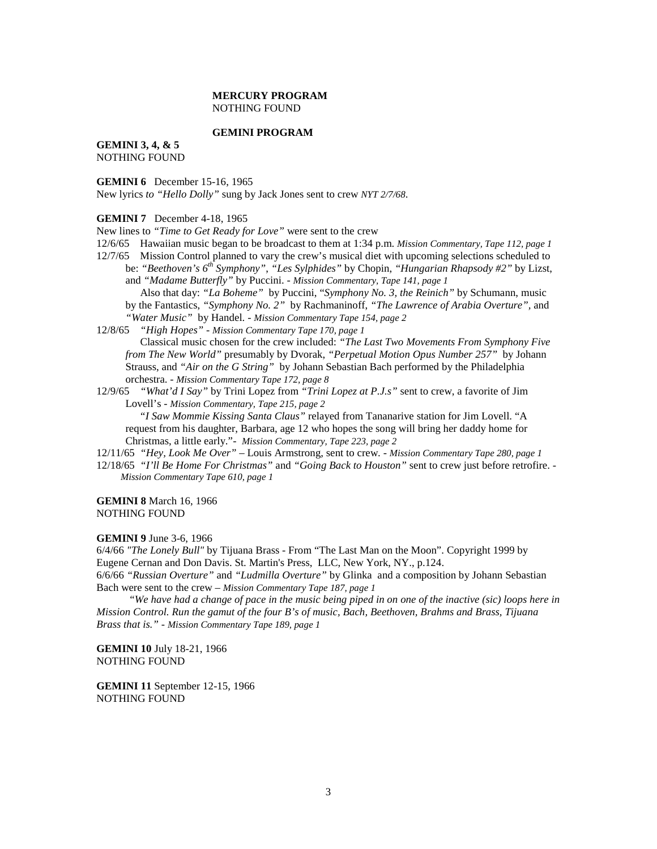### **MERCURY PROGRAM** NOTHING FOUND

### **GEMINI PROGRAM**

**GEMINI 3, 4, & 5** NOTHING FOUND

**GEMINI 6** December 15-16, 1965

New lyrics *to "Hello Dolly"* sung by Jack Jones sent to crew *NYT 2/7/68*.

### **GEMINI 7** December 4-18, 1965

New lines to *"Time to Get Ready for Love"* were sent to the crew

12/6/65 Hawaiian music began to be broadcast to them at 1:34 p.m. *Mission Commentary, Tape 112, page 1*

12/7/65 Mission Control planned to vary the crew's musical diet with upcoming selections scheduled to be: *"Beethoven's 6th Symphony"*, *"Les Sylphides"* by Chopin, *"Hungarian Rhapsody #2"* by Lizst, and *"Madame Butterfly"* by Puccini. - *Mission Commentary, Tape 141, page 1*

 Also that day: *"La Boheme"* by Puccini, "*Symphony No. 3, the Reinich"* by Schumann, music by the Fantastics, *"Symphony No. 2"* by Rachmaninoff, *"The Lawrence of Arabia Overture",* and *"Water Music"* by Handel. - *Mission Commentary Tape 154, page 2*

12/8/65 *"High Hopes" - Mission Commentary Tape 170, page 1*

 Classical music chosen for the crew included: *"The Last Two Movements From Symphony Five from The New World"* presumably by Dvorak, *"Perpetual Motion Opus Number 257"* by Johann Strauss, and *"Air on the G String"* by Johann Sebastian Bach performed by the Philadelphia orchestra. - *Mission Commentary Tape 172, page 8*

12/9/65 *"What'd I Say"* by Trini Lopez from *"Trini Lopez at P.J.s"* sent to crew, a favorite of Jim Lovell's - *Mission Commentary, Tape 215, page 2*

 *"I Saw Mommie Kissing Santa Claus"* relayed from Tananarive station for Jim Lovell. "A request from his daughter, Barbara, age 12 who hopes the song will bring her daddy home for Christmas, a little early."- *Mission Commentary, Tape 223, page 2*

12/11/65 *"Hey, Look Me Over"* – Louis Armstrong, sent to crew. - *Mission Commentary Tape 280, page 1* 12/18/65 *"I'll Be Home For Christmas"* and *"Going Back to Houston"* sent to crew just before retrofire. - *Mission Commentary Tape 610, page 1*

**GEMINI 8** March 16, 1966 NOTHING FOUND

**GEMINI 9** June 3-6, 1966

6/4/66 *"The Lonely Bull"* by Tijuana Brass - From "The Last Man on the Moon". Copyright 1999 by Eugene Cernan and Don Davis. St. Martin's Press, LLC, New York, NY., p.124.

6/6/66 *"Russian Overture"* and *"Ludmilla Overture"* by Glinka and a composition by Johann Sebastian Bach were sent to the crew – *Mission Commentary Tape 187, page 1*

 *"We have had a change of pace in the music being piped in on one of the inactive (sic) loops here in Mission Control. Run the gamut of the four B's of music, Bach, Beethoven, Brahms and Brass, Tijuana Brass that is." - Mission Commentary Tape 189, page 1*

**GEMINI 10** July 18-21, 1966 NOTHING FOUND

**GEMINI 11** September 12-15, 1966 NOTHING FOUND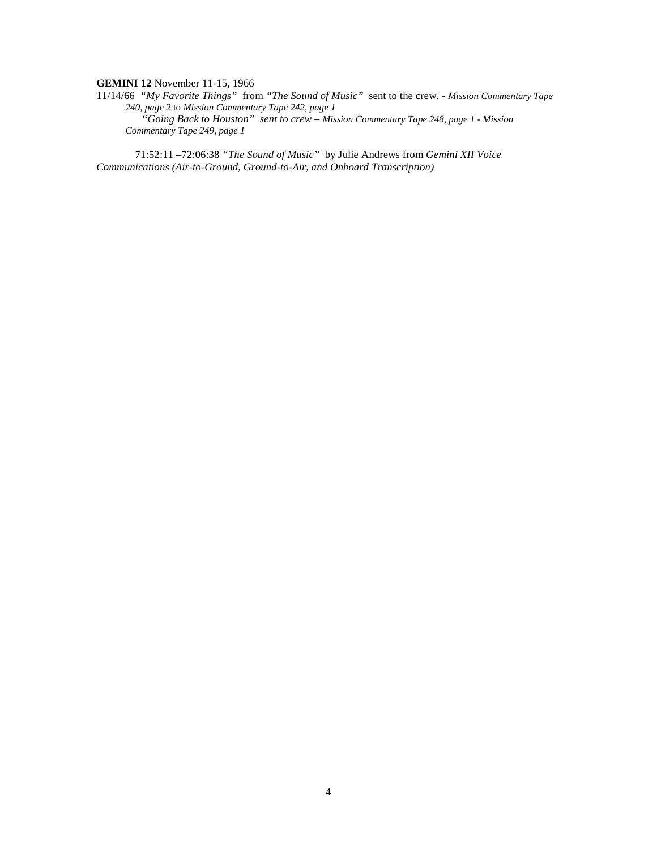### **GEMINI 12** November 11-15, 1966

11/14/66 *"My Favorite Things"* from *"The Sound of Music"* sent to the crew. - *Mission Commentary Tape 240, page 2* to *Mission Commentary Tape 242, page 1 "Going Back to Houston" sent to crew – Mission Commentary Tape 248, page 1 - Mission Commentary Tape 249, page 1*

71:52:11 –72:06:38 *"The Sound of Music"* by Julie Andrews from *Gemini XII Voice Communications (Air-to-Ground, Ground-to-Air, and Onboard Transcription)*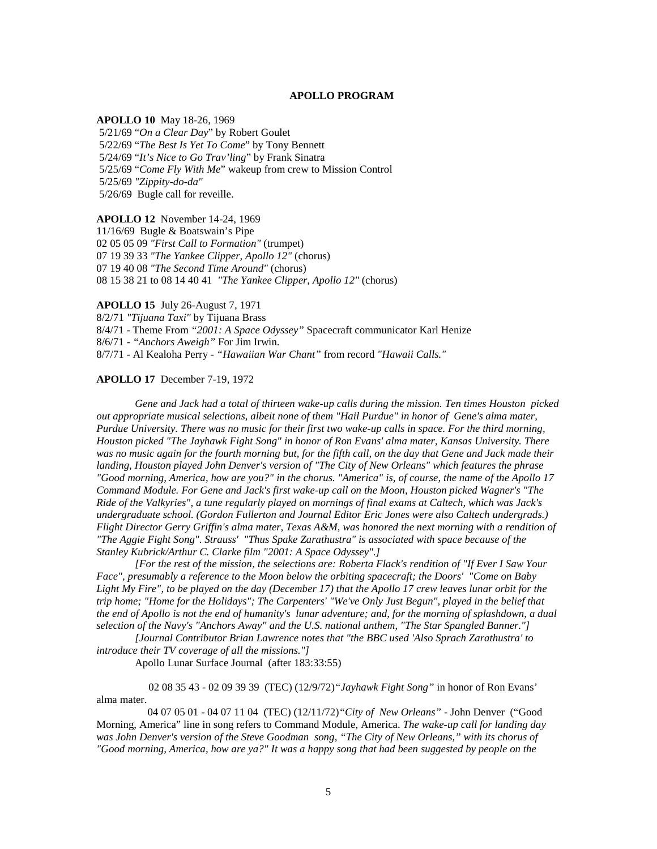### **APOLLO PROGRAM**

**APOLLO 10** May 18-26, 1969 5/21/69 "*On a Clear Day*" by Robert Goulet 5/22/69 "*The Best Is Yet To Come*" by Tony Bennett 5/24/69 "*It's Nice to Go Trav'ling*" by Frank Sinatra 5/25/69 "*Come Fly With Me*" wakeup from crew to Mission Control 5/25/69 *"Zippity-do-da"* 5/26/69 Bugle call for reveille.

### **APOLLO 12** November 14-24, 1969

11/16/69 Bugle & Boatswain's Pipe 02 05 05 09 *"First Call to Formation"* (trumpet) 07 19 39 33 *"The Yankee Clipper, Apollo 12"* (chorus) 07 19 40 08 *"The Second Time Around"* (chorus) 08 15 38 21 to 08 14 40 41 *"The Yankee Clipper, Apollo 12"* (chorus)

**APOLLO 15** July 26-August 7, 1971 8/2/71 *"Tijuana Taxi"* by Tijuana Brass 8/4/71 - Theme From *"2001: A Space Odyssey"* Spacecraft communicator Karl Henize 8/6/71 - *"Anchors Aweigh"* For Jim Irwin. 8/7/71 - Al Kealoha Perry - *"Hawaiian War Chant"* from record *"Hawaii Calls."*

### **APOLLO 17** December 7-19, 1972

*Gene and Jack had a total of thirteen wake-up calls during the mission. Ten times Houston picked out appropriate musical selections, albeit none of them "Hail Purdue" in honor of Gene's alma mater, Purdue University. There was no music for their first two wake-up calls in space. For the third morning, Houston picked "The Jayhawk Fight Song" in honor of Ron Evans' alma mater, Kansas University. There was no music again for the fourth morning but, for the fifth call, on the day that Gene and Jack made their landing, Houston played John Denver's version of "The City of New Orleans" which features the phrase "Good morning, America, how are you?" in the chorus. "America" is, of course, the name of the Apollo 17 Command Module. For Gene and Jack's first wake-up call on the Moon, Houston picked Wagner's "The Ride of the Valkyries", a tune regularly played on mornings of final exams at Caltech, which was Jack's undergraduate school. (Gordon Fullerton and Journal Editor Eric Jones were also Caltech undergrads.) Flight Director Gerry Griffin's alma mater, Texas A&M, was honored the next morning with a rendition of "The Aggie Fight Song". Strauss' "Thus Spake Zarathustra" is associated with space because of the Stanley Kubrick/Arthur C. Clarke film "2001: A Space Odyssey".]*

*[For the rest of the mission, the selections are: Roberta Flack's rendition of "If Ever I Saw Your Face", presumably a reference to the Moon below the orbiting spacecraft; the Doors' "Come on Baby Light My Fire", to be played on the day (December 17) that the Apollo 17 crew leaves lunar orbit for the trip home; "Home for the Holidays"; The Carpenters' "We've Only Just Begun", played in the belief that the end of Apollo is not the end of humanity's lunar adventure; and, for the morning of splashdown, a dual selection of the Navy's "Anchors Away" and the U.S. national anthem, "The Star Spangled Banner."]* 

*[Journal Contributor Brian Lawrence notes that "the BBC used 'Also Sprach Zarathustra' to introduce their TV coverage of all the missions."]*

Apollo Lunar Surface Journal (after 183:33:55)

 02 08 35 43 - 02 09 39 39 (TEC) (12/9/72)*"Jayhawk Fight Song"* in honor of Ron Evans' alma mater.

 04 07 05 01 - 04 07 11 04 (TEC) (12/11/72)*"City of New Orleans"* - John Denver ("Good Morning, America" line in song refers to Command Module, America. *The wake-up call for landing day was John Denver's version of the Steve Goodman song, "The City of New Orleans," with its chorus of "Good morning, America, how are ya?" It was a happy song that had been suggested by people on the*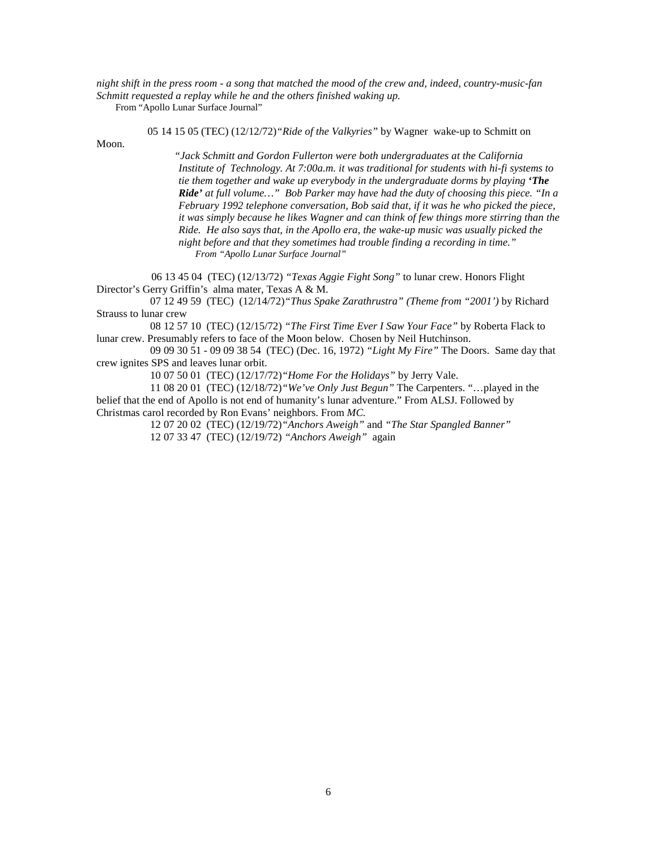*night shift in the press room - a song that matched the mood of the crew and, indeed, country-music-fan Schmitt requested a replay while he and the others finished waking up.*

From "Apollo Lunar Surface Journal"

05 14 15 05 (TEC) (12/12/72)*"Ride of the Valkyries"* by Wagner wake-up to Schmitt on

Moon.

 *"Jack Schmitt and Gordon Fullerton were both undergraduates at the California Institute of Technology. At 7:00a.m. it was traditional for students with hi-fi systems to tie them together and wake up everybody in the undergraduate dorms by playing 'The Ride' at full volume…" Bob Parker may have had the duty of choosing this piece. "In a February 1992 telephone conversation, Bob said that, if it was he who picked the piece, it was simply because he likes Wagner and can think of few things more stirring than the Ride. He also says that, in the Apollo era, the wake-up music was usually picked the night before and that they sometimes had trouble finding a recording in time." From "Apollo Lunar Surface Journal"*

 06 13 45 04 (TEC) (12/13/72) *"Texas Aggie Fight Song"* to lunar crew. Honors Flight Director's Gerry Griffin's alma mater, Texas A & M.

 07 12 49 59 (TEC) (12/14/72)*"Thus Spake Zarathrustra" (Theme from "2001')* by Richard Strauss to lunar crew

 08 12 57 10 (TEC) (12/15/72) *"The First Time Ever I Saw Your Face"* by Roberta Flack to lunar crew. Presumably refers to face of the Moon below. Chosen by Neil Hutchinson.

 09 09 30 51 - 09 09 38 54 (TEC) (Dec. 16, 1972) *"Light My Fire"* The Doors. Same day that crew ignites SPS and leaves lunar orbit.

10 07 50 01 (TEC) (12/17/72)*"Home For the Holidays"* by Jerry Vale.

 11 08 20 01 (TEC) (12/18/72)*"We've Only Just Begun"* The Carpenters. "…played in the belief that the end of Apollo is not end of humanity's lunar adventure." From ALSJ. Followed by Christmas carol recorded by Ron Evans' neighbors. From *MC.*

> 12 07 20 02 (TEC) (12/19/72)*"Anchors Aweigh"* and *"The Star Spangled Banner"* 12 07 33 47 (TEC) (12/19/72) *"Anchors Aweigh"* again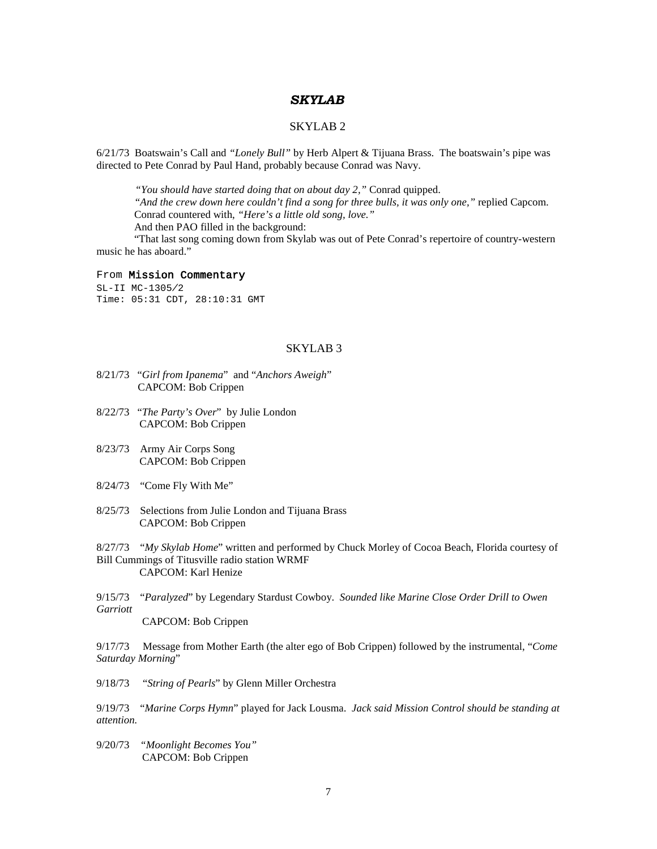# *SKYLAB*

# SKYLAB 2

6/21/73 Boatswain's Call and *"Lonely Bull"* by Herb Alpert & Tijuana Brass. The boatswain's pipe was directed to Pete Conrad by Paul Hand, probably because Conrad was Navy.

*"You should have started doing that on about day 2,"* Conrad quipped.  *"And the crew down here couldn't find a song for three bulls, it was only one,"* replied Capcom. Conrad countered with, *"Here's a little old song, love."* And then PAO filled in the background:

 "That last song coming down from Skylab was out of Pete Conrad's repertoire of country-western music he has aboard."

From Mission Commentary SL-II MC-1305*/*2 Time: 05:31 CDT, 28:10:31 GMT

### SKYLAB 3

- 8/21/73 "*Girl from Ipanema*" and "*Anchors Aweigh*" CAPCOM: Bob Crippen
- 8/22/73 "*The Party's Over*" by Julie London CAPCOM: Bob Crippen
- 8/23/73 Army Air Corps Song CAPCOM: Bob Crippen
- 8/24/73 "Come Fly With Me"
- 8/25/73 Selections from Julie London and Tijuana Brass CAPCOM: Bob Crippen
- 8/27/73 "*My Skylab Home*" written and performed by Chuck Morley of Cocoa Beach, Florida courtesy of Bill Cummings of Titusville radio station WRMF
	- CAPCOM: Karl Henize
- 9/15/73 "*Paralyzed*" by Legendary Stardust Cowboy. *Sounded like Marine Close Order Drill to Owen Garriott*

CAPCOM: Bob Crippen

9/17/73 Message from Mother Earth (the alter ego of Bob Crippen) followed by the instrumental, "*Come Saturday Morning*"

9/18/73 "*String of Pearls*" by Glenn Miller Orchestra

9/19/73 "*Marine Corps Hymn*" played for Jack Lousma. *Jack said Mission Control should be standing at attention.*

9/20/73 *"Moonlight Becomes You"* CAPCOM: Bob Crippen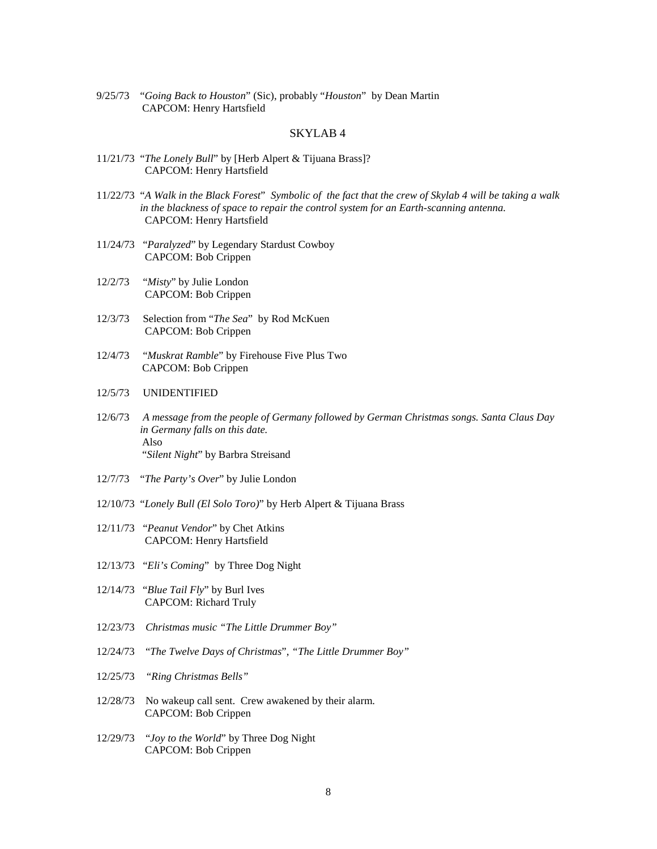9/25/73 "*Going Back to Houston*" (Sic), probably "*Houston*" by Dean Martin CAPCOM: Henry Hartsfield

### SKYLAB 4

- 11/21/73 "*The Lonely Bull*" by [Herb Alpert & Tijuana Brass]? CAPCOM: Henry Hartsfield
- 11/22/73 "*A Walk in the Black Forest*" *Symbolic of the fact that the crew of Skylab 4 will be taking a walk in the blackness of space to repair the control system for an Earth-scanning antenna.* CAPCOM: Henry Hartsfield
- 11/24/73 "*Paralyzed*" by Legendary Stardust Cowboy CAPCOM: Bob Crippen
- 12/2/73 "*Misty*" by Julie London CAPCOM: Bob Crippen
- 12/3/73 Selection from "*The Sea*" by Rod McKuen CAPCOM: Bob Crippen
- 12/4/73 "*Muskrat Ramble*" by Firehouse Five Plus Two CAPCOM: Bob Crippen

### 12/5/73 UNIDENTIFIED

- 12/6/73 *A message from the people of Germany followed by German Christmas songs. Santa Claus Day in Germany falls on this date.* Also "*Silent Night*" by Barbra Streisand
- 12/7/73 "*The Party's Over*" by Julie London
- 12/10/73 "*Lonely Bull (El Solo Toro)*" by Herb Alpert & Tijuana Brass
- 12/11/73 "*Peanut Vendor*" by Chet Atkins CAPCOM: Henry Hartsfield
- 12/13/73 "*Eli's Coming*" by Three Dog Night
- 12/14/73 "*Blue Tail Fly*" by Burl Ives CAPCOM: Richard Truly
- 12/23/73 *Christmas music "The Little Drummer Boy"*
- 12/24/73 "*The Twelve Days of Christmas*", *"The Little Drummer Boy"*
- 12/25/73 *"Ring Christmas Bells"*
- 12/28/73 No wakeup call sent. Crew awakened by their alarm. CAPCOM: Bob Crippen
- 12/29/73 "*Joy to the World*" by Three Dog Night CAPCOM: Bob Crippen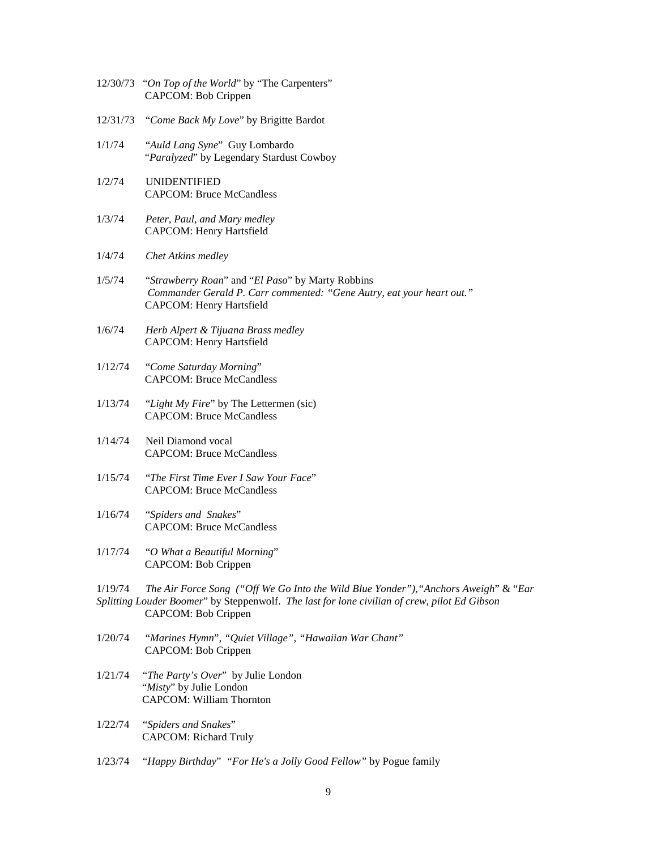|          | 12/30/73 "On Top of the World" by "The Carpenters"<br>CAPCOM: Bob Crippen                                                                                                                                  |
|----------|------------------------------------------------------------------------------------------------------------------------------------------------------------------------------------------------------------|
| 12/31/73 | "Come Back My Love" by Brigitte Bardot                                                                                                                                                                     |
| 1/1/74   | "Auld Lang Syne" Guy Lombardo<br>"Paralyzed" by Legendary Stardust Cowboy                                                                                                                                  |
| 1/2/74   | <b>UNIDENTIFIED</b><br><b>CAPCOM: Bruce McCandless</b>                                                                                                                                                     |
| 1/3/74   | Peter, Paul, and Mary medley<br><b>CAPCOM: Henry Hartsfield</b>                                                                                                                                            |
| 1/4/74   | Chet Atkins medley                                                                                                                                                                                         |
| 1/5/74   | "Strawberry Roan" and "El Paso" by Marty Robbins<br>Commander Gerald P. Carr commented: "Gene Autry, eat your heart out."<br>CAPCOM: Henry Hartsfield                                                      |
| 1/6/74   | Herb Alpert & Tijuana Brass medley<br>CAPCOM: Henry Hartsfield                                                                                                                                             |
| 1/12/74  | "Come Saturday Morning"<br><b>CAPCOM: Bruce McCandless</b>                                                                                                                                                 |
| 1/13/74  | "Light My Fire" by The Lettermen (sic)<br><b>CAPCOM: Bruce McCandless</b>                                                                                                                                  |
| 1/14/74  | Neil Diamond vocal<br><b>CAPCOM: Bruce McCandless</b>                                                                                                                                                      |
| 1/15/74  | "The First Time Ever I Saw Your Face"<br><b>CAPCOM: Bruce McCandless</b>                                                                                                                                   |
| 1/16/74  | "Spiders and Snakes"<br><b>CAPCOM: Bruce McCandless</b>                                                                                                                                                    |
| 1/17/74  | "O What a Beautiful Morning"<br>CAPCOM: Bob Crippen                                                                                                                                                        |
| 1/19/74  | The Air Force Song ("Off We Go Into the Wild Blue Yonder"), "Anchors Aweigh" & "Ear<br>Splitting Louder Boomer" by Steppenwolf. The last for lone civilian of crew, pilot Ed Gibson<br>CAPCOM: Bob Crippen |
| 1/20/74  | "Marines Hymn", "Quiet Village", "Hawaiian War Chant"<br>CAPCOM: Bob Crippen                                                                                                                               |
| 1/21/74  | "The Party's Over" by Julie London<br>"Misty" by Julie London<br><b>CAPCOM: William Thornton</b>                                                                                                           |
| 1/22/74  | "Spiders and Snakes"<br><b>CAPCOM: Richard Truly</b>                                                                                                                                                       |

1/23/74 "*Happy Birthday*" *"For He's a Jolly Good Fellow"* by Pogue family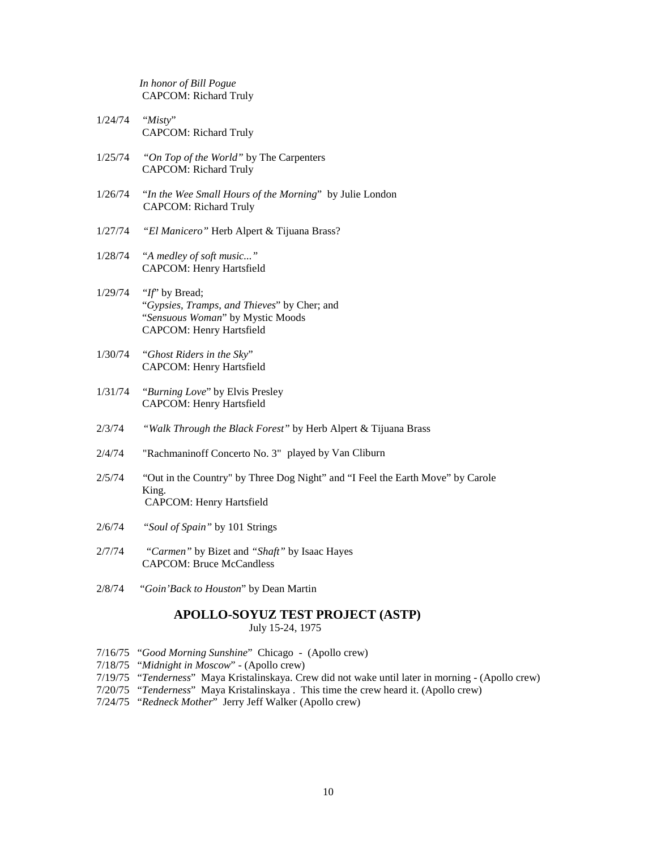*In honor of Bill Pogue* CAPCOM: Richard Truly

- 1/24/74 "*Misty*" CAPCOM: Richard Truly
- 1/25/74 *"On Top of the World"* by The Carpenters CAPCOM: Richard Truly
- 1/26/74 "*In the Wee Small Hours of the Morning*" by Julie London CAPCOM: Richard Truly
- 1/27/74 *"El Manicero"* Herb Alpert & Tijuana Brass?
- 1/28/74 "*A medley of soft music..."* CAPCOM: Henry Hartsfield
- 1/29/74 "*If*" by Bread; "*Gypsies, Tramps, and Thieves*" by Cher; and "*Sensuous Woman*" by Mystic Moods CAPCOM: Henry Hartsfield
- 1/30/74 "*Ghost Riders in the Sky*" CAPCOM: Henry Hartsfield
- 1/31/74 "*Burning Love*" by Elvis Presley CAPCOM: Henry Hartsfield
- 2/3/74 *"Walk Through the Black Forest"* by Herb Alpert & Tijuana Brass
- 2/4/74 "Rachmaninoff Concerto No. 3" played by Van Cliburn
- 2/5/74 "Out in the Country" by Three Dog Night" and "I Feel the Earth Move" by Carole King. CAPCOM: Henry Hartsfield
- 2/6/74 *"Soul of Spain"* by 101 Strings
- 2/7/74 *"Carmen"* by Bizet and *"Shaft"* by Isaac Hayes **CAPCOM: Bruce McCandless**
- 2/8/74 "*Goin'Back to Houston*" by Dean Martin

### **APOLLO-SOYUZ TEST PROJECT (ASTP)**

July 15-24, 1975

- 7/16/75 "*Good Morning Sunshine*" Chicago (Apollo crew)
- 7/18/75 "*Midnight in Moscow*" (Apollo crew)
- 7/19/75 "*Tenderness*" Maya Kristalinskaya. Crew did not wake until later in morning (Apollo crew)
- 7/20/75 "*Tenderness*" Maya Kristalinskaya . This time the crew heard it. (Apollo crew)
- 7/24/75 "*Redneck Mother*" Jerry Jeff Walker (Apollo crew)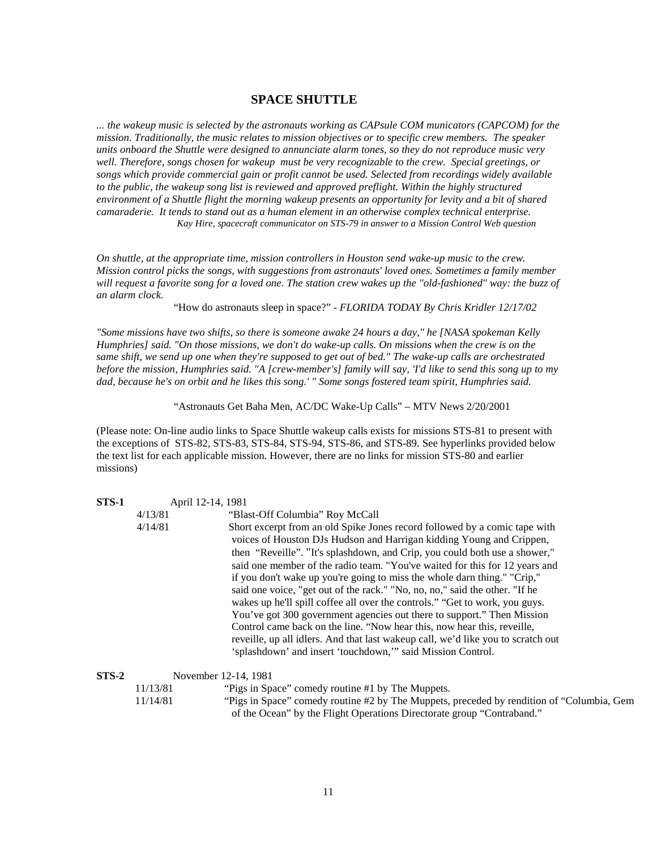# **SPACE SHUTTLE**

*... the wakeup music is selected by the astronauts working as CAPsule COM municators (CAPCOM) for the mission. Traditionally, the music relates to mission objectives or to specific crew members. The speaker units onboard the Shuttle were designed to annunciate alarm tones, so they do not reproduce music very well. Therefore, songs chosen for wakeup must be very recognizable to the crew. Special greetings, or songs which provide commercial gain or profit cannot be used. Selected from recordings widely available to the public, the wakeup song list is reviewed and approved preflight. Within the highly structured environment of a Shuttle flight the morning wakeup presents an opportunity for levity and a bit of shared camaraderie. It tends to stand out as a human element in an otherwise complex technical enterprise. Kay Hire, spacecraft communicator on STS-79 in answer to a Mission Control Web question*

*On shuttle, at the appropriate time, mission controllers in Houston send wake-up music to the crew. Mission control picks the songs, with suggestions from astronauts' loved ones. Sometimes a family member* will request a favorite song for a loved one. The station crew wakes up the "old-fashioned" way: the buzz of *an alarm clock.*

"How do astronauts sleep in space?" *- FLORIDA TODAY By Chris Kridler 12/17/02*

*"Some missions have two shifts, so there is someone awake 24 hours a day," he [NASA spokeman Kelly Humphries] said. "On those missions, we don't do wake-up calls. On missions when the crew is on the same shift, we send up one when they're supposed to get out of bed." The wake-up calls are orchestrated before the mission, Humphries said. "A [crew-member's] family will say, 'I'd like to send this song up to my dad, because he's on orbit and he likes this song.' " Some songs fostered team spirit, Humphries said.*

"Astronauts Get Baha Men, AC/DC Wake-Up Calls" – MTV News 2/20/2001

(Please note: On-line audio links to Space Shuttle wakeup calls exists for missions STS-81 to present with the exceptions of STS-82, STS-83, STS-84, STS-94, STS-86, and STS-89. See hyperlinks provided below the text list for each applicable mission. However, there are no links for mission STS-80 and earlier missions)

| $STS-1$ | April 12-14, 1981    |                                                                                           |
|---------|----------------------|-------------------------------------------------------------------------------------------|
|         | 4/13/81              | "Blast-Off Columbia" Roy McCall                                                           |
|         | 4/14/81              | Short excerpt from an old Spike Jones record followed by a comic tape with                |
|         |                      | voices of Houston DJs Hudson and Harrigan kidding Young and Crippen,                      |
|         |                      | then "Reveille". "It's splashdown, and Crip, you could both use a shower,"                |
|         |                      | said one member of the radio team. "You've waited for this for 12 years and               |
|         |                      | if you don't wake up you're going to miss the whole darn thing." "Crip,"                  |
|         |                      | said one voice, "get out of the rack." "No, no, no," said the other. "If he               |
|         |                      | wakes up he'll spill coffee all over the controls." "Get to work, you guys.               |
|         |                      | You've got 300 government agencies out there to support." Then Mission                    |
|         |                      | Control came back on the line. "Now hear this, now hear this, reveille,                   |
|         |                      | reveille, up all idlers. And that last wakeup call, we'd like you to scratch out          |
|         |                      | 'splashdown' and insert 'touchdown," said Mission Control.                                |
| $STS-2$ | November 12-14, 1981 |                                                                                           |
|         | 11/13/81             | "Pigs in Space" comedy routine #1 by The Muppets.                                         |
|         | 11/14/81             | "Pigs in Space" comedy routine #2 by The Muppets, preceded by rendition of "Columbia, Gem |
|         |                      | of the Ocean" by the Flight Operations Directorate group "Contraband."                    |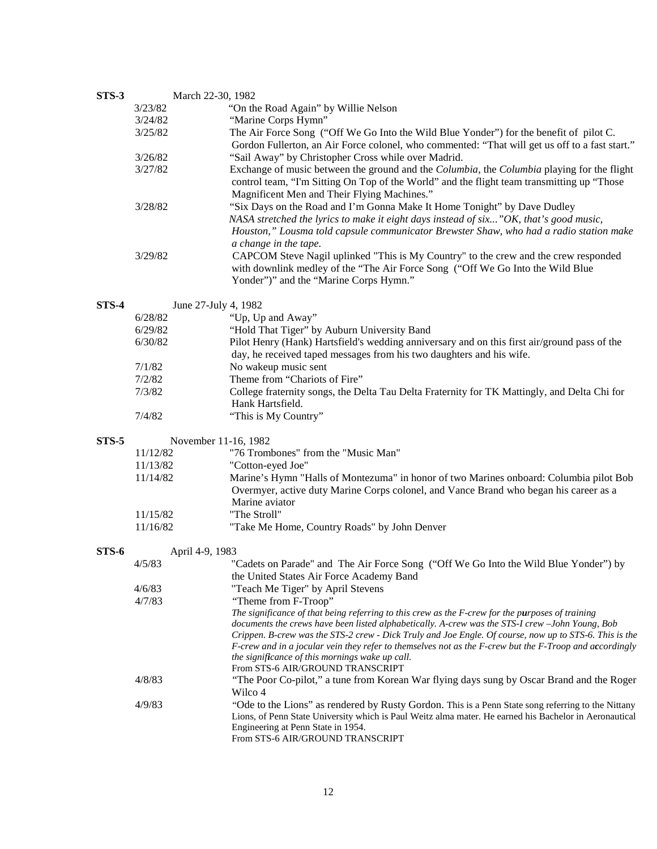| STS-3        | March 22-30, 1982         |                                                                                                                                                                                                                                                                                      |
|--------------|---------------------------|--------------------------------------------------------------------------------------------------------------------------------------------------------------------------------------------------------------------------------------------------------------------------------------|
|              | 3/23/82                   | "On the Road Again" by Willie Nelson                                                                                                                                                                                                                                                 |
|              | 3/24/82                   | "Marine Corps Hymn"                                                                                                                                                                                                                                                                  |
|              | 3/25/82                   | The Air Force Song ("Off We Go Into the Wild Blue Yonder") for the benefit of pilot C.<br>Gordon Fullerton, an Air Force colonel, who commented: "That will get us off to a fast start."                                                                                             |
|              | 3/26/82                   | "Sail Away" by Christopher Cross while over Madrid.                                                                                                                                                                                                                                  |
|              | 3/27/82                   | Exchange of music between the ground and the Columbia, the Columbia playing for the flight<br>control team, "I'm Sitting On Top of the World" and the flight team transmitting up "Those<br>Magnificent Men and Their Flying Machines."                                              |
|              | 3/28/82                   | "Six Days on the Road and I'm Gonna Make It Home Tonight" by Dave Dudley<br>NASA stretched the lyrics to make it eight days instead of six"OK, that's good music,<br>Houston," Lousma told capsule communicator Brewster Shaw, who had a radio station make<br>a change in the tape. |
|              | 3/29/82                   | CAPCOM Steve Nagil uplinked "This is My Country" to the crew and the crew responded<br>with downlink medley of the "The Air Force Song ("Off We Go Into the Wild Blue<br>Yonder")" and the "Marine Corps Hymn."                                                                      |
| STS-4        | June 27-July 4, 1982      |                                                                                                                                                                                                                                                                                      |
|              | 6/28/82                   | "Up, Up and Away"                                                                                                                                                                                                                                                                    |
|              | 6/29/82                   | "Hold That Tiger" by Auburn University Band                                                                                                                                                                                                                                          |
|              | 6/30/82                   | Pilot Henry (Hank) Hartsfield's wedding anniversary and on this first air/ground pass of the                                                                                                                                                                                         |
|              |                           | day, he received taped messages from his two daughters and his wife.                                                                                                                                                                                                                 |
|              | 7/1/82                    | No wakeup music sent                                                                                                                                                                                                                                                                 |
|              | 7/2/82                    | Theme from "Chariots of Fire"                                                                                                                                                                                                                                                        |
|              | 7/3/82                    | College fraternity songs, the Delta Tau Delta Fraternity for TK Mattingly, and Delta Chi for                                                                                                                                                                                         |
|              |                           | Hank Hartsfield.                                                                                                                                                                                                                                                                     |
|              | 7/4/82                    | "This is My Country"                                                                                                                                                                                                                                                                 |
| <b>STS-5</b> | November 11-16, 1982      |                                                                                                                                                                                                                                                                                      |
|              | 11/12/82                  | "76 Trombones" from the "Music Man"                                                                                                                                                                                                                                                  |
|              | 11/13/82                  | "Cotton-eyed Joe"                                                                                                                                                                                                                                                                    |
|              | 11/14/82                  | Marine's Hymn "Halls of Montezuma" in honor of two Marines onboard: Columbia pilot Bob                                                                                                                                                                                               |
|              |                           | Overmyer, active duty Marine Corps colonel, and Vance Brand who began his career as a<br>Marine aviator                                                                                                                                                                              |
|              | 11/15/82                  | "The Stroll"                                                                                                                                                                                                                                                                         |
|              | 11/16/82                  | "Take Me Home, Country Roads" by John Denver                                                                                                                                                                                                                                         |
|              |                           |                                                                                                                                                                                                                                                                                      |
| STS-6        | April 4-9, 1983<br>4/5/83 | "Cadets on Parade" and The Air Force Song ("Off We Go Into the Wild Blue Yonder") by                                                                                                                                                                                                 |
|              |                           | the United States Air Force Academy Band                                                                                                                                                                                                                                             |
|              | 4/6/83                    | "Teach Me Tiger" by April Stevens                                                                                                                                                                                                                                                    |
|              | 4/7/83                    | "Theme from F-Troop"                                                                                                                                                                                                                                                                 |
|              |                           | The significance of that being referring to this crew as the F-crew for the purposes of training                                                                                                                                                                                     |
|              |                           | documents the crews have been listed alphabetically. A-crew was the STS-I crew -John Young, Bob                                                                                                                                                                                      |
|              |                           | Crippen. B-crew was the STS-2 crew - Dick Truly and Joe Engle. Of course, now up to STS-6. This is the                                                                                                                                                                               |
|              |                           | F-crew and in a jocular vein they refer to themselves not as the F-crew but the F-Troop and accordingly                                                                                                                                                                              |
|              |                           | the significance of this mornings wake up call.<br>From STS-6 AIR/GROUND TRANSCRIPT                                                                                                                                                                                                  |
|              | 4/8/83                    | "The Poor Co-pilot," a tune from Korean War flying days sung by Oscar Brand and the Roger                                                                                                                                                                                            |
|              |                           | Wilco 4                                                                                                                                                                                                                                                                              |
|              | 4/9/83                    | "Ode to the Lions" as rendered by Rusty Gordon. This is a Penn State song referring to the Nittany                                                                                                                                                                                   |
|              |                           | Lions, of Penn State University which is Paul Weitz alma mater. He earned his Bachelor in Aeronautical                                                                                                                                                                               |
|              |                           | Engineering at Penn State in 1954.                                                                                                                                                                                                                                                   |
|              |                           | From STS-6 AIR/GROUND TRANSCRIPT                                                                                                                                                                                                                                                     |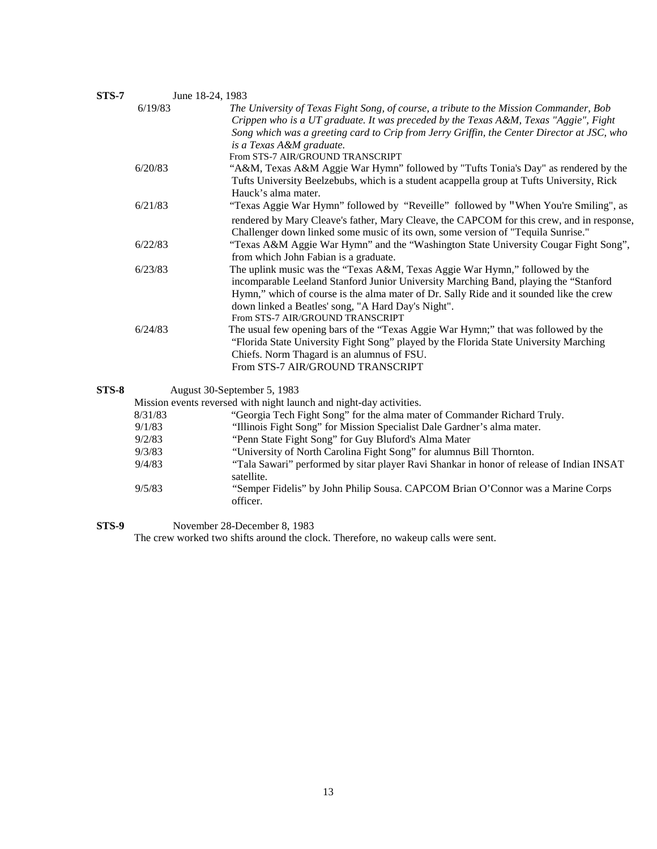| $STS-7$ |         | June 18-24, 1983                                                                                                                                                                                                                                                                                                                                          |
|---------|---------|-----------------------------------------------------------------------------------------------------------------------------------------------------------------------------------------------------------------------------------------------------------------------------------------------------------------------------------------------------------|
|         | 6/19/83 | The University of Texas Fight Song, of course, a tribute to the Mission Commander, Bob<br>Crippen who is a UT graduate. It was preceded by the Texas A&M, Texas "Aggie", Fight<br>Song which was a greeting card to Crip from Jerry Griffin, the Center Director at JSC, who<br>is a Texas A&M graduate.<br>From STS-7 AIR/GROUND TRANSCRIPT              |
|         | 6/20/83 | "A&M, Texas A&M Aggie War Hymn" followed by "Tufts Tonia's Day" as rendered by the<br>Tufts University Beelzebubs, which is a student acappella group at Tufts University, Rick<br>Hauck's alma mater.                                                                                                                                                    |
|         | 6/21/83 | "Texas Aggie War Hymn" followed by "Reveille" followed by "When You're Smiling", as<br>rendered by Mary Cleave's father, Mary Cleave, the CAPCOM for this crew, and in response,<br>Challenger down linked some music of its own, some version of "Tequila Sunrise."                                                                                      |
|         | 6/22/83 | "Texas A&M Aggie War Hymn" and the "Washington State University Cougar Fight Song",<br>from which John Fabian is a graduate.                                                                                                                                                                                                                              |
|         | 6/23/83 | The uplink music was the "Texas A&M, Texas Aggie War Hymn," followed by the<br>incomparable Leeland Stanford Junior University Marching Band, playing the "Stanford"<br>Hymn," which of course is the alma mater of Dr. Sally Ride and it sounded like the crew<br>down linked a Beatles' song, "A Hard Day's Night".<br>From STS-7 AIR/GROUND TRANSCRIPT |
|         | 6/24/83 | The usual few opening bars of the "Texas Aggie War Hymn;" that was followed by the<br>"Florida State University Fight Song" played by the Florida State University Marching<br>Chiefs. Norm Thagard is an alumnus of FSU.<br>From STS-7 AIR/GROUND TRANSCRIPT                                                                                             |
| $STS-8$ |         | August 30-September 5, 1983                                                                                                                                                                                                                                                                                                                               |
|         |         | Mission events reversed with night launch and night-day activities.                                                                                                                                                                                                                                                                                       |

| Mission events reversed with might launch and night-day activities. |                                                                                                        |  |
|---------------------------------------------------------------------|--------------------------------------------------------------------------------------------------------|--|
| 8/31/83                                                             | "Georgia Tech Fight Song" for the alma mater of Commander Richard Truly.                               |  |
| 9/1/83                                                              | "Illinois Fight Song" for Mission Specialist Dale Gardner's alma mater.                                |  |
| 9/2/83                                                              | "Penn State Fight Song" for Guy Bluford's Alma Mater                                                   |  |
| 9/3/83                                                              | "University of North Carolina Fight Song" for alumnus Bill Thornton.                                   |  |
| 9/4/83                                                              | "Tala Sawari" performed by sitar player Ravi Shankar in honor of release of Indian INSAT<br>satellite. |  |
| 9/5/83                                                              | "Semper Fidelis" by John Philip Sousa. CAPCOM Brian O'Connor was a Marine Corps<br>officer.            |  |

**STS-9** November 28-December 8, 1983

The crew worked two shifts around the clock. Therefore, no wakeup calls were sent.

13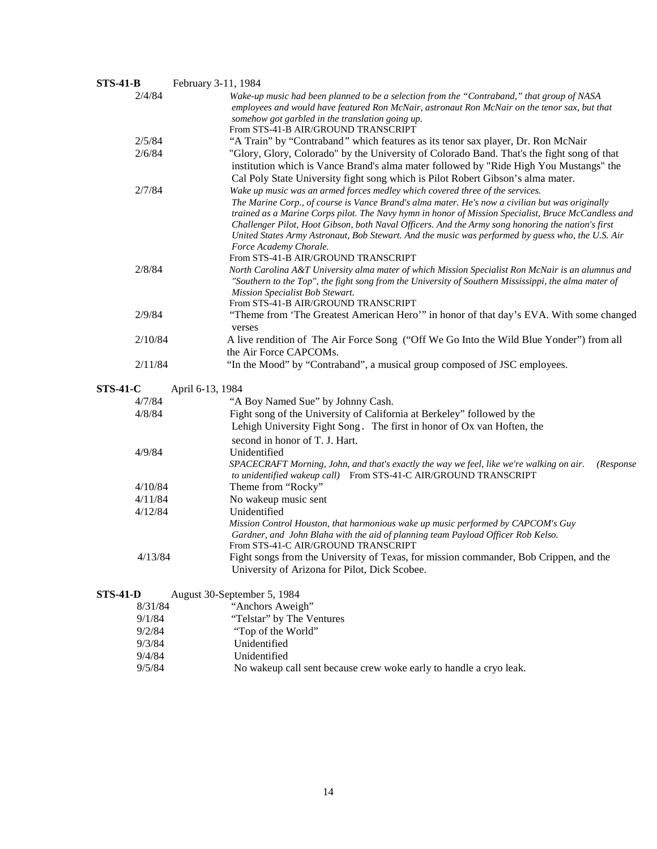| <b>STS-41-B</b> | February 3-11, 1984                                                                                                                                                                                                                                                                                                                                                                                                                                                                                                                                                |
|-----------------|--------------------------------------------------------------------------------------------------------------------------------------------------------------------------------------------------------------------------------------------------------------------------------------------------------------------------------------------------------------------------------------------------------------------------------------------------------------------------------------------------------------------------------------------------------------------|
| 2/4/84          | Wake-up music had been planned to be a selection from the "Contraband," that group of NASA<br>employees and would have featured Ron McNair, astronaut Ron McNair on the tenor sax, but that<br>somehow got garbled in the translation going up.<br>From STS-41-B AIR/GROUND TRANSCRIPT                                                                                                                                                                                                                                                                             |
| 2/5/84          | "A Train" by "Contraband" which features as its tenor sax player, Dr. Ron McNair                                                                                                                                                                                                                                                                                                                                                                                                                                                                                   |
| 2/6/84          | "Glory, Glory, Colorado" by the University of Colorado Band. That's the fight song of that<br>institution which is Vance Brand's alma mater followed by "Ride High You Mustangs" the<br>Cal Poly State University fight song which is Pilot Robert Gibson's alma mater.                                                                                                                                                                                                                                                                                            |
| 2/7/84          | Wake up music was an armed forces medley which covered three of the services.<br>The Marine Corp., of course is Vance Brand's alma mater. He's now a civilian but was originally<br>trained as a Marine Corps pilot. The Navy hymn in honor of Mission Specialist, Bruce McCandless and<br>Challenger Pilot, Hoot Gibson, both Naval Officers. And the Army song honoring the nation's first<br>United States Army Astronaut, Bob Stewart. And the music was performed by guess who, the U.S. Air<br>Force Academy Chorale.<br>From STS-41-B AIR/GROUND TRANSCRIPT |
| 2/8/84          | North Carolina A&T University alma mater of which Mission Specialist Ron McNair is an alumnus and<br>"Southern to the Top", the fight song from the University of Southern Mississippi, the alma mater of<br>Mission Specialist Bob Stewart.<br>From STS-41-B AIR/GROUND TRANSCRIPT                                                                                                                                                                                                                                                                                |
| 2/9/84          | "Theme from 'The Greatest American Hero'" in honor of that day's EVA. With some changed<br>verses                                                                                                                                                                                                                                                                                                                                                                                                                                                                  |
| 2/10/84         | A live rendition of The Air Force Song ("Off We Go Into the Wild Blue Yonder") from all<br>the Air Force CAPCOMs.                                                                                                                                                                                                                                                                                                                                                                                                                                                  |
| 2/11/84         | "In the Mood" by "Contraband", a musical group composed of JSC employees.                                                                                                                                                                                                                                                                                                                                                                                                                                                                                          |
| <b>STS-41-C</b> | April 6-13, 1984                                                                                                                                                                                                                                                                                                                                                                                                                                                                                                                                                   |
| 4/7/84          | "A Boy Named Sue" by Johnny Cash.                                                                                                                                                                                                                                                                                                                                                                                                                                                                                                                                  |
| 4/8/84          | Fight song of the University of California at Berkeley" followed by the<br>Lehigh University Fight Song. The first in honor of Ox van Hoften, the                                                                                                                                                                                                                                                                                                                                                                                                                  |
| 4/9/84          | second in honor of T. J. Hart.<br>Unidentified<br>SPACECRAFT Morning, John, and that's exactly the way we feel, like we're walking on air.<br>(Response<br>to unidentified wakeup call) From STS-41-C AIR/GROUND TRANSCRIPT                                                                                                                                                                                                                                                                                                                                        |
| 4/10/84         | Theme from "Rocky"                                                                                                                                                                                                                                                                                                                                                                                                                                                                                                                                                 |
| 4/11/84         | No wakeup music sent                                                                                                                                                                                                                                                                                                                                                                                                                                                                                                                                               |
| 4/12/84         | Unidentified                                                                                                                                                                                                                                                                                                                                                                                                                                                                                                                                                       |
|                 | Mission Control Houston, that harmonious wake up music performed by CAPCOM's Guy<br>Gardner, and John Blaha with the aid of planning team Payload Officer Rob Kelso.<br>From STS-41-C AIR/GROUND TRANSCRIPT                                                                                                                                                                                                                                                                                                                                                        |
| 4/13/84         | Fight songs from the University of Texas, for mission commander, Bob Crippen, and the<br>University of Arizona for Pilot, Dick Scobee.                                                                                                                                                                                                                                                                                                                                                                                                                             |
| <b>STS-41-D</b> | August 30-September 5, 1984                                                                                                                                                                                                                                                                                                                                                                                                                                                                                                                                        |
| 8/31/84         | "Anchors Aweigh"                                                                                                                                                                                                                                                                                                                                                                                                                                                                                                                                                   |
| 9/1/84          | "Telstar" by The Ventures                                                                                                                                                                                                                                                                                                                                                                                                                                                                                                                                          |
| 9/2/84          | "Top of the World"                                                                                                                                                                                                                                                                                                                                                                                                                                                                                                                                                 |
| 9/3/84          | Unidentified                                                                                                                                                                                                                                                                                                                                                                                                                                                                                                                                                       |
| 9/4/84          | Unidentified                                                                                                                                                                                                                                                                                                                                                                                                                                                                                                                                                       |
| 9/5/84          | No wakeup call sent because crew woke early to handle a cryo leak.                                                                                                                                                                                                                                                                                                                                                                                                                                                                                                 |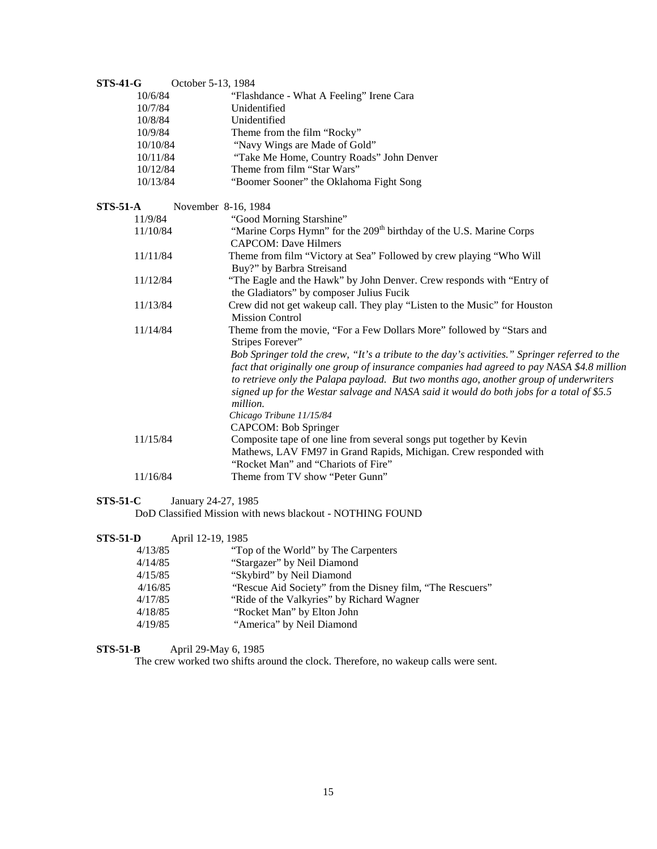| <b>STS-41-G</b> | October 5-13, 1984                                                                                                                                                                                                                                                                                                                                                                                                          |
|-----------------|-----------------------------------------------------------------------------------------------------------------------------------------------------------------------------------------------------------------------------------------------------------------------------------------------------------------------------------------------------------------------------------------------------------------------------|
| 10/6/84         | "Flashdance - What A Feeling" Irene Cara                                                                                                                                                                                                                                                                                                                                                                                    |
| 10/7/84         | Unidentified                                                                                                                                                                                                                                                                                                                                                                                                                |
| 10/8/84         | Unidentified                                                                                                                                                                                                                                                                                                                                                                                                                |
| 10/9/84         | Theme from the film "Rocky"                                                                                                                                                                                                                                                                                                                                                                                                 |
| 10/10/84        | "Navy Wings are Made of Gold"                                                                                                                                                                                                                                                                                                                                                                                               |
| 10/11/84        | "Take Me Home, Country Roads" John Denver                                                                                                                                                                                                                                                                                                                                                                                   |
| 10/12/84        | Theme from film "Star Wars"                                                                                                                                                                                                                                                                                                                                                                                                 |
| 10/13/84        | "Boomer Sooner" the Oklahoma Fight Song                                                                                                                                                                                                                                                                                                                                                                                     |
| STS-51-A        | November 8-16, 1984                                                                                                                                                                                                                                                                                                                                                                                                         |
| 11/9/84         | "Good Morning Starshine"                                                                                                                                                                                                                                                                                                                                                                                                    |
| 11/10/84        | "Marine Corps Hymn" for the 209 <sup>th</sup> birthday of the U.S. Marine Corps                                                                                                                                                                                                                                                                                                                                             |
|                 | <b>CAPCOM: Dave Hilmers</b>                                                                                                                                                                                                                                                                                                                                                                                                 |
| 11/11/84        | Theme from film "Victory at Sea" Followed by crew playing "Who Will                                                                                                                                                                                                                                                                                                                                                         |
|                 | Buy?" by Barbra Streisand                                                                                                                                                                                                                                                                                                                                                                                                   |
| 11/12/84        | "The Eagle and the Hawk" by John Denver. Crew responds with "Entry of                                                                                                                                                                                                                                                                                                                                                       |
|                 | the Gladiators" by composer Julius Fucik                                                                                                                                                                                                                                                                                                                                                                                    |
| 11/13/84        | Crew did not get wakeup call. They play "Listen to the Music" for Houston<br><b>Mission Control</b>                                                                                                                                                                                                                                                                                                                         |
| 11/14/84        | Theme from the movie, "For a Few Dollars More" followed by "Stars and<br>Stripes Forever"                                                                                                                                                                                                                                                                                                                                   |
|                 | Bob Springer told the crew, "It's a tribute to the day's activities." Springer referred to the<br>fact that originally one group of insurance companies had agreed to pay NASA \$4.8 million<br>to retrieve only the Palapa payload. But two months ago, another group of underwriters<br>signed up for the Westar salvage and NASA said it would do both jobs for a total of \$5.5<br>million.<br>Chicago Tribune 11/15/84 |
| 11/15/84        | CAPCOM: Bob Springer                                                                                                                                                                                                                                                                                                                                                                                                        |
|                 | Composite tape of one line from several songs put together by Kevin<br>Mathews, LAV FM97 in Grand Rapids, Michigan. Crew responded with                                                                                                                                                                                                                                                                                     |
|                 | "Rocket Man" and "Chariots of Fire"                                                                                                                                                                                                                                                                                                                                                                                         |
| 11/16/84        | Theme from TV show "Peter Gunn"                                                                                                                                                                                                                                                                                                                                                                                             |
|                 |                                                                                                                                                                                                                                                                                                                                                                                                                             |

#### $STS-51-C$ **STS-51-C** January 24-27, 1985

DoD Classified Mission with news blackout - NOTHING FOUND

| STS-51-D | April 12-19, 1985 |                                                           |
|----------|-------------------|-----------------------------------------------------------|
| 4/13/85  |                   | "Top of the World" by The Carpenters                      |
| 4/14/85  |                   | "Stargazer" by Neil Diamond                               |
| 4/15/85  |                   | "Skybird" by Neil Diamond                                 |
| 4/16/85  |                   | "Rescue Aid Society" from the Disney film, "The Rescuers" |
| 4/17/85  |                   | "Ride of the Valkyries" by Richard Wagner                 |
| 4/18/85  |                   | "Rocket Man" by Elton John                                |
| 4/19/85  |                   | "America" by Neil Diamond                                 |
|          |                   |                                                           |

### **STS-51-B** April 29-May 6, 1985

The crew worked two shifts around the clock. Therefore, no wakeup calls were sent.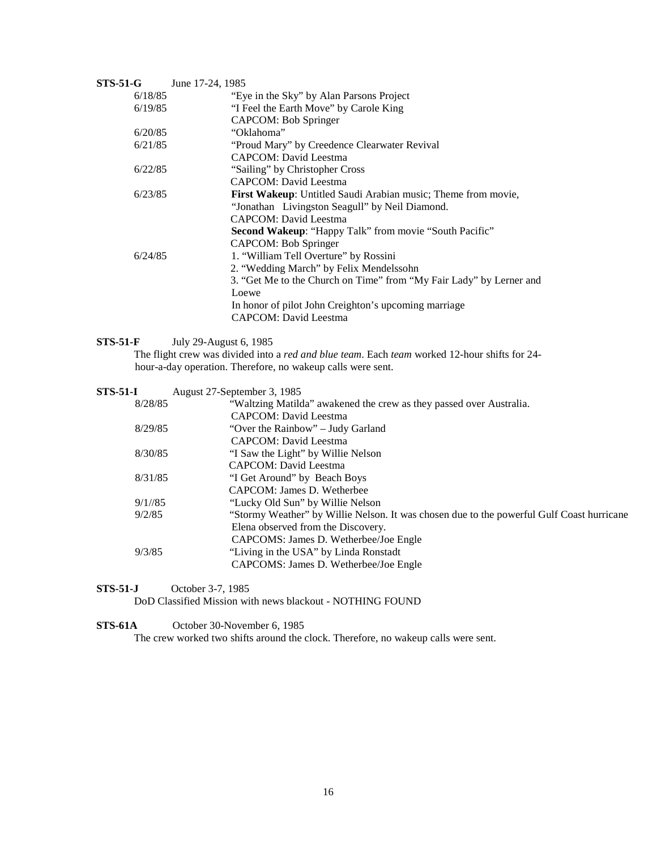| STS-51-G | June 17-24, 1985                                                     |
|----------|----------------------------------------------------------------------|
| 6/18/85  | "Eye in the Sky" by Alan Parsons Project"                            |
| 6/19/85  | "I Feel the Earth Move" by Carole King                               |
|          | CAPCOM: Bob Springer                                                 |
| 6/20/85  | "Oklahoma"                                                           |
| 6/21/85  | "Proud Mary" by Creedence Clearwater Revival                         |
|          | CAPCOM: David Leestma                                                |
| 6/22/85  | "Sailing" by Christopher Cross                                       |
|          | CAPCOM: David Leestma                                                |
| 6/23/85  | <b>First Wakeup:</b> Untitled Saudi Arabian music; Theme from movie, |
|          | "Jonathan Livingston Seagull" by Neil Diamond.                       |
|          | <b>CAPCOM</b> : David Leestma                                        |
|          | <b>Second Wakeup: "Happy Talk" from movie "South Pacific"</b>        |
|          | CAPCOM: Bob Springer                                                 |
| 6/24/85  | 1. "William Tell Overture" by Rossini                                |
|          | 2. "Wedding March" by Felix Mendelssohn                              |
|          | 3. "Get Me to the Church on Time" from "My Fair Lady" by Lerner and  |
|          | Loewe                                                                |
|          | In honor of pilot John Creighton's upcoming marriage                 |
|          | <b>CAPCOM: David Leestma</b>                                         |
|          |                                                                      |

# **STS-51-F** July 29-August 6, 1985

 The flight crew was divided into a *red and blue team*. Each *team* worked 12-hour shifts for 24 hour-a-day operation. Therefore, no wakeup calls were sent.

| STS-51-I | August 27-September 3, 1985                                                               |
|----------|-------------------------------------------------------------------------------------------|
| 8/28/85  | "Waltzing Matilda" awakened the crew as they passed over Australia.                       |
|          | CAPCOM: David Leestma                                                                     |
| 8/29/85  | "Over the Rainbow" - Judy Garland                                                         |
|          | CAPCOM: David Leestma                                                                     |
| 8/30/85  | "I Saw the Light" by Willie Nelson                                                        |
|          | CAPCOM: David Leestma                                                                     |
| 8/31/85  | "I Get Around" by Beach Boys                                                              |
|          | CAPCOM: James D. Wetherbee                                                                |
| 9/1/85   | "Lucky Old Sun" by Willie Nelson                                                          |
| 9/2/85   | "Stormy Weather" by Willie Nelson. It was chosen due to the powerful Gulf Coast hurricane |
|          | Elena observed from the Discovery.                                                        |
|          | CAPCOMS: James D. Wetherbee/Joe Engle                                                     |
| 9/3/85   | "Living in the USA" by Linda Ronstadt                                                     |
|          | CAPCOMS: James D. Wetherbee/Joe Engle                                                     |
|          |                                                                                           |

### **STS-51-J** October 3-7, 1985

DoD Classified Mission with news blackout - NOTHING FOUND

**STS-61A** October 30-November 6, 1985

The crew worked two shifts around the clock. Therefore, no wakeup calls were sent.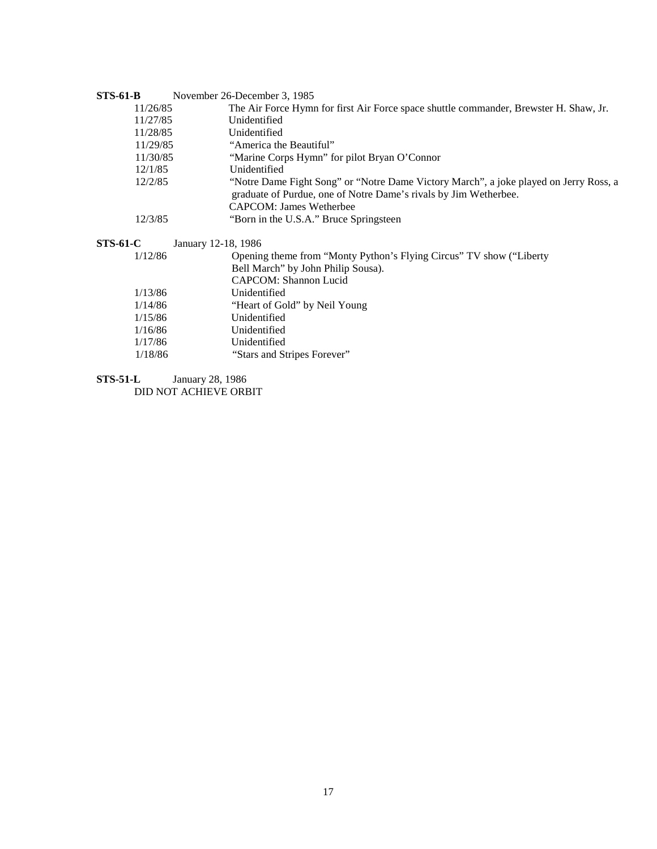| STS-61-B | November 26-December 3, 1985                                                                                                                              |
|----------|-----------------------------------------------------------------------------------------------------------------------------------------------------------|
| 11/26/85 | The Air Force Hymn for first Air Force space shuttle commander, Brewster H. Shaw, Jr.                                                                     |
| 11/27/85 | Unidentified                                                                                                                                              |
| 11/28/85 | Unidentified                                                                                                                                              |
| 11/29/85 | "America the Beautiful"                                                                                                                                   |
| 11/30/85 | "Marine Corps Hymn" for pilot Bryan O'Connor                                                                                                              |
| 12/1/85  | Unidentified                                                                                                                                              |
| 12/2/85  | "Notre Dame Fight Song" or "Notre Dame Victory March", a joke played on Jerry Ross, a<br>graduate of Purdue, one of Notre Dame's rivals by Jim Wetherbee. |
|          | <b>CAPCOM: James Wetherbee</b>                                                                                                                            |
| 12/3/85  | "Born in the U.S.A." Bruce Springsteen                                                                                                                    |
| STS-61-C | January 12-18, 1986                                                                                                                                       |
| 1/12/86  | Opening theme from "Monty Python's Flying Circus" TV show ("Liberty")                                                                                     |
|          | Bell March" by John Philip Sousa).                                                                                                                        |
|          | <b>CAPCOM: Shannon Lucid</b>                                                                                                                              |
| 1/13/86  | Unidentified                                                                                                                                              |
| 1/14/86  | "Heart of Gold" by Neil Young                                                                                                                             |
| 1/15/86  | Unidentified                                                                                                                                              |
| 1/16/86  | Unidentified                                                                                                                                              |
| 1/17/86  | Unidentified                                                                                                                                              |
| 1/18/86  | "Stars and Stripes Forever"                                                                                                                               |
|          |                                                                                                                                                           |

**STS-51-L** January 28, 1986

DID NOT ACHIEVE ORBIT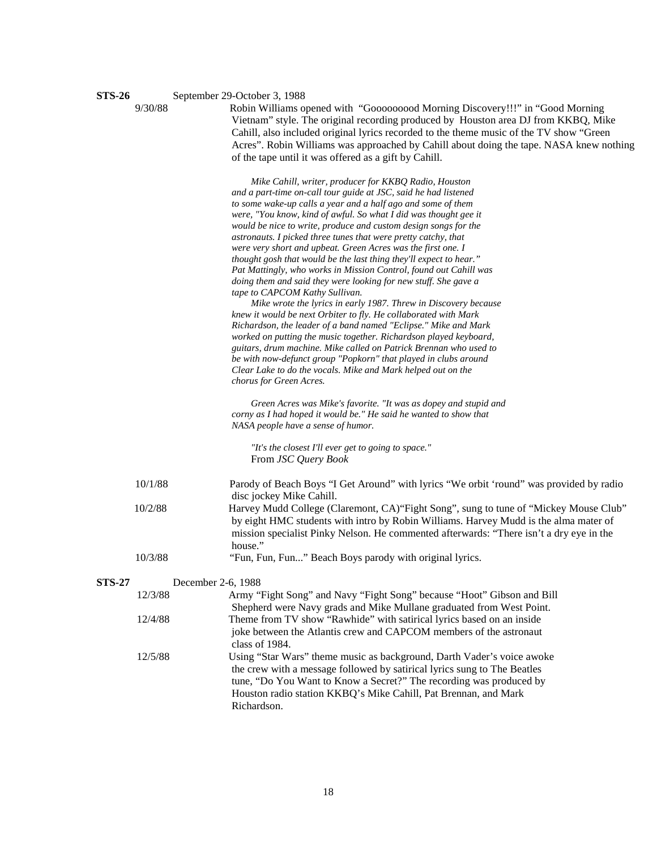| ın |       |  |
|----|-------|--|
| ۹  | ינו נ |  |

|         | September 29-October 3, 1988                                                             |
|---------|------------------------------------------------------------------------------------------|
| 9/30/88 | Robin Williams opened with "Gooooooood Morning Discovery!!!" in "Good Morning"           |
|         | Vietnam" style. The original recording produced by Houston area DJ from KKBO, Mike       |
|         | Cahill, also included original lyrics recorded to the theme music of the TV show "Green" |
|         | Acres". Robin Williams was approached by Cahill about doing the tape. NASA knew nothing  |

*Mike Cahill, writer, producer for KKBQ Radio, Houston and a part-time on-call tour guide at JSC, said he had listened to some wake-up calls a year and a half ago and some of them were, "You know, kind of awful. So what I did was thought gee it would be nice to write, produce and custom design songs for the astronauts. I picked three tunes that were pretty catchy, that were very short and upbeat. Green Acres was the first one. I thought gosh that would be the last thing they'll expect to hear." Pat Mattingly, who works in Mission Control, found out Cahill was doing them and said they were looking for new stuff. She gave a tape to CAPCOM Kathy Sullivan. Mike wrote the lyrics in early 1987. Threw in Discovery because*

of the tape until it was offered as a gift by Cahill.

*knew it would be next Orbiter to fly. He collaborated with Mark Richardson, the leader of a band named "Eclipse." Mike and Mark worked on putting the music together. Richardson played keyboard, guitars, drum machine. Mike called on Patrick Brennan who used to be with now-defunct group "Popkorn" that played in clubs around Clear Lake to do the vocals. Mike and Mark helped out on the chorus for Green Acres.*

*Green Acres was Mike's favorite. "It was as dopey and stupid and corny as I had hoped it would be." He said he wanted to show that NASA people have a sense of humor.*

*"It's the closest I'll ever get to going to space."* From *JSC Query Book*

| 10/1/88 | Parody of Beach Boys "I Get Around" with lyrics "We orbit 'round" was provided by radio |
|---------|-----------------------------------------------------------------------------------------|
|         | disc jockey Mike Cahill.                                                                |
| 10/2/88 | Harvey Mudd College (Claremont, CA) "Fight Song", sung to tune of "Mickey Mouse Club"   |
|         | by ojakt UMC students with intro by Dobin Williams, However Mudd is the almo mater of   |

by eight HMC students with intro by Robin Williams. Harvey Mudd is the alma mater of mission specialist Pinky Nelson. He commented afterwards: "There isn't a dry eye in the house."

| 10/3/88 |  |  | "Fun, Fun, Fun" Beach Boys parody with original lyrics. |
|---------|--|--|---------------------------------------------------------|
|---------|--|--|---------------------------------------------------------|

### **STS-27** December 2-6, 1988

| 12/3/88 | Army "Fight Song" and Navy "Fight Song" because "Hoot" Gibson and Bill   |
|---------|--------------------------------------------------------------------------|
|         | Shepherd were Navy grads and Mike Mullane graduated from West Point.     |
| 12/4/88 | Theme from TV show "Rawhide" with satirical lyrics based on an inside    |
|         | joke between the Atlantis crew and CAPCOM members of the astronaut       |
|         | class of 1984.                                                           |
| 12/5/88 | Using "Star Wars" theme music as background, Darth Vader's voice awoke   |
|         | the crew with a message followed by satirical lyrics sung to The Beatles |
|         | tune, "Do You Want to Know a Secret?" The recording was produced by      |
|         | Houston radio station KKBQ's Mike Cahill, Pat Brennan, and Mark          |
|         | Richardson.                                                              |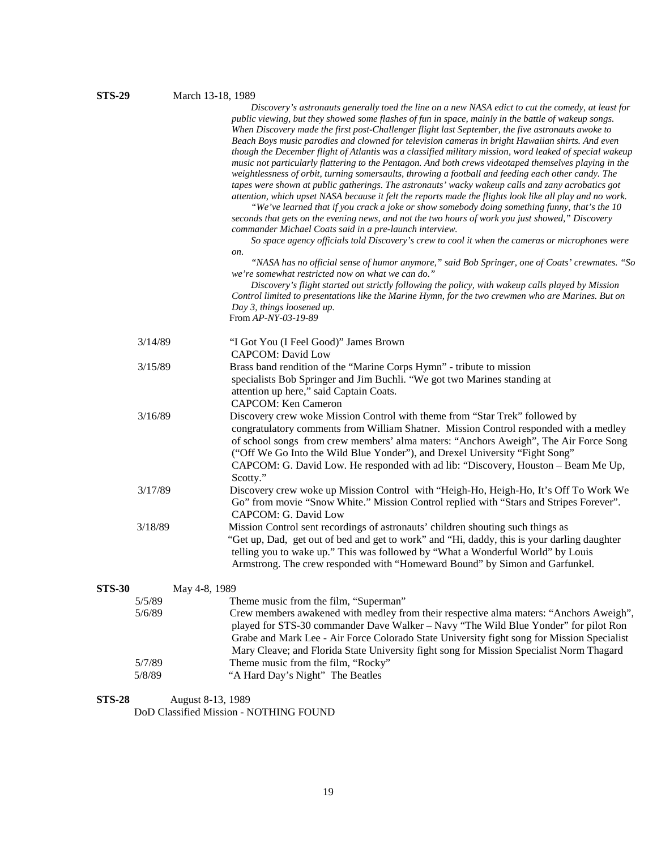| March 13-18, 1989 |  |
|-------------------|--|
|                   |  |

*Discovery's astronauts generally toed the line on a new NASA edict to cut the comedy, at least for public viewing, but they showed some flashes of fun in space, mainly in the battle of wakeup songs. When Discovery made the first post-Challenger flight last September, the five astronauts awoke to Beach Boys music parodies and clowned for television cameras in bright Hawaiian shirts. And even though the December flight of Atlantis was a classified military mission, word leaked of special wakeup music not particularly flattering to the Pentagon. And both crews videotaped themselves playing in the weightlessness of orbit, turning somersaults, throwing a football and feeding each other candy. The tapes were shown at public gatherings. The astronauts' wacky wakeup calls and zany acrobatics got attention, which upset NASA because it felt the reports made the flights look like all play and no work. "We've learned that if you crack a joke or show somebody doing something funny, that's the 10 seconds that gets on the evening news, and not the two hours of work you just showed," Discovery commander Michael Coats said in a pre-launch interview. So space agency officials told Discovery's crew to cool it when the cameras or microphones were* 

*on. "NASA has no official sense of humor anymore," said Bob Springer, one of Coats' crewmates. "So* 

*we're somewhat restricted now on what we can do." Discovery's flight started out strictly following the policy, with wakeup calls played by Mission Control limited to presentations like the Marine Hymn, for the two crewmen who are Marines. But on Day 3, things loosened up.* From *AP-NY-03-19-89*

- 3/14/89 "I Got You (I Feel Good)" James Brown CAPCOM: David Low 3/15/89 Brass band rendition of the "Marine Corps Hymn" - tribute to mission specialists Bob Springer and Jim Buchli. "We got two Marines standing at attention up here," said Captain Coats. CAPCOM: Ken Cameron 3/16/89 Discovery crew woke Mission Control with theme from "Star Trek" followed by
	- congratulatory comments from William Shatner. Mission Control responded with a medley of school songs from crew members' alma maters: "Anchors Aweigh", The Air Force Song ("Off We Go Into the Wild Blue Yonder"), and Drexel University "Fight Song" CAPCOM: G. David Low. He responded with ad lib: "Discovery, Houston – Beam Me Up, Scotty."
- 3/17/89 Discovery crew woke up Mission Control with "Heigh-Ho, Heigh-Ho, It's Off To Work We Go" from movie "Snow White." Mission Control replied with "Stars and Stripes Forever". CAPCOM: G. David Low 3/18/89 Mission Control sent recordings of astronauts' children shouting such things as "Get up, Dad, get out of bed and get to work" and "Hi, daddy, this is your darling daughter telling you to wake up." This was followed by "What a Wonderful World" by Louis

Armstrong. The crew responded with "Homeward Bound" by Simon and Garfunkel.

| STS-30 |        | May 4-8, 1989                                                                                                                                                                                                                                                                                                                                                           |
|--------|--------|-------------------------------------------------------------------------------------------------------------------------------------------------------------------------------------------------------------------------------------------------------------------------------------------------------------------------------------------------------------------------|
|        | 5/5/89 | Theme music from the film, "Superman"                                                                                                                                                                                                                                                                                                                                   |
|        | 5/6/89 | Crew members awakened with medley from their respective alma maters: "Anchors Aweigh",<br>played for STS-30 commander Dave Walker – Navy "The Wild Blue Yonder" for pilot Ron<br>Grabe and Mark Lee - Air Force Colorado State University fight song for Mission Specialist<br>Mary Cleave; and Florida State University fight song for Mission Specialist Norm Thagard |
|        | 5/7/89 | Theme music from the film, "Rocky"                                                                                                                                                                                                                                                                                                                                      |
|        | 5/8/89 | "A Hard Day's Night" The Beatles                                                                                                                                                                                                                                                                                                                                        |

**STS-28** August 8-13, 1989

DoD Classified Mission - NOTHING FOUND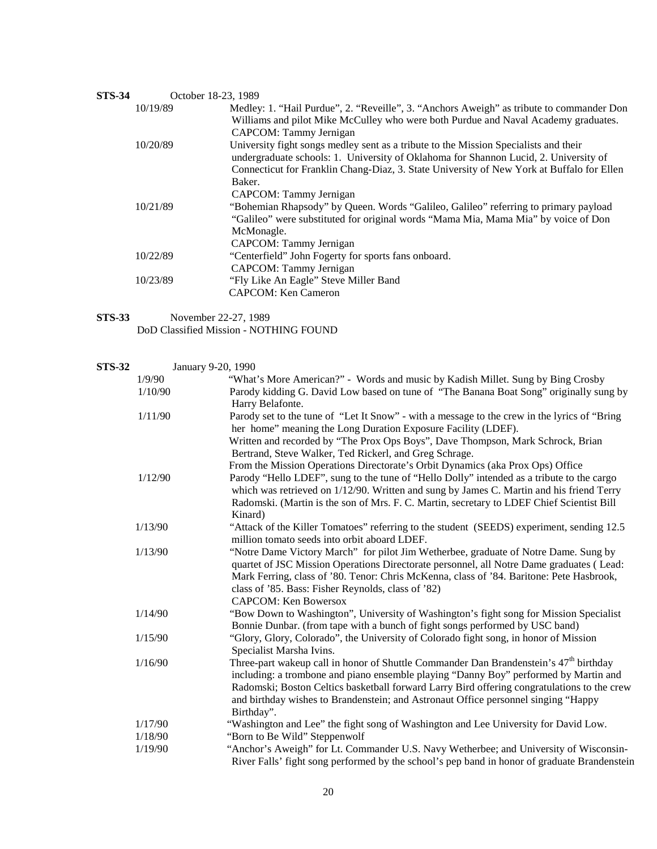| STS-34 | October 18-23, 1989 |                                                                                           |
|--------|---------------------|-------------------------------------------------------------------------------------------|
|        | 10/19/89            | Medley: 1. "Hail Purdue", 2. "Reveille", 3. "Anchors Aweigh" as tribute to commander Don  |
|        |                     | Williams and pilot Mike McCulley who were both Purdue and Naval Academy graduates.        |
|        |                     | CAPCOM: Tammy Jernigan                                                                    |
|        | 10/20/89            | University fight songs medley sent as a tribute to the Mission Specialists and their      |
|        |                     | undergraduate schools: 1. University of Oklahoma for Shannon Lucid, 2. University of      |
|        |                     | Connecticut for Franklin Chang-Diaz, 3. State University of New York at Buffalo for Ellen |
|        |                     | Baker.                                                                                    |
|        |                     | CAPCOM: Tammy Jernigan                                                                    |
|        | 10/21/89            | "Bohemian Rhapsody" by Queen. Words "Galileo, Galileo" referring to primary payload       |
|        |                     | "Galileo" were substituted for original words "Mama Mia, Mama Mia" by voice of Don        |
|        |                     | McMonagle.                                                                                |
|        |                     | CAPCOM: Tammy Jernigan                                                                    |
|        | 10/22/89            | "Centerfield" John Fogerty for sports fans onboard.                                       |
|        |                     | CAPCOM: Tammy Jernigan                                                                    |
|        | 10/23/89            | "Fly Like An Eagle" Steve Miller Band                                                     |
|        |                     | <b>CAPCOM: Ken Cameron</b>                                                                |
|        |                     |                                                                                           |

**STS-33** November 22-27, 1989 DoD Classified Mission - NOTHING FOUND

| <b>STS-32</b> | January 9-20, 1990 |                                                                                                   |
|---------------|--------------------|---------------------------------------------------------------------------------------------------|
|               | 1/9/90             | "What's More American?" - Words and music by Kadish Millet. Sung by Bing Crosby                   |
|               | 1/10/90            | Parody kidding G. David Low based on tune of "The Banana Boat Song" originally sung by            |
|               |                    | Harry Belafonte.                                                                                  |
|               | 1/11/90            | Parody set to the tune of "Let It Snow" - with a message to the crew in the lyrics of "Bring"     |
|               |                    | her home" meaning the Long Duration Exposure Facility (LDEF).                                     |
|               |                    | Written and recorded by "The Prox Ops Boys", Dave Thompson, Mark Schrock, Brian                   |
|               |                    | Bertrand, Steve Walker, Ted Rickerl, and Greg Schrage.                                            |
|               |                    | From the Mission Operations Directorate's Orbit Dynamics (aka Prox Ops) Office                    |
|               | 1/12/90            | Parody "Hello LDEF", sung to the tune of "Hello Dolly" intended as a tribute to the cargo         |
|               |                    | which was retrieved on 1/12/90. Written and sung by James C. Martin and his friend Terry          |
|               |                    | Radomski. (Martin is the son of Mrs. F. C. Martin, secretary to LDEF Chief Scientist Bill         |
|               |                    | Kinard)                                                                                           |
|               | 1/13/90            | "Attack of the Killer Tomatoes" referring to the student (SEEDS) experiment, sending 12.5         |
|               |                    | million tomato seeds into orbit aboard LDEF.                                                      |
|               | 1/13/90            | "Notre Dame Victory March" for pilot Jim Wetherbee, graduate of Notre Dame. Sung by               |
|               |                    | quartet of JSC Mission Operations Directorate personnel, all Notre Dame graduates (Lead:          |
|               |                    | Mark Ferring, class of '80. Tenor: Chris McKenna, class of '84. Baritone: Pete Hasbrook,          |
|               |                    | class of '85. Bass: Fisher Reynolds, class of '82)                                                |
|               |                    | <b>CAPCOM: Ken Bowersox</b>                                                                       |
|               | 1/14/90            | "Bow Down to Washington", University of Washington's fight song for Mission Specialist            |
|               |                    | Bonnie Dunbar. (from tape with a bunch of fight songs performed by USC band)                      |
|               | 1/15/90            | "Glory, Glory, Colorado", the University of Colorado fight song, in honor of Mission              |
|               |                    | Specialist Marsha Ivins.                                                                          |
|               | 1/16/90            | Three-part wakeup call in honor of Shuttle Commander Dan Brandenstein's 47 <sup>th</sup> birthday |
|               |                    | including: a trombone and piano ensemble playing "Danny Boy" performed by Martin and              |
|               |                    | Radomski; Boston Celtics basketball forward Larry Bird offering congratulations to the crew       |
|               |                    | and birthday wishes to Brandenstein; and Astronaut Office personnel singing "Happy<br>Birthday".  |
|               | 1/17/90            | "Washington and Lee" the fight song of Washington and Lee University for David Low.               |
|               | 1/18/90            | "Born to Be Wild" Steppenwolf                                                                     |
|               | 1/19/90            | "Anchor's Aweigh" for Lt. Commander U.S. Navy Wetherbee; and University of Wisconsin-             |
|               |                    | River Falls' fight song performed by the school's pep band in honor of graduate Brandenstein      |
|               |                    |                                                                                                   |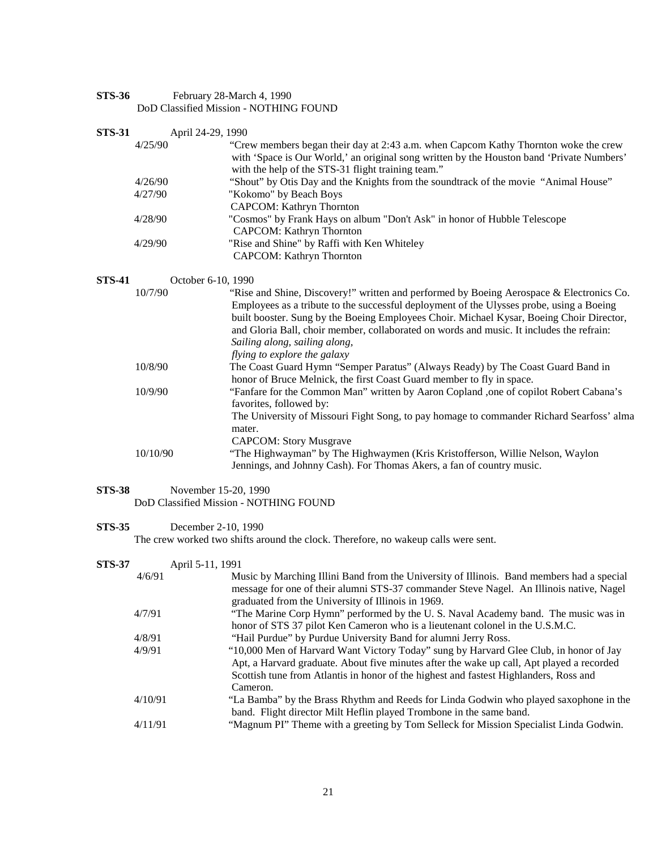| STS-36 | February 28-March 4, 1990              |
|--------|----------------------------------------|
|        | DoD Classified Mission - NOTHING FOUND |

| <b>STS-31</b> | April 24-29, 1990  |                                                                                           |
|---------------|--------------------|-------------------------------------------------------------------------------------------|
|               | 4/25/90            | "Crew members began their day at 2:43 a.m. when Capcom Kathy Thornton woke the crew       |
|               |                    | with 'Space is Our World,' an original song written by the Houston band 'Private Numbers' |
|               |                    | with the help of the STS-31 flight training team."                                        |
|               | 4/26/90            | "Shout" by Otis Day and the Knights from the soundtrack of the movie "Animal House"       |
|               | 4/27/90            | "Kokomo" by Beach Boys                                                                    |
|               |                    | <b>CAPCOM: Kathryn Thornton</b>                                                           |
|               | 4/28/90            | "Cosmos" by Frank Hays on album "Don't Ask" in honor of Hubble Telescope                  |
|               |                    | <b>CAPCOM:</b> Kathryn Thornton                                                           |
|               | 4/29/90            | "Rise and Shine" by Raffi with Ken Whiteley                                               |
|               |                    | CAPCOM: Kathryn Thornton                                                                  |
| <b>STS-41</b> | October 6-10, 1990 |                                                                                           |
|               | 10/7/90            | "Rise and Shine, Discovery!" written and performed by Boeing Aerospace & Electronics Co.  |
|               |                    | Employees as a tribute to the successful deployment of the Ulysses probe, using a Boeing  |
|               |                    | built booster. Sung by the Boeing Employees Choir. Michael Kysar, Boeing Choir Director,  |
|               |                    | and Gloria Ball, choir member, collaborated on words and music. It includes the refrain:  |
|               |                    | Sailing along, sailing along,                                                             |
|               |                    | flying to explore the galaxy                                                              |
|               | 10/8/90            | The Coast Guard Hymn "Semper Paratus" (Always Ready) by The Coast Guard Band in           |
|               |                    | honor of Bruce Melnick, the first Coast Guard member to fly in space.                     |
|               | 10/9/90            | "Fanfare for the Common Man" written by Aaron Copland ,one of copilot Robert Cabana's     |
|               |                    | favorites, followed by:                                                                   |
|               |                    | The University of Missouri Fight Song, to pay homage to commander Richard Searfoss' alma  |
|               |                    | mater.                                                                                    |
|               |                    | <b>CAPCOM: Story Musgrave</b>                                                             |
|               | 10/10/90           | "The Highwayman" by The Highwaymen (Kris Kristofferson, Willie Nelson, Waylon             |
|               |                    | Jennings, and Johnny Cash). For Thomas Akers, a fan of country music.                     |
|               |                    |                                                                                           |

### **STS-38** November 15-20, 1990 DoD Classified Mission - NOTHING FOUND

# **STS-35** December 2-10, 1990

The crew worked two shifts around the clock. Therefore, no wakeup calls were sent.

# **STS-37** April 5-11, 1991

| 4/6/91  | Music by Marching Illini Band from the University of Illinois. Band members had a special |
|---------|-------------------------------------------------------------------------------------------|
|         | message for one of their alumni STS-37 commander Steve Nagel. An Illinois native, Nagel   |
|         | graduated from the University of Illinois in 1969.                                        |
| 4/7/91  | "The Marine Corp Hymn" performed by the U.S. Naval Academy band. The music was in         |
|         | honor of STS 37 pilot Ken Cameron who is a lieutenant colonel in the U.S.M.C.             |
| 4/8/91  | "Hail Purdue" by Purdue University Band for alumni Jerry Ross.                            |
| 4/9/91  | "10,000 Men of Harvard Want Victory Today" sung by Harvard Glee Club, in honor of Jay     |
|         | Apt, a Harvard graduate. About five minutes after the wake up call, Apt played a recorded |
|         | Scottish tune from Atlantis in honor of the highest and fastest Highlanders, Ross and     |
|         | Cameron.                                                                                  |
| 4/10/91 | "La Bamba" by the Brass Rhythm and Reeds for Linda Godwin who played saxophone in the     |
|         | band. Flight director Milt Heflin played Trombone in the same band.                       |
| 4/11/91 | "Magnum PI" Theme with a greeting by Tom Selleck for Mission Specialist Linda Godwin.     |
|         |                                                                                           |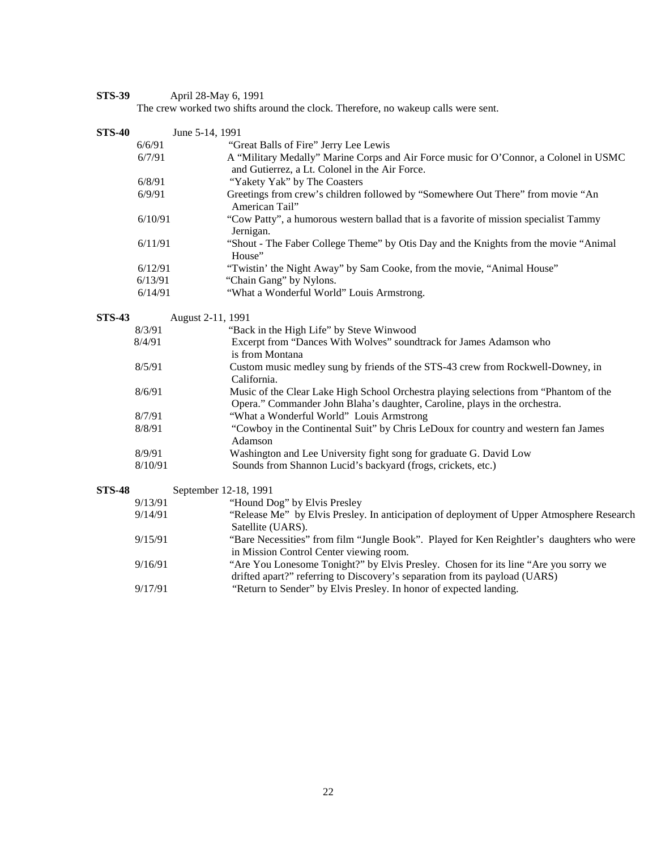| STS-39 | April 28-May 6, 1991 |
|--------|----------------------|
|        |                      |

The crew worked two shifts around the clock. Therefore, no wakeup calls were sent.

| <b>STS-40</b> | June 5-14, 1991       |                                                                                                                                                                    |
|---------------|-----------------------|--------------------------------------------------------------------------------------------------------------------------------------------------------------------|
|               | 6/6/91                | "Great Balls of Fire" Jerry Lee Lewis                                                                                                                              |
|               | 6/7/91                | A "Military Medally" Marine Corps and Air Force music for O'Connor, a Colonel in USMC                                                                              |
|               |                       | and Gutierrez, a Lt. Colonel in the Air Force.                                                                                                                     |
|               | 6/8/91                | "Yakety Yak" by The Coasters                                                                                                                                       |
|               | 6/9/91                | Greetings from crew's children followed by "Somewhere Out There" from movie "An<br>American Tail"                                                                  |
|               | 6/10/91               | "Cow Patty", a humorous western ballad that is a favorite of mission specialist Tammy<br>Jernigan.                                                                 |
|               | 6/11/91               | "Shout - The Faber College Theme" by Otis Day and the Knights from the movie "Animal"<br>House"                                                                    |
|               | 6/12/91               | "Twistin' the Night Away" by Sam Cooke, from the movie, "Animal House"                                                                                             |
|               | 6/13/91               | "Chain Gang" by Nylons.                                                                                                                                            |
|               | 6/14/91               | "What a Wonderful World" Louis Armstrong.                                                                                                                          |
| <b>STS-43</b> | August 2-11, 1991     |                                                                                                                                                                    |
|               | 8/3/91                | "Back in the High Life" by Steve Winwood                                                                                                                           |
|               | 8/4/91                | Excerpt from "Dances With Wolves" soundtrack for James Adamson who                                                                                                 |
|               |                       | is from Montana                                                                                                                                                    |
|               | 8/5/91                | Custom music medley sung by friends of the STS-43 crew from Rockwell-Downey, in                                                                                    |
|               |                       | California.                                                                                                                                                        |
|               | 8/6/91                | Music of the Clear Lake High School Orchestra playing selections from "Phantom of the                                                                              |
|               |                       | Opera." Commander John Blaha's daughter, Caroline, plays in the orchestra.                                                                                         |
|               | 8/7/91                | "What a Wonderful World" Louis Armstrong                                                                                                                           |
|               | 8/8/91                | "Cowboy in the Continental Suit" by Chris LeDoux for country and western fan James                                                                                 |
|               |                       | Adamson                                                                                                                                                            |
|               | 8/9/91                | Washington and Lee University fight song for graduate G. David Low                                                                                                 |
|               | 8/10/91               | Sounds from Shannon Lucid's backyard (frogs, crickets, etc.)                                                                                                       |
| <b>STS-48</b> | September 12-18, 1991 |                                                                                                                                                                    |
|               | 9/13/91               | "Hound Dog" by Elvis Presley                                                                                                                                       |
|               | 9/14/91               | "Release Me" by Elvis Presley. In anticipation of deployment of Upper Atmosphere Research<br>Satellite (UARS).                                                     |
|               | 9/15/91               | "Bare Necessities" from film "Jungle Book". Played for Ken Reightler's daughters who were<br>in Mission Control Center viewing room.                               |
|               | 9/16/91               | "Are You Lonesome Tonight?" by Elvis Presley. Chosen for its line "Are you sorry we<br>drifted apart?" referring to Discovery's separation from its payload (UARS) |

9/17/91 "Return to Sender" by Elvis Presley. In honor of expected landing.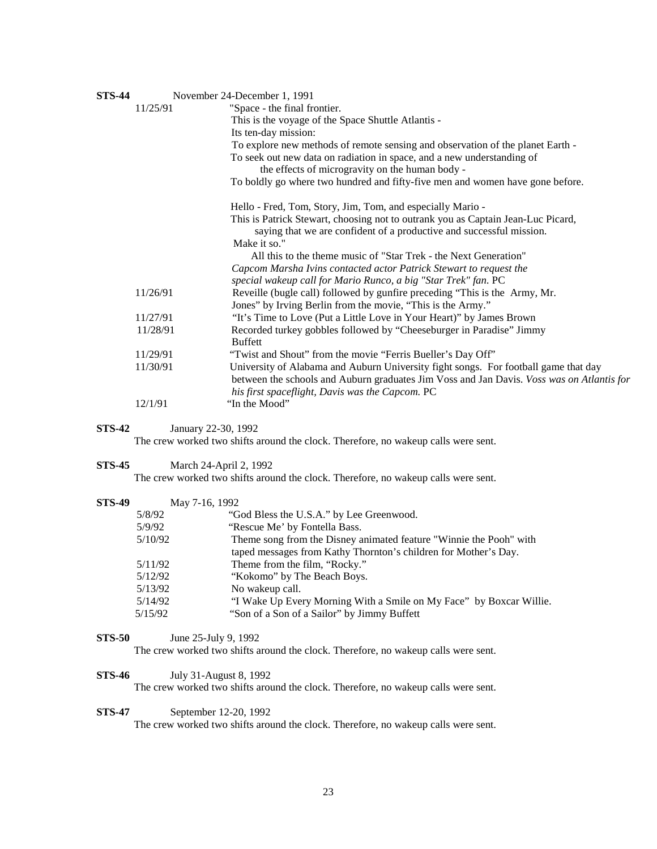| STS-44 |          | November 24-December 1, 1991                                                                                                                                                                                                        |
|--------|----------|-------------------------------------------------------------------------------------------------------------------------------------------------------------------------------------------------------------------------------------|
|        | 11/25/91 | "Space - the final frontier.                                                                                                                                                                                                        |
|        |          | This is the voyage of the Space Shuttle Atlantis -                                                                                                                                                                                  |
|        |          | Its ten-day mission:                                                                                                                                                                                                                |
|        |          | To explore new methods of remote sensing and observation of the planet Earth -                                                                                                                                                      |
|        |          | To seek out new data on radiation in space, and a new understanding of                                                                                                                                                              |
|        |          | the effects of microgravity on the human body -                                                                                                                                                                                     |
|        |          | To boldly go where two hundred and fifty-five men and women have gone before.                                                                                                                                                       |
|        |          | Hello - Fred, Tom, Story, Jim, Tom, and especially Mario -                                                                                                                                                                          |
|        |          | This is Patrick Stewart, choosing not to outrank you as Captain Jean-Luc Picard,<br>saying that we are confident of a productive and successful mission.                                                                            |
|        |          | Make it so."                                                                                                                                                                                                                        |
|        |          | All this to the theme music of "Star Trek - the Next Generation"                                                                                                                                                                    |
|        |          | Capcom Marsha Ivins contacted actor Patrick Stewart to request the                                                                                                                                                                  |
|        |          | special wakeup call for Mario Runco, a big "Star Trek" fan. PC                                                                                                                                                                      |
|        | 11/26/91 | Reveille (bugle call) followed by gunfire preceding "This is the Army, Mr.                                                                                                                                                          |
|        |          | Jones" by Irving Berlin from the movie, "This is the Army."                                                                                                                                                                         |
|        | 11/27/91 | "It's Time to Love (Put a Little Love in Your Heart)" by James Brown                                                                                                                                                                |
|        | 11/28/91 | Recorded turkey gobbles followed by "Cheeseburger in Paradise" Jimmy<br><b>Buffett</b>                                                                                                                                              |
|        | 11/29/91 | "Twist and Shout" from the movie "Ferris Bueller's Day Off"                                                                                                                                                                         |
|        | 11/30/91 | University of Alabama and Auburn University fight songs. For football game that day<br>between the schools and Auburn graduates Jim Voss and Jan Davis. Voss was on Atlantis for<br>his first spaceflight, Davis was the Capcom. PC |
|        | 12/1/91  | "In the Mood"                                                                                                                                                                                                                       |
|        |          |                                                                                                                                                                                                                                     |

**STS-42** January 22-30, 1992

The crew worked two shifts around the clock. Therefore, no wakeup calls were sent.

**STS-45** March 24-April 2, 1992

The crew worked two shifts around the clock. Therefore, no wakeup calls were sent.

| <b>STS-49</b> |         | May 7-16, 1992                                                      |
|---------------|---------|---------------------------------------------------------------------|
|               | 5/8/92  | "God Bless the U.S.A." by Lee Greenwood.                            |
|               | 5/9/92  | "Rescue Me' by Fontella Bass.                                       |
|               | 5/10/92 | Theme song from the Disney animated feature "Winnie the Pooh" with  |
|               |         | taped messages from Kathy Thornton's children for Mother's Day.     |
|               | 5/11/92 | Theme from the film, "Rocky."                                       |
|               | 5/12/92 | "Kokomo" by The Beach Boys.                                         |
|               | 5/13/92 | No wakeup call.                                                     |
|               | 5/14/92 | "I Wake Up Every Morning With a Smile on My Face" by Boxcar Willie. |
|               | 5/15/92 | "Son of a Son of a Sailor" by Jimmy Buffett                         |

**STS-50** June 25-July 9, 1992

The crew worked two shifts around the clock. Therefore, no wakeup calls were sent.

**STS-46** July 31-August 8, 1992

The crew worked two shifts around the clock. Therefore, no wakeup calls were sent.

### **STS-47** September 12-20, 1992

The crew worked two shifts around the clock. Therefore, no wakeup calls were sent.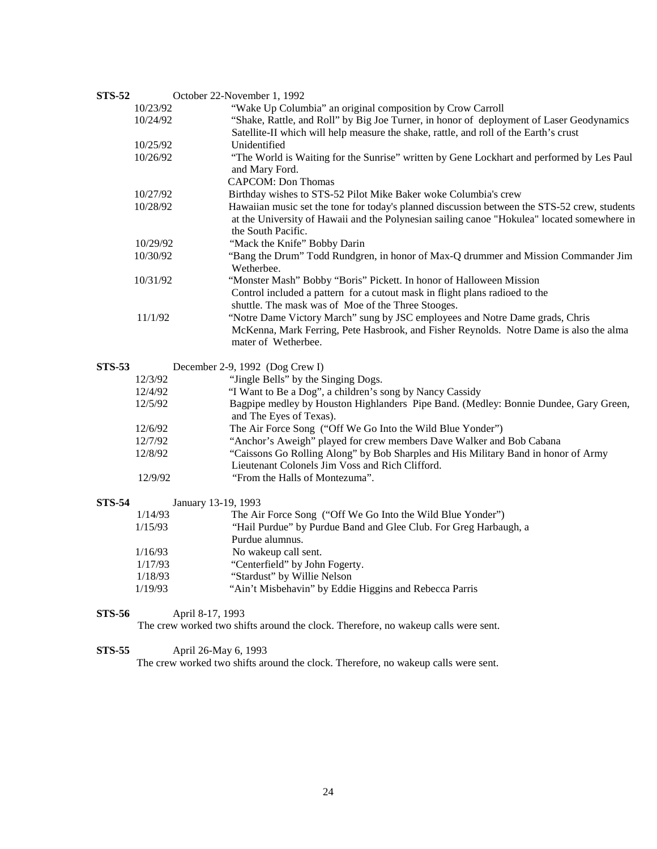| <b>STS-52</b> |                     | October 22-November 1, 1992                                                                                       |
|---------------|---------------------|-------------------------------------------------------------------------------------------------------------------|
|               | 10/23/92            | "Wake Up Columbia" an original composition by Crow Carroll                                                        |
|               | 10/24/92            | "Shake, Rattle, and Roll" by Big Joe Turner, in honor of deployment of Laser Geodynamics                          |
|               |                     | Satellite-II which will help measure the shake, rattle, and roll of the Earth's crust                             |
|               | 10/25/92            | Unidentified                                                                                                      |
|               | 10/26/92            | "The World is Waiting for the Sunrise" written by Gene Lockhart and performed by Les Paul                         |
|               |                     | and Mary Ford.                                                                                                    |
|               |                     | <b>CAPCOM: Don Thomas</b>                                                                                         |
|               | 10/27/92            | Birthday wishes to STS-52 Pilot Mike Baker woke Columbia's crew                                                   |
|               | 10/28/92            | Hawaiian music set the tone for today's planned discussion between the STS-52 crew, students                      |
|               |                     | at the University of Hawaii and the Polynesian sailing canoe "Hokulea" located somewhere in<br>the South Pacific. |
|               | 10/29/92            | "Mack the Knife" Bobby Darin                                                                                      |
|               | 10/30/92            | "Bang the Drum" Todd Rundgren, in honor of Max-Q drummer and Mission Commander Jim<br>Wetherbee.                  |
|               | 10/31/92            | "Monster Mash" Bobby "Boris" Pickett. In honor of Halloween Mission                                               |
|               |                     | Control included a pattern for a cutout mask in flight plans radioed to the                                       |
|               |                     | shuttle. The mask was of Moe of the Three Stooges.                                                                |
|               | 11/1/92             | "Notre Dame Victory March" sung by JSC employees and Notre Dame grads, Chris                                      |
|               |                     | McKenna, Mark Ferring, Pete Hasbrook, and Fisher Reynolds. Notre Dame is also the alma<br>mater of Wetherbee.     |
| <b>STS-53</b> |                     | December 2-9, 1992 (Dog Crew I)                                                                                   |
|               | 12/3/92             | "Jingle Bells" by the Singing Dogs.                                                                               |
|               | 12/4/92             | "I Want to Be a Dog", a children's song by Nancy Cassidy                                                          |
|               | 12/5/92             | Bagpipe medley by Houston Highlanders Pipe Band. (Medley: Bonnie Dundee, Gary Green,                              |
|               |                     | and The Eyes of Texas).                                                                                           |
|               | 12/6/92             | The Air Force Song ("Off We Go Into the Wild Blue Yonder")                                                        |
|               | 12/7/92             | "Anchor's Aweigh" played for crew members Dave Walker and Bob Cabana                                              |
|               | 12/8/92             | "Caissons Go Rolling Along" by Bob Sharples and His Military Band in honor of Army                                |
|               |                     | Lieutenant Colonels Jim Voss and Rich Clifford.                                                                   |
|               | 12/9/92             | "From the Halls of Montezuma".                                                                                    |
| <b>STS-54</b> | January 13-19, 1993 |                                                                                                                   |
|               | 1/14/93             | The Air Force Song ("Off We Go Into the Wild Blue Yonder")                                                        |
|               | 1/15/93             | "Hail Purdue" by Purdue Band and Glee Club. For Greg Harbaugh, a                                                  |
|               |                     | Purdue alumnus.                                                                                                   |
|               | 1/16/93             | No wakeup call sent.                                                                                              |
|               | 1/17/93             | "Centerfield" by John Fogerty.                                                                                    |
|               | 1/18/93             | "Stardust" by Willie Nelson                                                                                       |
|               | 1/19/93             | "Ain't Misbehavin" by Eddie Higgins and Rebecca Parris                                                            |
| <b>STS-56</b> | April 8-17, 1993    |                                                                                                                   |
|               |                     | The crew worked two shifts around the clock. Therefore, no wakeup calls were sent.                                |

**STS-55** April 26-May 6, 1993 The crew worked two shifts around the clock. Therefore, no wakeup calls were sent.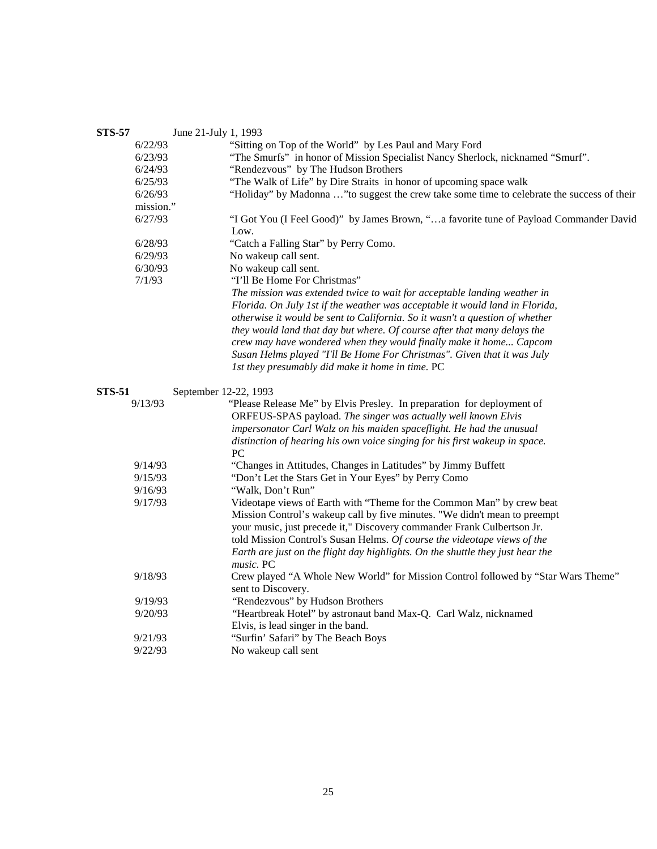| <b>STS-57</b> |           | June 21-July 1, 1993                                                                          |
|---------------|-----------|-----------------------------------------------------------------------------------------------|
|               | 6/22/93   | "Sitting on Top of the World" by Les Paul and Mary Ford                                       |
|               | 6/23/93   | "The Smurfs" in honor of Mission Specialist Nancy Sherlock, nicknamed "Smurf".                |
|               | 6/24/93   | "Rendezvous" by The Hudson Brothers                                                           |
|               | 6/25/93   | "The Walk of Life" by Dire Straits in honor of upcoming space walk                            |
|               | 6/26/93   | "Holiday" by Madonna "to suggest the crew take some time to celebrate the success of their    |
|               | mission." |                                                                                               |
|               | 6/27/93   | "I Got You (I Feel Good)" by James Brown, "a favorite tune of Payload Commander David<br>Low. |
|               | 6/28/93   | "Catch a Falling Star" by Perry Como.                                                         |
|               | 6/29/93   | No wakeup call sent.                                                                          |
|               | 6/30/93   | No wakeup call sent.                                                                          |
|               | 7/1/93    | "I'll Be Home For Christmas"                                                                  |
|               |           | The mission was extended twice to wait for acceptable landing weather in                      |
|               |           | Florida. On July 1st if the weather was acceptable it would land in Florida,                  |
|               |           | otherwise it would be sent to California. So it wasn't a question of whether                  |
|               |           | they would land that day but where. Of course after that many delays the                      |
|               |           | crew may have wondered when they would finally make it home Capcom                            |
|               |           | Susan Helms played "I'll Be Home For Christmas". Given that it was July                       |
|               |           | 1st they presumably did make it home in time. PC                                              |
| <b>STS-51</b> |           | September 12-22, 1993                                                                         |
|               | 9/13/93   | "Please Release Me" by Elvis Presley. In preparation for deployment of                        |
|               |           | ORFEUS-SPAS payload. The singer was actually well known Elvis                                 |
|               |           | impersonator Carl Walz on his maiden spaceflight. He had the unusual                          |
|               |           | distinction of hearing his own voice singing for his first wakeup in space.                   |
|               |           | PC                                                                                            |
|               | 9/14/93   | "Changes in Attitudes, Changes in Latitudes" by Jimmy Buffett                                 |
|               | 9/15/93   | "Don't Let the Stars Get in Your Eyes" by Perry Como                                          |
|               | 9/16/93   | "Walk, Don't Run"                                                                             |
|               | 9/17/93   | Videotape views of Earth with "Theme for the Common Man" by crew beat                         |
|               |           | Mission Control's wakeup call by five minutes. "We didn't mean to preempt                     |
|               |           | your music, just precede it," Discovery commander Frank Culbertson Jr.                        |
|               |           | told Mission Control's Susan Helms. Of course the videotape views of the                      |
|               |           | Earth are just on the flight day highlights. On the shuttle they just hear the                |
|               |           | music. PC                                                                                     |
|               | 9/18/93   | Crew played "A Whole New World" for Mission Control followed by "Star Wars Theme"             |
|               |           | sent to Discovery.                                                                            |
|               | 9/19/93   | "Rendezvous" by Hudson Brothers                                                               |
|               | 9/20/93   | "Heartbreak Hotel" by astronaut band Max-Q. Carl Walz, nicknamed                              |
|               |           | Elvis, is lead singer in the band.                                                            |
|               | 9/21/93   | "Surfin' Safari" by The Beach Boys                                                            |
|               | 9/22/93   | No wakeup call sent                                                                           |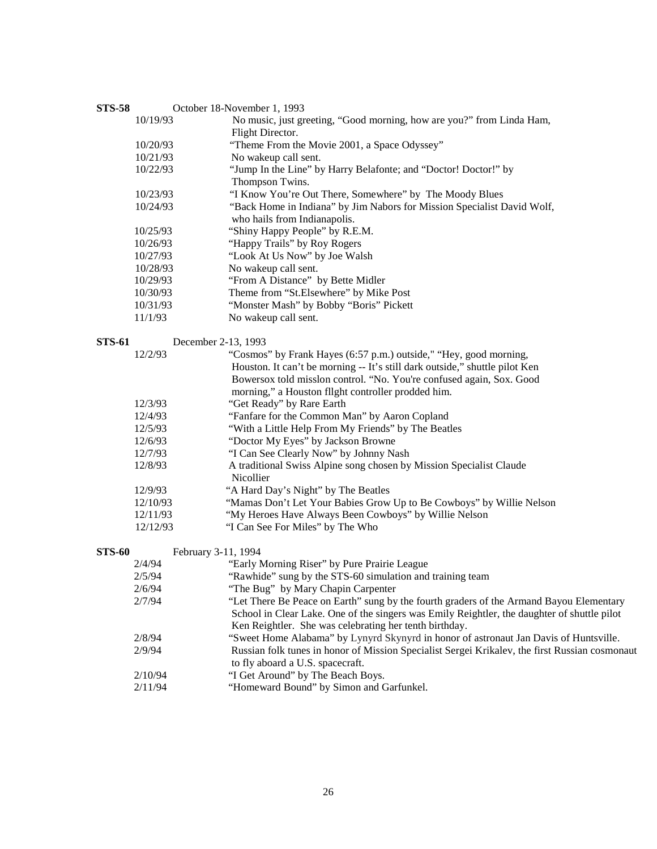| <b>STS-58</b> | October 18-November 1, 1993 |                                                                                                         |  |
|---------------|-----------------------------|---------------------------------------------------------------------------------------------------------|--|
|               | 10/19/93                    | No music, just greeting, "Good morning, how are you?" from Linda Ham,                                   |  |
|               |                             | Flight Director.                                                                                        |  |
|               | 10/20/93                    | "Theme From the Movie 2001, a Space Odyssey"                                                            |  |
|               | 10/21/93                    | No wakeup call sent.                                                                                    |  |
|               | 10/22/93                    | "Jump In the Line" by Harry Belafonte; and "Doctor! Doctor!" by                                         |  |
|               |                             | Thompson Twins.                                                                                         |  |
|               | 10/23/93                    | "I Know You're Out There, Somewhere" by The Moody Blues                                                 |  |
|               | 10/24/93                    | "Back Home in Indiana" by Jim Nabors for Mission Specialist David Wolf,<br>who hails from Indianapolis. |  |
|               | 10/25/93                    | "Shiny Happy People" by R.E.M.                                                                          |  |
|               | 10/26/93                    | "Happy Trails" by Roy Rogers                                                                            |  |
|               | 10/27/93                    | "Look At Us Now" by Joe Walsh                                                                           |  |
|               | 10/28/93                    | No wakeup call sent.                                                                                    |  |
|               | 10/29/93                    | "From A Distance" by Bette Midler                                                                       |  |
|               | 10/30/93                    | Theme from "St.Elsewhere" by Mike Post                                                                  |  |
|               | 10/31/93                    | "Monster Mash" by Bobby "Boris" Pickett                                                                 |  |
|               | 11/1/93                     | No wakeup call sent.                                                                                    |  |
| <b>STS-61</b> |                             | December 2-13, 1993                                                                                     |  |
|               | 12/2/93                     | "Cosmos" by Frank Hayes (6:57 p.m.) outside," "Hey, good morning,                                       |  |
|               |                             | Houston. It can't be morning -- It's still dark outside," shuttle pilot Ken                             |  |
|               |                             | Bowersox told misslon control. "No. You're confused again, Sox. Good                                    |  |
|               |                             | morning," a Houston fllght controller prodded him.                                                      |  |
|               | 12/3/93                     | "Get Ready" by Rare Earth                                                                               |  |
|               | 12/4/93                     | "Fanfare for the Common Man" by Aaron Copland                                                           |  |
|               | 12/5/93                     | "With a Little Help From My Friends" by The Beatles                                                     |  |
|               | 12/6/93                     | "Doctor My Eyes" by Jackson Browne                                                                      |  |
|               | 12/7/93                     | "I Can See Clearly Now" by Johnny Nash                                                                  |  |
|               | 12/8/93                     | A traditional Swiss Alpine song chosen by Mission Specialist Claude                                     |  |
|               |                             | Nicollier                                                                                               |  |
|               | 12/9/93                     | "A Hard Day's Night" by The Beatles                                                                     |  |
|               | 12/10/93                    | "Mamas Don't Let Your Babies Grow Up to Be Cowboys" by Willie Nelson                                    |  |
|               | 12/11/93                    | "My Heroes Have Always Been Cowboys" by Willie Nelson                                                   |  |
|               | 12/12/93                    | "I Can See For Miles" by The Who                                                                        |  |
| <b>STS-60</b> |                             | February 3-11, 1994                                                                                     |  |
|               | 2/4/94                      | "Early Morning Riser" by Pure Prairie League                                                            |  |
|               | 2/5/94                      | "Rawhide" sung by the STS-60 simulation and training team                                               |  |
|               | 2/6/94                      | "The Bug" by Mary Chapin Carpenter                                                                      |  |
|               | 2/7/94                      | "Let There Be Peace on Earth" sung by the fourth graders of the Armand Bayou Elementary                 |  |
|               |                             | School in Clear Lake. One of the singers was Emily Reightler, the daughter of shuttle pilot             |  |
|               |                             | Ken Reightler. She was celebrating her tenth birthday.                                                  |  |
|               | 2/8/94                      | "Sweet Home Alabama" by Lynyrd Skynyrd in honor of astronaut Jan Davis of Huntsville.                   |  |
|               | 2/9/94                      | Russian folk tunes in honor of Mission Specialist Sergei Krikalev, the first Russian cosmonaut          |  |
|               |                             | to fly aboard a U.S. spacecraft.                                                                        |  |
|               | 2/10/94                     | "I Get Around" by The Beach Boys.                                                                       |  |
|               | 2/11/94                     | "Homeward Bound" by Simon and Garfunkel.                                                                |  |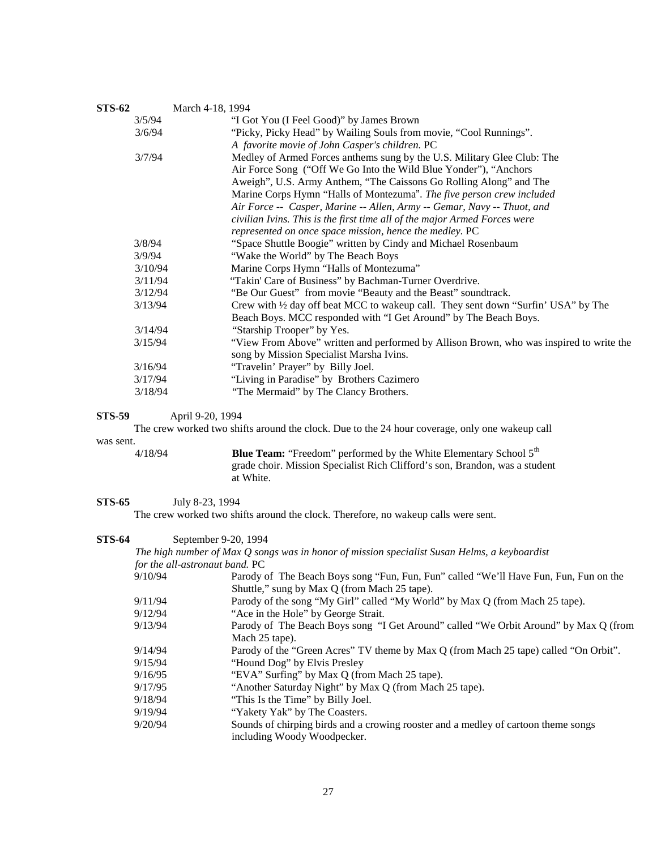| <b>STS-62</b> | March 4-18, 1994 |                                                                                              |
|---------------|------------------|----------------------------------------------------------------------------------------------|
|               | 3/5/94           | "I Got You (I Feel Good)" by James Brown                                                     |
|               | 3/6/94           | "Picky, Picky Head" by Wailing Souls from movie, "Cool Runnings".                            |
|               |                  | A favorite movie of John Casper's children. PC                                               |
|               | 3/7/94           | Medley of Armed Forces anthems sung by the U.S. Military Glee Club: The                      |
|               |                  | Air Force Song ("Off We Go Into the Wild Blue Yonder"), "Anchors                             |
|               |                  | Aweigh", U.S. Army Anthem, "The Caissons Go Rolling Along" and The                           |
|               |                  | Marine Corps Hymn "Halls of Montezuma". The five person crew included                        |
|               |                  | Air Force -- Casper, Marine -- Allen, Army -- Gemar, Navy -- Thuot, and                      |
|               |                  | civilian Ivins. This is the first time all of the major Armed Forces were                    |
|               |                  | represented on once space mission, hence the medley. PC                                      |
|               | 3/8/94           | "Space Shuttle Boogie" written by Cindy and Michael Rosenbaum                                |
|               | 3/9/94           | "Wake the World" by The Beach Boys"                                                          |
|               | 3/10/94          | Marine Corps Hymn "Halls of Montezuma"                                                       |
|               | 3/11/94          | "Takin' Care of Business" by Bachman-Turner Overdrive.                                       |
|               | 3/12/94          | "Be Our Guest" from movie "Beauty and the Beast" soundtrack.                                 |
|               | 3/13/94          | Crew with $\frac{1}{2}$ day off beat MCC to wakeup call. They sent down "Surfin" USA" by The |
|               |                  | Beach Boys. MCC responded with "I Get Around" by The Beach Boys.                             |
|               | 3/14/94          | "Starship Trooper" by Yes.                                                                   |
|               | 3/15/94          | "View From Above" written and performed by Allison Brown, who was inspired to write the      |
|               |                  | song by Mission Specialist Marsha Ivins.                                                     |
|               | 3/16/94          | "Travelin' Prayer" by Billy Joel.                                                            |
|               | 3/17/94          | "Living in Paradise" by Brothers Cazimero                                                    |
|               | 3/18/94          | "The Mermaid" by The Clancy Brothers.                                                        |

**STS-59** April 9-20, 1994

The crew worked two shifts around the clock. Due to the 24 hour coverage, only one wakeup call

was sent.

4/18/94 **Blue Team:** "Freedom" performed by the White Elementary School 5th grade choir. Mission Specialist Rich Clifford's son, Brandon, was a student at White.

**STS-65** July 8-23, 1994

The crew worked two shifts around the clock. Therefore, no wakeup calls were sent.

|         | for the all-astronaut band. PC                                                        |
|---------|---------------------------------------------------------------------------------------|
| 9/10/94 | Parody of The Beach Boys song "Fun, Fun, Fun" called "We'll Have Fun, Fun, Fun on the |
|         | Shuttle," sung by Max Q (from Mach 25 tape).                                          |
| 9/11/94 | Parody of the song "My Girl" called "My World" by Max Q (from Mach 25 tape).          |
| 9/12/94 | "Ace in the Hole" by George Strait.                                                   |
| 9/13/94 | Parody of The Beach Boys song "I Get Around" called "We Orbit Around" by Max O (from  |
|         | Mach 25 tape).                                                                        |
| 9/14/94 | Parody of the "Green Acres" TV theme by Max Q (from Mach 25 tape) called "On Orbit".  |
| 9/15/94 | "Hound Dog" by Elvis Presley                                                          |
| 9/16/95 | "EVA" Surfing" by Max Q (from Mach 25 tape).                                          |
| 9/17/95 | "Another Saturday Night" by Max Q (from Mach 25 tape).                                |
| 9/18/94 | "This Is the Time" by Billy Joel.                                                     |
| 9/19/94 | "Yakety Yak" by The Coasters.                                                         |
| 9/20/94 | Sounds of chirping birds and a crowing rooster and a medley of cartoon theme songs    |
|         | including Woody Woodpecker.                                                           |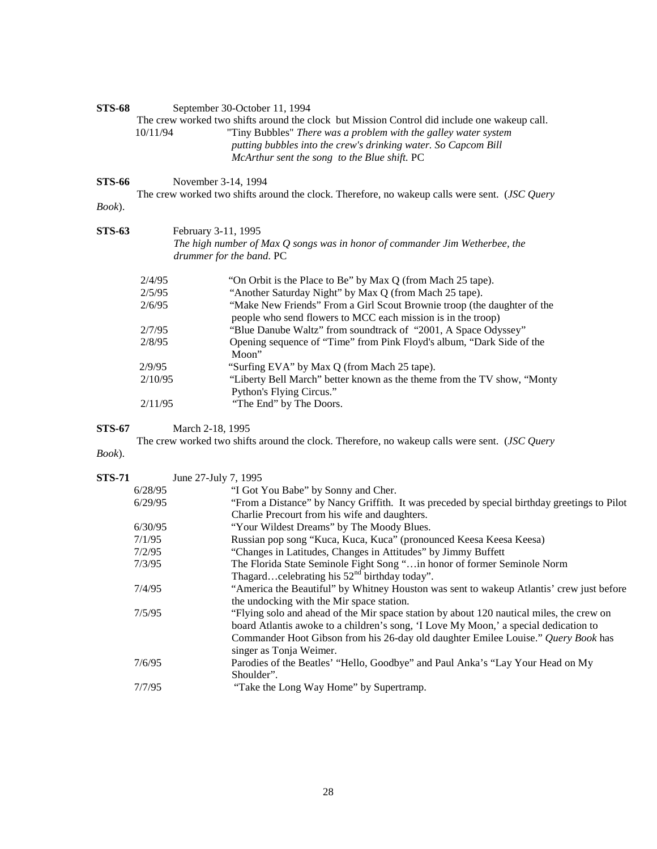| <b>STS-68</b> | September 30-October 11, 1994                                                 |                                                                                                                                                                                                                                   |  |
|---------------|-------------------------------------------------------------------------------|-----------------------------------------------------------------------------------------------------------------------------------------------------------------------------------------------------------------------------------|--|
|               | 10/11/94                                                                      | The crew worked two shifts around the clock but Mission Control did include one wakeup call.<br>"Tiny Bubbles" There was a problem with the galley water system<br>putting bubbles into the crew's drinking water. So Capcom Bill |  |
|               |                                                                               | McArthur sent the song to the Blue shift. PC                                                                                                                                                                                      |  |
| STS-66        |                                                                               | November 3-14, 1994                                                                                                                                                                                                               |  |
|               |                                                                               | The crew worked two shifts around the clock. Therefore, no wakeup calls were sent. ( <i>JSC Query</i>                                                                                                                             |  |
| Book).        |                                                                               |                                                                                                                                                                                                                                   |  |
| <b>STS-63</b> |                                                                               | February 3-11, 1995                                                                                                                                                                                                               |  |
|               | The high number of Max $Q$ songs was in honor of commander Jim Wetherbee, the |                                                                                                                                                                                                                                   |  |
|               |                                                                               | drummer for the band. PC                                                                                                                                                                                                          |  |
|               | 2/4/95                                                                        | "On Orbit is the Place to Be" by Max Q (from Mach 25 tape).                                                                                                                                                                       |  |
|               | 2/5/95                                                                        | "Another Saturday Night" by Max Q (from Mach 25 tape).                                                                                                                                                                            |  |
|               | 2/6/95                                                                        | "Make New Friends" From a Girl Scout Brownie troop (the daughter of the<br>people who send flowers to MCC each mission is in the troop)                                                                                           |  |
|               | 2/7/95                                                                        | "Blue Danube Waltz" from soundtrack of "2001, A Space Odyssey"                                                                                                                                                                    |  |
|               | 2/8/95                                                                        | Opening sequence of "Time" from Pink Floyd's album, "Dark Side of the<br>Moon"                                                                                                                                                    |  |
|               | 2/9/95                                                                        | "Surfing EVA" by Max Q (from Mach 25 tape).                                                                                                                                                                                       |  |
|               | 2/10/95                                                                       | "Liberty Bell March" better known as the theme from the TV show, "Monty<br>Python's Flying Circus."                                                                                                                               |  |
|               | 2/11/95                                                                       | "The End" by The Doors.                                                                                                                                                                                                           |  |

# **STS-67** March 2-18, 1995

The crew worked two shifts around the clock. Therefore, no wakeup calls were sent. (*JSC Query* 

# *Book*).

**STS-71** June 27-July 7, 1995

| 515-71 | Julie $21$ -July 1, 1993 |                                                                                             |
|--------|--------------------------|---------------------------------------------------------------------------------------------|
|        | 6/28/95                  | "I Got You Babe" by Sonny and Cher.                                                         |
|        | 6/29/95                  | "From a Distance" by Nancy Griffith. It was preceded by special birthday greetings to Pilot |
|        |                          | Charlie Precourt from his wife and daughters.                                               |
|        | 6/30/95                  | "Your Wildest Dreams" by The Moody Blues.                                                   |
|        | 7/1/95                   | Russian pop song "Kuca, Kuca, Kuca" (pronounced Keesa Keesa Keesa)                          |
|        | 7/2/95                   | "Changes in Latitudes, Changes in Attitudes" by Jimmy Buffett                               |
|        | 7/3/95                   | The Florida State Seminole Fight Song " in honor of former Seminole Norm                    |
|        |                          | Thagardcelebrating his $52nd$ birthday today".                                              |
|        | 7/4/95                   | "America the Beautiful" by Whitney Houston was sent to wakeup Atlantis' crew just before    |
|        |                          | the undocking with the Mir space station.                                                   |
|        | 7/5/95                   | "Flying solo and ahead of the Mir space station by about 120 nautical miles, the crew on    |
|        |                          | board Atlantis awoke to a children's song, 'I Love My Moon,' a special dedication to        |
|        |                          | Commander Hoot Gibson from his 26-day old daughter Emilee Louise." Query Book has           |
|        |                          | singer as Tonja Weimer.                                                                     |
|        | 7/6/95                   | Parodies of the Beatles' "Hello, Goodbye" and Paul Anka's "Lay Your Head on My              |
|        |                          | Shoulder".                                                                                  |
|        | 7/7/95                   | "Take the Long Way Home" by Supertramp.                                                     |
|        |                          |                                                                                             |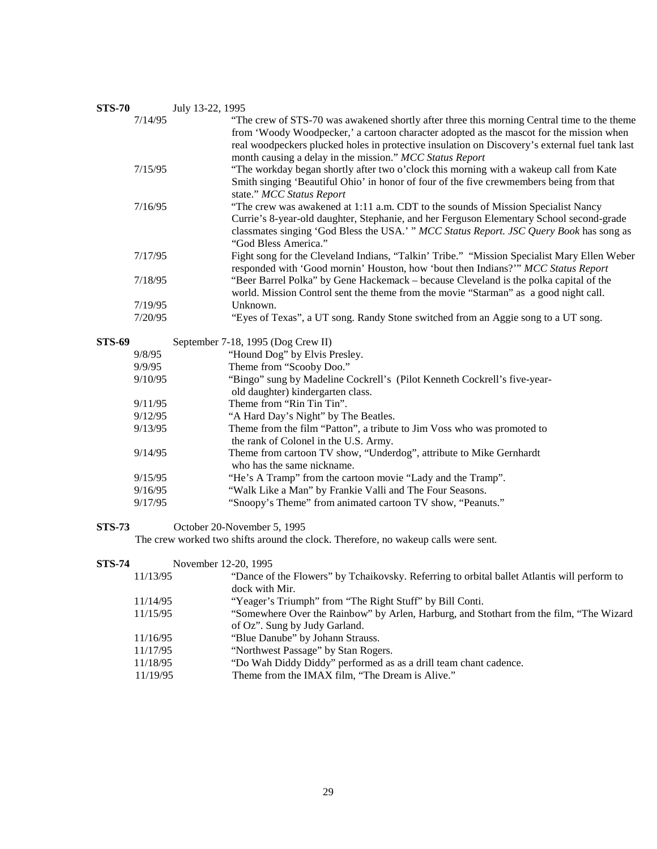| <b>STS-70</b> | July 13-22, 1995                                                                                                                                                                                                                                                                                                                                     |
|---------------|------------------------------------------------------------------------------------------------------------------------------------------------------------------------------------------------------------------------------------------------------------------------------------------------------------------------------------------------------|
| 7/14/95       | "The crew of STS-70 was awakened shortly after three this morning Central time to the theme<br>from 'Woody Woodpecker,' a cartoon character adopted as the mascot for the mission when<br>real woodpeckers plucked holes in protective insulation on Discovery's external fuel tank last<br>month causing a delay in the mission." MCC Status Report |
| 7/15/95       | "The workday began shortly after two o'clock this morning with a wakeup call from Kate<br>Smith singing 'Beautiful Ohio' in honor of four of the five crewmembers being from that<br>state." MCC Status Report                                                                                                                                       |
| 7/16/95       | "The crew was awakened at 1:11 a.m. CDT to the sounds of Mission Specialist Nancy<br>Currie's 8-year-old daughter, Stephanie, and her Ferguson Elementary School second-grade<br>classmates singing 'God Bless the USA.' " MCC Status Report. JSC Query Book has song as<br>"God Bless America."                                                     |
| 7/17/95       | Fight song for the Cleveland Indians, "Talkin' Tribe." "Mission Specialist Mary Ellen Weber<br>responded with 'Good mornin' Houston, how 'bout then Indians?'" MCC Status Report                                                                                                                                                                     |
| 7/18/95       | "Beer Barrel Polka" by Gene Hackemack - because Cleveland is the polka capital of the<br>world. Mission Control sent the theme from the movie "Starman" as a good night call.                                                                                                                                                                        |
| 7/19/95       | Unknown.                                                                                                                                                                                                                                                                                                                                             |
| 7/20/95       | "Eyes of Texas", a UT song. Randy Stone switched from an Aggie song to a UT song.                                                                                                                                                                                                                                                                    |
| <b>STS-69</b> | September 7-18, 1995 (Dog Crew II)                                                                                                                                                                                                                                                                                                                   |
| 9/8/95        | "Hound Dog" by Elvis Presley.                                                                                                                                                                                                                                                                                                                        |
| 9/9/95        | Theme from "Scooby Doo."                                                                                                                                                                                                                                                                                                                             |
| 9/10/95       | "Bingo" sung by Madeline Cockrell's (Pilot Kenneth Cockrell's five-year-                                                                                                                                                                                                                                                                             |
|               | old daughter) kindergarten class.                                                                                                                                                                                                                                                                                                                    |
| 9/11/95       | Theme from "Rin Tin Tin".                                                                                                                                                                                                                                                                                                                            |
| 9/12/95       | "A Hard Day's Night" by The Beatles.                                                                                                                                                                                                                                                                                                                 |
| 9/13/95       | Theme from the film "Patton", a tribute to Jim Voss who was promoted to<br>the rank of Colonel in the U.S. Army.                                                                                                                                                                                                                                     |
| 9/14/95       | Theme from cartoon TV show, "Underdog", attribute to Mike Gernhardt<br>who has the same nickname.                                                                                                                                                                                                                                                    |
| 9/15/95       | "He's A Tramp" from the cartoon movie "Lady and the Tramp".                                                                                                                                                                                                                                                                                          |
| 9/16/95       | "Walk Like a Man" by Frankie Valli and The Four Seasons.                                                                                                                                                                                                                                                                                             |
| 9/17/95       | "Snoopy's Theme" from animated cartoon TV show, "Peanuts."                                                                                                                                                                                                                                                                                           |
| <b>STS-73</b> | October 20-November 5, 1995                                                                                                                                                                                                                                                                                                                          |

The crew worked two shifts around the clock. Therefore, no wakeup calls were sent*.*

**STS-74** November 12-20, 1995

| . | 110100112001120011200 |                                                                                             |
|---|-----------------------|---------------------------------------------------------------------------------------------|
|   | 11/13/95              | "Dance of the Flowers" by Tchaikovsky. Referring to orbital ballet Atlantis will perform to |
|   |                       | dock with Mir.                                                                              |
|   | 11/14/95              | "Yeager's Triumph" from "The Right Stuff" by Bill Conti.                                    |
|   | 11/15/95              | "Somewhere Over the Rainbow" by Arlen, Harburg, and Stothart from the film, "The Wizard"    |
|   |                       | of Oz". Sung by Judy Garland.                                                               |
|   | 11/16/95              | "Blue Danube" by Johann Strauss.                                                            |
|   | 11/17/95              | "Northwest Passage" by Stan Rogers.                                                         |
|   | 11/18/95              | "Do Wah Diddy Diddy" performed as as a drill team chant cadence.                            |
|   | 11/19/95              | Theme from the IMAX film, "The Dream is Alive."                                             |
|   |                       |                                                                                             |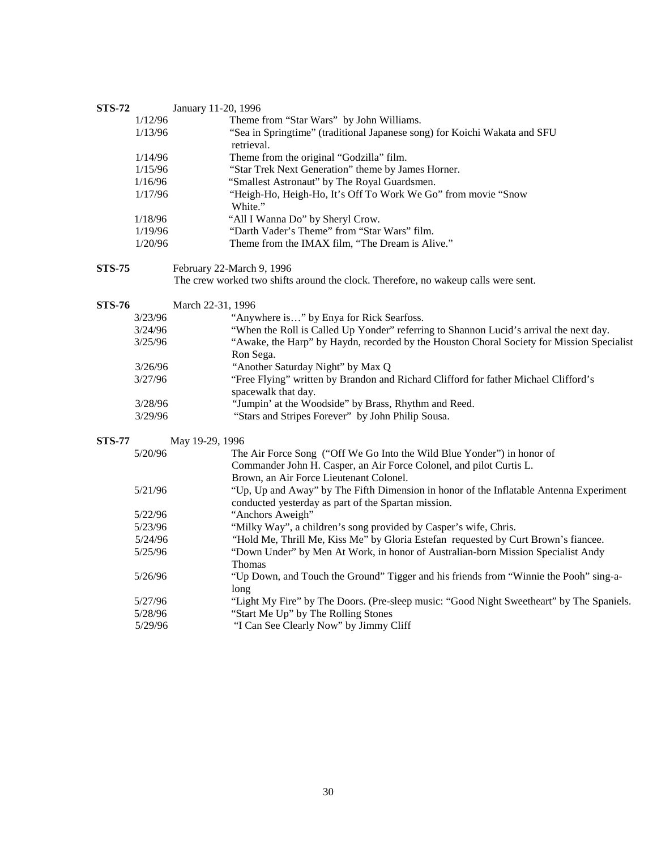| <b>STS-72</b> |         | January 11-20, 1996                                                                                                                           |
|---------------|---------|-----------------------------------------------------------------------------------------------------------------------------------------------|
|               | 1/12/96 | Theme from "Star Wars" by John Williams.                                                                                                      |
|               | 1/13/96 | "Sea in Springtime" (traditional Japanese song) for Koichi Wakata and SFU<br>retrieval.                                                       |
|               | 1/14/96 | Theme from the original "Godzilla" film.                                                                                                      |
|               | 1/15/96 | "Star Trek Next Generation" theme by James Horner.                                                                                            |
|               | 1/16/96 | "Smallest Astronaut" by The Royal Guardsmen.                                                                                                  |
|               | 1/17/96 | "Heigh-Ho, Heigh-Ho, It's Off To Work We Go" from movie "Snow<br>White."                                                                      |
|               | 1/18/96 | "All I Wanna Do" by Sheryl Crow.                                                                                                              |
|               | 1/19/96 | "Darth Vader's Theme" from "Star Wars" film.                                                                                                  |
|               | 1/20/96 | Theme from the IMAX film, "The Dream is Alive."                                                                                               |
| <b>STS-75</b> |         | February 22-March 9, 1996                                                                                                                     |
|               |         | The crew worked two shifts around the clock. Therefore, no wakeup calls were sent.                                                            |
| <b>STS-76</b> |         | March 22-31, 1996                                                                                                                             |
|               | 3/23/96 | "Anywhere is" by Enya for Rick Searfoss.                                                                                                      |
|               | 3/24/96 | "When the Roll is Called Up Yonder" referring to Shannon Lucid's arrival the next day.                                                        |
|               | 3/25/96 | "Awake, the Harp" by Haydn, recorded by the Houston Choral Society for Mission Specialist                                                     |
|               |         | Ron Sega.                                                                                                                                     |
|               | 3/26/96 | "Another Saturday Night" by Max Q                                                                                                             |
|               | 3/27/96 | "Free Flying" written by Brandon and Richard Clifford for father Michael Clifford's<br>spacewalk that day.                                    |
|               | 3/28/96 | "Jumpin' at the Woodside" by Brass, Rhythm and Reed.                                                                                          |
|               | 3/29/96 | "Stars and Stripes Forever" by John Philip Sousa.                                                                                             |
| <b>STS-77</b> |         | May 19-29, 1996                                                                                                                               |
|               | 5/20/96 | The Air Force Song ("Off We Go Into the Wild Blue Yonder") in honor of                                                                        |
|               |         | Commander John H. Casper, an Air Force Colonel, and pilot Curtis L.                                                                           |
|               |         | Brown, an Air Force Lieutenant Colonel.                                                                                                       |
|               | 5/21/96 | "Up, Up and Away" by The Fifth Dimension in honor of the Inflatable Antenna Experiment<br>conducted yesterday as part of the Spartan mission. |
|               | 5/22/96 | "Anchors Aweigh"                                                                                                                              |
|               | 5/23/96 | "Milky Way", a children's song provided by Casper's wife, Chris.                                                                              |
|               | 5/24/96 | "Hold Me, Thrill Me, Kiss Me" by Gloria Estefan requested by Curt Brown's fiancee.                                                            |
|               | 5/25/96 | "Down Under" by Men At Work, in honor of Australian-born Mission Specialist Andy<br>Thomas                                                    |
|               | 5/26/96 | "Up Down, and Touch the Ground" Tigger and his friends from "Winnie the Pooh" sing-a-<br>long                                                 |
|               | 5/27/96 | "Light My Fire" by The Doors. (Pre-sleep music: "Good Night Sweetheart" by The Spaniels.                                                      |
|               | 5/28/96 | "Start Me Up" by The Rolling Stones                                                                                                           |
|               | 5/29/96 | "I Can See Clearly Now" by Jimmy Cliff                                                                                                        |
|               |         |                                                                                                                                               |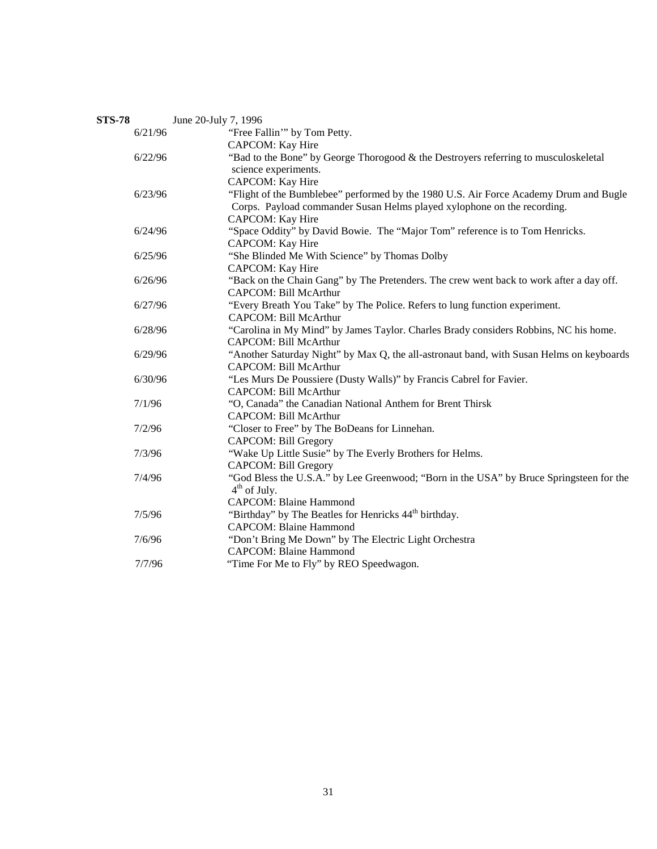| <b>STS-78</b> |         | June 20-July 7, 1996                                                                         |
|---------------|---------|----------------------------------------------------------------------------------------------|
|               | 6/21/96 | "Free Fallin" by Tom Petty.                                                                  |
|               |         | CAPCOM: Kay Hire                                                                             |
|               | 6/22/96 | "Bad to the Bone" by George Thorogood & the Destroyers referring to musculoskeletal          |
|               |         | science experiments.                                                                         |
|               |         | <b>CAPCOM: Kay Hire</b>                                                                      |
|               | 6/23/96 | "Flight of the Bumblebee" performed by the 1980 U.S. Air Force Academy Drum and Bugle        |
|               |         | Corps. Payload commander Susan Helms played xylophone on the recording.                      |
|               |         | <b>CAPCOM:</b> Kay Hire                                                                      |
|               | 6/24/96 | "Space Oddity" by David Bowie. The "Major Tom" reference is to Tom Henricks.                 |
|               |         | <b>CAPCOM:</b> Kay Hire                                                                      |
|               | 6/25/96 | "She Blinded Me With Science" by Thomas Dolby                                                |
|               |         | CAPCOM: Kay Hire                                                                             |
|               | 6/26/96 | "Back on the Chain Gang" by The Pretenders. The crew went back to work after a day off.      |
|               |         | CAPCOM: Bill McArthur                                                                        |
|               | 6/27/96 | "Every Breath You Take" by The Police. Refers to lung function experiment.                   |
|               |         | CAPCOM: Bill McArthur                                                                        |
|               | 6/28/96 | "Carolina in My Mind" by James Taylor. Charles Brady considers Robbins, NC his home.         |
|               |         | <b>CAPCOM: Bill McArthur</b>                                                                 |
|               | 6/29/96 | "Another Saturday Night" by Max Q, the all-astronaut band, with Susan Helms on keyboards     |
|               |         | CAPCOM: Bill McArthur                                                                        |
|               | 6/30/96 | "Les Murs De Poussiere (Dusty Walls)" by Francis Cabrel for Favier.<br>CAPCOM: Bill McArthur |
|               | 7/1/96  | "O, Canada" the Canadian National Anthem for Brent Thirsk                                    |
|               |         | CAPCOM: Bill McArthur                                                                        |
|               | 7/2/96  | "Closer to Free" by The BoDeans for Linnehan.                                                |
|               |         | <b>CAPCOM: Bill Gregory</b>                                                                  |
|               | 7/3/96  | "Wake Up Little Susie" by The Everly Brothers for Helms.                                     |
|               |         | <b>CAPCOM: Bill Gregory</b>                                                                  |
|               | 7/4/96  | "God Bless the U.S.A." by Lee Greenwood; "Born in the USA" by Bruce Springsteen for the      |
|               |         | $4th$ of July.                                                                               |
|               |         | <b>CAPCOM: Blaine Hammond</b>                                                                |
|               | 7/5/96  | "Birthday" by The Beatles for Henricks 44 <sup>th</sup> birthday.                            |
|               |         | <b>CAPCOM: Blaine Hammond</b>                                                                |
|               | 7/6/96  | "Don't Bring Me Down" by The Electric Light Orchestra                                        |
|               |         | <b>CAPCOM: Blaine Hammond</b>                                                                |
|               | 7/7/96  | "Time For Me to Fly" by REO Speedwagon.                                                      |
|               |         |                                                                                              |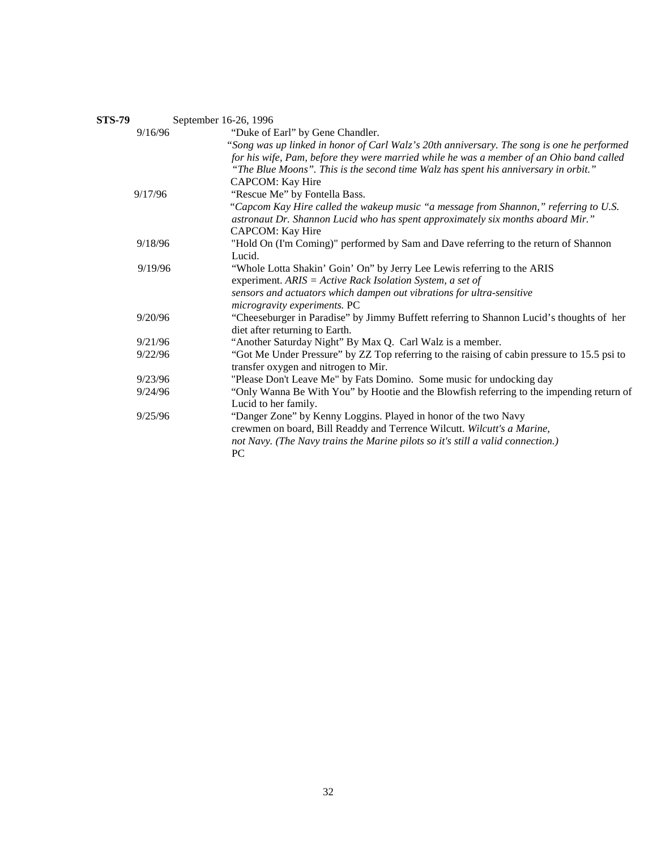| STS-79 |         | September 16-26, 1996                                                                                                                                                                  |
|--------|---------|----------------------------------------------------------------------------------------------------------------------------------------------------------------------------------------|
|        | 9/16/96 | "Duke of Earl" by Gene Chandler.                                                                                                                                                       |
|        |         | "Song was up linked in honor of Carl Walz's 20th anniversary. The song is one he performed<br>for his wife, Pam, before they were married while he was a member of an Ohio band called |
|        |         | "The Blue Moons". This is the second time Walz has spent his anniversary in orbit."<br>CAPCOM: Kay Hire                                                                                |
|        | 9/17/96 | "Rescue Me" by Fontella Bass.                                                                                                                                                          |
|        |         | "Capcom Kay Hire called the wakeup music "a message from Shannon," referring to U.S.<br>astronaut Dr. Shannon Lucid who has spent approximately six months aboard Mir."                |
|        |         | CAPCOM: Kay Hire                                                                                                                                                                       |
|        | 9/18/96 | "Hold On (I'm Coming)" performed by Sam and Dave referring to the return of Shannon<br>Lucid.                                                                                          |
|        | 9/19/96 | "Whole Lotta Shakin' Goin' On" by Jerry Lee Lewis referring to the ARIS                                                                                                                |
|        |         | experiment. $ARIS = Active$ Rack Isolation System, a set of                                                                                                                            |
|        |         | sensors and actuators which dampen out vibrations for ultra-sensitive                                                                                                                  |
|        |         | microgravity experiments. PC                                                                                                                                                           |
|        | 9/20/96 | "Cheeseburger in Paradise" by Jimmy Buffett referring to Shannon Lucid's thoughts of her<br>diet after returning to Earth.                                                             |
|        | 9/21/96 | "Another Saturday Night" By Max Q. Carl Walz is a member.                                                                                                                              |
|        | 9/22/96 | "Got Me Under Pressure" by ZZ Top referring to the raising of cabin pressure to 15.5 psi to<br>transfer oxygen and nitrogen to Mir.                                                    |
|        | 9/23/96 | "Please Don't Leave Me" by Fats Domino. Some music for undocking day                                                                                                                   |
|        | 9/24/96 | "Only Wanna Be With You" by Hootie and the Blowfish referring to the impending return of<br>Lucid to her family.                                                                       |
|        | 9/25/96 | "Danger Zone" by Kenny Loggins. Played in honor of the two Navy<br>crewmen on board, Bill Readdy and Terrence Wilcutt. Wilcutt's a Marine,                                             |
|        |         | not Navy. (The Navy trains the Marine pilots so it's still a valid connection.)<br><b>PC</b>                                                                                           |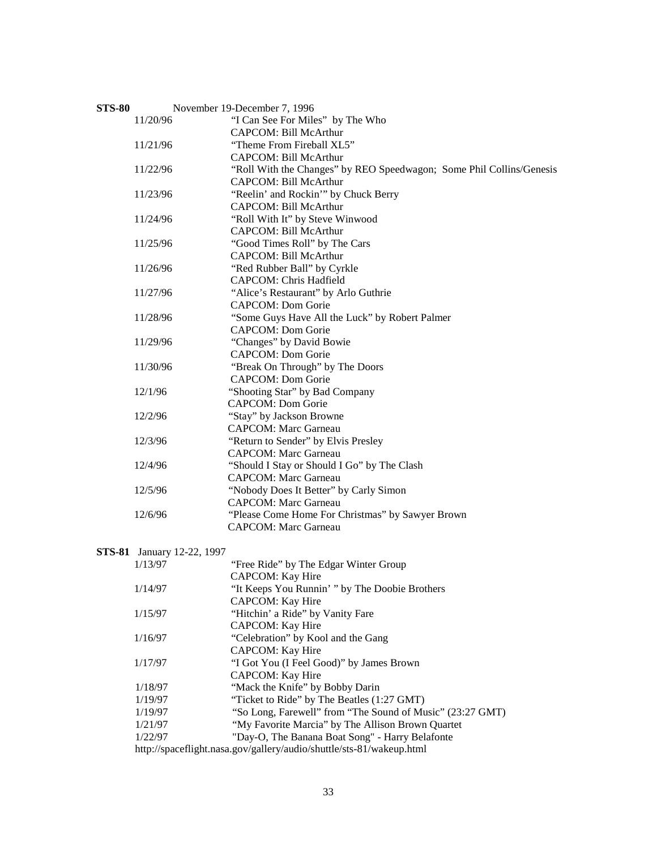| <b>STS-80</b> |                            | November 19-December 7, 1996                                         |
|---------------|----------------------------|----------------------------------------------------------------------|
|               | 11/20/96                   | "I Can See For Miles" by The Who                                     |
|               |                            | CAPCOM: Bill McArthur                                                |
|               | 11/21/96                   | "Theme From Fireball XL5"                                            |
|               |                            | CAPCOM: Bill McArthur                                                |
|               | 11/22/96                   | "Roll With the Changes" by REO Speedwagon; Some Phil Collins/Genesis |
|               |                            | CAPCOM: Bill McArthur                                                |
|               | 11/23/96                   | "Reelin' and Rockin" by Chuck Berry                                  |
|               |                            | CAPCOM: Bill McArthur                                                |
|               | 11/24/96                   | "Roll With It" by Steve Winwood                                      |
|               |                            | CAPCOM: Bill McArthur                                                |
|               | 11/25/96                   | "Good Times Roll" by The Cars                                        |
|               |                            | CAPCOM: Bill McArthur                                                |
|               | 11/26/96                   | "Red Rubber Ball" by Cyrkle                                          |
|               |                            | CAPCOM: Chris Hadfield                                               |
|               | 11/27/96                   | "Alice's Restaurant" by Arlo Guthrie                                 |
|               |                            | <b>CAPCOM: Dom Gorie</b>                                             |
|               | 11/28/96                   | "Some Guys Have All the Luck" by Robert Palmer                       |
|               |                            | <b>CAPCOM: Dom Gorie</b>                                             |
|               | 11/29/96                   | "Changes" by David Bowie                                             |
|               |                            | <b>CAPCOM: Dom Gorie</b>                                             |
|               | 11/30/96                   | "Break On Through" by The Doors                                      |
|               |                            | <b>CAPCOM: Dom Gorie</b>                                             |
|               | 12/1/96                    | "Shooting Star" by Bad Company                                       |
|               |                            | <b>CAPCOM: Dom Gorie</b>                                             |
|               | 12/2/96                    | "Stay" by Jackson Browne                                             |
|               |                            | <b>CAPCOM: Marc Garneau</b>                                          |
|               | 12/3/96                    | "Return to Sender" by Elvis Presley                                  |
|               |                            | <b>CAPCOM: Marc Garneau</b>                                          |
|               | 12/4/96                    | "Should I Stay or Should I Go" by The Clash                          |
|               |                            | <b>CAPCOM: Marc Garneau</b>                                          |
|               | 12/5/96                    | "Nobody Does It Better" by Carly Simon                               |
|               |                            | <b>CAPCOM: Marc Garneau</b>                                          |
|               | 12/6/96                    | "Please Come Home For Christmas" by Sawyer Brown                     |
|               |                            | <b>CAPCOM: Marc Garneau</b>                                          |
|               |                            |                                                                      |
|               | STS-81 January 12-22, 1997 |                                                                      |
|               | 1/13/97                    | "Free Ride" by The Edgar Winter Group                                |
|               |                            | <b>CAPCOM:</b> Kay Hire                                              |
|               | 1/14/97                    | "It Keeps You Runnin' " by The Doobie Brothers                       |
|               |                            | <b>CAPCOM: Kay Hire</b>                                              |
|               | 1/15/97                    | "Hitchin' a Ride" by Vanity Fare                                     |
|               |                            | <b>CAPCOM:</b> Kay Hire                                              |
|               | 1/16/97                    | "Celebration" by Kool and the Gang                                   |
|               |                            | CAPCOM: Kay Hire                                                     |
|               | 1/17/97                    | "I Got You (I Feel Good)" by James Brown                             |
|               |                            | <b>CAPCOM: Kay Hire</b>                                              |
|               | 1/18/97                    | "Mack the Knife" by Bobby Darin                                      |
|               | 1/19/97                    | "Ticket to Ride" by The Beatles (1:27 GMT)                           |
|               | 1/19/97                    | "So Long, Farewell" from "The Sound of Music" (23:27 GMT)            |
|               | 1/21/97                    | "My Favorite Marcia" by The Allison Brown Quartet                    |
|               | 1/22/97                    | "Day-O, The Banana Boat Song" - Harry Belafonte                      |
|               |                            | http://spaceflight.nasa.gov/gallery/audio/shuttle/sts-81/wakeup.html |
|               |                            |                                                                      |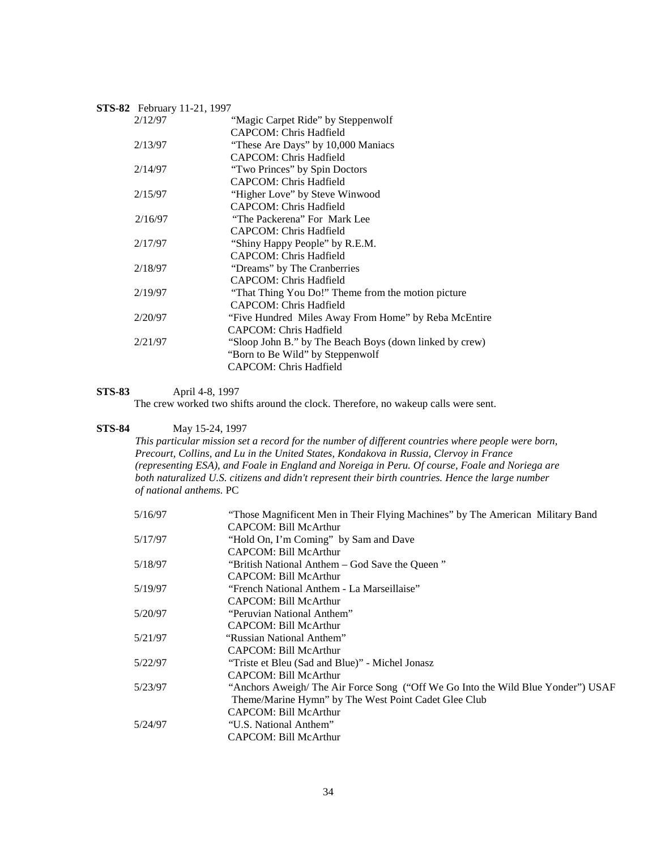### **STS-82** February 11-21, 1997

| 2/12/97 | "Magic Carpet Ride" by Steppenwolf                      |
|---------|---------------------------------------------------------|
|         | CAPCOM: Chris Hadfield                                  |
| 2/13/97 | "These Are Days" by 10,000 Maniacs                      |
|         | CAPCOM: Chris Hadfield                                  |
| 2/14/97 | "Two Princes" by Spin Doctors                           |
|         | CAPCOM: Chris Hadfield                                  |
| 2/15/97 | "Higher Love" by Steve Winwood                          |
|         | CAPCOM: Chris Hadfield                                  |
| 2/16/97 | "The Packerena" For Mark Lee                            |
|         | CAPCOM: Chris Hadfield                                  |
| 2/17/97 | "Shiny Happy People" by R.E.M.                          |
|         | CAPCOM: Chris Hadfield                                  |
| 2/18/97 | "Dreams" by The Cranberries                             |
|         | CAPCOM: Chris Hadfield                                  |
| 2/19/97 | "That Thing You Do!" Theme from the motion picture      |
|         | CAPCOM: Chris Hadfield                                  |
| 2/20/97 | "Five Hundred Miles Away From Home" by Reba McEntire    |
|         | CAPCOM: Chris Hadfield                                  |
| 2/21/97 | "Sloop John B." by The Beach Boys (down linked by crew) |
|         | "Born to Be Wild" by Steppenwolf                        |
|         | CAPCOM: Chris Hadfield                                  |

### **STS-83** April 4-8, 1997

The crew worked two shifts around the clock. Therefore, no wakeup calls were sent.

### **STS-84** May 15-24, 1997

*This particular mission set a record for the number of different countries where people were born, Precourt, Collins, and Lu in the United States, Kondakova in Russia, Clervoy in France (representing ESA), and Foale in England and Noreiga in Peru. Of course, Foale and Noriega are both naturalized U.S. citizens and didn't represent their birth countries. Hence the large number of national anthems.* PC

| 5/16/97 | "Those Magnificent Men in Their Flying Machines" by The American Military Band   |
|---------|----------------------------------------------------------------------------------|
|         | CAPCOM: Bill McArthur                                                            |
| 5/17/97 | "Hold On, I'm Coming" by Sam and Dave                                            |
|         | CAPCOM: Bill McArthur                                                            |
| 5/18/97 | "British National Anthem – God Save the Queen"                                   |
|         | CAPCOM: Bill McArthur                                                            |
| 5/19/97 | "French National Anthem - La Marseillaise"                                       |
|         | CAPCOM: Bill McArthur                                                            |
| 5/20/97 | "Peruvian National Anthem"                                                       |
|         | CAPCOM: Bill McArthur                                                            |
| 5/21/97 | "Russian National Anthem"                                                        |
|         | CAPCOM: Bill McArthur                                                            |
| 5/22/97 | "Triste et Bleu (Sad and Blue)" - Michel Jonasz                                  |
|         | CAPCOM: Bill McArthur                                                            |
| 5/23/97 | "Anchors Aweigh/ The Air Force Song ("Off We Go Into the Wild Blue Yonder") USAF |
|         | Theme/Marine Hymn" by The West Point Cadet Glee Club                             |
|         | CAPCOM: Bill McArthur                                                            |
| 5/24/97 | "U.S. National Anthem"                                                           |
|         | CAPCOM: Bill McArthur                                                            |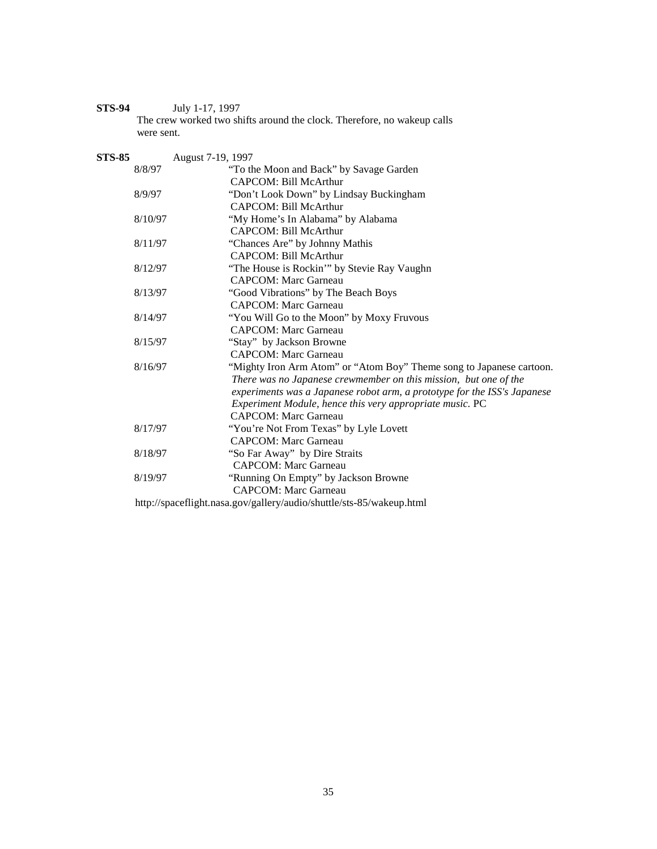**STS-94** July 1-17, 1997

 The crew worked two shifts around the clock. Therefore, no wakeup calls were sent.

| <b>STS-85</b> |         | August 7-19, 1997                                                        |
|---------------|---------|--------------------------------------------------------------------------|
|               | 8/8/97  | "To the Moon and Back" by Savage Garden                                  |
|               |         | CAPCOM: Bill McArthur                                                    |
|               | 8/9/97  | "Don't Look Down" by Lindsay Buckingham                                  |
|               |         | CAPCOM: Bill McArthur                                                    |
|               | 8/10/97 | "My Home's In Alabama" by Alabama                                        |
|               |         | CAPCOM: Bill McArthur                                                    |
|               | 8/11/97 | "Chances Are" by Johnny Mathis                                           |
|               |         | CAPCOM: Bill McArthur                                                    |
|               | 8/12/97 | "The House is Rockin" by Stevie Ray Vaughn                               |
|               |         | <b>CAPCOM</b> : Marc Garneau                                             |
|               | 8/13/97 | "Good Vibrations" by The Beach Boys                                      |
|               |         | <b>CAPCOM</b> : Marc Garneau                                             |
|               | 8/14/97 | "You Will Go to the Moon" by Moxy Fruvous                                |
|               |         | <b>CAPCOM: Marc Garneau</b>                                              |
|               | 8/15/97 | "Stay" by Jackson Browne                                                 |
|               |         | <b>CAPCOM</b> : Marc Garneau                                             |
|               | 8/16/97 | "Mighty Iron Arm Atom" or "Atom Boy" Theme song to Japanese cartoon.     |
|               |         | There was no Japanese crewmember on this mission, but one of the         |
|               |         | experiments was a Japanese robot arm, a prototype for the ISS's Japanese |
|               |         | Experiment Module, hence this very appropriate music. PC                 |
|               |         | <b>CAPCOM</b> : Marc Garneau                                             |
|               | 8/17/97 | "You're Not From Texas" by Lyle Lovett                                   |
|               |         | <b>CAPCOM: Marc Garneau</b>                                              |
|               | 8/18/97 | "So Far Away" by Dire Straits                                            |
|               |         | <b>CAPCOM: Marc Garneau</b>                                              |
|               | 8/19/97 | "Running On Empty" by Jackson Browne                                     |
|               |         | <b>CAPCOM: Marc Garneau</b>                                              |
|               |         | http://spaceflight.nasa.gov/gallery/audio/shuttle/sts-85/wakeup.html     |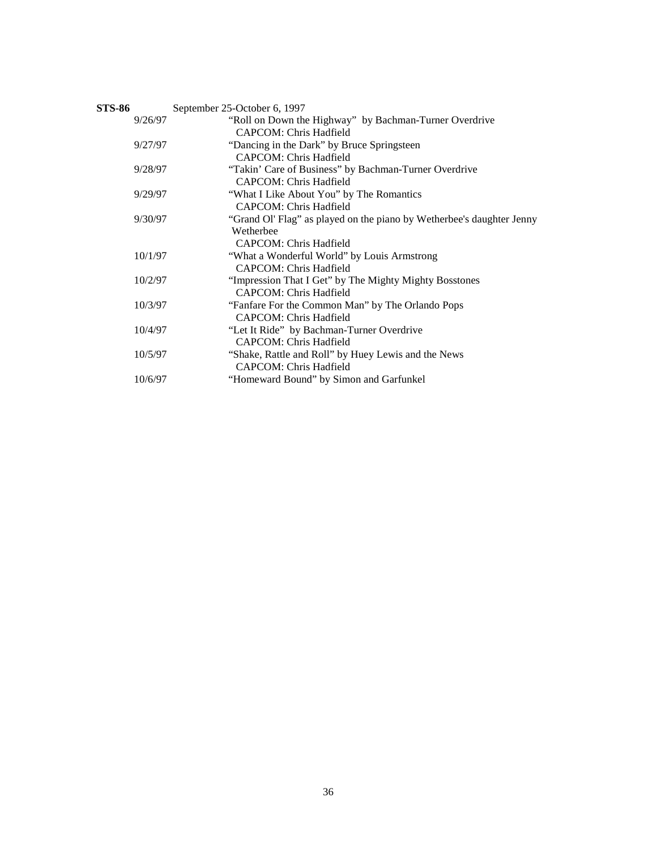| STS-86  | September 25-October 6, 1997                                          |
|---------|-----------------------------------------------------------------------|
| 9/26/97 | "Roll on Down the Highway" by Bachman-Turner Overdrive                |
|         | CAPCOM: Chris Hadfield                                                |
| 9/27/97 | "Dancing in the Dark" by Bruce Springsteen                            |
|         | CAPCOM: Chris Hadfield                                                |
| 9/28/97 | "Takin' Care of Business" by Bachman-Turner Overdrive                 |
|         | CAPCOM: Chris Hadfield                                                |
| 9/29/97 | "What I Like About You" by The Romantics                              |
|         | CAPCOM: Chris Hadfield                                                |
| 9/30/97 | "Grand Ol' Flag" as played on the piano by Wetherbee's daughter Jenny |
|         | Wetherbee                                                             |
|         | CAPCOM: Chris Hadfield                                                |
| 10/1/97 | "What a Wonderful World" by Louis Armstrong                           |
|         | CAPCOM: Chris Hadfield                                                |
| 10/2/97 | "Impression That I Get" by The Mighty Mighty Bosstones                |
|         | CAPCOM: Chris Hadfield                                                |
| 10/3/97 | "Fanfare For the Common Man" by The Orlando Pops                      |
|         | CAPCOM: Chris Hadfield                                                |
| 10/4/97 | "Let It Ride" by Bachman-Turner Overdrive                             |
|         | CAPCOM: Chris Hadfield                                                |
| 10/5/97 | "Shake, Rattle and Roll" by Huey Lewis and the News                   |
|         | CAPCOM: Chris Hadfield                                                |
| 10/6/97 | "Homeward Bound" by Simon and Garfunkel                               |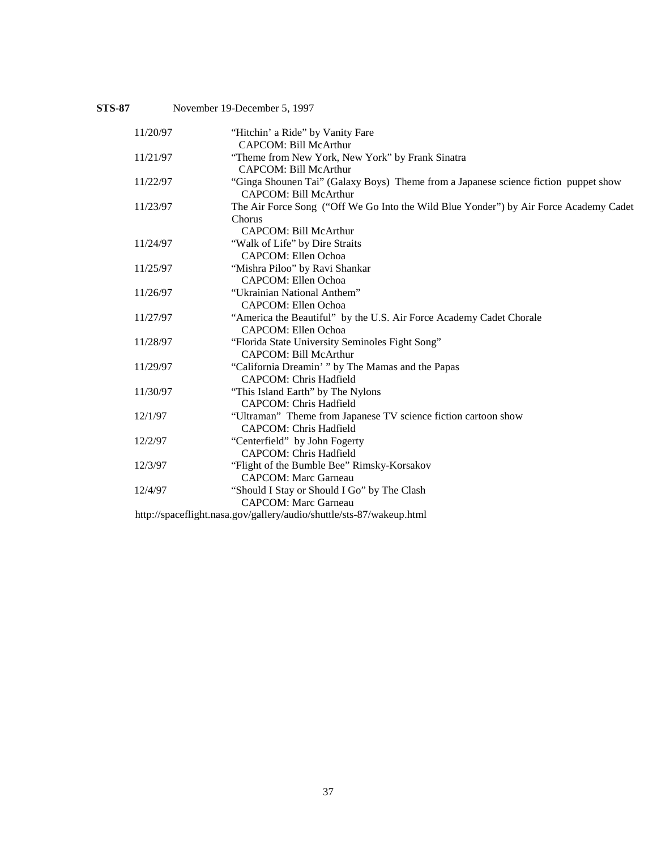| <b>STS-87</b> | November 19-December 5, 1997 |
|---------------|------------------------------|
|               |                              |

| 11/20/97 | "Hitchin' a Ride" by Vanity Fare<br>CAPCOM: Bill McArthur                                                    |
|----------|--------------------------------------------------------------------------------------------------------------|
| 11/21/97 | "Theme from New York, New York" by Frank Sinatra<br>CAPCOM: Bill McArthur                                    |
| 11/22/97 | "Ginga Shounen Tai" (Galaxy Boys) Theme from a Japanese science fiction puppet show<br>CAPCOM: Bill McArthur |
| 11/23/97 | The Air Force Song ("Off We Go Into the Wild Blue Yonder") by Air Force Academy Cadet<br>Chorus              |
| 11/24/97 | <b>CAPCOM: Bill McArthur</b><br>"Walk of Life" by Dire Straits                                               |
| 11/25/97 | CAPCOM: Ellen Ochoa<br>"Mishra Piloo" by Ravi Shankar<br>CAPCOM: Ellen Ochoa                                 |
| 11/26/97 | "Ukrainian National Anthem"<br>CAPCOM: Ellen Ochoa                                                           |
| 11/27/97 | "America the Beautiful" by the U.S. Air Force Academy Cadet Chorale<br>CAPCOM: Ellen Ochoa                   |
| 11/28/97 | "Florida State University Seminoles Fight Song"<br>CAPCOM: Bill McArthur                                     |
| 11/29/97 | "California Dreamin' " by The Mamas and the Papas<br>CAPCOM: Chris Hadfield                                  |
| 11/30/97 | "This Island Earth" by The Nylons<br>CAPCOM: Chris Hadfield                                                  |
| 12/1/97  | "Ultraman" Theme from Japanese TV science fiction cartoon show<br><b>CAPCOM: Chris Hadfield</b>              |
| 12/2/97  | "Centerfield" by John Fogerty<br>CAPCOM: Chris Hadfield                                                      |
| 12/3/97  | "Flight of the Bumble Bee" Rimsky-Korsakov<br><b>CAPCOM: Marc Garneau</b>                                    |
| 12/4/97  | "Should I Stay or Should I Go" by The Clash<br><b>CAPCOM</b> : Marc Garneau                                  |
|          | http://spaceflight.nasa.gov/gallery/audio/shuttle/sts-87/wakeup.html                                         |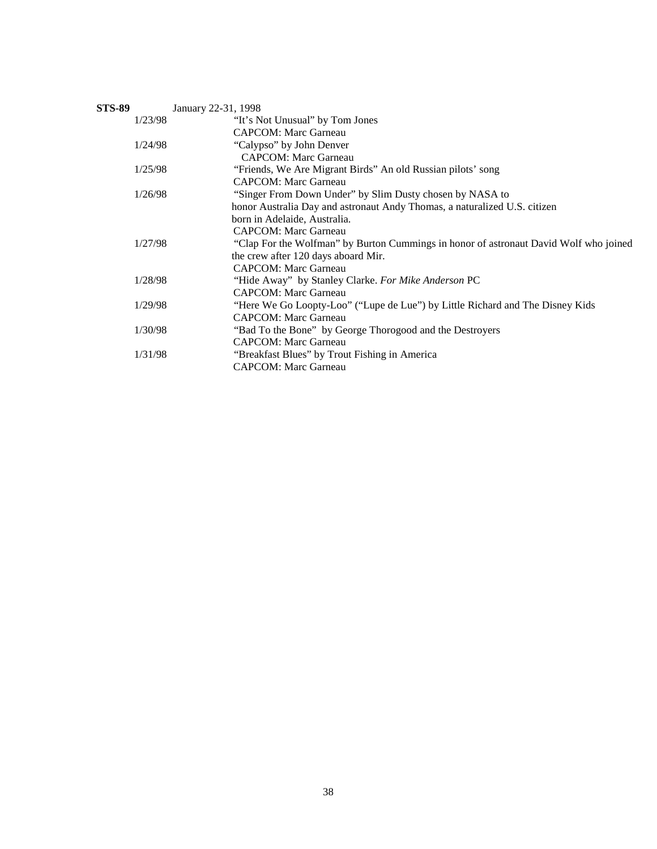| <b>STS-89</b> |         | January 22-31, 1998                                                                   |
|---------------|---------|---------------------------------------------------------------------------------------|
|               | 1/23/98 | "It's Not Unusual" by Tom Jones"                                                      |
|               |         | <b>CAPCOM: Marc Garneau</b>                                                           |
|               | 1/24/98 | "Calypso" by John Denver                                                              |
|               |         | <b>CAPCOM</b> : Marc Garneau                                                          |
|               | 1/25/98 | "Friends, We Are Migrant Birds" An old Russian pilots' song                           |
|               |         | <b>CAPCOM: Marc Garneau</b>                                                           |
|               | 1/26/98 | "Singer From Down Under" by Slim Dusty chosen by NASA to                              |
|               |         | honor Australia Day and astronaut Andy Thomas, a naturalized U.S. citizen             |
|               |         | born in Adelaide, Australia.                                                          |
|               |         | <b>CAPCOM: Marc Garneau</b>                                                           |
|               | 1/27/98 | "Clap For the Wolfman" by Burton Cummings in honor of astronaut David Wolf who joined |
|               |         | the crew after 120 days aboard Mir.                                                   |
|               |         | <b>CAPCOM: Marc Garneau</b>                                                           |
|               | 1/28/98 | "Hide Away" by Stanley Clarke. For Mike Anderson PC                                   |
|               |         | <b>CAPCOM: Marc Garneau</b>                                                           |
|               | 1/29/98 | "Here We Go Loopty-Loo" ("Lupe de Lue") by Little Richard and The Disney Kids         |
|               |         | <b>CAPCOM: Marc Garneau</b>                                                           |
|               | 1/30/98 | "Bad To the Bone" by George Thorogood and the Destroyers                              |
|               |         | <b>CAPCOM: Marc Garneau</b>                                                           |
|               | 1/31/98 | "Breakfast Blues" by Trout Fishing in America                                         |
|               |         | <b>CAPCOM: Marc Garneau</b>                                                           |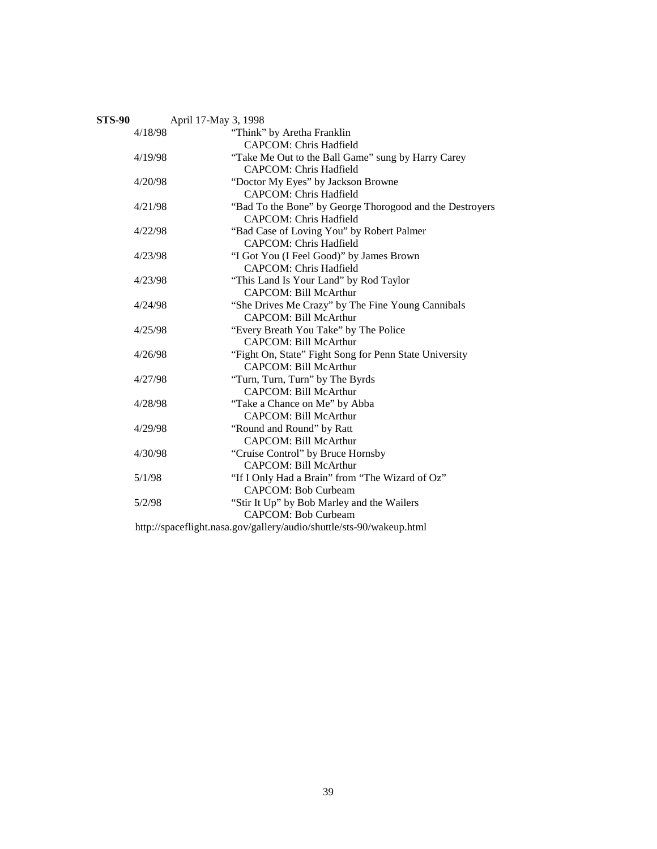| <b>STS-90</b> |         | April 17-May 3, 1998 |                                                                          |
|---------------|---------|----------------------|--------------------------------------------------------------------------|
|               | 4/18/98 |                      | "Think" by Aretha Franklin                                               |
|               |         |                      | CAPCOM: Chris Hadfield                                                   |
|               | 4/19/98 |                      | "Take Me Out to the Ball Game" sung by Harry Carey                       |
|               |         |                      | CAPCOM: Chris Hadfield                                                   |
|               | 4/20/98 |                      | "Doctor My Eyes" by Jackson Browne                                       |
|               |         |                      | CAPCOM: Chris Hadfield                                                   |
|               | 4/21/98 |                      | "Bad To the Bone" by George Thorogood and the Destroyers                 |
|               |         |                      | CAPCOM: Chris Hadfield                                                   |
|               | 4/22/98 |                      | "Bad Case of Loving You" by Robert Palmer                                |
|               |         |                      | CAPCOM: Chris Hadfield                                                   |
|               | 4/23/98 |                      | "I Got You (I Feel Good)" by James Brown                                 |
|               |         |                      | CAPCOM: Chris Hadfield                                                   |
|               | 4/23/98 |                      | "This Land Is Your Land" by Rod Taylor                                   |
|               |         |                      | CAPCOM: Bill McArthur                                                    |
|               | 4/24/98 |                      | "She Drives Me Crazy" by The Fine Young Cannibals                        |
|               |         |                      | CAPCOM: Bill McArthur                                                    |
|               | 4/25/98 |                      | "Every Breath You Take" by The Police                                    |
|               |         |                      | <b>CAPCOM: Bill McArthur</b>                                             |
|               | 4/26/98 |                      | "Fight On, State" Fight Song for Penn State University                   |
|               |         |                      | CAPCOM: Bill McArthur                                                    |
|               | 4/27/98 |                      | "Turn, Turn, Turn" by The Byrds                                          |
|               |         |                      | CAPCOM: Bill McArthur                                                    |
|               | 4/28/98 |                      | "Take a Chance on Me" by Abba                                            |
|               |         |                      | <b>CAPCOM: Bill McArthur</b>                                             |
|               | 4/29/98 |                      | "Round and Round" by Ratt                                                |
|               |         |                      | CAPCOM: Bill McArthur                                                    |
|               | 4/30/98 |                      | "Cruise Control" by Bruce Hornsby                                        |
|               | 5/1/98  |                      | CAPCOM: Bill McArthur<br>"If I Only Had a Brain" from "The Wizard of Oz" |
|               |         |                      | CAPCOM: Bob Curbeam                                                      |
|               | 5/2/98  |                      | "Stir It Up" by Bob Marley and the Wailers                               |
|               |         |                      | <b>CAPCOM: Bob Curbeam</b>                                               |
|               |         |                      | http://spaceflight.nasa.gov/gallery/audio/shuttle/sts-90/wakeup.html     |
|               |         |                      |                                                                          |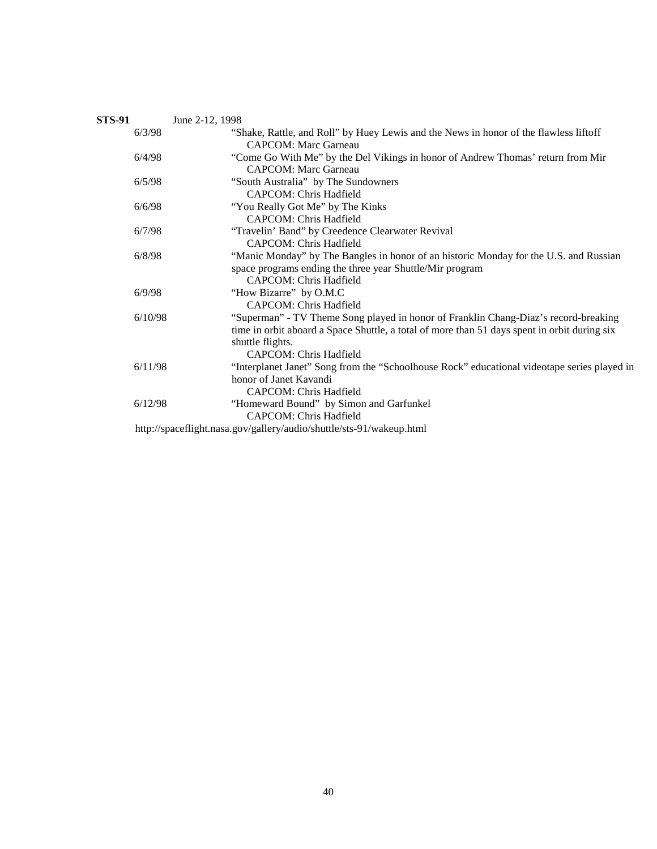| <b>STS-91</b> | June 2-12, 1998                                                                                                                                                                                                                          |
|---------------|------------------------------------------------------------------------------------------------------------------------------------------------------------------------------------------------------------------------------------------|
| 6/3/98        | "Shake, Rattle, and Roll" by Huey Lewis and the News in honor of the flawless liftoff<br>CAPCOM: Marc Garneau                                                                                                                            |
| 6/4/98        | "Come Go With Me" by the Del Vikings in honor of Andrew Thomas' return from Mir<br><b>CAPCOM: Marc Garneau</b>                                                                                                                           |
| 6/5/98        | "South Australia" by The Sundowners<br><b>CAPCOM: Chris Hadfield</b>                                                                                                                                                                     |
| 6/6/98        | "You Really Got Me" by The Kinks<br>CAPCOM: Chris Hadfield                                                                                                                                                                               |
| 6/7/98        | "Travelin' Band" by Creedence Clearwater Revival<br>CAPCOM: Chris Hadfield                                                                                                                                                               |
| 6/8/98        | "Manic Monday" by The Bangles in honor of an historic Monday for the U.S. and Russian<br>space programs ending the three year Shuttle/Mir program<br>CAPCOM: Chris Hadfield                                                              |
| 6/9/98        | "How Bizarre" by O.M.C<br><b>CAPCOM: Chris Hadfield</b>                                                                                                                                                                                  |
| 6/10/98       | "Superman" - TV Theme Song played in honor of Franklin Chang-Diaz's record-breaking<br>time in orbit aboard a Space Shuttle, a total of more than 51 days spent in orbit during six<br>shuttle flights.<br><b>CAPCOM: Chris Hadfield</b> |
| 6/11/98       | "Interplanet Janet" Song from the "Schoolhouse Rock" educational videotape series played in<br>honor of Janet Kavandi<br>CAPCOM: Chris Hadfield                                                                                          |
| 6/12/98       | "Homeward Bound" by Simon and Garfunkel<br><b>CAPCOM: Chris Hadfield</b>                                                                                                                                                                 |
|               | http://spaceflight.nasa.gov/gallery/audio/shuttle/sts-91/wakeup.html                                                                                                                                                                     |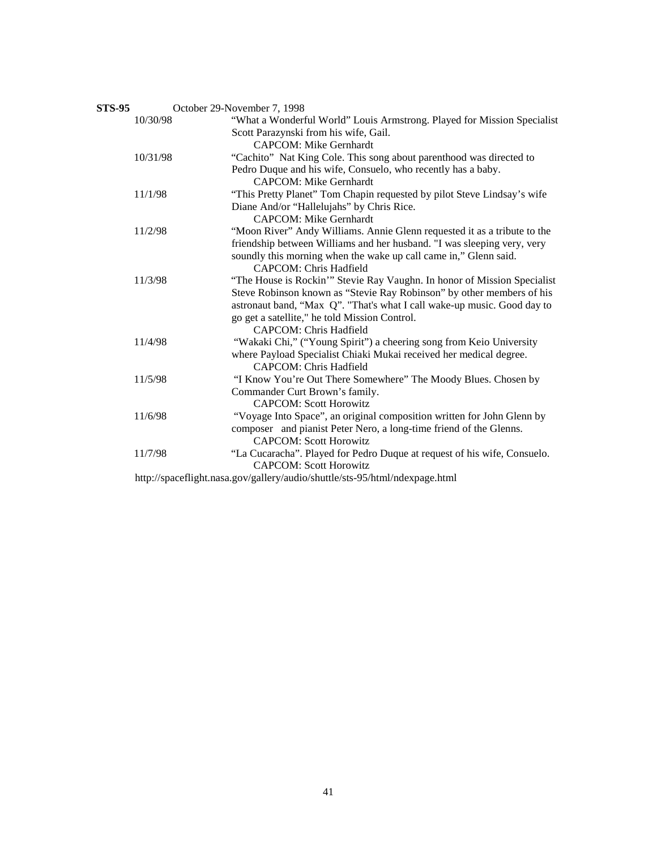| STS-95 |          | October 29-November 7, 1998                                                                         |
|--------|----------|-----------------------------------------------------------------------------------------------------|
|        | 10/30/98 | "What a Wonderful World" Louis Armstrong. Played for Mission Specialist                             |
|        |          | Scott Parazynski from his wife, Gail.                                                               |
|        |          | <b>CAPCOM: Mike Gernhardt</b>                                                                       |
|        | 10/31/98 | "Cachito" Nat King Cole. This song about parenthood was directed to                                 |
|        |          | Pedro Duque and his wife, Consuelo, who recently has a baby.                                        |
|        |          | <b>CAPCOM: Mike Gernhardt</b>                                                                       |
|        | 11/1/98  | "This Pretty Planet" Tom Chapin requested by pilot Steve Lindsay's wife                             |
|        |          | Diane And/or "Hallelujahs" by Chris Rice.                                                           |
|        |          | <b>CAPCOM: Mike Gernhardt</b>                                                                       |
|        | 11/2/98  | "Moon River" Andy Williams. Annie Glenn requested it as a tribute to the                            |
|        |          | friendship between Williams and her husband. "I was sleeping very, very                             |
|        |          | soundly this morning when the wake up call came in," Glenn said.                                    |
|        |          | <b>CAPCOM: Chris Hadfield</b>                                                                       |
|        | 11/3/98  | "The House is Rockin"" Stevie Ray Vaughn. In honor of Mission Specialist                            |
|        |          | Steve Robinson known as "Stevie Ray Robinson" by other members of his                               |
|        |          | astronaut band, "Max Q". "That's what I call wake-up music. Good day to                             |
|        |          | go get a satellite," he told Mission Control.                                                       |
|        |          | CAPCOM: Chris Hadfield                                                                              |
|        | 11/4/98  | "Wakaki Chi," ("Young Spirit") a cheering song from Keio University                                 |
|        |          | where Payload Specialist Chiaki Mukai received her medical degree.<br><b>CAPCOM: Chris Hadfield</b> |
|        | 11/5/98  | "I Know You're Out There Somewhere" The Moody Blues. Chosen by                                      |
|        |          | Commander Curt Brown's family.                                                                      |
|        |          | <b>CAPCOM: Scott Horowitz</b>                                                                       |
|        | 11/6/98  | "Voyage Into Space", an original composition written for John Glenn by                              |
|        |          | composer and pianist Peter Nero, a long-time friend of the Glenns.                                  |
|        |          | <b>CAPCOM: Scott Horowitz</b>                                                                       |
|        | 11/7/98  | "La Cucaracha". Played for Pedro Duque at request of his wife, Consuelo.                            |
|        |          | <b>CAPCOM: Scott Horowitz</b>                                                                       |
|        |          | http://spaceflight.nasa.gov/gallery/audio/shuttle/sts-95/html/ndexpage.html                         |
|        |          |                                                                                                     |

41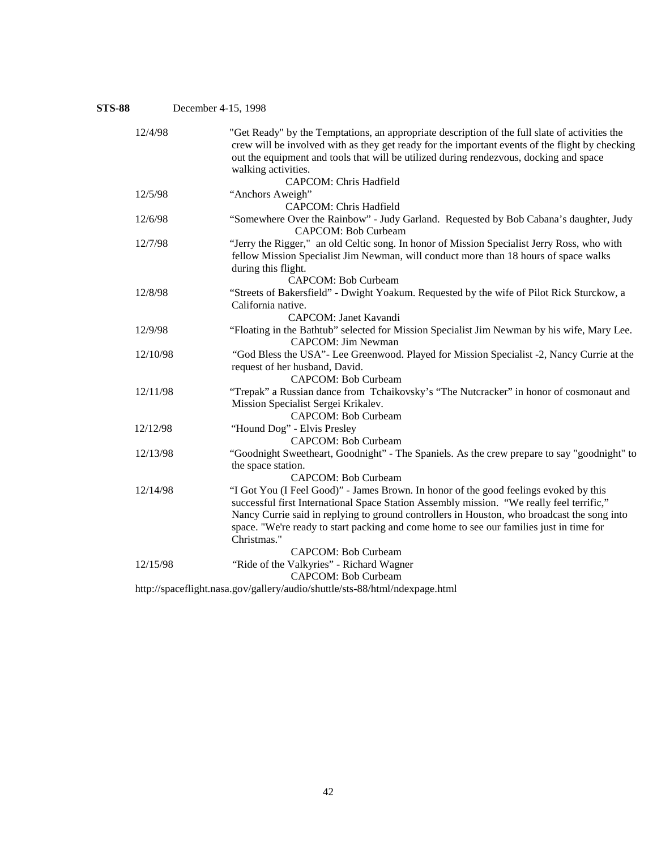| <b>STS-88</b> | December 4-15, 1998                                                                                                                                                                                                                                                                                                                                                                                                       |
|---------------|---------------------------------------------------------------------------------------------------------------------------------------------------------------------------------------------------------------------------------------------------------------------------------------------------------------------------------------------------------------------------------------------------------------------------|
| 12/4/98       | "Get Ready" by the Temptations, an appropriate description of the full slate of activities the<br>crew will be involved with as they get ready for the important events of the flight by checking<br>out the equipment and tools that will be utilized during rendezvous, docking and space<br>walking activities.                                                                                                        |
| 12/5/98       | CAPCOM: Chris Hadfield<br>"Anchors Aweigh"<br>CAPCOM: Chris Hadfield                                                                                                                                                                                                                                                                                                                                                      |
| 12/6/98       | "Somewhere Over the Rainbow" - Judy Garland. Requested by Bob Cabana's daughter, Judy<br><b>CAPCOM: Bob Curbeam</b>                                                                                                                                                                                                                                                                                                       |
| 12/7/98       | "Jerry the Rigger," an old Celtic song. In honor of Mission Specialist Jerry Ross, who with<br>fellow Mission Specialist Jim Newman, will conduct more than 18 hours of space walks<br>during this flight.<br><b>CAPCOM: Bob Curbeam</b>                                                                                                                                                                                  |
| 12/8/98       | "Streets of Bakersfield" - Dwight Yoakum. Requested by the wife of Pilot Rick Sturckow, a<br>California native.<br>CAPCOM: Janet Kavandi                                                                                                                                                                                                                                                                                  |
| 12/9/98       | "Floating in the Bathtub" selected for Mission Specialist Jim Newman by his wife, Mary Lee.<br><b>CAPCOM: Jim Newman</b>                                                                                                                                                                                                                                                                                                  |
| 12/10/98      | "God Bless the USA" - Lee Greenwood. Played for Mission Specialist -2, Nancy Currie at the<br>request of her husband, David.<br>CAPCOM: Bob Curbeam                                                                                                                                                                                                                                                                       |
| 12/11/98      | "Trepak" a Russian dance from Tchaikovsky's "The Nutcracker" in honor of cosmonaut and<br>Mission Specialist Sergei Krikalev.<br><b>CAPCOM: Bob Curbeam</b>                                                                                                                                                                                                                                                               |
| 12/12/98      | "Hound Dog" - Elvis Presley<br><b>CAPCOM: Bob Curbeam</b>                                                                                                                                                                                                                                                                                                                                                                 |
| 12/13/98      | "Goodnight Sweetheart, Goodnight" - The Spaniels. As the crew prepare to say "goodnight" to<br>the space station.<br><b>CAPCOM: Bob Curbeam</b>                                                                                                                                                                                                                                                                           |
| 12/14/98      | "I Got You (I Feel Good)" - James Brown. In honor of the good feelings evoked by this<br>successful first International Space Station Assembly mission. "We really feel terrific,"<br>Nancy Currie said in replying to ground controllers in Houston, who broadcast the song into<br>space. "We're ready to start packing and come home to see our families just in time for<br>Christmas."<br><b>CAPCOM: Bob Curbeam</b> |
| 12/15/98      | "Ride of the Valkyries" - Richard Wagner<br><b>CAPCOM: Bob Curbeam</b>                                                                                                                                                                                                                                                                                                                                                    |
|               | http://spaceflight.nasa.gov/gallery/audio/shuttle/sts-88/html/ndexpage.html                                                                                                                                                                                                                                                                                                                                               |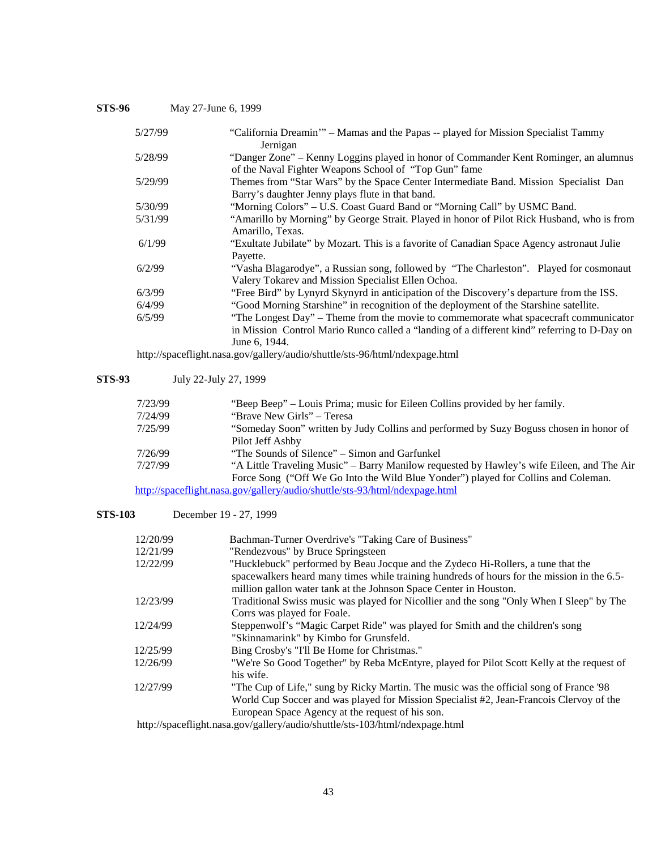| STS-96 | May 27-June 6, 1999       |                                                                                                                                                                                                      |
|--------|---------------------------|------------------------------------------------------------------------------------------------------------------------------------------------------------------------------------------------------|
|        | 5/27/99                   | "California Dreamin" – Mamas and the Papas -- played for Mission Specialist Tammy<br>Jernigan                                                                                                        |
|        | 5/28/99                   | "Danger Zone" – Kenny Loggins played in honor of Commander Kent Rominger, an alumnus<br>of the Naval Fighter Weapons School of "Top Gun" fame                                                        |
|        | 5/29/99                   | Themes from "Star Wars" by the Space Center Intermediate Band. Mission Specialist Dan<br>Barry's daughter Jenny plays flute in that band.                                                            |
|        | 5/30/99                   | "Morning Colors" – U.S. Coast Guard Band or "Morning Call" by USMC Band.                                                                                                                             |
|        | 5/31/99                   | "Amarillo by Morning" by George Strait. Played in honor of Pilot Rick Husband, who is from<br>Amarillo, Texas.                                                                                       |
|        | 6/1/99                    | "Exultate Jubilate" by Mozart. This is a favorite of Canadian Space Agency astronaut Julie<br>Payette.                                                                                               |
|        | 6/2/99                    | "Vasha Blagarodye", a Russian song, followed by "The Charleston". Played for cosmonaut<br>Valery Tokarev and Mission Specialist Ellen Ochoa.                                                         |
|        | 6/3/99                    | "Free Bird" by Lynyrd Skynyrd in anticipation of the Discovery's departure from the ISS.                                                                                                             |
|        | 6/4/99                    | "Good Morning Starshine" in recognition of the deployment of the Starshine satellite.                                                                                                                |
|        | 6/5/99                    | "The Longest Day" – Theme from the movie to commemorate what spacecraft communicator<br>in Mission Control Mario Runco called a "landing of a different kind" referring to D-Day on<br>June 6, 1944. |
|        | $\mathbf{1}$ $\mathbf{1}$ | $\frac{1}{1}$ 11 $\frac{1}{1}$ 1' $\frac{1}{1}$ $\frac{1}{1}$ $\frac{1}{1}$ $\frac{1}{1}$ $\frac{1}{1}$ $\frac{1}{1}$ $\frac{1}{1}$ $\frac{1}{1}$                                                    |

http://spaceflight.nasa.gov/gallery/audio/shuttle/sts-96/html/ndexpage.html

# **STS-93** July 22-July 27, 1999

| 7/23/99 | "Beep Beep" – Louis Prima; music for Eileen Collins provided by her family.               |
|---------|-------------------------------------------------------------------------------------------|
| 7/24/99 | "Brave New Girls" – Teresa                                                                |
| 7/25/99 | "Someday Soon" written by Judy Collins and performed by Suzy Boguss chosen in honor of    |
|         | Pilot Jeff Ashby                                                                          |
| 7/26/99 | "The Sounds of Silence" – Simon and Garfunkel                                             |
| 7/27/99 | "A Little Traveling Music" – Barry Manilow requested by Hawley's wife Eileen, and The Air |
|         | Force Song ("Off We Go Into the Wild Blue Yonder") played for Collins and Coleman.        |
|         | http://spaceflight.nasa.gov/gallery/audio/shuttle/sts-93/html/ndexpage.html               |

# **STS-103** December 19 - 27, 1999

| 12/20/99 | Bachman-Turner Overdrive's "Taking Care of Business"                                                                                                                                                                                                |
|----------|-----------------------------------------------------------------------------------------------------------------------------------------------------------------------------------------------------------------------------------------------------|
| 12/21/99 | "Rendezvous" by Bruce Springsteen                                                                                                                                                                                                                   |
| 12/22/99 | "Hucklebuck" performed by Beau Jocque and the Zydeco Hi-Rollers, a tune that the<br>spacewalkers heard many times while training hundreds of hours for the mission in the 6.5-<br>million gallon water tank at the Johnson Space Center in Houston. |
| 12/23/99 | Traditional Swiss music was played for Nicollier and the song "Only When I Sleep" by The<br>Corrs was played for Foale.                                                                                                                             |
| 12/24/99 | Steppenwolf's "Magic Carpet Ride" was played for Smith and the children's song                                                                                                                                                                      |
|          | "Skinnamarink" by Kimbo for Grunsfeld.                                                                                                                                                                                                              |
| 12/25/99 | Bing Crosby's "I'll Be Home for Christmas."                                                                                                                                                                                                         |
| 12/26/99 | "We're So Good Together" by Reba McEntyre, played for Pilot Scott Kelly at the request of                                                                                                                                                           |
|          | his wife.                                                                                                                                                                                                                                           |
| 12/27/99 | "The Cup of Life," sung by Ricky Martin. The music was the official song of France '98                                                                                                                                                              |
|          | World Cup Soccer and was played for Mission Specialist #2, Jean-Francois Clervoy of the                                                                                                                                                             |
|          | European Space Agency at the request of his son.                                                                                                                                                                                                    |
|          | $http://gnacoflight noscgov/aellorylacio/ghutlo/ctc. 103/html/ndoxnosc.html$                                                                                                                                                                        |

http://spaceflight.nasa.gov/gallery/audio/shuttle/sts-103/html/ndexpage.html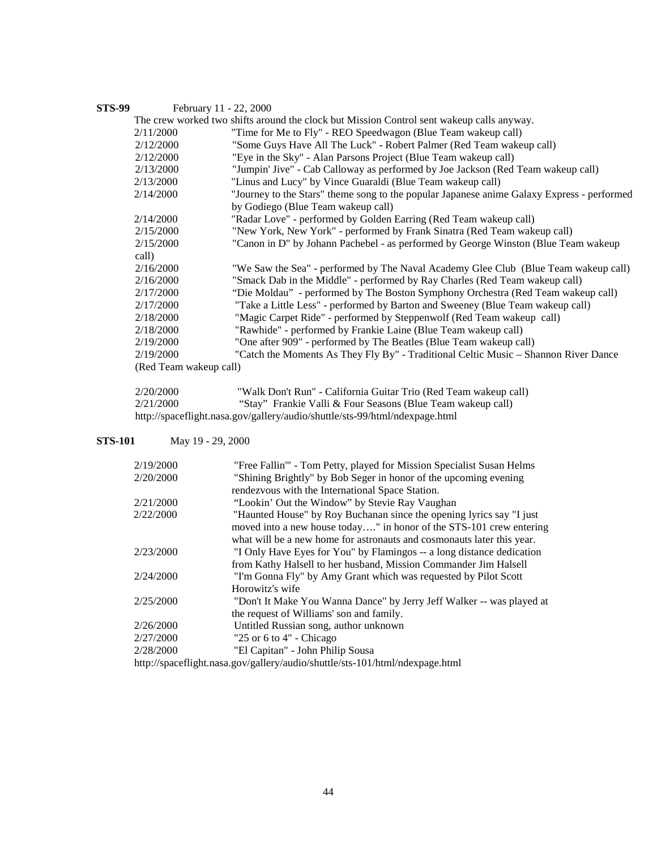# **STS-99** February 11 - 22, 2000

|                        | The crew worked two shifts around the clock but Mission Control sent wakeup calls anyway.  |
|------------------------|--------------------------------------------------------------------------------------------|
| 2/11/2000              | "Time for Me to Fly" - REO Speedwagon (Blue Team wakeup call)                              |
| 2/12/2000              | "Some Guys Have All The Luck" - Robert Palmer (Red Team wakeup call)                       |
| 2/12/2000              | "Eye in the Sky" - Alan Parsons Project (Blue Team wakeup call)                            |
| 2/13/2000              | "Jumpin' Jive" - Cab Calloway as performed by Joe Jackson (Red Team wakeup call)           |
| 2/13/2000              | "Linus and Lucy" by Vince Guaraldi (Blue Team wakeup call)                                 |
| 2/14/2000              | "Journey to the Stars" theme song to the popular Japanese anime Galaxy Express - performed |
|                        | by Godiego (Blue Team wakeup call)                                                         |
| 2/14/2000              | "Radar Love" - performed by Golden Earring (Red Team wakeup call)                          |
| 2/15/2000              | "New York, New York" - performed by Frank Sinatra (Red Team wakeup call)                   |
| 2/15/2000              | "Canon in D" by Johann Pachebel - as performed by George Winston (Blue Team wakeup)        |
| call)                  |                                                                                            |
| 2/16/2000              | "We Saw the Sea" - performed by The Naval Academy Glee Club (Blue Team wakeup call)        |
| 2/16/2000              | "Smack Dab in the Middle" - performed by Ray Charles (Red Team wakeup call)                |
| 2/17/2000              | "Die Moldau" - performed by The Boston Symphony Orchestra (Red Team wakeup call)           |
| 2/17/2000              | "Take a Little Less" - performed by Barton and Sweeney (Blue Team wakeup call)             |
| 2/18/2000              | "Magic Carpet Ride" - performed by Steppenwolf (Red Team wakeup call)                      |
| 2/18/2000              | "Rawhide" - performed by Frankie Laine (Blue Team wakeup call)                             |
| 2/19/2000              | "One after 909" - performed by The Beatles (Blue Team wakeup call)                         |
| 2/19/2000              | "Catch the Moments As They Fly By" - Traditional Celtic Music – Shannon River Dance        |
| (Red Team wakeup call) |                                                                                            |
|                        |                                                                                            |

| 2/20/2000 | "Walk Don't Run" - California Guitar Trio (Red Team wakeup call)            |
|-----------|-----------------------------------------------------------------------------|
| 2/21/2000 | "Stay" Frankie Valli & Four Seasons (Blue Team wakeup call)                 |
|           | http://spaceflight.nasa.gov/gallery/audio/shuttle/sts-99/html/ndexpage.html |

# **STS-101** May 19 - 29, 2000

| 2/19/2000 | "Free Fallin" - Tom Petty, played for Mission Specialist Susan Helms         |
|-----------|------------------------------------------------------------------------------|
| 2/20/2000 | "Shining Brightly" by Bob Seger in honor of the upcoming evening             |
|           | rendezvous with the International Space Station.                             |
| 2/21/2000 | "Lookin' Out the Window" by Stevie Ray Vaughan                               |
| 2/22/2000 | "Haunted House" by Roy Buchanan since the opening lyrics say "I just         |
|           | moved into a new house today" in honor of the STS-101 crew entering          |
|           | what will be a new home for astronauts and cosmonauts later this year.       |
| 2/23/2000 | "I Only Have Eyes for You" by Flamingos -- a long distance dedication        |
|           | from Kathy Halsell to her husband, Mission Commander Jim Halsell             |
| 2/24/2000 | "I'm Gonna Fly" by Amy Grant which was requested by Pilot Scott              |
|           | Horowitz's wife                                                              |
| 2/25/2000 | "Don't It Make You Wanna Dance" by Jerry Jeff Walker -- was played at        |
|           | the request of Williams' son and family.                                     |
| 2/26/2000 | Untitled Russian song, author unknown                                        |
| 2/27/2000 | "25 or 6 to $4$ " - Chicago                                                  |
| 2/28/2000 | "El Capitan" - John Philip Sousa                                             |
|           | http://spaceflight.nasa.gov/gallery/audio/shuttle/sts-101/html/ndexpage.html |
|           |                                                                              |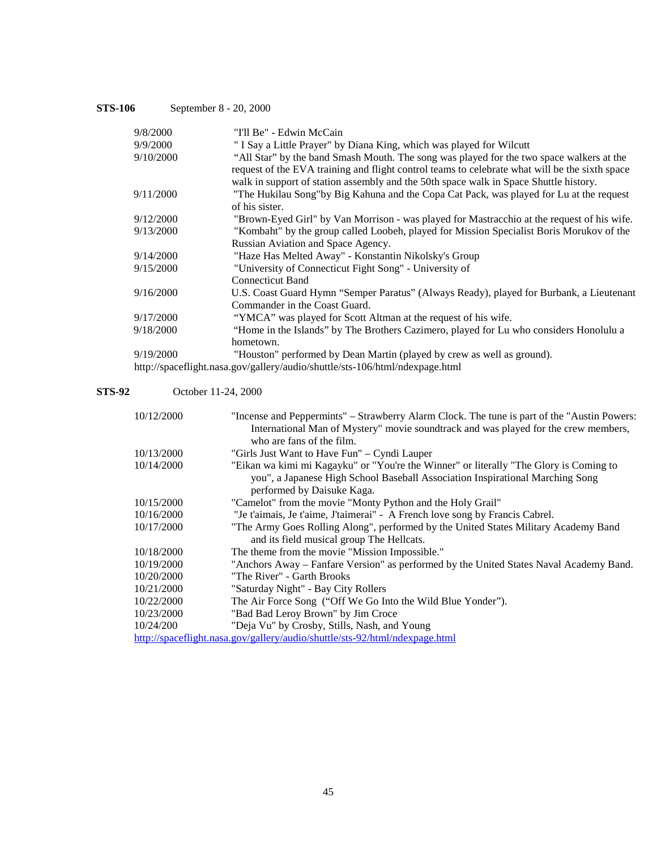# **STS-106 September 8 - 20, 2000**

| 9/8/2000  | "I'll Be" - Edwin McCain                                                                                                                                                                                                                                                            |
|-----------|-------------------------------------------------------------------------------------------------------------------------------------------------------------------------------------------------------------------------------------------------------------------------------------|
| 9/9/2000  | "I Say a Little Prayer" by Diana King, which was played for Wilcutt                                                                                                                                                                                                                 |
| 9/10/2000 | "All Star" by the band Smash Mouth. The song was played for the two space walkers at the<br>request of the EVA training and flight control teams to celebrate what will be the sixth space<br>walk in support of station assembly and the 50th space walk in Space Shuttle history. |
| 9/11/2000 | "The Hukilau Song" by Big Kahuna and the Copa Cat Pack, was played for Lu at the request<br>of his sister.                                                                                                                                                                          |
| 9/12/2000 | "Brown-Eyed Girl" by Van Morrison - was played for Mastracchio at the request of his wife.                                                                                                                                                                                          |
| 9/13/2000 | "Kombaht" by the group called Loobeh, played for Mission Specialist Boris Morukov of the                                                                                                                                                                                            |
|           | Russian Aviation and Space Agency.                                                                                                                                                                                                                                                  |
| 9/14/2000 | "Haze Has Melted Away" - Konstantin Nikolsky's Group                                                                                                                                                                                                                                |
| 9/15/2000 | "University of Connecticut Fight Song" - University of                                                                                                                                                                                                                              |
|           | <b>Connecticut Band</b>                                                                                                                                                                                                                                                             |
| 9/16/2000 | U.S. Coast Guard Hymn "Semper Paratus" (Always Ready), played for Burbank, a Lieutenant<br>Commander in the Coast Guard.                                                                                                                                                            |
| 9/17/2000 | "YMCA" was played for Scott Altman at the request of his wife.                                                                                                                                                                                                                      |
| 9/18/2000 | "Home in the Islands" by The Brothers Cazimero, played for Lu who considers Honolulu a                                                                                                                                                                                              |
|           | hometown.                                                                                                                                                                                                                                                                           |
| 9/19/2000 | "Houston" performed by Dean Martin (played by crew as well as ground).                                                                                                                                                                                                              |
|           | http://spaceflight.nasa.gov/gallery/audio/shuttle/sts-106/html/ndexpage.html                                                                                                                                                                                                        |

# **STS-92** October 11-24, 2000

| 10/12/2000 | "Incense and Peppermints" – Strawberry Alarm Clock. The tune is part of the "Austin Powers: |
|------------|---------------------------------------------------------------------------------------------|
|            | International Man of Mystery" movie soundtrack and was played for the crew members,         |
|            | who are fans of the film.                                                                   |
| 10/13/2000 | "Girls Just Want to Have Fun" – Cyndi Lauper                                                |
| 10/14/2000 | "Eikan wa kimi mi Kagayku" or "You're the Winner" or literally "The Glory is Coming to      |
|            | you", a Japanese High School Baseball Association Inspirational Marching Song               |
|            | performed by Daisuke Kaga.                                                                  |
| 10/15/2000 | "Camelot" from the movie "Monty Python and the Holy Grail"                                  |
| 10/16/2000 | "Je t'aimais, Je t'aime, J'taimerai" - A French love song by Francis Cabrel.                |
| 10/17/2000 | "The Army Goes Rolling Along", performed by the United States Military Academy Band         |
|            | and its field musical group The Hellcats.                                                   |
| 10/18/2000 | The theme from the movie "Mission Impossible."                                              |
| 10/19/2000 | "Anchors Away – Fanfare Version" as performed by the United States Naval Academy Band.      |
| 10/20/2000 | "The River" - Garth Brooks                                                                  |
| 10/21/2000 | "Saturday Night" - Bay City Rollers                                                         |
| 10/22/2000 | The Air Force Song ("Off We Go Into the Wild Blue Yonder").                                 |
| 10/23/2000 | "Bad Bad Leroy Brown" by Jim Croce                                                          |
| 10/24/200  | "Deja Vu" by Crosby, Stills, Nash, and Young                                                |
|            | http://spaceflight.nasa.gov/gallery/audio/shuttle/sts-92/html/ndexpage.html                 |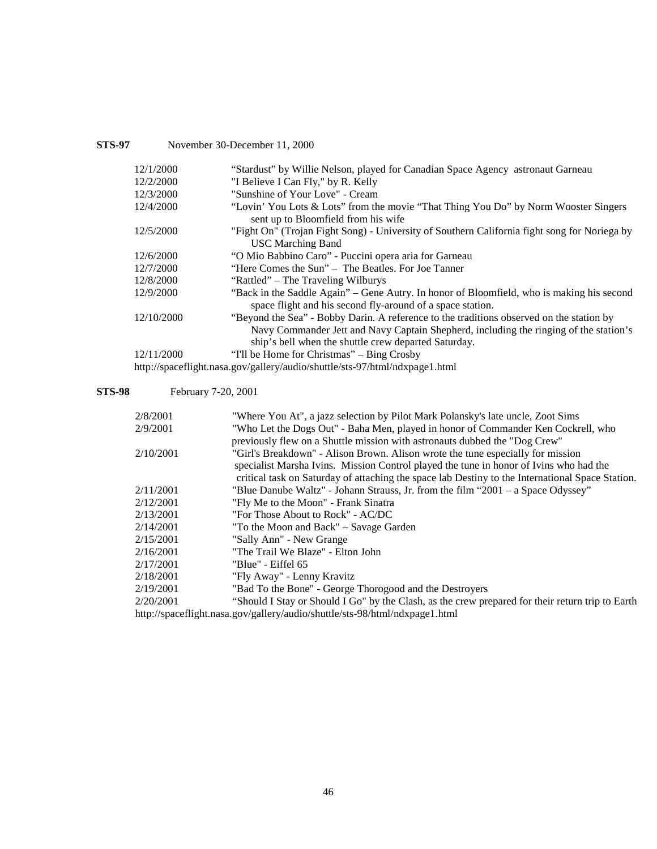## **STS-97** November 30-December 11, 2000

| 12/1/2000  | "Stardust" by Willie Nelson, played for Canadian Space Agency astronaut Garneau              |
|------------|----------------------------------------------------------------------------------------------|
| 12/2/2000  | "I Believe I Can Fly," by R. Kelly                                                           |
| 12/3/2000  | "Sunshine of Your Love" - Cream                                                              |
| 12/4/2000  | "Lovin' You Lots & Lots" from the movie "That Thing You Do" by Norm Wooster Singers          |
|            | sent up to Bloomfield from his wife                                                          |
| 12/5/2000  | "Fight On" (Trojan Fight Song) - University of Southern California fight song for Noriega by |
|            | <b>USC Marching Band</b>                                                                     |
| 12/6/2000  | "O Mio Babbino Caro" - Puccini opera aria for Garneau                                        |
| 12/7/2000  | "Here Comes the Sun" – The Beatles. For Joe Tanner                                           |
| 12/8/2000  | "Rattled" – The Traveling Wilburys"                                                          |
| 12/9/2000  | "Back in the Saddle Again" – Gene Autry. In honor of Bloomfield, who is making his second    |
|            | space flight and his second fly-around of a space station.                                   |
| 12/10/2000 | "Beyond the Sea" - Bobby Darin. A reference to the traditions observed on the station by     |
|            | Navy Commander Jett and Navy Captain Shepherd, including the ringing of the station's        |
|            | ship's bell when the shuttle crew departed Saturday.                                         |
| 12/11/2000 | "I'll be Home for Christmas" – Bing Crosby                                                   |
|            | http://spaceflight.nasa.gov/gallery/audio/shuttle/sts-97/html/ndxpage1.html                  |

## **STS-98 February 7-20, 2001**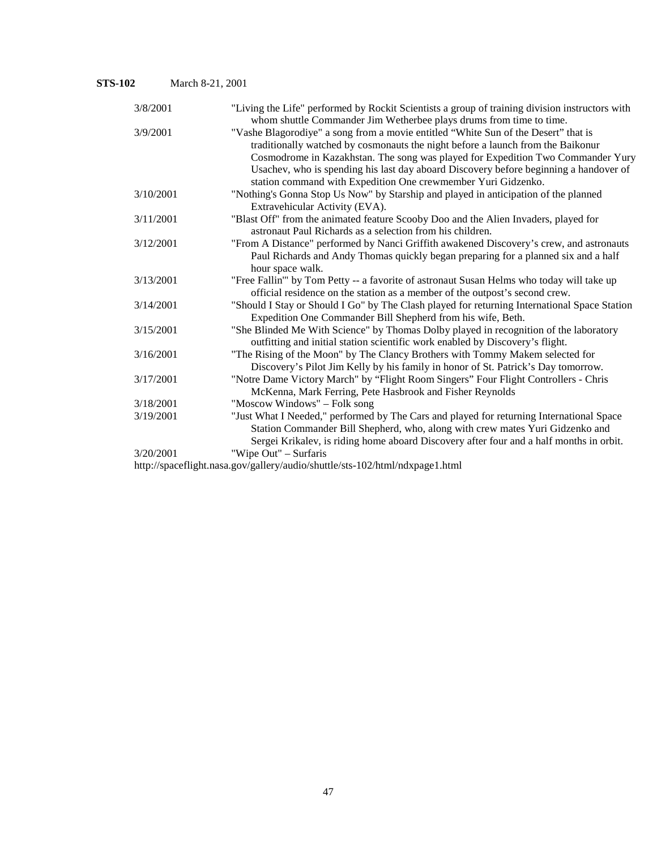**STS-102** March 8-21, 2001

| 3/8/2001  | "Living the Life" performed by Rockit Scientists a group of training division instructors with |
|-----------|------------------------------------------------------------------------------------------------|
|           | whom shuttle Commander Jim Wetherbee plays drums from time to time.                            |
| 3/9/2001  | "Vashe Blagorodiye" a song from a movie entitled "White Sun of the Desert" that is             |
|           | traditionally watched by cosmonauts the night before a launch from the Baikonur                |
|           | Cosmodrome in Kazakhstan. The song was played for Expedition Two Commander Yury                |
|           | Usachev, who is spending his last day aboard Discovery before beginning a handover of          |
|           | station command with Expedition One crewmember Yuri Gidzenko.                                  |
| 3/10/2001 | "Nothing's Gonna Stop Us Now" by Starship and played in anticipation of the planned            |
|           | Extravehicular Activity (EVA).                                                                 |
| 3/11/2001 | "Blast Off" from the animated feature Scooby Doo and the Alien Invaders, played for            |
|           | astronaut Paul Richards as a selection from his children.                                      |
| 3/12/2001 | "From A Distance" performed by Nanci Griffith awakened Discovery's crew, and astronauts        |
|           | Paul Richards and Andy Thomas quickly began preparing for a planned six and a half             |
|           | hour space walk.                                                                               |
| 3/13/2001 | "Free Fallin" by Tom Petty -- a favorite of astronaut Susan Helms who today will take up       |
|           | official residence on the station as a member of the outpost's second crew.                    |
| 3/14/2001 | "Should I Stay or Should I Go" by The Clash played for returning International Space Station   |
|           | Expedition One Commander Bill Shepherd from his wife, Beth.                                    |
| 3/15/2001 | "She Blinded Me With Science" by Thomas Dolby played in recognition of the laboratory          |
|           | outfitting and initial station scientific work enabled by Discovery's flight.                  |
| 3/16/2001 | "The Rising of the Moon" by The Clancy Brothers with Tommy Makem selected for                  |
|           | Discovery's Pilot Jim Kelly by his family in honor of St. Patrick's Day tomorrow.              |
| 3/17/2001 | "Notre Dame Victory March" by "Flight Room Singers" Four Flight Controllers - Chris            |
|           | McKenna, Mark Ferring, Pete Hasbrook and Fisher Reynolds                                       |
| 3/18/2001 | "Moscow Windows" – Folk song                                                                   |
| 3/19/2001 | "Just What I Needed," performed by The Cars and played for returning International Space       |
|           | Station Commander Bill Shepherd, who, along with crew mates Yuri Gidzenko and                  |
|           | Sergei Krikalev, is riding home aboard Discovery after four and a half months in orbit.        |
| 3/20/2001 | "Wipe Out" – Surfaris                                                                          |
|           | http://spaceflight.nasa.gov/gallery/audio/shuttle/sts-102/html/ndxpage1.html                   |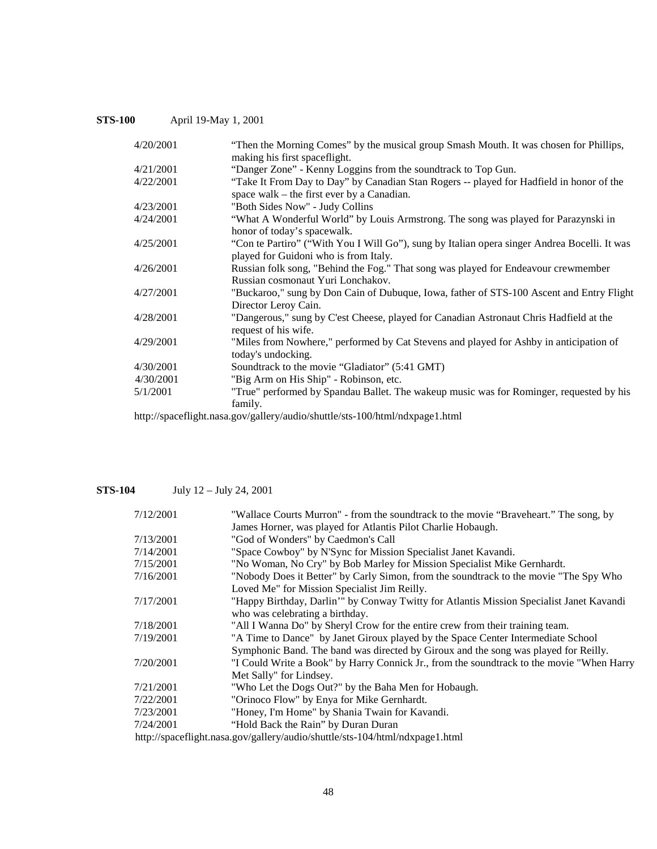# **STS-100** April 19-May 1, 2001

| 4/20/2001 | "Then the Morning Comes" by the musical group Smash Mouth. It was chosen for Phillips,                                                 |
|-----------|----------------------------------------------------------------------------------------------------------------------------------------|
|           | making his first spaceflight.                                                                                                          |
| 4/21/2001 | "Danger Zone" - Kenny Loggins from the soundtrack to Top Gun.                                                                          |
| 4/22/2001 | "Take It From Day to Day" by Canadian Stan Rogers -- played for Hadfield in honor of the<br>space walk – the first ever by a Canadian. |
| 4/23/2001 | "Both Sides Now" - Judy Collins                                                                                                        |
| 4/24/2001 | "What A Wonderful World" by Louis Armstrong. The song was played for Parazynski in                                                     |
|           | honor of today's spacewalk.                                                                                                            |
| 4/25/2001 | "Con te Partiro" ("With You I Will Go"), sung by Italian opera singer Andrea Bocelli. It was                                           |
|           | played for Guidoni who is from Italy.                                                                                                  |
| 4/26/2001 | Russian folk song, "Behind the Fog." That song was played for Endeavour crewmember                                                     |
|           | Russian cosmonaut Yuri Lonchakov.                                                                                                      |
| 4/27/2001 | "Buckaroo," sung by Don Cain of Dubuque, Iowa, father of STS-100 Ascent and Entry Flight                                               |
|           | Director Leroy Cain.                                                                                                                   |
| 4/28/2001 | "Dangerous," sung by C'est Cheese, played for Canadian Astronaut Chris Hadfield at the<br>request of his wife.                         |
| 4/29/2001 | "Miles from Nowhere," performed by Cat Stevens and played for Ashby in anticipation of<br>today's undocking.                           |
| 4/30/2001 | Soundtrack to the movie "Gladiator" (5:41 GMT)                                                                                         |
| 4/30/2001 | "Big Arm on His Ship" - Robinson, etc.                                                                                                 |
| 5/1/2001  | "True" performed by Spandau Ballet. The wakeup music was for Rominger, requested by his                                                |
|           | family.                                                                                                                                |
|           | .                                                                                                                                      |

http://spaceflight.nasa.gov/gallery/audio/shuttle/sts-100/html/ndxpage1.html

**STS-104** July 12 – July 24, 2001

| James Horner, was played for Atlantis Pilot Charlie Hobaugh.<br>"God of Wonders" by Caedmon's Call<br>7/13/2001<br>"Space Cowboy" by N'Sync for Mission Specialist Janet Kavandi.<br>7/14/2001<br>"No Woman, No Cry" by Bob Marley for Mission Specialist Mike Gernhardt.<br>7/15/2001<br>7/16/2001<br>"Nobody Does it Better" by Carly Simon, from the soundtrack to the movie "The Spy Who"<br>Loved Me" for Mission Specialist Jim Reilly.<br>7/17/2001<br>"Happy Birthday, Darlin'" by Conway Twitty for Atlantis Mission Specialist Janet Kavandi<br>who was celebrating a birthday.<br>7/18/2001<br>"All I Wanna Do" by Sheryl Crow for the entire crew from their training team.<br>7/19/2001<br>"A Time to Dance" by Janet Giroux played by the Space Center Intermediate School<br>Symphonic Band. The band was directed by Giroux and the song was played for Reilly.<br>7/20/2001<br>Met Sally" for Lindsey.<br>7/21/2001<br>"Who Let the Dogs Out?" by the Baha Men for Hobaugh.<br>"Orinoco Flow" by Enya for Mike Gernhardt.<br>7/22/2001<br>"Honey, I'm Home" by Shania Twain for Kavandi.<br>7/23/2001<br>7/24/2001<br>"Hold Back the Rain" by Duran Duran<br>http://spaceflight.nasa.gov/gallery/audio/shuttle/sts-104/html/ndxpage1.html | 7/12/2001 | "Wallace Courts Murron" - from the soundtrack to the movie "Braveheart." The song, by     |
|------------------------------------------------------------------------------------------------------------------------------------------------------------------------------------------------------------------------------------------------------------------------------------------------------------------------------------------------------------------------------------------------------------------------------------------------------------------------------------------------------------------------------------------------------------------------------------------------------------------------------------------------------------------------------------------------------------------------------------------------------------------------------------------------------------------------------------------------------------------------------------------------------------------------------------------------------------------------------------------------------------------------------------------------------------------------------------------------------------------------------------------------------------------------------------------------------------------------------------------------------------|-----------|-------------------------------------------------------------------------------------------|
|                                                                                                                                                                                                                                                                                                                                                                                                                                                                                                                                                                                                                                                                                                                                                                                                                                                                                                                                                                                                                                                                                                                                                                                                                                                            |           |                                                                                           |
|                                                                                                                                                                                                                                                                                                                                                                                                                                                                                                                                                                                                                                                                                                                                                                                                                                                                                                                                                                                                                                                                                                                                                                                                                                                            |           |                                                                                           |
|                                                                                                                                                                                                                                                                                                                                                                                                                                                                                                                                                                                                                                                                                                                                                                                                                                                                                                                                                                                                                                                                                                                                                                                                                                                            |           |                                                                                           |
|                                                                                                                                                                                                                                                                                                                                                                                                                                                                                                                                                                                                                                                                                                                                                                                                                                                                                                                                                                                                                                                                                                                                                                                                                                                            |           |                                                                                           |
|                                                                                                                                                                                                                                                                                                                                                                                                                                                                                                                                                                                                                                                                                                                                                                                                                                                                                                                                                                                                                                                                                                                                                                                                                                                            |           |                                                                                           |
|                                                                                                                                                                                                                                                                                                                                                                                                                                                                                                                                                                                                                                                                                                                                                                                                                                                                                                                                                                                                                                                                                                                                                                                                                                                            |           |                                                                                           |
|                                                                                                                                                                                                                                                                                                                                                                                                                                                                                                                                                                                                                                                                                                                                                                                                                                                                                                                                                                                                                                                                                                                                                                                                                                                            |           |                                                                                           |
|                                                                                                                                                                                                                                                                                                                                                                                                                                                                                                                                                                                                                                                                                                                                                                                                                                                                                                                                                                                                                                                                                                                                                                                                                                                            |           |                                                                                           |
|                                                                                                                                                                                                                                                                                                                                                                                                                                                                                                                                                                                                                                                                                                                                                                                                                                                                                                                                                                                                                                                                                                                                                                                                                                                            |           |                                                                                           |
|                                                                                                                                                                                                                                                                                                                                                                                                                                                                                                                                                                                                                                                                                                                                                                                                                                                                                                                                                                                                                                                                                                                                                                                                                                                            |           |                                                                                           |
|                                                                                                                                                                                                                                                                                                                                                                                                                                                                                                                                                                                                                                                                                                                                                                                                                                                                                                                                                                                                                                                                                                                                                                                                                                                            |           |                                                                                           |
|                                                                                                                                                                                                                                                                                                                                                                                                                                                                                                                                                                                                                                                                                                                                                                                                                                                                                                                                                                                                                                                                                                                                                                                                                                                            |           | "I Could Write a Book" by Harry Connick Jr., from the soundtrack to the movie "When Harry |
|                                                                                                                                                                                                                                                                                                                                                                                                                                                                                                                                                                                                                                                                                                                                                                                                                                                                                                                                                                                                                                                                                                                                                                                                                                                            |           |                                                                                           |
|                                                                                                                                                                                                                                                                                                                                                                                                                                                                                                                                                                                                                                                                                                                                                                                                                                                                                                                                                                                                                                                                                                                                                                                                                                                            |           |                                                                                           |
|                                                                                                                                                                                                                                                                                                                                                                                                                                                                                                                                                                                                                                                                                                                                                                                                                                                                                                                                                                                                                                                                                                                                                                                                                                                            |           |                                                                                           |
|                                                                                                                                                                                                                                                                                                                                                                                                                                                                                                                                                                                                                                                                                                                                                                                                                                                                                                                                                                                                                                                                                                                                                                                                                                                            |           |                                                                                           |
|                                                                                                                                                                                                                                                                                                                                                                                                                                                                                                                                                                                                                                                                                                                                                                                                                                                                                                                                                                                                                                                                                                                                                                                                                                                            |           |                                                                                           |
|                                                                                                                                                                                                                                                                                                                                                                                                                                                                                                                                                                                                                                                                                                                                                                                                                                                                                                                                                                                                                                                                                                                                                                                                                                                            |           |                                                                                           |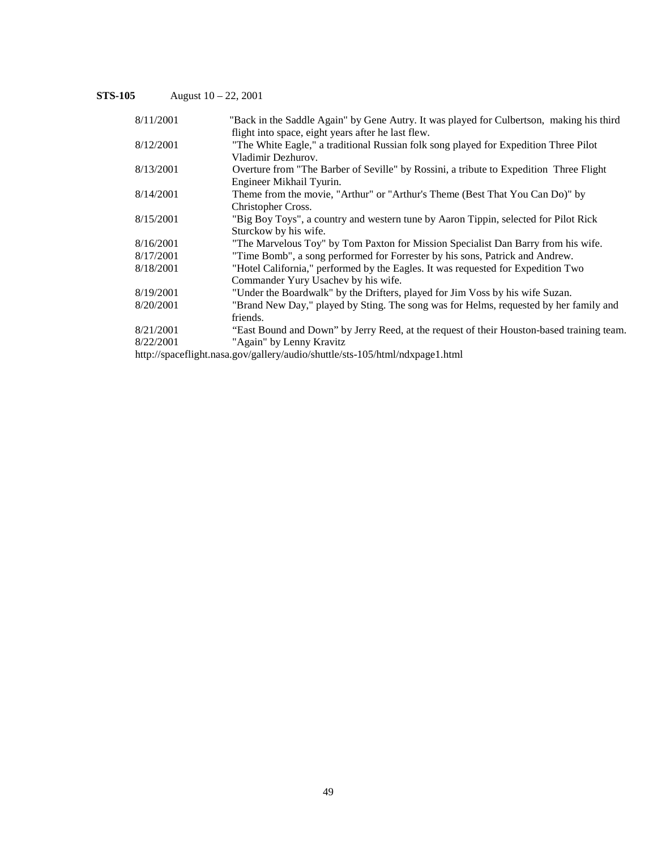# **STS-105** August 10 – 22, 2001

| 8/11/2001 | "Back in the Saddle Again" by Gene Autry. It was played for Culbertson, making his third  |
|-----------|-------------------------------------------------------------------------------------------|
|           | flight into space, eight years after he last flew.                                        |
| 8/12/2001 | "The White Eagle," a traditional Russian folk song played for Expedition Three Pilot      |
|           | Vladimir Dezhurov.                                                                        |
| 8/13/2001 | Overture from "The Barber of Seville" by Rossini, a tribute to Expedition Three Flight    |
|           | Engineer Mikhail Tyurin.                                                                  |
| 8/14/2001 | Theme from the movie, "Arthur" or "Arthur's Theme (Best That You Can Do)" by              |
|           | Christopher Cross.                                                                        |
| 8/15/2001 | "Big Boy Toys", a country and western tune by Aaron Tippin, selected for Pilot Rick       |
|           | Sturckow by his wife.                                                                     |
| 8/16/2001 | "The Marvelous Toy" by Tom Paxton for Mission Specialist Dan Barry from his wife.         |
| 8/17/2001 | "Time Bomb", a song performed for Forrester by his sons, Patrick and Andrew.              |
| 8/18/2001 | "Hotel California," performed by the Eagles. It was requested for Expedition Two          |
|           | Commander Yury Usachev by his wife.                                                       |
| 8/19/2001 | "Under the Boardwalk" by the Drifters, played for Jim Voss by his wife Suzan.             |
| 8/20/2001 | "Brand New Day," played by Sting. The song was for Helms, requested by her family and     |
|           | friends.                                                                                  |
| 8/21/2001 | "East Bound and Down" by Jerry Reed, at the request of their Houston-based training team. |
| 8/22/2001 | "Again" by Lenny Kravitz                                                                  |
|           | http://spaceflight.nasa.gov/gallery/audio/shuttle/sts-105/html/ndxpage1.html              |

49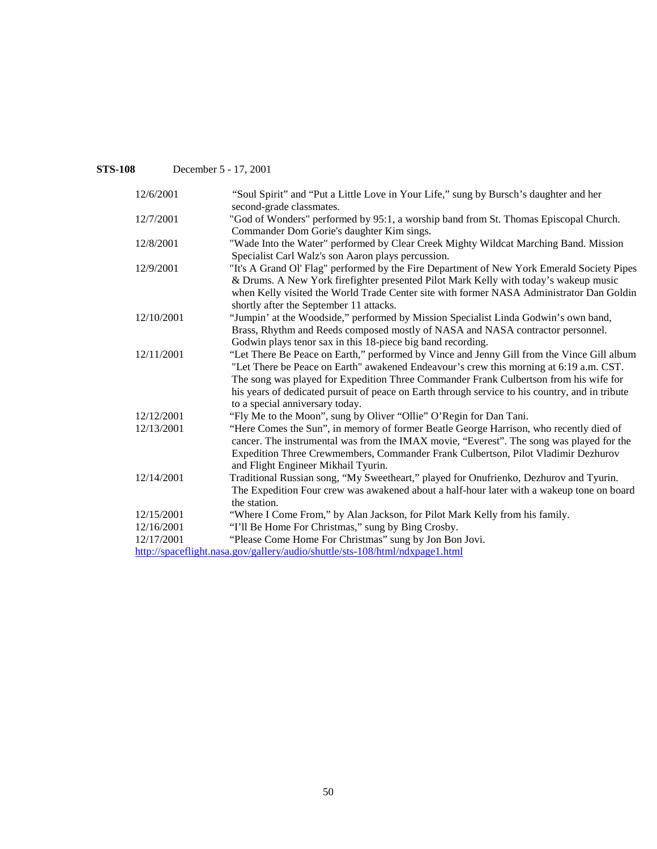# **STS-108** December 5 - 17, 2001

| 12/6/2001  | "Soul Spirit" and "Put a Little Love in Your Life," sung by Bursch's daughter and her           |
|------------|-------------------------------------------------------------------------------------------------|
|            | second-grade classmates.                                                                        |
| 12/7/2001  | "God of Wonders" performed by 95:1, a worship band from St. Thomas Episcopal Church.            |
|            | Commander Dom Gorie's daughter Kim sings.                                                       |
| 12/8/2001  | "Wade Into the Water" performed by Clear Creek Mighty Wildcat Marching Band. Mission            |
|            | Specialist Carl Walz's son Aaron plays percussion.                                              |
| 12/9/2001  | "It's A Grand Ol' Flag" performed by the Fire Department of New York Emerald Society Pipes      |
|            | & Drums. A New York firefighter presented Pilot Mark Kelly with today's wakeup music            |
|            | when Kelly visited the World Trade Center site with former NASA Administrator Dan Goldin        |
|            | shortly after the September 11 attacks.                                                         |
| 12/10/2001 | "Jumpin' at the Woodside," performed by Mission Specialist Linda Godwin's own band,             |
|            | Brass, Rhythm and Reeds composed mostly of NASA and NASA contractor personnel.                  |
|            | Godwin plays tenor sax in this 18-piece big band recording.                                     |
| 12/11/2001 | "Let There Be Peace on Earth," performed by Vince and Jenny Gill from the Vince Gill album      |
|            | "Let There be Peace on Earth" awakened Endeavour's crew this morning at 6:19 a.m. CST.          |
|            | The song was played for Expedition Three Commander Frank Culbertson from his wife for           |
|            | his years of dedicated pursuit of peace on Earth through service to his country, and in tribute |
|            | to a special anniversary today.                                                                 |
| 12/12/2001 | "Fly Me to the Moon", sung by Oliver "Ollie" O'Regin for Dan Tani.                              |
| 12/13/2001 | "Here Comes the Sun", in memory of former Beatle George Harrison, who recently died of          |
|            | cancer. The instrumental was from the IMAX movie, "Everest". The song was played for the        |
|            | Expedition Three Crewmembers, Commander Frank Culbertson, Pilot Vladimir Dezhurov               |
|            | and Flight Engineer Mikhail Tyurin.                                                             |
| 12/14/2001 | Traditional Russian song, "My Sweetheart," played for Onufrienko, Dezhurov and Tyurin.          |
|            | The Expedition Four crew was awakened about a half-hour later with a wakeup tone on board       |
|            | the station.                                                                                    |
| 12/15/2001 | "Where I Come From," by Alan Jackson, for Pilot Mark Kelly from his family.                     |
| 12/16/2001 | "I'll Be Home For Christmas," sung by Bing Crosby.                                              |
| 12/17/2001 | "Please Come Home For Christmas" sung by Jon Bon Jovi.                                          |
|            | http://spaceflight.nasa.gov/gallery/audio/shuttle/sts-108/html/ndxpage1.html                    |
|            |                                                                                                 |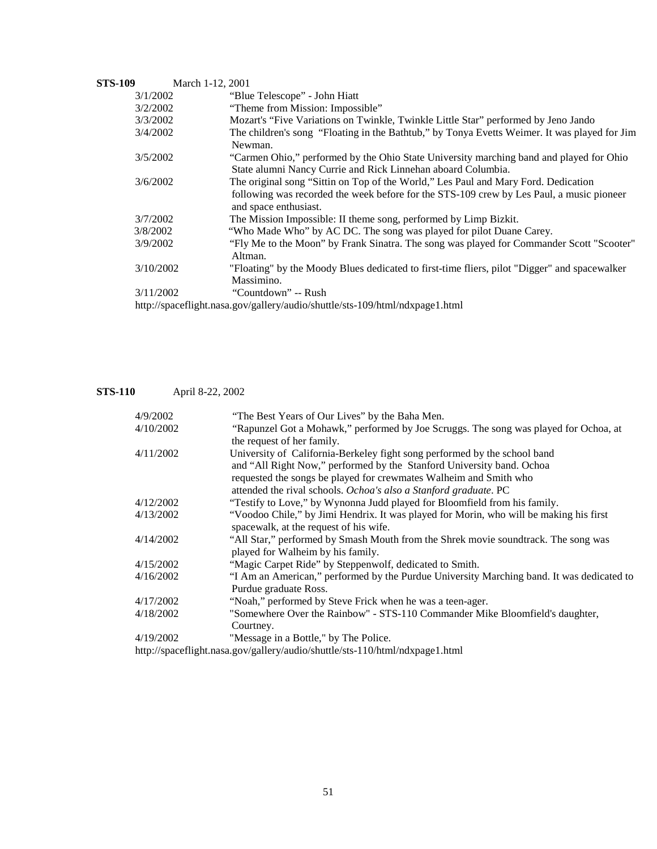## **STS-109** March 1-12, 2001

| 3/1/2002  | "Blue Telescope" - John Hiatt                                                                                                                                                                           |
|-----------|---------------------------------------------------------------------------------------------------------------------------------------------------------------------------------------------------------|
| 3/2/2002  | "Theme from Mission: Impossible"                                                                                                                                                                        |
| 3/3/2002  | Mozart's "Five Variations on Twinkle, Twinkle Little Star" performed by Jeno Jando                                                                                                                      |
| 3/4/2002  | The children's song "Floating in the Bathtub," by Tonya Evetts Weimer. It was played for Jim<br>Newman.                                                                                                 |
| 3/5/2002  | "Carmen Ohio," performed by the Ohio State University marching band and played for Ohio<br>State alumni Nancy Currie and Rick Linnehan aboard Columbia.                                                 |
| 3/6/2002  | The original song "Sittin on Top of the World," Les Paul and Mary Ford. Dedication<br>following was recorded the week before for the STS-109 crew by Les Paul, a music pioneer<br>and space enthusiast. |
| 3/7/2002  | The Mission Impossible: II theme song, performed by Limp Bizkit.                                                                                                                                        |
| 3/8/2002  | "Who Made Who" by AC DC. The song was played for pilot Duane Carey.                                                                                                                                     |
| 3/9/2002  | "Fly Me to the Moon" by Frank Sinatra. The song was played for Commander Scott "Scooter"<br>Altman.                                                                                                     |
| 3/10/2002 | "Floating" by the Moody Blues dedicated to first-time fliers, pilot "Digger" and spacewalker<br>Massimino.                                                                                              |
| 3/11/2002 | "Countdown" -- Rush                                                                                                                                                                                     |
|           | http://spaceflight.nasa.gov/gallery/audio/shuttle/sts-109/html/ndxpage1.html                                                                                                                            |

# **STS-110** April 8-22, 2002

| 4/9/2002  | "The Best Years of Our Lives" by the Baha Men.                                            |
|-----------|-------------------------------------------------------------------------------------------|
|           |                                                                                           |
| 4/10/2002 | "Rapunzel Got a Mohawk," performed by Joe Scruggs. The song was played for Ochoa, at      |
|           | the request of her family.                                                                |
| 4/11/2002 | University of California-Berkeley fight song performed by the school band                 |
|           | and "All Right Now," performed by the Stanford University band. Ochoa                     |
|           | requested the songs be played for crewmates Walheim and Smith who                         |
|           | attended the rival schools. Ochoa's also a Stanford graduate. PC                          |
| 4/12/2002 | "Testify to Love," by Wynonna Judd played for Bloomfield from his family.                 |
| 4/13/2002 | "Voodoo Chile," by Jimi Hendrix. It was played for Morin, who will be making his first    |
|           | spacewalk, at the request of his wife.                                                    |
| 4/14/2002 | "All Star," performed by Smash Mouth from the Shrek movie soundtrack. The song was        |
|           | played for Walheim by his family.                                                         |
| 4/15/2002 | "Magic Carpet Ride" by Steppenwolf, dedicated to Smith.                                   |
| 4/16/2002 | "I Am an American," performed by the Purdue University Marching band. It was dedicated to |
|           | Purdue graduate Ross.                                                                     |
| 4/17/2002 | "Noah," performed by Steve Frick when he was a teen-ager.                                 |
| 4/18/2002 | "Somewhere Over the Rainbow" - STS-110 Commander Mike Bloomfield's daughter,              |
|           | Courtney.                                                                                 |
| 4/19/2002 | "Message in a Bottle," by The Police.                                                     |
|           | http://spaceflight.nasa.gov/gallery/audio/shuttle/sts-110/html/ndxpage1.html              |
|           |                                                                                           |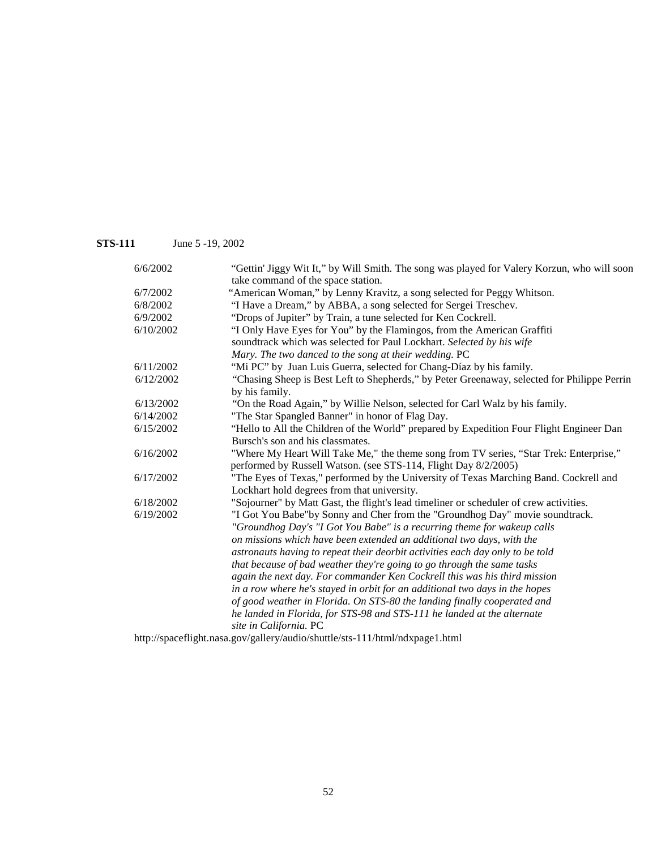**STS-111** June 5 -19, 2002

| 6/6/2002  | "Gettin' Jiggy Wit It," by Will Smith. The song was played for Valery Korzun, who will soon                                                      |
|-----------|--------------------------------------------------------------------------------------------------------------------------------------------------|
|           | take command of the space station.                                                                                                               |
| 6/7/2002  | "American Woman," by Lenny Kravitz, a song selected for Peggy Whitson.                                                                           |
| 6/8/2002  | "I Have a Dream," by ABBA, a song selected for Sergei Treschev.                                                                                  |
| 6/9/2002  | "Drops of Jupiter" by Train, a tune selected for Ken Cockrell.                                                                                   |
| 6/10/2002 | "I Only Have Eyes for You" by the Flamingos, from the American Graffiti<br>soundtrack which was selected for Paul Lockhart. Selected by his wife |
|           | Mary. The two danced to the song at their wedding. PC                                                                                            |
| 6/11/2002 | "Mi PC" by Juan Luis Guerra, selected for Chang-Díaz by his family.                                                                              |
| 6/12/2002 | "Chasing Sheep is Best Left to Shepherds," by Peter Greenaway, selected for Philippe Perrin                                                      |
|           | by his family.                                                                                                                                   |
| 6/13/2002 | "On the Road Again," by Willie Nelson, selected for Carl Walz by his family.                                                                     |
| 6/14/2002 | "The Star Spangled Banner" in honor of Flag Day.                                                                                                 |
| 6/15/2002 | "Hello to All the Children of the World" prepared by Expedition Four Flight Engineer Dan                                                         |
|           | Bursch's son and his classmates.                                                                                                                 |
| 6/16/2002 | "Where My Heart Will Take Me," the theme song from TV series, "Star Trek: Enterprise,"                                                           |
|           | performed by Russell Watson. (see STS-114, Flight Day 8/2/2005)                                                                                  |
| 6/17/2002 | "The Eyes of Texas," performed by the University of Texas Marching Band. Cockrell and                                                            |
|           | Lockhart hold degrees from that university.                                                                                                      |
| 6/18/2002 | "Sojourner" by Matt Gast, the flight's lead timeliner or scheduler of crew activities.                                                           |
| 6/19/2002 | "I Got You Babe"by Sonny and Cher from the "Groundhog Day" movie soundtrack.                                                                     |
|           | "Groundhog Day's "I Got You Babe" is a recurring theme for wakeup calls                                                                          |
|           | on missions which have been extended an additional two days, with the                                                                            |
|           | astronauts having to repeat their deorbit activities each day only to be told                                                                    |
|           | that because of bad weather they're going to go through the same tasks                                                                           |
|           | again the next day. For commander Ken Cockrell this was his third mission                                                                        |
|           | in a row where he's stayed in orbit for an additional two days in the hopes                                                                      |
|           | of good weather in Florida. On STS-80 the landing finally cooperated and                                                                         |
|           | he landed in Florida, for STS-98 and STS-111 he landed at the alternate                                                                          |
|           | site in California. PC                                                                                                                           |
|           | http://spaceflight.nasa.gov/gallery/audio/shuttle/sts-111/html/ndxpage1.html                                                                     |
|           |                                                                                                                                                  |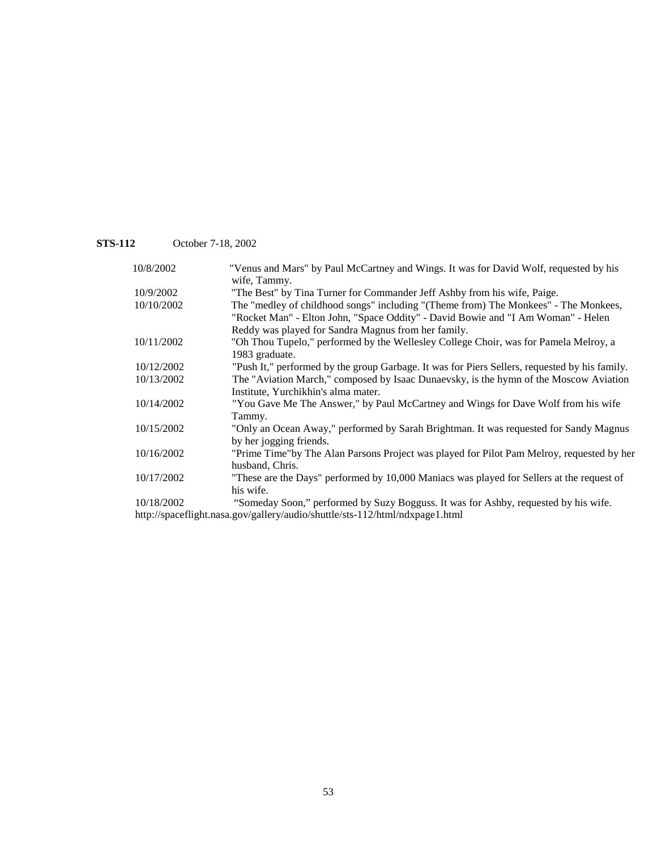# **STS-112** October 7-18, 2002

| 10/8/2002  | "Venus and Mars" by Paul McCartney and Wings. It was for David Wolf, requested by his         |
|------------|-----------------------------------------------------------------------------------------------|
|            | wife, Tammy.                                                                                  |
| 10/9/2002  | "The Best" by Tina Turner for Commander Jeff Ashby from his wife, Paige.                      |
| 10/10/2002 | The "medley of childhood songs" including "(Theme from) The Monkees" - The Monkees,           |
|            | "Rocket Man" - Elton John, "Space Oddity" - David Bowie and "I Am Woman" - Helen              |
|            | Reddy was played for Sandra Magnus from her family.                                           |
| 10/11/2002 | "Oh Thou Tupelo," performed by the Wellesley College Choir, was for Pamela Melroy, a          |
|            | 1983 graduate.                                                                                |
| 10/12/2002 | "Push It," performed by the group Garbage. It was for Piers Sellers, requested by his family. |
| 10/13/2002 | The "Aviation March," composed by Isaac Dunaevsky, is the hymn of the Moscow Aviation         |
|            | Institute, Yurchikhin's alma mater.                                                           |
| 10/14/2002 | "You Gave Me The Answer," by Paul McCartney and Wings for Dave Wolf from his wife             |
|            | Tammy.                                                                                        |
| 10/15/2002 | "Only an Ocean Away," performed by Sarah Brightman. It was requested for Sandy Magnus         |
|            | by her jogging friends.                                                                       |
| 10/16/2002 | "Prime Time" by The Alan Parsons Project was played for Pilot Pam Melroy, requested by her    |
|            | husband, Chris.                                                                               |
| 10/17/2002 | "These are the Days" performed by 10,000 Maniacs was played for Sellers at the request of     |
|            | his wife.                                                                                     |
| 10/18/2002 | "Someday Soon," performed by Suzy Bogguss. It was for Ashby, requested by his wife.           |
|            | http://spaceflight.nasa.gov/gallery/audio/shuttle/sts-112/html/ndxpage1.html                  |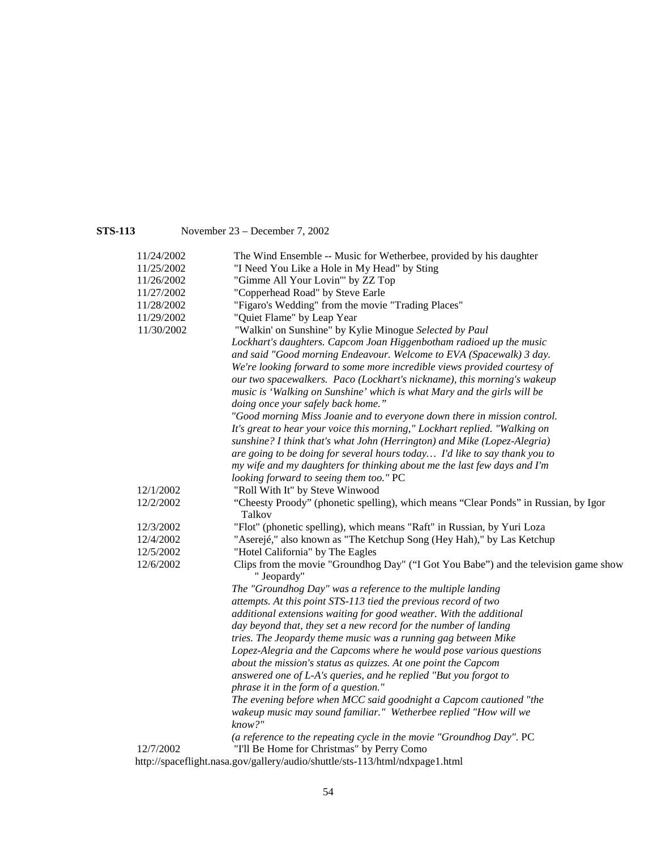# **STS-113** November 23 – December 7, 2002

| 11/24/2002                        | The Wind Ensemble -- Music for Wetherbee, provided by his daughter                                  |
|-----------------------------------|-----------------------------------------------------------------------------------------------------|
| 11/25/2002                        | "I Need You Like a Hole in My Head" by Sting                                                        |
| 11/26/2002                        | "Gimme All Your Lovin" by ZZ Top                                                                    |
| 11/27/2002                        | "Copperhead Road" by Steve Earle                                                                    |
| 11/28/2002                        | "Figaro's Wedding" from the movie "Trading Places"                                                  |
| 11/29/2002                        | "Quiet Flame" by Leap Year                                                                          |
| 11/30/2002                        | "Walkin' on Sunshine" by Kylie Minogue Selected by Paul                                             |
|                                   | Lockhart's daughters. Capcom Joan Higgenbotham radioed up the music                                 |
|                                   | and said "Good morning Endeavour. Welcome to EVA (Spacewalk) 3 day.                                 |
|                                   | We're looking forward to some more incredible views provided courtesy of                            |
|                                   | our two spacewalkers. Paco (Lockhart's nickname), this morning's wakeup                             |
|                                   | music is 'Walking on Sunshine' which is what Mary and the girls will be                             |
|                                   | doing once your safely back home."                                                                  |
|                                   | "Good morning Miss Joanie and to everyone down there in mission control.                            |
|                                   | It's great to hear your voice this morning," Lockhart replied. "Walking on                          |
|                                   | sunshine? I think that's what John (Herrington) and Mike (Lopez-Alegria)                            |
|                                   | are going to be doing for several hours today I'd like to say thank you to                          |
|                                   | my wife and my daughters for thinking about me the last few days and I'm                            |
|                                   | looking forward to seeing them too." PC                                                             |
| 12/1/2002                         | "Roll With It" by Steve Winwood                                                                     |
| 12/2/2002                         | "Cheesty Proody" (phonetic spelling), which means "Clear Ponds" in Russian, by Igor<br>Talkov       |
| 12/3/2002                         | "Flot" (phonetic spelling), which means "Raft" in Russian, by Yuri Loza                             |
| 12/4/2002                         | "Aserejé," also known as "The Ketchup Song (Hey Hah)," by Las Ketchup                               |
| 12/5/2002                         | "Hotel California" by The Eagles                                                                    |
| 12/6/2002                         | Clips from the movie "Groundhog Day" ("I Got You Babe") and the television game show<br>" Jeopardy" |
|                                   | The "Groundhog Day" was a reference to the multiple landing                                         |
|                                   | attempts. At this point STS-113 tied the previous record of two                                     |
|                                   | additional extensions waiting for good weather. With the additional                                 |
|                                   | day beyond that, they set a new record for the number of landing                                    |
|                                   | tries. The Jeopardy theme music was a running gag between Mike                                      |
|                                   | Lopez-Alegria and the Capcoms where he would pose various questions                                 |
|                                   | about the mission's status as quizzes. At one point the Capcom                                      |
|                                   | answered one of L-A's queries, and he replied "But you forgot to                                    |
|                                   | phrase it in the form of a question."                                                               |
|                                   | The evening before when MCC said goodnight a Capcom cautioned "the                                  |
|                                   | wakeup music may sound familiar." Wetherbee replied "How will we                                    |
|                                   | know?"                                                                                              |
|                                   | (a reference to the repeating cycle in the movie "Groundhog Day". PC                                |
| 12/7/2002<br>$\sim$ $\sim$ $\sim$ | "I'll Be Home for Christmas" by Perry Como<br>4.4.7.4<br>11.11.11.11.11.11                          |

http://spaceflight.nasa.gov/gallery/audio/shuttle/sts-113/html/ndxpage1.html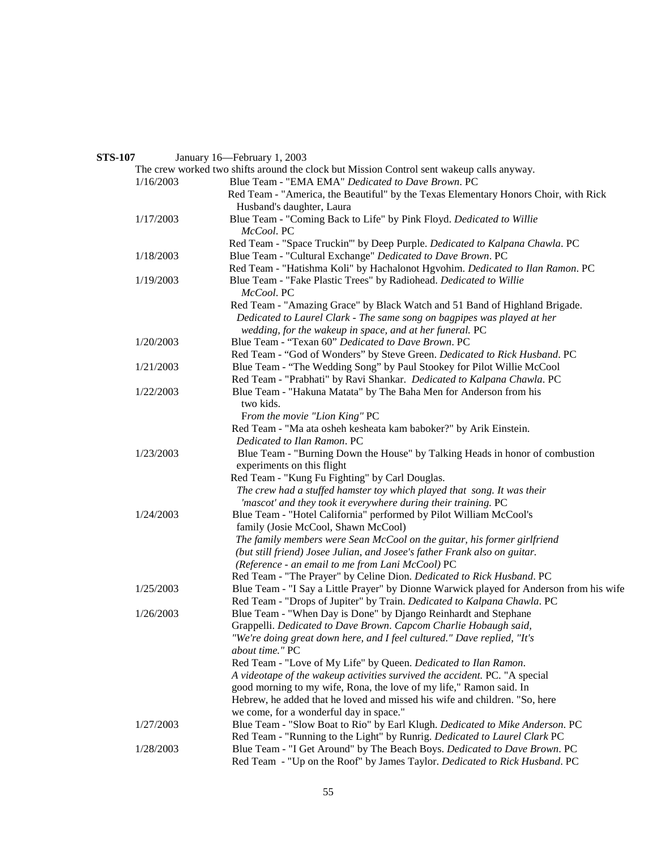|  | <b>STS-107</b> | January 16-February 1, 2003 |
|--|----------------|-----------------------------|
|--|----------------|-----------------------------|

|           | The crew worked two shifts around the clock but Mission Control sent wakeup calls anyway. |
|-----------|-------------------------------------------------------------------------------------------|
| 1/16/2003 | Blue Team - "EMA EMA" Dedicated to Dave Brown. PC                                         |
|           | Red Team - "America, the Beautiful" by the Texas Elementary Honors Choir, with Rick       |
|           | Husband's daughter, Laura                                                                 |
| 1/17/2003 | Blue Team - "Coming Back to Life" by Pink Floyd. Dedicated to Willie                      |
|           | McCool. PC                                                                                |
|           | Red Team - "Space Truckin" by Deep Purple. Dedicated to Kalpana Chawla. PC                |
| 1/18/2003 | Blue Team - "Cultural Exchange" Dedicated to Dave Brown. PC                               |
|           | Red Team - "Hatishma Koli" by Hachalonot Hgvohim. Dedicated to Ilan Ramon. PC             |
| 1/19/2003 | Blue Team - "Fake Plastic Trees" by Radiohead. Dedicated to Willie<br>McCool. PC          |
|           | Red Team - "Amazing Grace" by Black Watch and 51 Band of Highland Brigade.                |
|           | Dedicated to Laurel Clark - The same song on bagpipes was played at her                   |
|           | wedding, for the wakeup in space, and at her funeral. PC                                  |
| 1/20/2003 | Blue Team - "Texan 60" Dedicated to Dave Brown. PC                                        |
|           | Red Team - "God of Wonders" by Steve Green. Dedicated to Rick Husband. PC                 |
| 1/21/2003 | Blue Team - "The Wedding Song" by Paul Stookey for Pilot Willie McCool                    |
|           | Red Team - "Prabhati" by Ravi Shankar. Dedicated to Kalpana Chawla. PC                    |
| 1/22/2003 | Blue Team - "Hakuna Matata" by The Baha Men for Anderson from his<br>two kids.            |
|           | From the movie "Lion King" PC                                                             |
|           | Red Team - "Ma ata osheh kesheata kam baboker?" by Arik Einstein.                         |
|           | Dedicated to Ilan Ramon. PC                                                               |
| 1/23/2003 | Blue Team - "Burning Down the House" by Talking Heads in honor of combustion              |
|           | experiments on this flight                                                                |
|           | Red Team - "Kung Fu Fighting" by Carl Douglas.                                            |
|           | The crew had a stuffed hamster toy which played that song. It was their                   |
|           | 'mascot' and they took it everywhere during their training. PC                            |
| 1/24/2003 | Blue Team - "Hotel California" performed by Pilot William McCool's                        |
|           | family (Josie McCool, Shawn McCool)                                                       |
|           | The family members were Sean McCool on the guitar, his former girlfriend                  |
|           | (but still friend) Josee Julian, and Josee's father Frank also on guitar.                 |
|           | (Reference - an email to me from Lani McCool) PC                                          |
|           | Red Team - "The Prayer" by Celine Dion. Dedicated to Rick Husband. PC                     |
| 1/25/2003 | Blue Team - "I Say a Little Prayer" by Dionne Warwick played for Anderson from his wife   |
|           | Red Team - "Drops of Jupiter" by Train. Dedicated to Kalpana Chawla. PC                   |
| 1/26/2003 | Blue Team - "When Day is Done" by Django Reinhardt and Stephane                           |
|           | Grappelli. Dedicated to Dave Brown. Capcom Charlie Hobaugh said,                          |
|           | "We're doing great down here, and I feel cultured." Dave replied, "It's                   |
|           | about time." PC                                                                           |
|           | Red Team - "Love of My Life" by Queen. Dedicated to Ilan Ramon.                           |
|           | A videotape of the wakeup activities survived the accident. PC. "A special                |
|           | good morning to my wife, Rona, the love of my life," Ramon said. In                       |
|           | Hebrew, he added that he loved and missed his wife and children. "So, here                |
|           | we come, for a wonderful day in space."                                                   |
| 1/27/2003 | Blue Team - "Slow Boat to Rio" by Earl Klugh. Dedicated to Mike Anderson. PC              |
|           | Red Team - "Running to the Light" by Runrig. Dedicated to Laurel Clark PC                 |
| 1/28/2003 | Blue Team - "I Get Around" by The Beach Boys. Dedicated to Dave Brown. PC                 |
|           | Red Team - "Up on the Roof" by James Taylor. Dedicated to Rick Husband. PC                |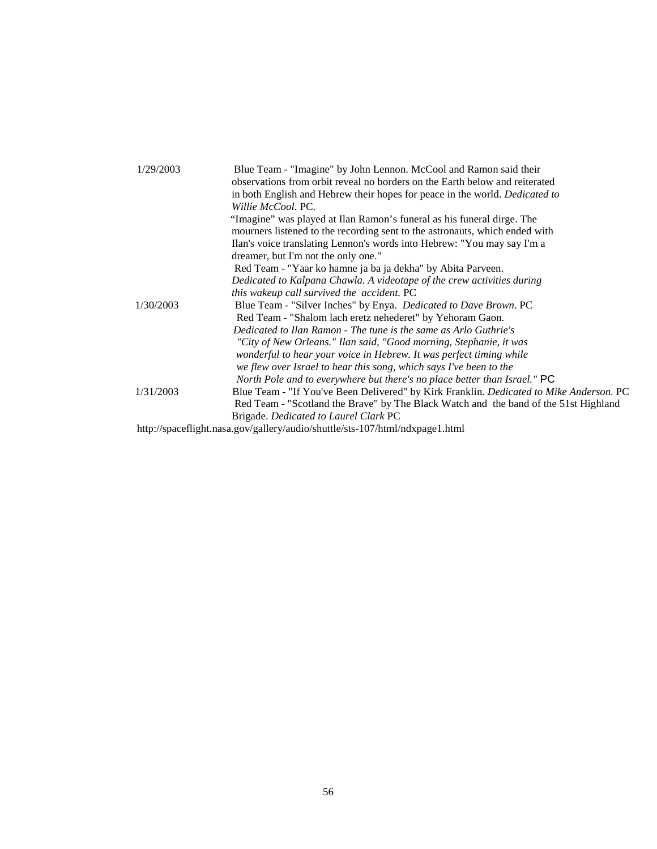| 1/29/2003 | Blue Team - "Imagine" by John Lennon. McCool and Ramon said their                       |
|-----------|-----------------------------------------------------------------------------------------|
|           | observations from orbit reveal no borders on the Earth below and reiterated             |
|           | in both English and Hebrew their hopes for peace in the world. Dedicated to             |
|           | <i>Willie McCool. PC.</i>                                                               |
|           | "Imagine" was played at Ilan Ramon's funeral as his funeral dirge. The                  |
|           | mourners listened to the recording sent to the astronauts, which ended with             |
|           | Ilan's voice translating Lennon's words into Hebrew: "You may say I'm a                 |
|           | dreamer, but I'm not the only one."                                                     |
|           | Red Team - "Yaar ko hamne ja ba ja dekha" by Abita Parveen.                             |
|           | Dedicated to Kalpana Chawla. A videotape of the crew activities during                  |
|           | this wakeup call survived the accident. PC                                              |
| 1/30/2003 | Blue Team - "Silver Inches" by Enya. Dedicated to Dave Brown. PC                        |
|           | Red Team - "Shalom lach eretz nehederet" by Yehoram Gaon.                               |
|           | Dedicated to Ilan Ramon - The tune is the same as Arlo Guthrie's                        |
|           | "City of New Orleans." Ilan said, "Good morning, Stephanie, it was                      |
|           | wonderful to hear your voice in Hebrew. It was perfect timing while                     |
|           | we flew over Israel to hear this song, which says I've been to the                      |
|           | North Pole and to everywhere but there's no place better than Israel." PC               |
| 1/31/2003 | Blue Team - "If You've Been Delivered" by Kirk Franklin. Dedicated to Mike Anderson. PC |
|           | Red Team - "Scotland the Brave" by The Black Watch and the band of the 51st Highland    |
|           | Brigade. Dedicated to Laurel Clark PC                                                   |
|           | http://spaceflight.nasa.gov/gallery/audio/shuttle/sts-107/html/ndxpage1.html            |
|           |                                                                                         |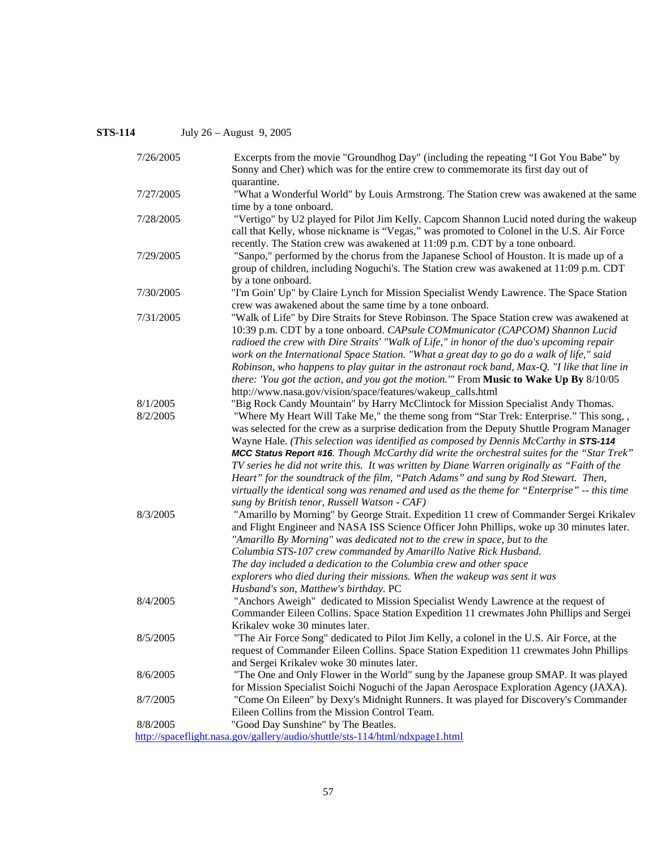# **STS-114** July 26 – August 9, 2005

| 7/26/2005            | Excerpts from the movie "Groundhog Day" (including the repeating "I Got You Babe" by<br>Sonny and Cher) which was for the entire crew to commemorate its first day out of                                                                                                                                                                                                                                                                                                                                                                                                                                                                                                                                                                               |
|----------------------|---------------------------------------------------------------------------------------------------------------------------------------------------------------------------------------------------------------------------------------------------------------------------------------------------------------------------------------------------------------------------------------------------------------------------------------------------------------------------------------------------------------------------------------------------------------------------------------------------------------------------------------------------------------------------------------------------------------------------------------------------------|
| 7/27/2005            | quarantine.<br>"What a Wonderful World" by Louis Armstrong. The Station crew was awakened at the same<br>time by a tone onboard.                                                                                                                                                                                                                                                                                                                                                                                                                                                                                                                                                                                                                        |
| 7/28/2005            | "Vertigo" by U2 played for Pilot Jim Kelly. Capcom Shannon Lucid noted during the wakeup<br>call that Kelly, whose nickname is "Vegas," was promoted to Colonel in the U.S. Air Force<br>recently. The Station crew was awakened at 11:09 p.m. CDT by a tone onboard.                                                                                                                                                                                                                                                                                                                                                                                                                                                                                   |
| 7/29/2005            | "Sanpo," performed by the chorus from the Japanese School of Houston. It is made up of a<br>group of children, including Noguchi's. The Station crew was awakened at 11:09 p.m. CDT<br>by a tone onboard.                                                                                                                                                                                                                                                                                                                                                                                                                                                                                                                                               |
| 7/30/2005            | "I'm Goin' Up" by Claire Lynch for Mission Specialist Wendy Lawrence. The Space Station<br>crew was awakened about the same time by a tone onboard.                                                                                                                                                                                                                                                                                                                                                                                                                                                                                                                                                                                                     |
| 7/31/2005            | "Walk of Life" by Dire Straits for Steve Robinson. The Space Station crew was awakened at<br>10:39 p.m. CDT by a tone onboard. CAPsule COMmunicator (CAPCOM) Shannon Lucid<br>radioed the crew with Dire Straits' "Walk of Life," in honor of the duo's upcoming repair<br>work on the International Space Station. "What a great day to go do a walk of life," said<br>Robinson, who happens to play guitar in the astronaut rock band, Max-Q. "I like that line in<br>there: 'You got the action, and you got the motion.'" From Music to Wake Up By 8/10/05<br>http://www.nasa.gov/vision/space/features/wakeup_calls.html                                                                                                                           |
| 8/1/2005<br>8/2/2005 | "Big Rock Candy Mountain" by Harry McClintock for Mission Specialist Andy Thomas.<br>"Where My Heart Will Take Me," the theme song from "Star Trek: Enterprise." This song, ,<br>was selected for the crew as a surprise dedication from the Deputy Shuttle Program Manager<br>Wayne Hale. (This selection was identified as composed by Dennis McCarthy in STS-114<br>MCC Status Report #16. Though McCarthy did write the orchestral suites for the "Star Trek"<br>TV series he did not write this. It was written by Diane Warren originally as "Faith of the<br>Heart" for the soundtrack of the film, "Patch Adams" and sung by Rod Stewart. Then,<br>virtually the identical song was renamed and used as the theme for "Enterprise" -- this time |
| 8/3/2005             | sung by British tenor, Russell Watson - CAF)<br>"Amarillo by Morning" by George Strait. Expedition 11 crew of Commander Sergei Krikalev<br>and Flight Engineer and NASA ISS Science Officer John Phillips, woke up 30 minutes later.<br>"Amarillo By Morning" was dedicated not to the crew in space, but to the<br>Columbia STS-107 crew commanded by Amarillo Native Rick Husband.<br>The day included a dedication to the Columbia crew and other space<br>explorers who died during their missions. When the wakeup was sent it was                                                                                                                                                                                                                 |
| 8/4/2005             | Husband's son, Matthew's birthday. PC<br>"Anchors Aweigh" dedicated to Mission Specialist Wendy Lawrence at the request of<br>Commander Eileen Collins. Space Station Expedition 11 crewmates John Phillips and Sergei<br>Krikalev woke 30 minutes later.                                                                                                                                                                                                                                                                                                                                                                                                                                                                                               |
| 8/5/2005             | "The Air Force Song" dedicated to Pilot Jim Kelly, a colonel in the U.S. Air Force, at the<br>request of Commander Eileen Collins. Space Station Expedition 11 crewmates John Phillips<br>and Sergei Krikalev woke 30 minutes later.                                                                                                                                                                                                                                                                                                                                                                                                                                                                                                                    |
| 8/6/2005             | "The One and Only Flower in the World" sung by the Japanese group SMAP. It was played<br>for Mission Specialist Soichi Noguchi of the Japan Aerospace Exploration Agency (JAXA).                                                                                                                                                                                                                                                                                                                                                                                                                                                                                                                                                                        |
| 8/7/2005             | "Come On Eileen" by Dexy's Midnight Runners. It was played for Discovery's Commander<br>Eileen Collins from the Mission Control Team.                                                                                                                                                                                                                                                                                                                                                                                                                                                                                                                                                                                                                   |
| 8/8/2005             | "Good Day Sunshine" by The Beatles.<br>http://spaceflight.nasa.gov/gallery/audio/shuttle/sts-114/html/ndxpage1.html                                                                                                                                                                                                                                                                                                                                                                                                                                                                                                                                                                                                                                     |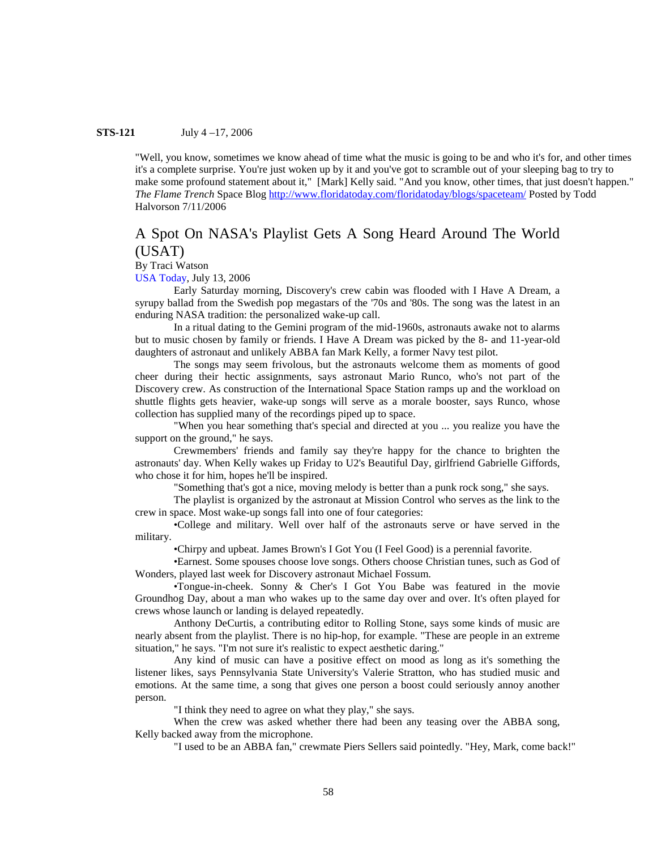#### **STS-121** July 4 –17, 2006

"Well, you know, sometimes we know ahead of time what the music is going to be and who it's for, and other times it's a complete surprise. You're just woken up by it and you've got to scramble out of your sleeping bag to try to make some profound statement about it," [Mark] Kelly said. "And you know, other times, that just doesn't happen." *The Flame Trench* Space Blo[g http://www.floridatoday.com/floridatoday/blogs/spaceteam/](http://www.floridatoday.com/floridatoday/blogs/spaceteam/) Posted by Todd Halvorson 7/11/2006

# A Spot On NASA's Playlist Gets A Song Heard Around The World (USAT)

By Traci Watson

USA Today, July 13, 2006

Early Saturday morning, Discovery's crew cabin was flooded with I Have A Dream, a syrupy ballad from the Swedish pop megastars of the '70s and '80s. The song was the latest in an enduring NASA tradition: the personalized wake-up call.

In a ritual dating to the Gemini program of the mid-1960s, astronauts awake not to alarms but to music chosen by family or friends. I Have A Dream was picked by the 8- and 11-year-old daughters of astronaut and unlikely ABBA fan Mark Kelly, a former Navy test pilot.

The songs may seem frivolous, but the astronauts welcome them as moments of good cheer during their hectic assignments, says astronaut Mario Runco, who's not part of the Discovery crew. As construction of the International Space Station ramps up and the workload on shuttle flights gets heavier, wake-up songs will serve as a morale booster, says Runco, whose collection has supplied many of the recordings piped up to space.

"When you hear something that's special and directed at you ... you realize you have the support on the ground," he says.

Crewmembers' friends and family say they're happy for the chance to brighten the astronauts' day. When Kelly wakes up Friday to U2's Beautiful Day, girlfriend Gabrielle Giffords, who chose it for him, hopes he'll be inspired.

"Something that's got a nice, moving melody is better than a punk rock song," she says.

The playlist is organized by the astronaut at Mission Control who serves as the link to the crew in space. Most wake-up songs fall into one of four categories:

•College and military. Well over half of the astronauts serve or have served in the military.

•Chirpy and upbeat. James Brown's I Got You (I Feel Good) is a perennial favorite.

•Earnest. Some spouses choose love songs. Others choose Christian tunes, such as God of Wonders, played last week for Discovery astronaut Michael Fossum.

•Tongue-in-cheek. Sonny & Cher's I Got You Babe was featured in the movie Groundhog Day, about a man who wakes up to the same day over and over. It's often played for crews whose launch or landing is delayed repeatedly.

Anthony DeCurtis, a contributing editor to Rolling Stone, says some kinds of music are nearly absent from the playlist. There is no hip-hop, for example. "These are people in an extreme situation," he says. "I'm not sure it's realistic to expect aesthetic daring."

Any kind of music can have a positive effect on mood as long as it's something the listener likes, says Pennsylvania State University's Valerie Stratton, who has studied music and emotions. At the same time, a song that gives one person a boost could seriously annoy another person.

"I think they need to agree on what they play," she says.

When the crew was asked whether there had been any teasing over the ABBA song, Kelly backed away from the microphone.

"I used to be an ABBA fan," crewmate Piers Sellers said pointedly. "Hey, Mark, come back!"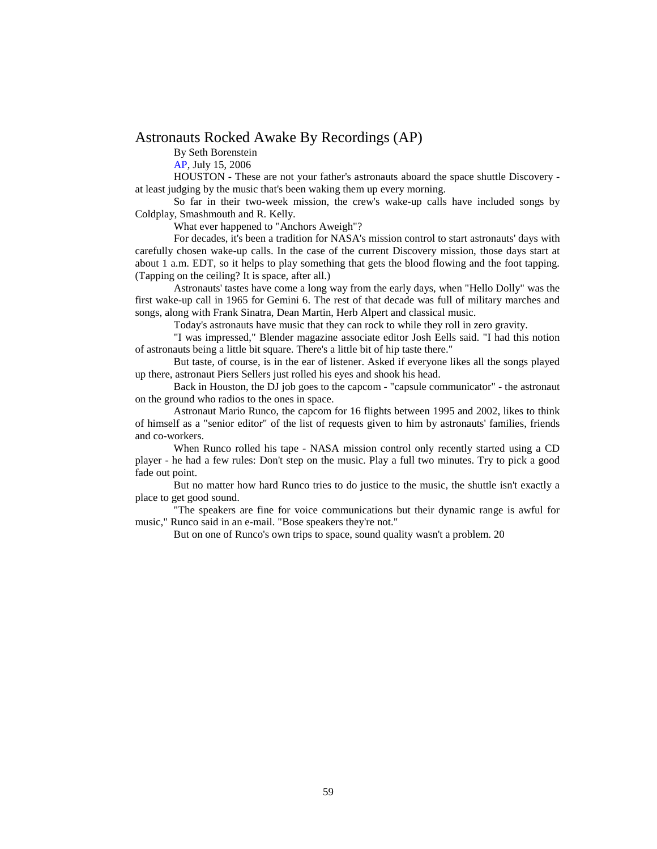## Astronauts Rocked Awake By Recordings (AP)

By Seth Borenstein

AP, July 15, 2006

HOUSTON - These are not your father's astronauts aboard the space shuttle Discovery at least judging by the music that's been waking them up every morning.

So far in their two-week mission, the crew's wake-up calls have included songs by Coldplay, Smashmouth and R. Kelly.

What ever happened to "Anchors Aweigh"?

For decades, it's been a tradition for NASA's mission control to start astronauts' days with carefully chosen wake-up calls. In the case of the current Discovery mission, those days start at about 1 a.m. EDT, so it helps to play something that gets the blood flowing and the foot tapping. (Tapping on the ceiling? It is space, after all.)

Astronauts' tastes have come a long way from the early days, when "Hello Dolly" was the first wake-up call in 1965 for Gemini 6. The rest of that decade was full of military marches and songs, along with Frank Sinatra, Dean Martin, Herb Alpert and classical music.

Today's astronauts have music that they can rock to while they roll in zero gravity.

"I was impressed," Blender magazine associate editor Josh Eells said. "I had this notion of astronauts being a little bit square. There's a little bit of hip taste there."

But taste, of course, is in the ear of listener. Asked if everyone likes all the songs played up there, astronaut Piers Sellers just rolled his eyes and shook his head.

Back in Houston, the DJ job goes to the capcom - "capsule communicator" - the astronaut on the ground who radios to the ones in space.

Astronaut Mario Runco, the capcom for 16 flights between 1995 and 2002, likes to think of himself as a "senior editor" of the list of requests given to him by astronauts' families, friends and co-workers.

When Runco rolled his tape - NASA mission control only recently started using a CD player - he had a few rules: Don't step on the music. Play a full two minutes. Try to pick a good fade out point.

But no matter how hard Runco tries to do justice to the music, the shuttle isn't exactly a place to get good sound.

"The speakers are fine for voice communications but their dynamic range is awful for music," Runco said in an e-mail. "Bose speakers they're not."

But on one of Runco's own trips to space, sound quality wasn't a problem. 20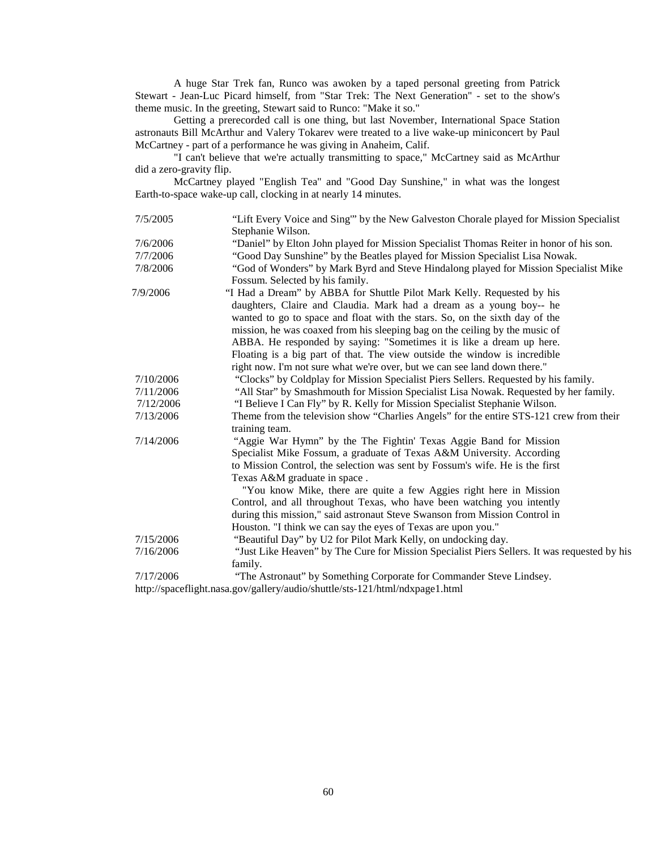A huge Star Trek fan, Runco was awoken by a taped personal greeting from Patrick Stewart - Jean-Luc Picard himself, from "Star Trek: The Next Generation" - set to the show's theme music. In the greeting, Stewart said to Runco: "Make it so."

Getting a prerecorded call is one thing, but last November, International Space Station astronauts Bill McArthur and Valery Tokarev were treated to a live wake-up miniconcert by Paul McCartney - part of a performance he was giving in Anaheim, Calif.

"I can't believe that we're actually transmitting to space," McCartney said as McArthur did a zero-gravity flip.

McCartney played "English Tea" and "Good Day Sunshine," in what was the longest Earth-to-space wake-up call, clocking in at nearly 14 minutes.

| 7/5/2005  | "Lift Every Voice and Sing" by the New Galveston Chorale played for Mission Specialist       |
|-----------|----------------------------------------------------------------------------------------------|
|           | Stephanie Wilson.                                                                            |
| 7/6/2006  | "Daniel" by Elton John played for Mission Specialist Thomas Reiter in honor of his son.      |
| 7/7/2006  | "Good Day Sunshine" by the Beatles played for Mission Specialist Lisa Nowak.                 |
| 7/8/2006  | "God of Wonders" by Mark Byrd and Steve Hindalong played for Mission Specialist Mike         |
|           | Fossum. Selected by his family.                                                              |
| 7/9/2006  | "I Had a Dream" by ABBA for Shuttle Pilot Mark Kelly. Requested by his                       |
|           | daughters, Claire and Claudia. Mark had a dream as a young boy-- he                          |
|           | wanted to go to space and float with the stars. So, on the sixth day of the                  |
|           | mission, he was coaxed from his sleeping bag on the ceiling by the music of                  |
|           | ABBA. He responded by saying: "Sometimes it is like a dream up here.                         |
|           | Floating is a big part of that. The view outside the window is incredible                    |
|           | right now. I'm not sure what we're over, but we can see land down there."                    |
| 7/10/2006 | "Clocks" by Coldplay for Mission Specialist Piers Sellers. Requested by his family.          |
| 7/11/2006 | "All Star" by Smashmouth for Mission Specialist Lisa Nowak. Requested by her family.         |
| 7/12/2006 | "I Believe I Can Fly" by R. Kelly for Mission Specialist Stephanie Wilson.                   |
| 7/13/2006 | Theme from the television show "Charlies Angels" for the entire STS-121 crew from their      |
|           | training team.                                                                               |
| 7/14/2006 | "Aggie War Hymn" by the The Fightin' Texas Aggie Band for Mission                            |
|           | Specialist Mike Fossum, a graduate of Texas A&M University. According                        |
|           | to Mission Control, the selection was sent by Fossum's wife. He is the first                 |
|           | Texas A&M graduate in space.                                                                 |
|           | "You know Mike, there are quite a few Aggies right here in Mission                           |
|           | Control, and all throughout Texas, who have been watching you intently                       |
|           | during this mission," said astronaut Steve Swanson from Mission Control in                   |
|           | Houston. "I think we can say the eyes of Texas are upon you."                                |
| 7/15/2006 | "Beautiful Day" by U2 for Pilot Mark Kelly, on undocking day.                                |
| 7/16/2006 | "Just Like Heaven" by The Cure for Mission Specialist Piers Sellers. It was requested by his |
|           | family.                                                                                      |
| 7/17/2006 | "The Astronaut" by Something Corporate for Commander Steve Lindsey.                          |
|           | http://spaceflight.nasa.gov/gallery/audio/shuttle/sts-121/html/ndxpage1.html                 |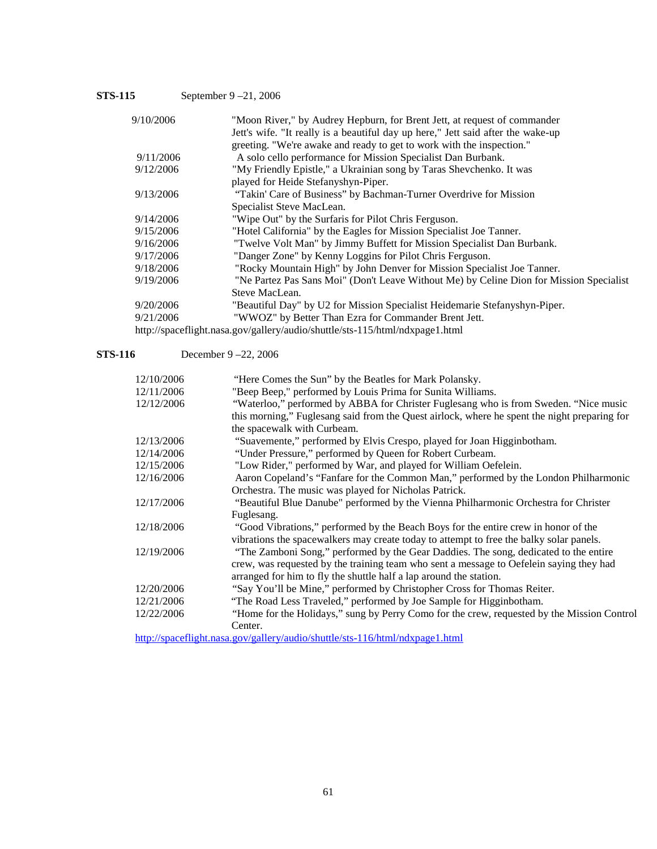**STS-115** September 9-21, 2006

| 9/10/2006 | "Moon River," by Audrey Hepburn, for Brent Jett, at request of commander                |
|-----------|-----------------------------------------------------------------------------------------|
|           | Jett's wife. "It really is a beautiful day up here," Jett said after the wake-up        |
|           | greeting. "We're awake and ready to get to work with the inspection."                   |
| 9/11/2006 | A solo cello performance for Mission Specialist Dan Burbank.                            |
| 9/12/2006 | "My Friendly Epistle," a Ukrainian song by Taras Shevchenko. It was                     |
|           | played for Heide Stefanyshyn-Piper.                                                     |
| 9/13/2006 | "Takin' Care of Business" by Bachman-Turner Overdrive for Mission                       |
|           | Specialist Steve MacLean.                                                               |
| 9/14/2006 | "Wipe Out" by the Surfaris for Pilot Chris Ferguson.                                    |
| 9/15/2006 | "Hotel California" by the Eagles for Mission Specialist Joe Tanner.                     |
| 9/16/2006 | "Twelve Volt Man" by Jimmy Buffett for Mission Specialist Dan Burbank.                  |
| 9/17/2006 | "Danger Zone" by Kenny Loggins for Pilot Chris Ferguson.                                |
| 9/18/2006 | "Rocky Mountain High" by John Denver for Mission Specialist Joe Tanner.                 |
| 9/19/2006 | "Ne Partez Pas Sans Moi" (Don't Leave Without Me) by Celine Dion for Mission Specialist |
|           | Steve MacLean.                                                                          |
| 9/20/2006 | "Beautiful Day" by U2 for Mission Specialist Heidemarie Stefanyshyn-Piper.              |
| 9/21/2006 | "WWOZ" by Better Than Ezra for Commander Brent Jett.                                    |
|           | http://spaceflight.nasa.gov/gallery/audio/shuttle/sts-115/html/ndxpage1.html            |

**STS-116** December 9 –22, 2006

| 12/10/2006 | "Here Comes the Sun" by the Beatles for Mark Polansky.                                       |
|------------|----------------------------------------------------------------------------------------------|
| 12/11/2006 | "Beep Beep," performed by Louis Prima for Sunita Williams.                                   |
| 12/12/2006 | "Waterloo," performed by ABBA for Christer Fuglesang who is from Sweden. "Nice music         |
|            | this morning," Fuglesang said from the Quest airlock, where he spent the night preparing for |
|            | the spacewalk with Curbeam.                                                                  |
| 12/13/2006 | "Suavemente," performed by Elvis Crespo, played for Joan Higginbotham.                       |
| 12/14/2006 | "Under Pressure," performed by Queen for Robert Curbeam.                                     |
| 12/15/2006 | "Low Rider," performed by War, and played for William Oefelein.                              |
| 12/16/2006 | Aaron Copeland's "Fanfare for the Common Man," performed by the London Philharmonic          |
|            | Orchestra. The music was played for Nicholas Patrick.                                        |
| 12/17/2006 | "Beautiful Blue Danube" performed by the Vienna Philharmonic Orchestra for Christer          |
|            | Fuglesang.                                                                                   |
| 12/18/2006 | "Good Vibrations," performed by the Beach Boys for the entire crew in honor of the           |
|            | vibrations the spacewalkers may create today to attempt to free the balky solar panels.      |
| 12/19/2006 | "The Zamboni Song," performed by the Gear Daddies. The song, dedicated to the entire         |
|            | crew, was requested by the training team who sent a message to Oefelein saying they had      |
|            | arranged for him to fly the shuttle half a lap around the station.                           |
| 12/20/2006 | "Say You'll be Mine," performed by Christopher Cross for Thomas Reiter.                      |
| 12/21/2006 | "The Road Less Traveled," performed by Joe Sample for Higginbotham.                          |
| 12/22/2006 | "Home for the Holidays," sung by Perry Como for the crew, requested by the Mission Control   |
|            | Center.                                                                                      |
|            | http://spaceflight.nasa.gov/gallery/audio/shuttle/sts-116/html/ndxpage1.html                 |
|            |                                                                                              |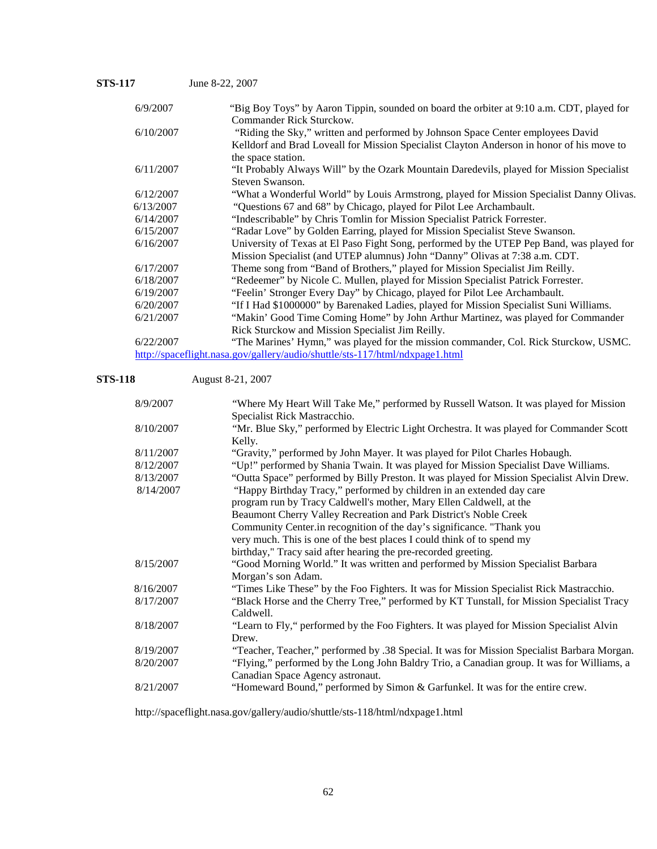## **STS-117** June 8-22, 2007

| 6/9/2007  | "Big Boy Toys" by Aaron Tippin, sounded on board the orbiter at 9:10 a.m. CDT, played for |
|-----------|-------------------------------------------------------------------------------------------|
|           | Commander Rick Sturckow.                                                                  |
| 6/10/2007 | "Riding the Sky," written and performed by Johnson Space Center employees David           |
|           | Kelldorf and Brad Loveall for Mission Specialist Clayton Anderson in honor of his move to |
|           | the space station.                                                                        |
| 6/11/2007 | "It Probably Always Will" by the Ozark Mountain Daredevils, played for Mission Specialist |
|           | Steven Swanson.                                                                           |
| 6/12/2007 | "What a Wonderful World" by Louis Armstrong, played for Mission Specialist Danny Olivas.  |
| 6/13/2007 | "Questions 67 and 68" by Chicago, played for Pilot Lee Archambault.                       |
| 6/14/2007 | "Indescribable" by Chris Tomlin for Mission Specialist Patrick Forrester.                 |
| 6/15/2007 | "Radar Love" by Golden Earring, played for Mission Specialist Steve Swanson.              |
| 6/16/2007 | University of Texas at El Paso Fight Song, performed by the UTEP Pep Band, was played for |
|           | Mission Specialist (and UTEP alumnus) John "Danny" Olivas at 7:38 a.m. CDT.               |
| 6/17/2007 | Theme song from "Band of Brothers," played for Mission Specialist Jim Reilly.             |
| 6/18/2007 | "Redeemer" by Nicole C. Mullen, played for Mission Specialist Patrick Forrester.          |
| 6/19/2007 | "Feelin' Stronger Every Day" by Chicago, played for Pilot Lee Archambault.                |
| 6/20/2007 | "If I Had \$1000000" by Barenaked Ladies, played for Mission Specialist Suni Williams.    |
| 6/21/2007 | "Makin' Good Time Coming Home" by John Arthur Martinez, was played for Commander          |
|           | Rick Sturckow and Mission Specialist Jim Reilly.                                          |
| 6/22/2007 | "The Marines' Hymn," was played for the mission commander, Col. Rick Sturckow, USMC.      |
|           | http://spaceflight.nasa.gov/gallery/audio/shuttle/sts-117/html/ndxpage1.html              |

**STS-118** August 8-21, 2007

| 8/9/2007  | "Where My Heart Will Take Me," performed by Russell Watson. It was played for Mission       |
|-----------|---------------------------------------------------------------------------------------------|
|           | Specialist Rick Mastracchio.                                                                |
| 8/10/2007 | "Mr. Blue Sky," performed by Electric Light Orchestra. It was played for Commander Scott    |
|           | Kelly.                                                                                      |
| 8/11/2007 | "Gravity," performed by John Mayer. It was played for Pilot Charles Hobaugh.                |
| 8/12/2007 | "Up!" performed by Shania Twain. It was played for Mission Specialist Dave Williams.        |
| 8/13/2007 | "Outta Space" performed by Billy Preston. It was played for Mission Specialist Alvin Drew.  |
| 8/14/2007 | "Happy Birthday Tracy," performed by children in an extended day care                       |
|           | program run by Tracy Caldwell's mother, Mary Ellen Caldwell, at the                         |
|           | Beaumont Cherry Valley Recreation and Park District's Noble Creek                           |
|           | Community Center.in recognition of the day's significance. "Thank you                       |
|           | very much. This is one of the best places I could think of to spend my                      |
|           | birthday," Tracy said after hearing the pre-recorded greeting.                              |
| 8/15/2007 | "Good Morning World." It was written and performed by Mission Specialist Barbara            |
|           | Morgan's son Adam.                                                                          |
| 8/16/2007 | "Times Like These" by the Foo Fighters. It was for Mission Specialist Rick Mastracchio.     |
| 8/17/2007 | "Black Horse and the Cherry Tree," performed by KT Tunstall, for Mission Specialist Tracy   |
|           | Caldwell.                                                                                   |
| 8/18/2007 | "Learn to Fly," performed by the Foo Fighters. It was played for Mission Specialist Alvin   |
|           | Drew.                                                                                       |
| 8/19/2007 | "Teacher, Teacher," performed by .38 Special. It was for Mission Specialist Barbara Morgan. |
| 8/20/2007 | "Flying," performed by the Long John Baldry Trio, a Canadian group. It was for Williams, a  |
|           | Canadian Space Agency astronaut.                                                            |
| 8/21/2007 | "Homeward Bound," performed by Simon & Garfunkel. It was for the entire crew.               |
|           |                                                                                             |

http://spaceflight.nasa.gov/gallery/audio/shuttle/sts-118/html/ndxpage1.html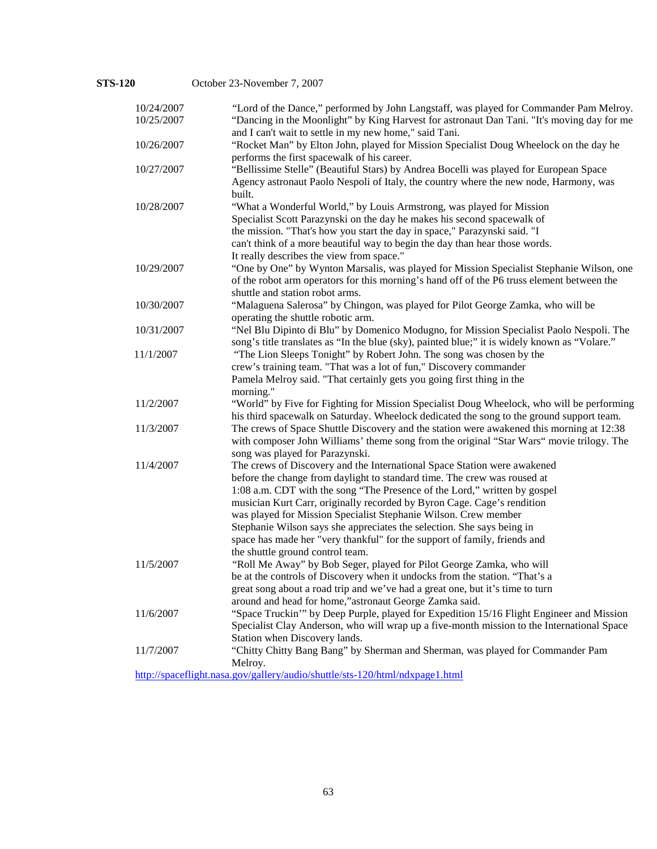| 10/24/2007 | "Lord of the Dance," performed by John Langstaff, was played for Commander Pam Melroy.        |
|------------|-----------------------------------------------------------------------------------------------|
| 10/25/2007 | "Dancing in the Moonlight" by King Harvest for astronaut Dan Tani. "It's moving day for me    |
|            | and I can't wait to settle in my new home," said Tani.                                        |
| 10/26/2007 | "Rocket Man" by Elton John, played for Mission Specialist Doug Wheelock on the day he         |
|            | performs the first spacewalk of his career.                                                   |
| 10/27/2007 | "Bellissime Stelle" (Beautiful Stars) by Andrea Bocelli was played for European Space         |
|            | Agency astronaut Paolo Nespoli of Italy, the country where the new node, Harmony, was         |
|            | built.                                                                                        |
| 10/28/2007 | "What a Wonderful World," by Louis Armstrong, was played for Mission                          |
|            | Specialist Scott Parazynski on the day he makes his second spacewalk of                       |
|            | the mission. "That's how you start the day in space," Parazynski said. "I                     |
|            | can't think of a more beautiful way to begin the day than hear those words.                   |
|            | It really describes the view from space."                                                     |
| 10/29/2007 | "One by One" by Wynton Marsalis, was played for Mission Specialist Stephanie Wilson, one      |
|            | of the robot arm operators for this morning's hand off of the P6 truss element between the    |
|            | shuttle and station robot arms.                                                               |
| 10/30/2007 | "Malaguena Salerosa" by Chingon, was played for Pilot George Zamka, who will be               |
|            | operating the shuttle robotic arm.                                                            |
| 10/31/2007 | "Nel Blu Dipinto di Blu" by Domenico Modugno, for Mission Specialist Paolo Nespoli. The       |
|            | song's title translates as "In the blue (sky), painted blue;" it is widely known as "Volare." |
| 11/1/2007  | "The Lion Sleeps Tonight" by Robert John. The song was chosen by the                          |
|            | crew's training team. "That was a lot of fun," Discovery commander                            |
|            | Pamela Melroy said. "That certainly gets you going first thing in the                         |
|            | morning."                                                                                     |
| 11/2/2007  | "World" by Five for Fighting for Mission Specialist Doug Wheelock, who will be performing     |
|            | his third spacewalk on Saturday. Wheelock dedicated the song to the ground support team.      |
| 11/3/2007  | The crews of Space Shuttle Discovery and the station were awakened this morning at 12:38      |
|            | with composer John Williams' theme song from the original "Star Wars" movie trilogy. The      |
|            | song was played for Parazynski.                                                               |
| 11/4/2007  | The crews of Discovery and the International Space Station were awakened                      |
|            | before the change from daylight to standard time. The crew was roused at                      |
|            | 1:08 a.m. CDT with the song "The Presence of the Lord," written by gospel                     |
|            | musician Kurt Carr, originally recorded by Byron Cage. Cage's rendition                       |
|            | was played for Mission Specialist Stephanie Wilson. Crew member                               |
|            | Stephanie Wilson says she appreciates the selection. She says being in                        |
|            | space has made her "very thankful" for the support of family, friends and                     |
|            | the shuttle ground control team.                                                              |
| 11/5/2007  | "Roll Me Away" by Bob Seger, played for Pilot George Zamka, who will                          |
|            | be at the controls of Discovery when it undocks from the station. "That's a                   |
|            | great song about a road trip and we've had a great one, but it's time to turn                 |
|            | around and head for home,"astronaut George Zamka said.                                        |
| 11/6/2007  | "Space Truckin" by Deep Purple, played for Expedition 15/16 Flight Engineer and Mission       |
|            | Specialist Clay Anderson, who will wrap up a five-month mission to the International Space    |
|            | Station when Discovery lands.                                                                 |
| 11/7/2007  | "Chitty Chitty Bang Bang" by Sherman and Sherman, was played for Commander Pam                |
|            | Melroy.                                                                                       |
|            | http://spaceflight.nasa.gov/gallery/audio/shuttle/sts-120/html/ndxpage1.html                  |
|            |                                                                                               |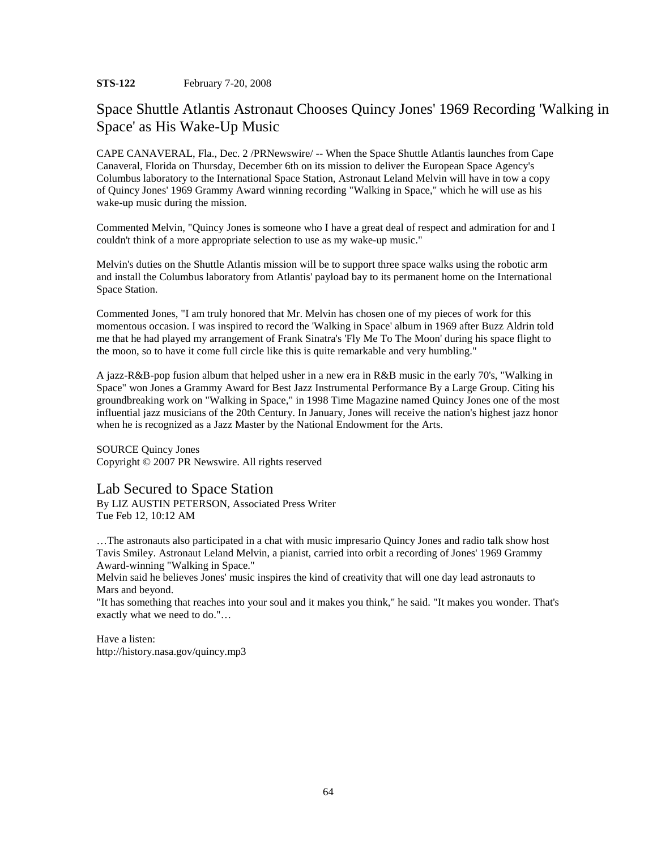## **STS-122** February 7-20, 2008

# Space Shuttle Atlantis Astronaut Chooses Quincy Jones' 1969 Recording 'Walking in Space' as His Wake-Up Music

CAPE CANAVERAL, Fla., Dec. 2 /PRNewswire/ -- When the Space Shuttle Atlantis launches from Cape Canaveral, Florida on Thursday, December 6th on its mission to deliver the European Space Agency's Columbus laboratory to the International Space Station, Astronaut Leland Melvin will have in tow a copy of Quincy Jones' 1969 Grammy Award winning recording "Walking in Space," which he will use as his wake-up music during the mission.

Commented Melvin, "Quincy Jones is someone who I have a great deal of respect and admiration for and I couldn't think of a more appropriate selection to use as my wake-up music."

Melvin's duties on the Shuttle Atlantis mission will be to support three space walks using the robotic arm and install the Columbus laboratory from Atlantis' payload bay to its permanent home on the International Space Station.

Commented Jones, "I am truly honored that Mr. Melvin has chosen one of my pieces of work for this momentous occasion. I was inspired to record the 'Walking in Space' album in 1969 after Buzz Aldrin told me that he had played my arrangement of Frank Sinatra's 'Fly Me To The Moon' during his space flight to the moon, so to have it come full circle like this is quite remarkable and very humbling."

A jazz-R&B-pop fusion album that helped usher in a new era in R&B music in the early 70's, "Walking in Space" won Jones a Grammy Award for Best Jazz Instrumental Performance By a Large Group. Citing his groundbreaking work on "Walking in Space," in 1998 Time Magazine named Quincy Jones one of the most influential jazz musicians of the 20th Century. In January, Jones will receive the nation's highest jazz honor when he is recognized as a Jazz Master by the National Endowment for the Arts.

SOURCE Quincy Jones Copyright © 2007 PR Newswire. All rights reserved

# Lab Secured to Space Station

By LIZ AUSTIN PETERSON, Associated Press Writer Tue Feb 12, 10:12 AM

…The astronauts also participated in a chat with music impresario Quincy Jones and radio talk show host Tavis Smiley. Astronaut Leland Melvin, a pianist, carried into orbit a recording of Jones' 1969 Grammy Award-winning "Walking in Space."

Melvin said he believes Jones' music inspires the kind of creativity that will one day lead astronauts to Mars and beyond.

"It has something that reaches into your soul and it makes you think," he said. "It makes you wonder. That's exactly what we need to do."…

Have a listen: http://history.nasa.gov/quincy.mp3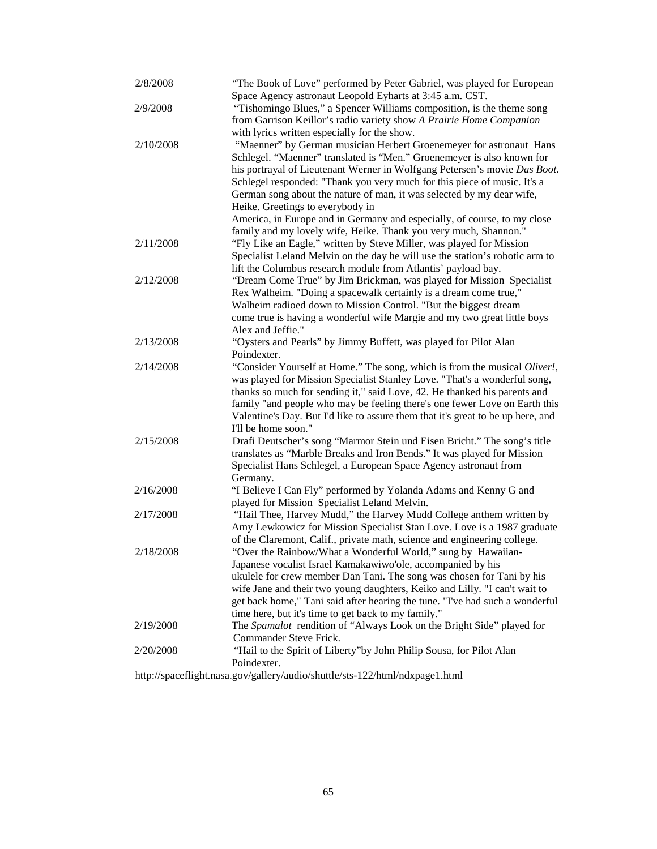| 2/8/2008  | "The Book of Love" performed by Peter Gabriel, was played for European                                                                                        |
|-----------|---------------------------------------------------------------------------------------------------------------------------------------------------------------|
|           | Space Agency astronaut Leopold Eyharts at 3:45 a.m. CST.                                                                                                      |
| 2/9/2008  | "Tishomingo Blues," a Spencer Williams composition, is the theme song                                                                                         |
|           | from Garrison Keillor's radio variety show A Prairie Home Companion                                                                                           |
|           | with lyrics written especially for the show.                                                                                                                  |
| 2/10/2008 | "Maenner" by German musician Herbert Groenemeyer for astronaut Hans                                                                                           |
|           | Schlegel. "Maenner" translated is "Men." Groenemeyer is also known for                                                                                        |
|           | his portrayal of Lieutenant Werner in Wolfgang Petersen's movie Das Boot.                                                                                     |
|           | Schlegel responded: "Thank you very much for this piece of music. It's a                                                                                      |
|           | German song about the nature of man, it was selected by my dear wife,                                                                                         |
|           | Heike. Greetings to everybody in                                                                                                                              |
|           | America, in Europe and in Germany and especially, of course, to my close                                                                                      |
|           | family and my lovely wife, Heike. Thank you very much, Shannon."                                                                                              |
| 2/11/2008 | "Fly Like an Eagle," written by Steve Miller, was played for Mission                                                                                          |
|           | Specialist Leland Melvin on the day he will use the station's robotic arm to                                                                                  |
|           | lift the Columbus research module from Atlantis' payload bay.                                                                                                 |
| 2/12/2008 | "Dream Come True" by Jim Brickman, was played for Mission Specialist                                                                                          |
|           | Rex Walheim. "Doing a spacewalk certainly is a dream come true,"                                                                                              |
|           | Walheim radioed down to Mission Control. "But the biggest dream                                                                                               |
|           | come true is having a wonderful wife Margie and my two great little boys                                                                                      |
|           | Alex and Jeffie."                                                                                                                                             |
| 2/13/2008 | "Oysters and Pearls" by Jimmy Buffett, was played for Pilot Alan                                                                                              |
|           | Poindexter.                                                                                                                                                   |
| 2/14/2008 | "Consider Yourself at Home." The song, which is from the musical Oliver!,                                                                                     |
|           | was played for Mission Specialist Stanley Love. "That's a wonderful song,                                                                                     |
|           | thanks so much for sending it," said Love, 42. He thanked his parents and                                                                                     |
|           | family "and people who may be feeling there's one fewer Love on Earth this<br>Valentine's Day. But I'd like to assure them that it's great to be up here, and |
|           | I'll be home soon."                                                                                                                                           |
| 2/15/2008 | Drafi Deutscher's song "Marmor Stein und Eisen Bricht." The song's title                                                                                      |
|           | translates as "Marble Breaks and Iron Bends." It was played for Mission                                                                                       |
|           | Specialist Hans Schlegel, a European Space Agency astronaut from                                                                                              |
|           | Germany.                                                                                                                                                      |
| 2/16/2008 | "I Believe I Can Fly" performed by Yolanda Adams and Kenny G and                                                                                              |
|           | played for Mission Specialist Leland Melvin.                                                                                                                  |
| 2/17/2008 | "Hail Thee, Harvey Mudd," the Harvey Mudd College anthem written by                                                                                           |
|           | Amy Lewkowicz for Mission Specialist Stan Love. Love is a 1987 graduate                                                                                       |
|           | of the Claremont, Calif., private math, science and engineering college.                                                                                      |
| 2/18/2008 | "Over the Rainbow/What a Wonderful World," sung by Hawaiian-                                                                                                  |
|           | Japanese vocalist Israel Kamakawiwo'ole, accompanied by his                                                                                                   |
|           | ukulele for crew member Dan Tani. The song was chosen for Tani by his                                                                                         |
|           | wife Jane and their two young daughters, Keiko and Lilly. "I can't wait to                                                                                    |
|           | get back home," Tani said after hearing the tune. "I've had such a wonderful                                                                                  |
|           | time here, but it's time to get back to my family."                                                                                                           |
| 2/19/2008 | The Spamalot rendition of "Always Look on the Bright Side" played for                                                                                         |
|           | Commander Steve Frick.                                                                                                                                        |
| 2/20/2008 | "Hail to the Spirit of Liberty"by John Philip Sousa, for Pilot Alan                                                                                           |
|           | Poindexter.                                                                                                                                                   |
|           | http://eneceficht.ness.gov/gellery/eudio/shuttle/sts.122/html/ndynago1.html                                                                                   |

http://spaceflight.nasa.gov/gallery/audio/shuttle/sts-122/html/ndxpage1.html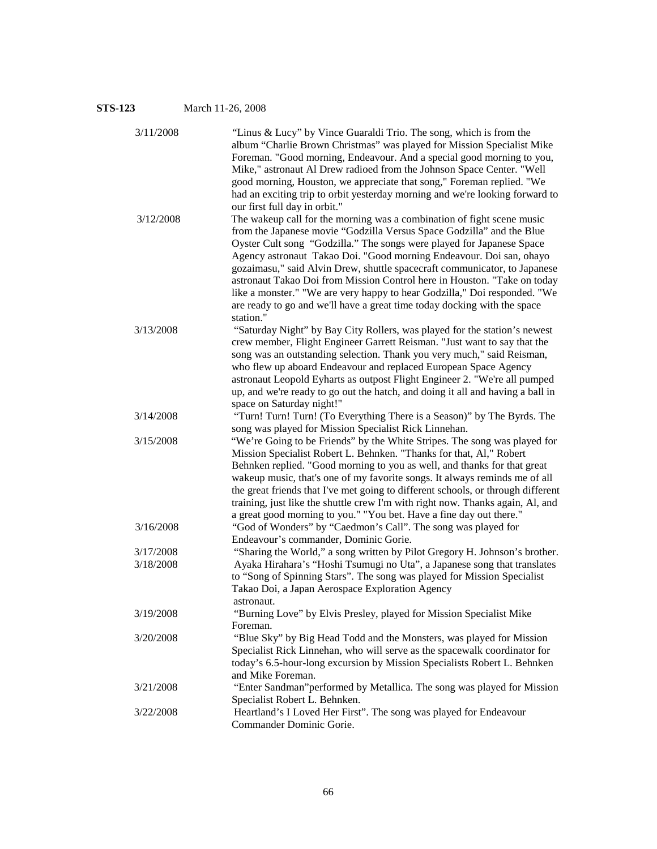| <b>STS-123</b> | March 11-26, 2008                                                                                                                                                                                                                                                                                                                                                                                                                                                                                                                                                                                                              |
|----------------|--------------------------------------------------------------------------------------------------------------------------------------------------------------------------------------------------------------------------------------------------------------------------------------------------------------------------------------------------------------------------------------------------------------------------------------------------------------------------------------------------------------------------------------------------------------------------------------------------------------------------------|
| 3/11/2008      | "Linus & Lucy" by Vince Guaraldi Trio. The song, which is from the<br>album "Charlie Brown Christmas" was played for Mission Specialist Mike<br>Foreman. "Good morning, Endeavour. And a special good morning to you,<br>Mike," astronaut Al Drew radioed from the Johnson Space Center. "Well<br>good morning, Houston, we appreciate that song," Foreman replied. "We<br>had an exciting trip to orbit yesterday morning and we're looking forward to<br>our first full day in orbit."                                                                                                                                       |
| 3/12/2008      | The wakeup call for the morning was a combination of fight scene music<br>from the Japanese movie "Godzilla Versus Space Godzilla" and the Blue<br>Oyster Cult song "Godzilla." The songs were played for Japanese Space<br>Agency astronaut Takao Doi. "Good morning Endeavour. Doi san, ohayo<br>gozaimasu," said Alvin Drew, shuttle spacecraft communicator, to Japanese<br>astronaut Takao Doi from Mission Control here in Houston. "Take on today<br>like a monster." "We are very happy to hear Godzilla," Doi responded. "We<br>are ready to go and we'll have a great time today docking with the space<br>station." |
| 3/13/2008      | "Saturday Night" by Bay City Rollers, was played for the station's newest<br>crew member, Flight Engineer Garrett Reisman. "Just want to say that the<br>song was an outstanding selection. Thank you very much," said Reisman,<br>who flew up aboard Endeavour and replaced European Space Agency<br>astronaut Leopold Eyharts as outpost Flight Engineer 2. "We're all pumped<br>up, and we're ready to go out the hatch, and doing it all and having a ball in<br>space on Saturday night!"                                                                                                                                 |
| 3/14/2008      | "Turn! Turn! Turn! (To Everything There is a Season)" by The Byrds. The<br>song was played for Mission Specialist Rick Linnehan.                                                                                                                                                                                                                                                                                                                                                                                                                                                                                               |
| 3/15/2008      | "We're Going to be Friends" by the White Stripes. The song was played for<br>Mission Specialist Robert L. Behnken. "Thanks for that, Al," Robert<br>Behnken replied. "Good morning to you as well, and thanks for that great<br>wakeup music, that's one of my favorite songs. It always reminds me of all<br>the great friends that I've met going to different schools, or through different<br>training, just like the shuttle crew I'm with right now. Thanks again, Al, and<br>a great good morning to you." "You bet. Have a fine day out there."                                                                        |
| 3/16/2008      | "God of Wonders" by "Caedmon's Call". The song was played for<br>Endeavour's commander, Dominic Gorie.                                                                                                                                                                                                                                                                                                                                                                                                                                                                                                                         |
| 3/17/2008      | "Sharing the World," a song written by Pilot Gregory H. Johnson's brother.                                                                                                                                                                                                                                                                                                                                                                                                                                                                                                                                                     |
| 3/18/2008      | Ayaka Hirahara's "Hoshi Tsumugi no Uta", a Japanese song that translates<br>to "Song of Spinning Stars". The song was played for Mission Specialist<br>Takao Doi, a Japan Aerospace Exploration Agency<br>astronaut.                                                                                                                                                                                                                                                                                                                                                                                                           |
| 3/19/2008      | "Burning Love" by Elvis Presley, played for Mission Specialist Mike<br>Foreman.                                                                                                                                                                                                                                                                                                                                                                                                                                                                                                                                                |
| 3/20/2008      | "Blue Sky" by Big Head Todd and the Monsters, was played for Mission<br>Specialist Rick Linnehan, who will serve as the spacewalk coordinator for<br>today's 6.5-hour-long excursion by Mission Specialists Robert L. Behnken<br>and Mike Foreman.                                                                                                                                                                                                                                                                                                                                                                             |
| 3/21/2008      | "Enter Sandman" performed by Metallica. The song was played for Mission<br>Specialist Robert L. Behnken.                                                                                                                                                                                                                                                                                                                                                                                                                                                                                                                       |
| 3/22/2008      | Heartland's I Loved Her First". The song was played for Endeavour<br>Commander Dominic Gorie.                                                                                                                                                                                                                                                                                                                                                                                                                                                                                                                                  |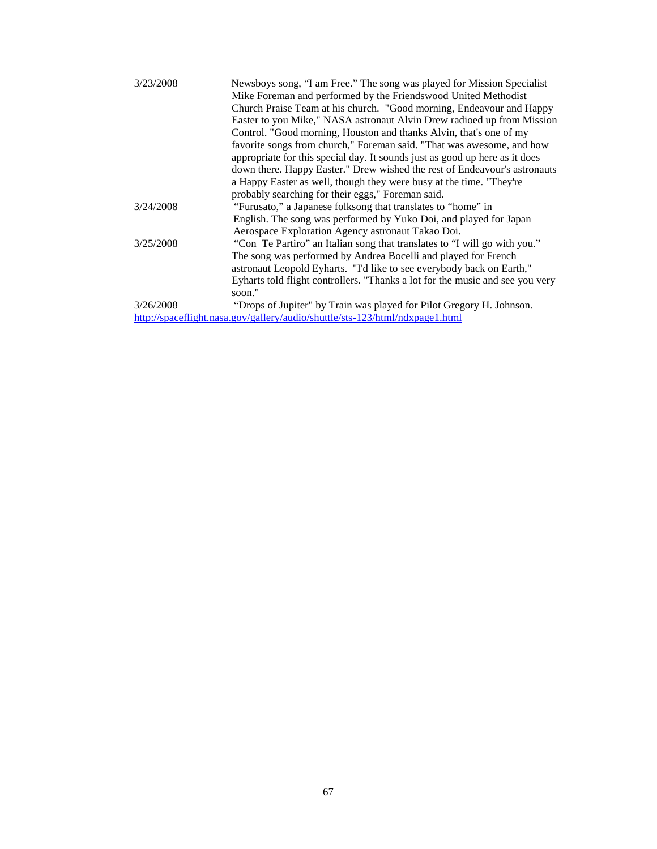| 3/23/2008 | Newsboys song, "I am Free." The song was played for Mission Specialist        |
|-----------|-------------------------------------------------------------------------------|
|           | Mike Foreman and performed by the Friendswood United Methodist                |
|           | Church Praise Team at his church. "Good morning, Endeavour and Happy          |
|           | Easter to you Mike," NASA astronaut Alvin Drew radioed up from Mission        |
|           | Control. "Good morning, Houston and thanks Alvin, that's one of my            |
|           | favorite songs from church," Foreman said. "That was awesome, and how         |
|           | appropriate for this special day. It sounds just as good up here as it does   |
|           | down there. Happy Easter." Drew wished the rest of Endeavour's astronauts     |
|           | a Happy Easter as well, though they were busy at the time. "They're           |
|           | probably searching for their eggs," Foreman said.                             |
| 3/24/2008 | "Furusato," a Japanese folksong that translates to "home" in                  |
|           | English. The song was performed by Yuko Doi, and played for Japan             |
|           | Aerospace Exploration Agency astronaut Takao Doi.                             |
| 3/25/2008 | "Con Te Partiro" an Italian song that translates to "I will go with you."     |
|           | The song was performed by Andrea Bocelli and played for French                |
|           | astronaut Leopold Eyharts. "I'd like to see everybody back on Earth,"         |
|           | Eyharts told flight controllers. "Thanks a lot for the music and see you very |
|           | soon."                                                                        |
| 3/26/2008 | "Drops of Jupiter" by Train was played for Pilot Gregory H. Johnson.          |
|           | http://spaceflight.nasa.gov/gallery/audio/shuttle/sts-123/html/ndxpage1.html  |
|           |                                                                               |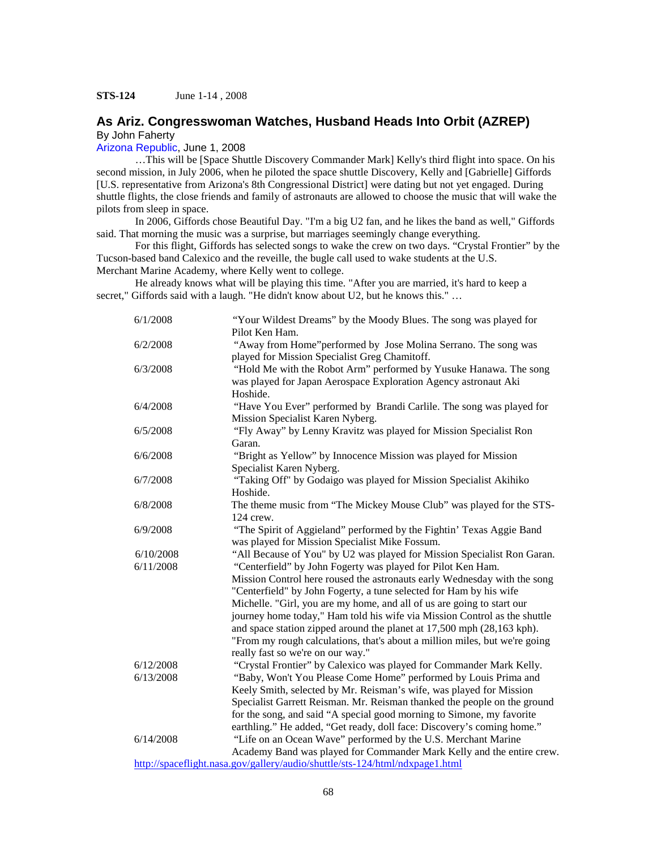#### **As Ariz. Congresswoman Watches, Husband Heads Into Orbit (AZREP)** By John Faherty

Arizona Republic, June 1, 2008

…This will be [Space Shuttle Discovery Commander Mark] Kelly's third flight into space. On his second mission, in July 2006, when he piloted the space shuttle Discovery, Kelly and [Gabrielle] Giffords [U.S. representative from Arizona's 8th Congressional District] were dating but not yet engaged. During shuttle flights, the close friends and family of astronauts are allowed to choose the music that will wake the pilots from sleep in space.

In 2006, Giffords chose Beautiful Day. "I'm a big U2 fan, and he likes the band as well," Giffords said. That morning the music was a surprise, but marriages seemingly change everything.

For this flight, Giffords has selected songs to wake the crew on two days. "Crystal Frontier" by the Tucson-based band Calexico and the reveille, the bugle call used to wake students at the U.S. Merchant Marine Academy, where Kelly went to college.

He already knows what will be playing this time. "After you are married, it's hard to keep a secret," Giffords said with a laugh. "He didn't know about U2, but he knows this." ...

| 6/1/2008  | "Your Wildest Dreams" by the Moody Blues. The song was played for            |
|-----------|------------------------------------------------------------------------------|
|           | Pilot Ken Ham.                                                               |
| 6/2/2008  | "Away from Home" performed by Jose Molina Serrano. The song was              |
|           | played for Mission Specialist Greg Chamitoff.                                |
| 6/3/2008  | "Hold Me with the Robot Arm" performed by Yusuke Hanawa. The song            |
|           | was played for Japan Aerospace Exploration Agency astronaut Aki              |
|           | Hoshide.                                                                     |
| 6/4/2008  | "Have You Ever" performed by Brandi Carlile. The song was played for         |
|           | Mission Specialist Karen Nyberg.                                             |
| 6/5/2008  | "Fly Away" by Lenny Kravitz was played for Mission Specialist Ron            |
|           | Garan.                                                                       |
| 6/6/2008  | "Bright as Yellow" by Innocence Mission was played for Mission               |
|           | Specialist Karen Nyberg.                                                     |
| 6/7/2008  | "Taking Off" by Godaigo was played for Mission Specialist Akihiko            |
|           | Hoshide.                                                                     |
| 6/8/2008  | The theme music from "The Mickey Mouse Club" was played for the STS-         |
|           | 124 crew.                                                                    |
| 6/9/2008  | "The Spirit of Aggieland" performed by the Fightin' Texas Aggie Band         |
|           | was played for Mission Specialist Mike Fossum.                               |
| 6/10/2008 | "All Because of You" by U2 was played for Mission Specialist Ron Garan.      |
| 6/11/2008 | "Centerfield" by John Fogerty was played for Pilot Ken Ham.                  |
|           | Mission Control here roused the astronauts early Wednesday with the song     |
|           | "Centerfield" by John Fogerty, a tune selected for Ham by his wife           |
|           | Michelle. "Girl, you are my home, and all of us are going to start our       |
|           | journey home today," Ham told his wife via Mission Control as the shuttle    |
|           | and space station zipped around the planet at 17,500 mph (28,163 kph).       |
|           | "From my rough calculations, that's about a million miles, but we're going   |
|           | really fast so we're on our way."                                            |
| 6/12/2008 | "Crystal Frontier" by Calexico was played for Commander Mark Kelly.          |
| 6/13/2008 | "Baby, Won't You Please Come Home" performed by Louis Prima and              |
|           | Keely Smith, selected by Mr. Reisman's wife, was played for Mission          |
|           | Specialist Garrett Reisman. Mr. Reisman thanked the people on the ground     |
|           | for the song, and said "A special good morning to Simone, my favorite        |
|           | earthling." He added, "Get ready, doll face: Discovery's coming home."       |
| 6/14/2008 | "Life on an Ocean Wave" performed by the U.S. Merchant Marine                |
|           | Academy Band was played for Commander Mark Kelly and the entire crew.        |
|           | http://spaceflight.nasa.gov/gallery/audio/shuttle/sts-124/html/ndxpage1.html |
|           |                                                                              |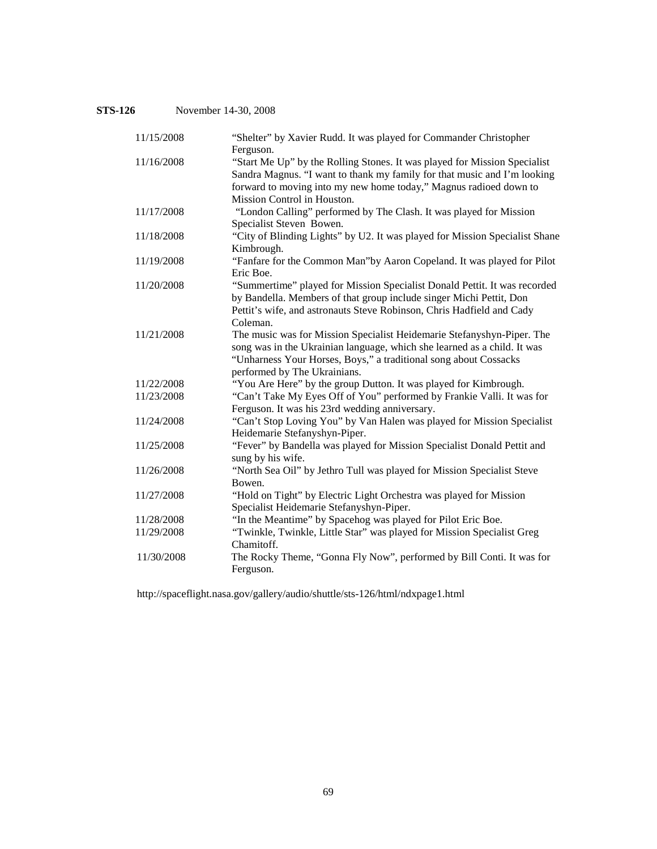# **STS-126** November 14-30, 2008

| 11/15/2008 | "Shelter" by Xavier Rudd. It was played for Commander Christopher<br>Ferguson.                                                                                                                                                                            |
|------------|-----------------------------------------------------------------------------------------------------------------------------------------------------------------------------------------------------------------------------------------------------------|
| 11/16/2008 | "Start Me Up" by the Rolling Stones. It was played for Mission Specialist<br>Sandra Magnus. "I want to thank my family for that music and I'm looking<br>forward to moving into my new home today," Magnus radioed down to<br>Mission Control in Houston. |
| 11/17/2008 | "London Calling" performed by The Clash. It was played for Mission<br>Specialist Steven Bowen.                                                                                                                                                            |
| 11/18/2008 | "City of Blinding Lights" by U2. It was played for Mission Specialist Shane<br>Kimbrough.                                                                                                                                                                 |
| 11/19/2008 | "Fanfare for the Common Man"by Aaron Copeland. It was played for Pilot<br>Eric Boe.                                                                                                                                                                       |
| 11/20/2008 | "Summertime" played for Mission Specialist Donald Pettit. It was recorded<br>by Bandella. Members of that group include singer Michi Pettit, Don<br>Pettit's wife, and astronauts Steve Robinson, Chris Hadfield and Cady<br>Coleman.                     |
| 11/21/2008 | The music was for Mission Specialist Heidemarie Stefanyshyn-Piper. The<br>song was in the Ukrainian language, which she learned as a child. It was<br>"Unharness Your Horses, Boys," a traditional song about Cossacks<br>performed by The Ukrainians.    |
| 11/22/2008 | "You Are Here" by the group Dutton. It was played for Kimbrough.                                                                                                                                                                                          |
| 11/23/2008 | "Can't Take My Eyes Off of You" performed by Frankie Valli. It was for<br>Ferguson. It was his 23rd wedding anniversary.                                                                                                                                  |
| 11/24/2008 | "Can't Stop Loving You" by Van Halen was played for Mission Specialist<br>Heidemarie Stefanyshyn-Piper.                                                                                                                                                   |
| 11/25/2008 | "Fever" by Bandella was played for Mission Specialist Donald Pettit and<br>sung by his wife.                                                                                                                                                              |
| 11/26/2008 | "North Sea Oil" by Jethro Tull was played for Mission Specialist Steve<br>Bowen.                                                                                                                                                                          |
| 11/27/2008 | "Hold on Tight" by Electric Light Orchestra was played for Mission<br>Specialist Heidemarie Stefanyshyn-Piper.                                                                                                                                            |
| 11/28/2008 | "In the Meantime" by Spacehog was played for Pilot Eric Boe.                                                                                                                                                                                              |
| 11/29/2008 | "Twinkle, Twinkle, Little Star" was played for Mission Specialist Greg<br>Chamitoff.                                                                                                                                                                      |
| 11/30/2008 | The Rocky Theme, "Gonna Fly Now", performed by Bill Conti. It was for<br>Ferguson.                                                                                                                                                                        |

http://spaceflight.nasa.gov/gallery/audio/shuttle/sts-126/html/ndxpage1.html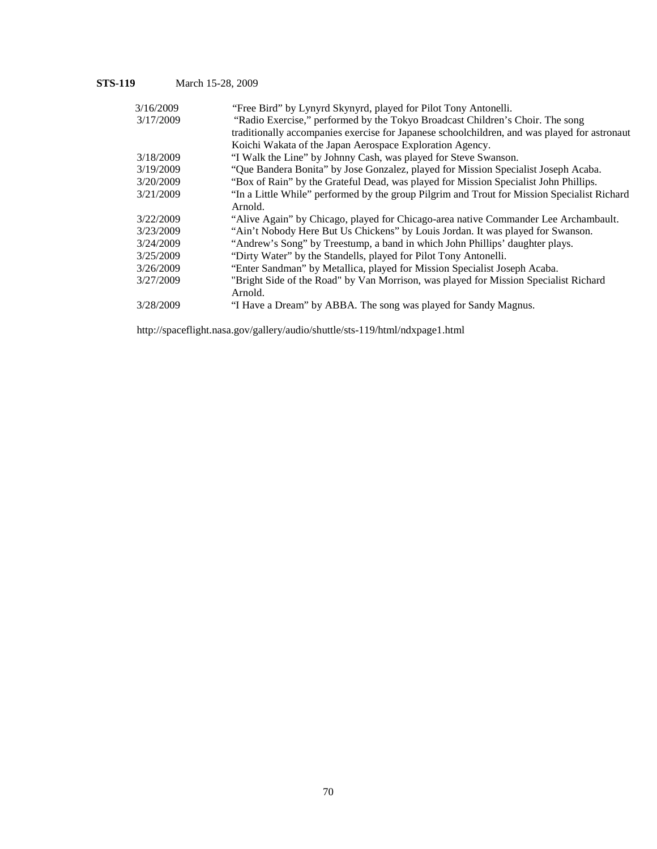# **STS-119** March 15-28, 2009

| 3/16/2009 | "Free Bird" by Lynyrd Skynyrd, played for Pilot Tony Antonelli.                              |
|-----------|----------------------------------------------------------------------------------------------|
| 3/17/2009 | "Radio Exercise," performed by the Tokyo Broadcast Children's Choir. The song                |
|           | traditionally accompanies exercise for Japanese schoolchildren, and was played for astronaut |
|           | Koichi Wakata of the Japan Aerospace Exploration Agency.                                     |
| 3/18/2009 | "I Walk the Line" by Johnny Cash, was played for Steve Swanson.                              |
| 3/19/2009 | "Que Bandera Bonita" by Jose Gonzalez, played for Mission Specialist Joseph Acaba.           |
| 3/20/2009 | "Box of Rain" by the Grateful Dead, was played for Mission Specialist John Phillips.         |
| 3/21/2009 | "In a Little While" performed by the group Pilgrim and Trout for Mission Specialist Richard  |
|           | Arnold.                                                                                      |
| 3/22/2009 | "Alive Again" by Chicago, played for Chicago-area native Commander Lee Archambault.          |
| 3/23/2009 | "Ain't Nobody Here But Us Chickens" by Louis Jordan. It was played for Swanson.              |
| 3/24/2009 | "Andrew's Song" by Treestump, a band in which John Phillips' daughter plays.                 |
| 3/25/2009 | "Dirty Water" by the Standells, played for Pilot Tony Antonelli.                             |
| 3/26/2009 | "Enter Sandman" by Metallica, played for Mission Specialist Joseph Acaba.                    |
| 3/27/2009 | "Bright Side of the Road" by Van Morrison, was played for Mission Specialist Richard         |
|           | Arnold.                                                                                      |
| 3/28/2009 | "I Have a Dream" by ABBA. The song was played for Sandy Magnus.                              |
|           |                                                                                              |

http://spaceflight.nasa.gov/gallery/audio/shuttle/sts-119/html/ndxpage1.html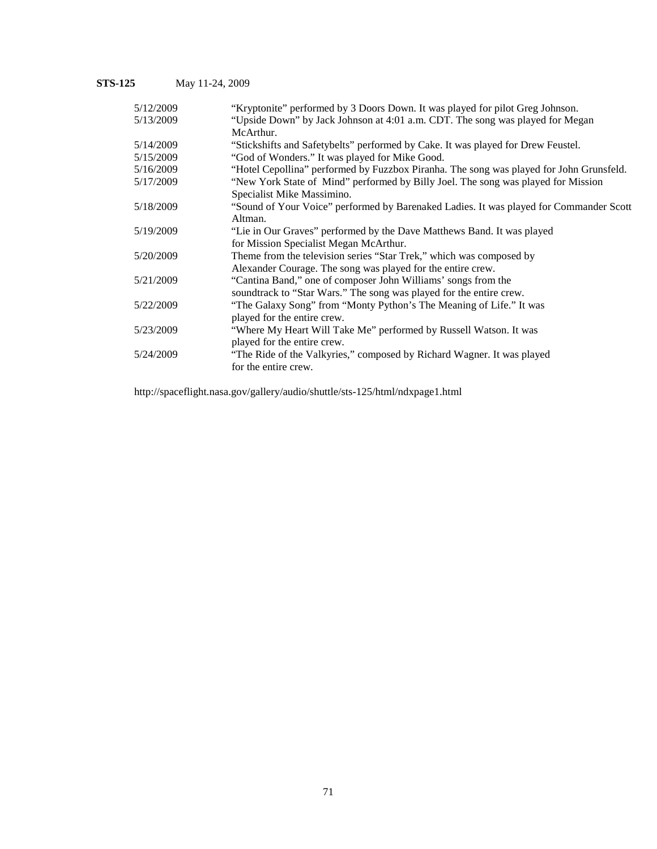## **STS-125** May 11-24, 2009

| 5/12/2009 | "Kryptonite" performed by 3 Doors Down. It was played for pilot Greg Johnson.           |
|-----------|-----------------------------------------------------------------------------------------|
| 5/13/2009 | "Upside Down" by Jack Johnson at 4:01 a.m. CDT. The song was played for Megan           |
|           | McArthur.                                                                               |
| 5/14/2009 | "Stickshifts and Safetybelts" performed by Cake. It was played for Drew Feustel.        |
| 5/15/2009 | "God of Wonders." It was played for Mike Good.                                          |
| 5/16/2009 | "Hotel Cepollina" performed by Fuzzbox Piranha. The song was played for John Grunsfeld. |
| 5/17/2009 | "New York State of Mind" performed by Billy Joel. The song was played for Mission       |
|           | Specialist Mike Massimino.                                                              |
| 5/18/2009 | "Sound of Your Voice" performed by Barenaked Ladies. It was played for Commander Scott  |
|           | Altman.                                                                                 |
| 5/19/2009 | "Lie in Our Graves" performed by the Dave Matthews Band. It was played                  |
|           | for Mission Specialist Megan McArthur.                                                  |
| 5/20/2009 | Theme from the television series "Star Trek," which was composed by                     |
|           | Alexander Courage. The song was played for the entire crew.                             |
| 5/21/2009 | "Cantina Band," one of composer John Williams' songs from the                           |
|           | soundtrack to "Star Wars." The song was played for the entire crew.                     |
| 5/22/2009 | "The Galaxy Song" from "Monty Python's The Meaning of Life." It was                     |
|           | played for the entire crew.                                                             |
| 5/23/2009 | "Where My Heart Will Take Me" performed by Russell Watson. It was                       |
|           | played for the entire crew.                                                             |
| 5/24/2009 | "The Ride of the Valkyries," composed by Richard Wagner. It was played                  |
|           | for the entire crew.                                                                    |

http://spaceflight.nasa.gov/gallery/audio/shuttle/sts-125/html/ndxpage1.html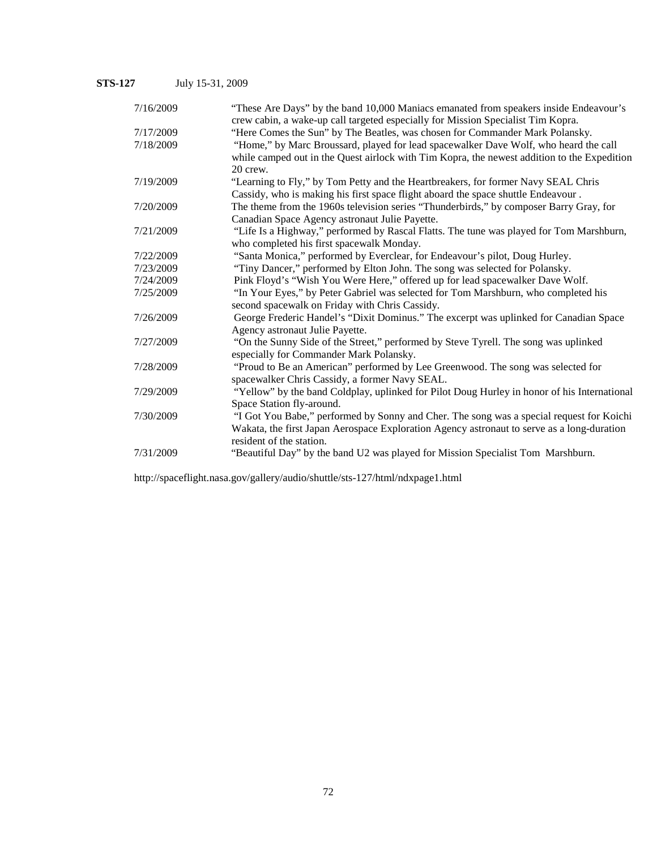# **STS-127** July 15-31, 2009

| 7/16/2009 | "These Are Days" by the band 10,000 Maniacs emanated from speakers inside Endeavour's       |
|-----------|---------------------------------------------------------------------------------------------|
|           | crew cabin, a wake-up call targeted especially for Mission Specialist Tim Kopra.            |
| 7/17/2009 | "Here Comes the Sun" by The Beatles, was chosen for Commander Mark Polansky.                |
| 7/18/2009 | "Home," by Marc Broussard, played for lead spacewalker Dave Wolf, who heard the call        |
|           | while camped out in the Quest airlock with Tim Kopra, the newest addition to the Expedition |
|           | 20 crew.                                                                                    |
| 7/19/2009 | "Learning to Fly," by Tom Petty and the Heartbreakers, for former Navy SEAL Chris           |
|           | Cassidy, who is making his first space flight aboard the space shuttle Endeavour.           |
| 7/20/2009 | The theme from the 1960s television series "Thunderbirds," by composer Barry Gray, for      |
|           | Canadian Space Agency astronaut Julie Payette.                                              |
| 7/21/2009 | "Life Is a Highway," performed by Rascal Flatts. The tune was played for Tom Marshburn,     |
|           | who completed his first spacewalk Monday.                                                   |
| 7/22/2009 | "Santa Monica," performed by Everclear, for Endeavour's pilot, Doug Hurley.                 |
| 7/23/2009 | "Tiny Dancer," performed by Elton John. The song was selected for Polansky.                 |
| 7/24/2009 | Pink Floyd's "Wish You Were Here," offered up for lead spacewalker Dave Wolf.               |
| 7/25/2009 | "In Your Eyes," by Peter Gabriel was selected for Tom Marshburn, who completed his          |
|           | second spacewalk on Friday with Chris Cassidy.                                              |
| 7/26/2009 | George Frederic Handel's "Dixit Dominus." The excerpt was uplinked for Canadian Space       |
|           | Agency astronaut Julie Payette.                                                             |
| 7/27/2009 | "On the Sunny Side of the Street," performed by Steve Tyrell. The song was uplinked         |
|           | especially for Commander Mark Polansky.                                                     |
| 7/28/2009 | "Proud to Be an American" performed by Lee Greenwood. The song was selected for             |
|           | spacewalker Chris Cassidy, a former Navy SEAL.                                              |
| 7/29/2009 | "Yellow" by the band Coldplay, uplinked for Pilot Doug Hurley in honor of his International |
|           | Space Station fly-around.                                                                   |
| 7/30/2009 | "I Got You Babe," performed by Sonny and Cher. The song was a special request for Koichi    |
|           | Wakata, the first Japan Aerospace Exploration Agency astronaut to serve as a long-duration  |
|           | resident of the station.                                                                    |
| 7/31/2009 | "Beautiful Day" by the band U2 was played for Mission Specialist Tom Marshburn.             |
|           |                                                                                             |

http://spaceflight.nasa.gov/gallery/audio/shuttle/sts-127/html/ndxpage1.html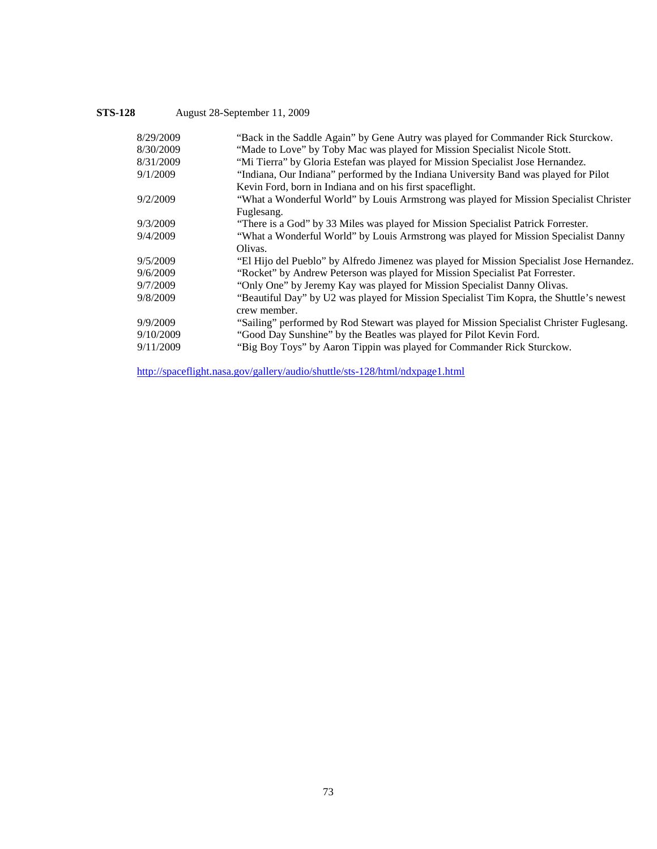# **STS-128** August 28-September 11, 2009

| 8/29/2009 | "Back in the Saddle Again" by Gene Autry was played for Commander Rick Sturckow.          |
|-----------|-------------------------------------------------------------------------------------------|
| 8/30/2009 | "Made to Love" by Toby Mac was played for Mission Specialist Nicole Stott.                |
| 8/31/2009 | "Mi Tierra" by Gloria Estefan was played for Mission Specialist Jose Hernandez.           |
| 9/1/2009  | "Indiana, Our Indiana" performed by the Indiana University Band was played for Pilot      |
|           | Kevin Ford, born in Indiana and on his first spaceflight.                                 |
| 9/2/2009  | "What a Wonderful World" by Louis Armstrong was played for Mission Specialist Christer    |
|           | Fuglesang.                                                                                |
| 9/3/2009  | "There is a God" by 33 Miles was played for Mission Specialist Patrick Forrester.         |
| 9/4/2009  | "What a Wonderful World" by Louis Armstrong was played for Mission Specialist Danny       |
|           | Olivas.                                                                                   |
| 9/5/2009  | "El Hijo del Pueblo" by Alfredo Jimenez was played for Mission Specialist Jose Hernandez. |
| 9/6/2009  | "Rocket" by Andrew Peterson was played for Mission Specialist Pat Forrester.              |
| 9/7/2009  | "Only One" by Jeremy Kay was played for Mission Specialist Danny Olivas.                  |
| 9/8/2009  | "Beautiful Day" by U2 was played for Mission Specialist Tim Kopra, the Shuttle's newest   |
|           | crew member.                                                                              |
| 9/9/2009  | "Sailing" performed by Rod Stewart was played for Mission Specialist Christer Fuglesang.  |
| 9/10/2009 | "Good Day Sunshine" by the Beatles was played for Pilot Kevin Ford.                       |
| 9/11/2009 | "Big Boy Toys" by Aaron Tippin was played for Commander Rick Sturckow.                    |
|           |                                                                                           |

<http://spaceflight.nasa.gov/gallery/audio/shuttle/sts-128/html/ndxpage1.html>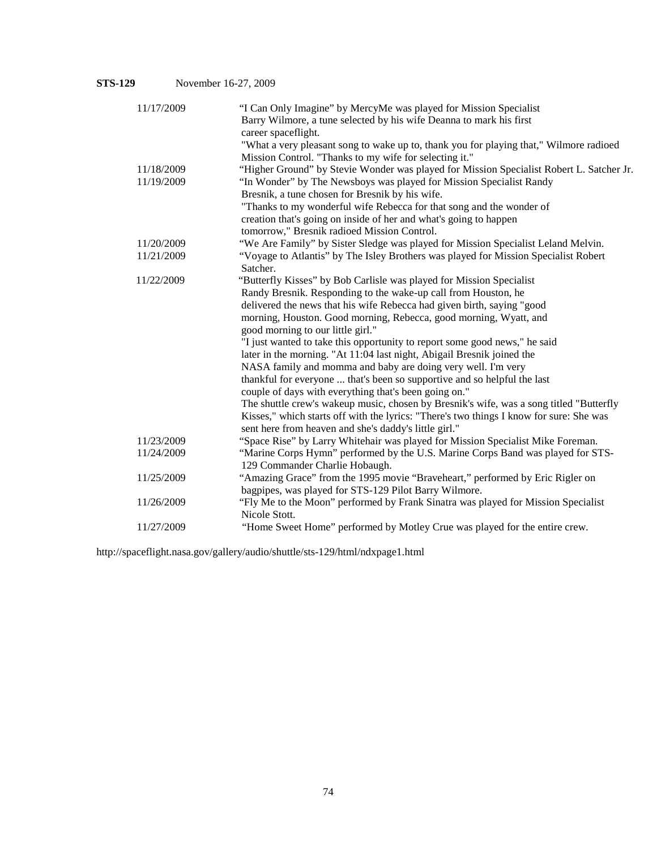| 11/17/2009 | "I Can Only Imagine" by MercyMe was played for Mission Specialist                        |
|------------|------------------------------------------------------------------------------------------|
|            | Barry Wilmore, a tune selected by his wife Deanna to mark his first                      |
|            | career spaceflight.                                                                      |
|            | "What a very pleasant song to wake up to, thank you for playing that," Wilmore radioed   |
|            | Mission Control. "Thanks to my wife for selecting it."                                   |
| 11/18/2009 | "Higher Ground" by Stevie Wonder was played for Mission Specialist Robert L. Satcher Jr. |
| 11/19/2009 | "In Wonder" by The Newsboys was played for Mission Specialist Randy                      |
|            | Bresnik, a tune chosen for Bresnik by his wife.                                          |
|            | "Thanks to my wonderful wife Rebecca for that song and the wonder of                     |
|            | creation that's going on inside of her and what's going to happen                        |
|            | tomorrow," Bresnik radioed Mission Control.                                              |
| 11/20/2009 | "We Are Family" by Sister Sledge was played for Mission Specialist Leland Melvin.        |
| 11/21/2009 | "Voyage to Atlantis" by The Isley Brothers was played for Mission Specialist Robert      |
|            | Satcher.                                                                                 |
| 11/22/2009 | "Butterfly Kisses" by Bob Carlisle was played for Mission Specialist                     |
|            | Randy Bresnik. Responding to the wake-up call from Houston, he                           |
|            | delivered the news that his wife Rebecca had given birth, saying "good                   |
|            | morning, Houston. Good morning, Rebecca, good morning, Wyatt, and                        |
|            | good morning to our little girl."                                                        |
|            | "I just wanted to take this opportunity to report some good news," he said               |
|            | later in the morning. "At 11:04 last night, Abigail Bresnik joined the                   |
|            | NASA family and momma and baby are doing very well. I'm very                             |
|            | thankful for everyone  that's been so supportive and so helpful the last                 |
|            | couple of days with everything that's been going on."                                    |
|            | The shuttle crew's wakeup music, chosen by Bresnik's wife, was a song titled "Butterfly  |
|            | Kisses," which starts off with the lyrics: "There's two things I know for sure: She was  |
|            | sent here from heaven and she's daddy's little girl."                                    |
| 11/23/2009 | "Space Rise" by Larry Whitehair was played for Mission Specialist Mike Foreman.          |
| 11/24/2009 | "Marine Corps Hymn" performed by the U.S. Marine Corps Band was played for STS-          |
|            | 129 Commander Charlie Hobaugh.                                                           |
| 11/25/2009 | "Amazing Grace" from the 1995 movie "Braveheart," performed by Eric Rigler on            |
|            | bagpipes, was played for STS-129 Pilot Barry Wilmore.                                    |
| 11/26/2009 | "Fly Me to the Moon" performed by Frank Sinatra was played for Mission Specialist        |
|            | Nicole Stott.                                                                            |
| 11/27/2009 | "Home Sweet Home" performed by Motley Crue was played for the entire crew.               |

http://spaceflight.nasa.gov/gallery/audio/shuttle/sts-129/html/ndxpage1.html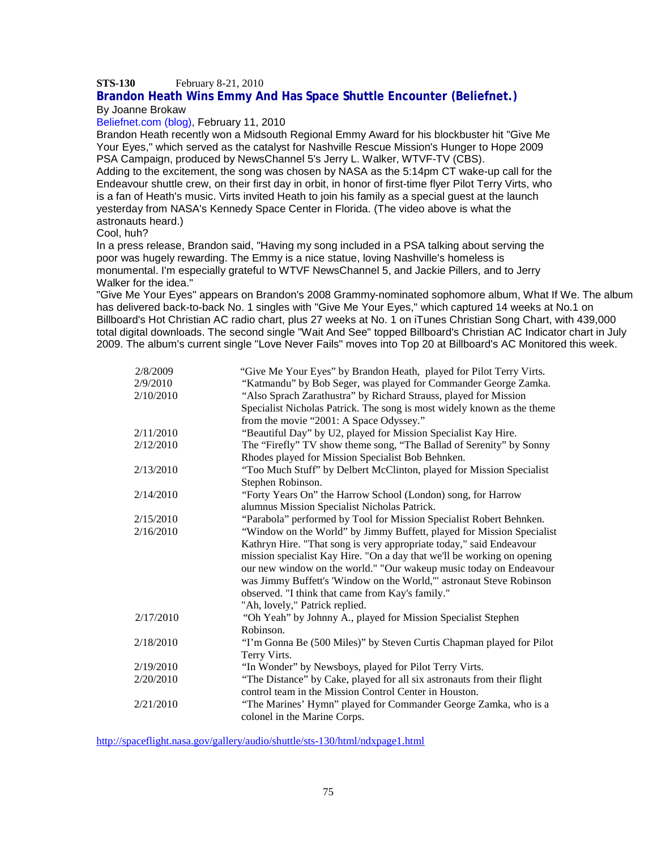## **STS-130** February 8-21, 2010

#### **Brandon Heath Wins Emmy And Has Space Shuttle Encounter (Beliefnet.)**  By Joanne Brokaw

Beliefnet.com (blog), February 11, 2010

Brandon Heath recently won a Midsouth Regional Emmy Award for his blockbuster hit "Give Me Your Eyes," which served as the catalyst for Nashville Rescue Mission's Hunger to Hope 2009 PSA Campaign, produced by NewsChannel 5's Jerry L. Walker, WTVF-TV (CBS). Adding to the excitement, the song was chosen by NASA as the 5:14pm CT wake-up call for the Endeavour shuttle crew, on their first day in orbit, in honor of first-time flyer Pilot Terry Virts, who is a fan of Heath's music. Virts invited Heath to join his family as a special guest at the launch

yesterday from NASA's Kennedy Space Center in Florida. (The video above is what the astronauts heard.)

#### Cool, huh?

In a press release, Brandon said, "Having my song included in a PSA talking about serving the poor was hugely rewarding. The Emmy is a nice statue, loving Nashville's homeless is monumental. I'm especially grateful to WTVF NewsChannel 5, and Jackie Pillers, and to Jerry Walker for the idea."

"Give Me Your Eyes" appears on Brandon's 2008 Grammy-nominated sophomore album, What If We. The album has delivered back-to-back No. 1 singles with "Give Me Your Eyes," which captured 14 weeks at No.1 on Billboard's Hot Christian AC radio chart, plus 27 weeks at No. 1 on iTunes Christian Song Chart, with 439,000 total digital downloads. The second single "Wait And See" topped Billboard's Christian AC Indicator chart in July 2009. The album's current single "Love Never Fails" moves into Top 20 at Billboard's AC Monitored this week.

| 2/8/2009  | "Give Me Your Eyes" by Brandon Heath, played for Pilot Terry Virts.     |
|-----------|-------------------------------------------------------------------------|
| 2/9/2010  | "Katmandu" by Bob Seger, was played for Commander George Zamka.         |
| 2/10/2010 | "Also Sprach Zarathustra" by Richard Strauss, played for Mission        |
|           | Specialist Nicholas Patrick. The song is most widely known as the theme |
|           | from the movie "2001: A Space Odyssey."                                 |
| 2/11/2010 | "Beautiful Day" by U2, played for Mission Specialist Kay Hire.          |
| 2/12/2010 | The "Firefly" TV show theme song, "The Ballad of Serenity" by Sonny     |
|           | Rhodes played for Mission Specialist Bob Behnken.                       |
| 2/13/2010 | "Too Much Stuff" by Delbert McClinton, played for Mission Specialist    |
|           | Stephen Robinson.                                                       |
| 2/14/2010 | "Forty Years On" the Harrow School (London) song, for Harrow            |
|           | alumnus Mission Specialist Nicholas Patrick.                            |
| 2/15/2010 | "Parabola" performed by Tool for Mission Specialist Robert Behnken.     |
| 2/16/2010 | "Window on the World" by Jimmy Buffett, played for Mission Specialist   |
|           | Kathryn Hire. "That song is very appropriate today," said Endeavour     |
|           | mission specialist Kay Hire. "On a day that we'll be working on opening |
|           | our new window on the world." "Our wakeup music today on Endeavour      |
|           | was Jimmy Buffett's 'Window on the World," astronaut Steve Robinson     |
|           | observed. "I think that came from Kay's family."                        |
|           | "Ah, lovely," Patrick replied.                                          |
| 2/17/2010 | "Oh Yeah" by Johnny A., played for Mission Specialist Stephen           |
|           | Robinson.                                                               |
| 2/18/2010 | "I'm Gonna Be (500 Miles)" by Steven Curtis Chapman played for Pilot    |
|           | Terry Virts.                                                            |
| 2/19/2010 | "In Wonder" by Newsboys, played for Pilot Terry Virts.                  |
| 2/20/2010 | "The Distance" by Cake, played for all six astronauts from their flight |
|           | control team in the Mission Control Center in Houston.                  |
| 2/21/2010 | "The Marines' Hymn" played for Commander George Zamka, who is a         |
|           | colonel in the Marine Corps.                                            |

<http://spaceflight.nasa.gov/gallery/audio/shuttle/sts-130/html/ndxpage1.html>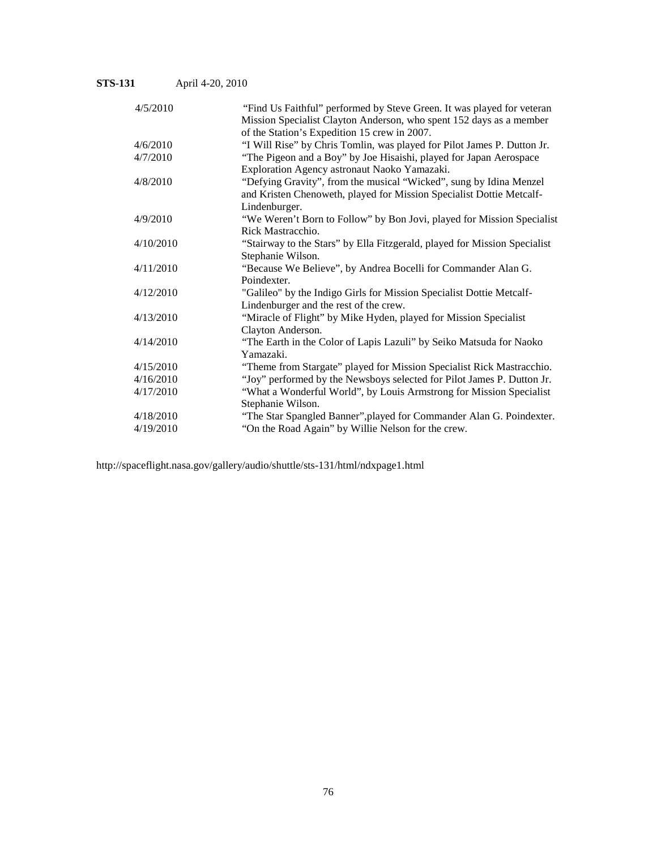**STS-131 April 4-20, 2010** 

| 4/5/2010  | "Find Us Faithful" performed by Steve Green. It was played for veteran    |
|-----------|---------------------------------------------------------------------------|
|           | Mission Specialist Clayton Anderson, who spent 152 days as a member       |
|           | of the Station's Expedition 15 crew in 2007.                              |
| 4/6/2010  | "I Will Rise" by Chris Tomlin, was played for Pilot James P. Dutton Jr.   |
| 4/7/2010  | "The Pigeon and a Boy" by Joe Hisaishi, played for Japan Aerospace        |
|           | Exploration Agency astronaut Naoko Yamazaki.                              |
| 4/8/2010  | "Defying Gravity", from the musical "Wicked", sung by Idina Menzel        |
|           | and Kristen Chenoweth, played for Mission Specialist Dottie Metcalf-      |
|           | Lindenburger.                                                             |
| 4/9/2010  | "We Weren't Born to Follow" by Bon Jovi, played for Mission Specialist    |
|           | Rick Mastracchio.                                                         |
| 4/10/2010 | "Stairway to the Stars" by Ella Fitzgerald, played for Mission Specialist |
|           | Stephanie Wilson.                                                         |
| 4/11/2010 | "Because We Believe", by Andrea Bocelli for Commander Alan G.             |
|           | Poindexter.                                                               |
| 4/12/2010 | "Galileo" by the Indigo Girls for Mission Specialist Dottie Metcalf-      |
|           | Lindenburger and the rest of the crew.                                    |
| 4/13/2010 | "Miracle of Flight" by Mike Hyden, played for Mission Specialist          |
|           | Clayton Anderson.                                                         |
| 4/14/2010 | "The Earth in the Color of Lapis Lazuli" by Seiko Matsuda for Naoko       |
|           | Yamazaki.                                                                 |
| 4/15/2010 | "Theme from Stargate" played for Mission Specialist Rick Mastracchio.     |
| 4/16/2010 | "Joy" performed by the Newsboys selected for Pilot James P. Dutton Jr.    |
| 4/17/2010 | "What a Wonderful World", by Louis Armstrong for Mission Specialist       |
|           | Stephanie Wilson.                                                         |
| 4/18/2010 | "The Star Spangled Banner", played for Commander Alan G. Poindexter.      |
| 4/19/2010 | "On the Road Again" by Willie Nelson for the crew.                        |

http://spaceflight.nasa.gov/gallery/audio/shuttle/sts-131/html/ndxpage1.html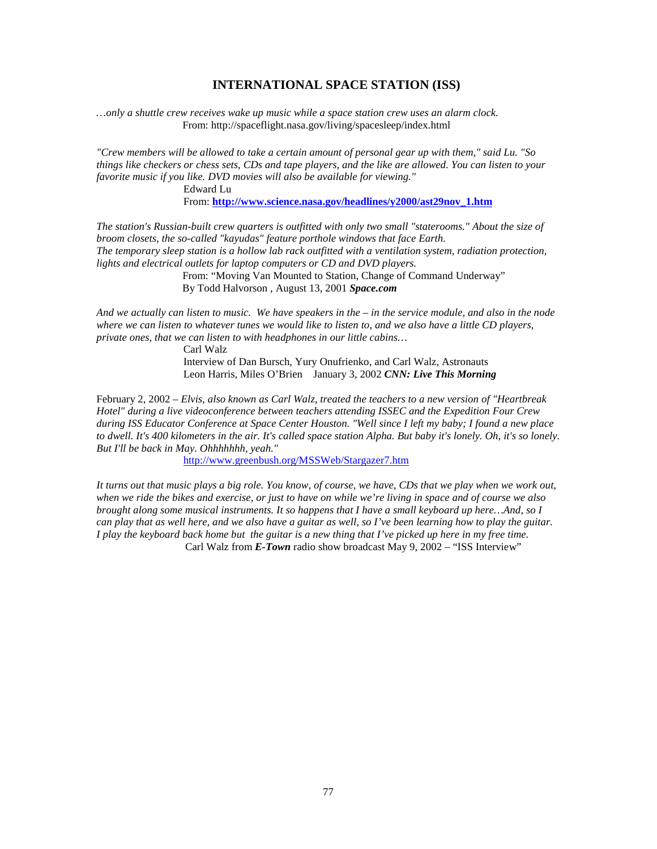#### **INTERNATIONAL SPACE STATION (ISS)**

*…only a shuttle crew receives wake up music while a space station crew uses an alarm clock.* From: http://spaceflight.nasa.gov/living/spacesleep/index.html

*"Crew members will be allowed to take a certain amount of personal gear up with them," said Lu. "So things like checkers or chess sets, CDs and tape players, and the like are allowed. You can listen to your favorite music if you like. DVD movies will also be available for viewing."*

Edward Lu

From: **[http://www.science.nasa.gov/headlines/y2000/ast29nov\\_1.htm](http://www.science.nasa.gov/headlines/y2000/ast29nov_1.htm)**

*The station's Russian-built crew quarters is outfitted with only two small "staterooms." About the size of broom closets, the so-called "kayudas" feature porthole windows that face Earth. The temporary sleep station is a hollow lab rack outfitted with a ventilation system, radiation protection, lights and electrical outlets for laptop computers or CD and DVD players.*

> From: "Moving Van Mounted to Station, Change of Command Underway" By Todd Halvorson , August 13, 2001 *Space.com*

*And we actually can listen to music. We have speakers in the – in the service module, and also in the node where we can listen to whatever tunes we would like to listen to, and we also have a little CD players, private ones, that we can listen to with headphones in our little cabins…*

Carl Walz Interview of Dan Bursch, Yury Onufrienko, and Carl Walz, Astronauts Leon Harris, Miles O'Brien January 3, 2002 *CNN: Live This Morning*

February 2, 2002 – *Elvis, also known as Carl Walz, treated the teachers to a new version of "Heartbreak Hotel" during a live videoconference between teachers attending ISSEC and the Expedition Four Crew during ISS Educator Conference at Space Center Houston. "Well since I left my baby; I found a new place*  to dwell. It's 400 kilometers in the air. It's called space station Alpha. But baby it's lonely. Oh, it's so lonely. *But I'll be back in May. Ohhhhhhh, yeah."*

<http://www.greenbush.org/MSSWeb/Stargazer7.htm>

*It turns out that music plays a big role. You know, of course, we have, CDs that we play when we work out, when we ride the bikes and exercise, or just to have on while we're living in space and of course we also brought along some musical instruments. It so happens that I have a small keyboard up here…And, so I can play that as well here, and we also have a guitar as well, so I've been learning how to play the guitar. I play the keyboard back home but the guitar is a new thing that I've picked up here in my free time.* Carl Walz from *E-Town* radio show broadcast May 9, 2002 – "ISS Interview"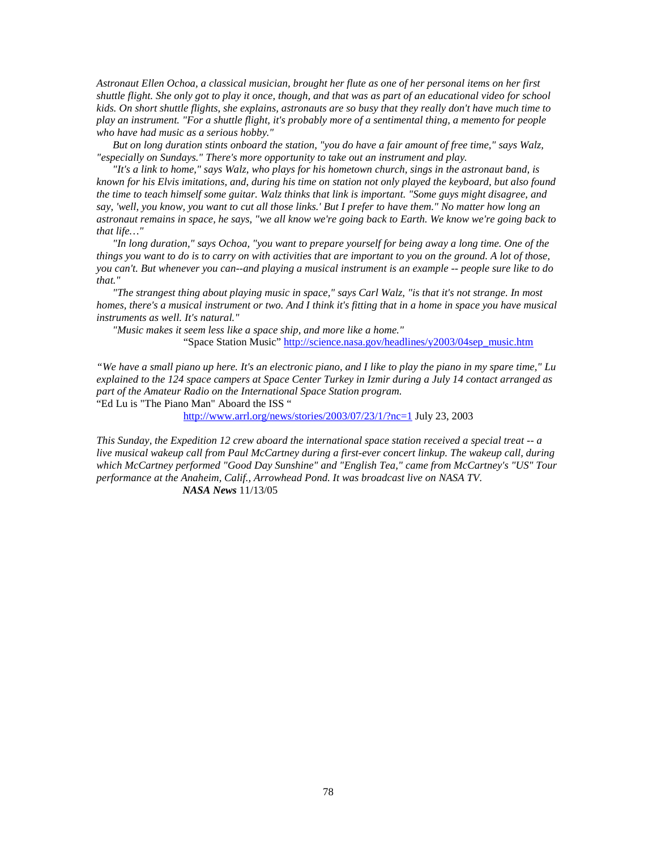*Astronaut Ellen Ochoa, a classical musician, brought her flute as one of her personal items on her first shuttle flight. She only got to play it once, though, and that was as part of an educational video for school kids. On short shuttle flights, she explains, astronauts are so busy that they really don't have much time to play an instrument. "For a shuttle flight, it's probably more of a sentimental thing, a memento for people who have had music as a serious hobby."*

 *But on long duration stints onboard the station, "you do have a fair amount of free time," says Walz, "especially on Sundays." There's more opportunity to take out an instrument and play.*

 *"It's a link to home," says Walz, who plays for his hometown church, sings in the astronaut band, is known for his Elvis imitations, and, during his time on station not only played the keyboard, but also found the time to teach himself some guitar. Walz thinks that link is important. "Some guys might disagree, and say, 'well, you know, you want to cut all those links.' But I prefer to have them." No matter how long an astronaut remains in space, he says, "we all know we're going back to Earth. We know we're going back to that life…"*

 *"In long duration," says Ochoa, "you want to prepare yourself for being away a long time. One of the things you want to do is to carry on with activities that are important to you on the ground. A lot of those, you can't. But whenever you can--and playing a musical instrument is an example -- people sure like to do that."*

 *"The strangest thing about playing music in space," says Carl Walz, "is that it's not strange. In most homes, there's a musical instrument or two. And I think it's fitting that in a home in space you have musical instruments as well. It's natural."*

 *"Music makes it seem less like a space ship, and more like a home."*

"Space Station Music" [http://science.nasa.gov/headlines/y2003/04sep\\_music.htm](http://science.nasa.gov/headlines/y2003/04sep_music.htm)

*"We have a small piano up here. It's an electronic piano, and I like to play the piano in my spare time," Lu explained to the 124 space campers at Space Center Turkey in Izmir during a July 14 contact arranged as part of the Amateur Radio on the International Space Station program.*

"Ed Lu is "The Piano Man" Aboard the ISS "

<http://www.arrl.org/news/stories/2003/07/23/1/?nc=1> July 23, 2003

*This Sunday, the Expedition 12 crew aboard the international space station received a special treat -- a live musical wakeup call from Paul McCartney during a first-ever concert linkup. The wakeup call, during which McCartney performed "Good Day Sunshine" and "English Tea," came from McCartney's "US" Tour performance at the Anaheim, Calif., Arrowhead Pond. It was broadcast live on NASA TV. NASA News* 11/13/05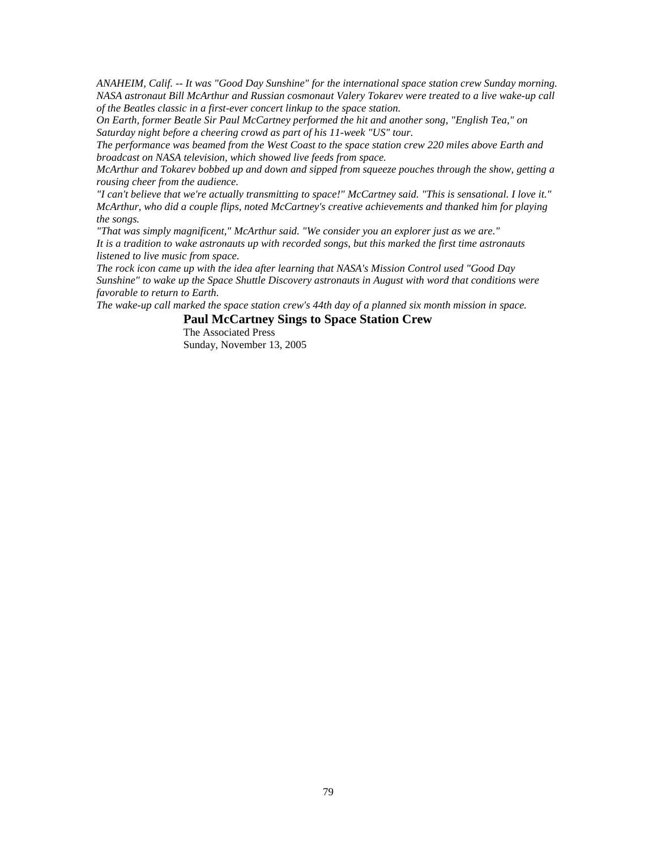*ANAHEIM, Calif. -- It was "Good Day Sunshine" for the international space station crew Sunday morning. NASA astronaut Bill McArthur and Russian cosmonaut Valery Tokarev were treated to a live wake-up call of the Beatles classic in a first-ever concert linkup to the space station.*

*On Earth, former Beatle Sir Paul McCartney performed the hit and another song, "English Tea," on Saturday night before a cheering crowd as part of his 11-week "US" tour.*

*The performance was beamed from the West Coast to the space station crew 220 miles above Earth and broadcast on NASA television, which showed live feeds from space.*

*McArthur and Tokarev bobbed up and down and sipped from squeeze pouches through the show, getting a rousing cheer from the audience.*

*"I can't believe that we're actually transmitting to space!" McCartney said. "This is sensational. I love it." McArthur, who did a couple flips, noted McCartney's creative achievements and thanked him for playing the songs.*

*"That was simply magnificent," McArthur said. "We consider you an explorer just as we are." It is a tradition to wake astronauts up with recorded songs, but this marked the first time astronauts listened to live music from space.*

*The rock icon came up with the idea after learning that NASA's Mission Control used "Good Day Sunshine" to wake up the Space Shuttle Discovery astronauts in August with word that conditions were favorable to return to Earth.*

*The wake-up call marked the space station crew's 44th day of a planned six month mission in space.*

## **Paul McCartney Sings to Space Station Crew**

The Associated Press Sunday, November 13, 2005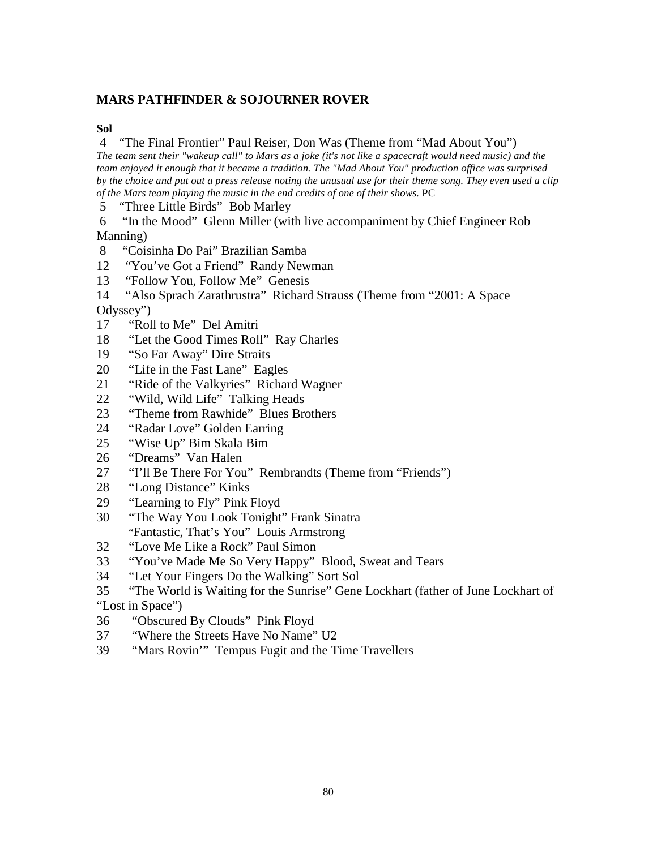## **MARS PATHFINDER & SOJOURNER ROVER**

### **Sol**

4 "The Final Frontier" Paul Reiser, Don Was (Theme from "Mad About You")

*The team sent their "wakeup call" to Mars as a joke (it's not like a spacecraft would need music) and the team enjoyed it enough that it became a tradition. The "Mad About You" production office was surprised by the choice and put out a press release noting the unusual use for their theme song. They even used a clip of the Mars team playing the music in the end credits of one of their shows.* PC

- 5 "Three Little Birds" Bob Marley
- 6 "In the Mood" Glenn Miller (with live accompaniment by Chief Engineer Rob Manning)
- 8 "Coisinha Do Pai" Brazilian Samba
- 12 "You've Got a Friend" Randy Newman
- 13 "Follow You, Follow Me" Genesis
- 14 "Also Sprach Zarathrustra" Richard Strauss (Theme from "2001: A Space

Odyssey")

- 17 "Roll to Me" Del Amitri
- 18 "Let the Good Times Roll" Ray Charles
- 19 "So Far Away" Dire Straits
- 20 "Life in the Fast Lane" Eagles
- 21 "Ride of the Valkyries" Richard Wagner
- 22 "Wild, Wild Life" Talking Heads
- 23 "Theme from Rawhide" Blues Brothers
- 24 "Radar Love" Golden Earring
- 25 "Wise Up" Bim Skala Bim
- 26 "Dreams" Van Halen
- 27 "I'll Be There For You" Rembrandts (Theme from "Friends")
- 28 "Long Distance" Kinks
- 29 "Learning to Fly" Pink Floyd
- 30 "The Way You Look Tonight" Frank Sinatra "Fantastic, That's You" Louis Armstrong
- 32 "Love Me Like a Rock" Paul Simon
- 33 "You've Made Me So Very Happy" Blood, Sweat and Tears
- 34 "Let Your Fingers Do the Walking" Sort Sol
- 35 "The World is Waiting for the Sunrise" Gene Lockhart (father of June Lockhart of "Lost in Space")
- 36 "Obscured By Clouds" Pink Floyd
- 37 "Where the Streets Have No Name" U2
- 39 "Mars Rovin'" Tempus Fugit and the Time Travellers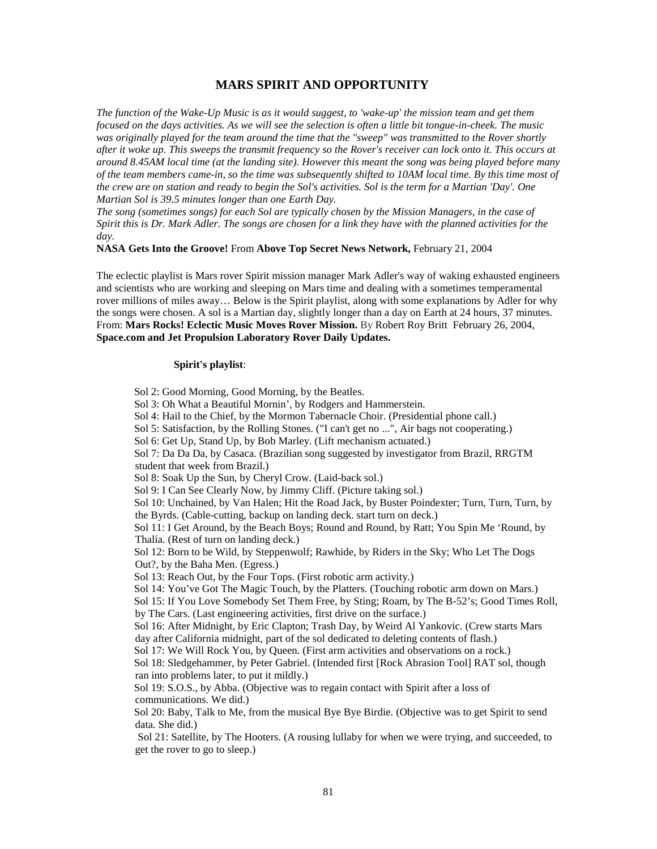## **MARS SPIRIT AND OPPORTUNITY**

*The function of the Wake-Up Music is as it would suggest, to 'wake-up' the mission team and get them focused on the days activities. As we will see the selection is often a little bit tongue-in-cheek. The music was originally played for the team around the time that the "sweep" was transmitted to the Rover shortly after it woke up. This sweeps the transmit frequency so the Rover's receiver can lock onto it. This occurs at around 8.45AM local time (at the landing site). However this meant the song was being played before many of the team members came-in, so the time was subsequently shifted to 10AM local time. By this time most of the crew are on station and ready to begin the Sol's activities. Sol is the term for a Martian 'Day'. One Martian Sol is 39.5 minutes longer than one Earth Day.*

*The song (sometimes songs) for each Sol are typically chosen by the Mission Managers, in the case of Spirit this is Dr. Mark Adler. The songs are chosen for a link they have with the planned activities for the day.*

#### **NASA Gets Into the Groove!** From **Above Top Secret News Network,** February 21, 2004

The eclectic playlist is Mars rover Spirit mission manager Mark Adler's way of waking exhausted engineers and scientists who are working and sleeping on Mars time and dealing with a sometimes temperamental rover millions of miles away… Below is the Spirit playlist, along with some explanations by Adler for why the songs were chosen. A sol is a Martian day, slightly longer than a day on Earth at 24 hours, 37 minutes. From: **Mars Rocks! Eclectic Music Moves Rover Mission.** By Robert Roy Britt February 26, 2004, **Space.com and Jet Propulsion Laboratory Rover Daily Updates.**

#### **Spirit's playlist**:

 Sol 2: Good Morning, Good Morning, by the Beatles. Sol 3: Oh What a Beautiful Mornin', by Rodgers and Hammerstein. Sol 4: Hail to the Chief, by the Mormon Tabernacle Choir. (Presidential phone call.) Sol 5: Satisfaction, by the Rolling Stones. ("I can't get no ...", Air bags not cooperating.) Sol 6: Get Up, Stand Up, by Bob Marley. (Lift mechanism actuated.) Sol 7: Da Da Da, by Casaca. (Brazilian song suggested by investigator from Brazil, RRGTM student that week from Brazil.) Sol 8: Soak Up the Sun, by Cheryl Crow. (Laid-back sol.) Sol 9: I Can See Clearly Now, by Jimmy Cliff. (Picture taking sol.) Sol 10: Unchained, by Van Halen; Hit the Road Jack, by Buster Poindexter; Turn, Turn, Turn, by the Byrds. (Cable-cutting, backup on landing deck. start turn on deck.) Sol 11: I Get Around, by the Beach Boys; Round and Round, by Ratt; You Spin Me 'Round, by Thalía. (Rest of turn on landing deck.) Sol 12: Born to be Wild, by Steppenwolf; Rawhide, by Riders in the Sky; Who Let The Dogs Out?, by the Baha Men. (Egress.) Sol 13: Reach Out, by the Four Tops. (First robotic arm activity.) Sol 14: You've Got The Magic Touch, by the Platters. (Touching robotic arm down on Mars.) Sol 15: If You Love Somebody Set Them Free, by Sting; Roam, by The B-52's; Good Times Roll, by The Cars. (Last engineering activities, first drive on the surface.) Sol 16: After Midnight, by Eric Clapton; Trash Day, by Weird Al Yankovic. (Crew starts Mars day after California midnight, part of the sol dedicated to deleting contents of flash.) Sol 17: We Will Rock You, by Queen. (First arm activities and observations on a rock.) Sol 18: Sledgehammer, by Peter Gabriel. (Intended first [Rock Abrasion Tool] RAT sol, though ran into problems later, to put it mildly.) Sol 19: S.O.S., by Abba. (Objective was to regain contact with Spirit after a loss of communications. We did.) Sol 20: Baby, Talk to Me, from the musical Bye Bye Birdie. (Objective was to get Spirit to send data. She did.) Sol 21: Satellite, by The Hooters. (A rousing lullaby for when we were trying, and succeeded, to get the rover to go to sleep.)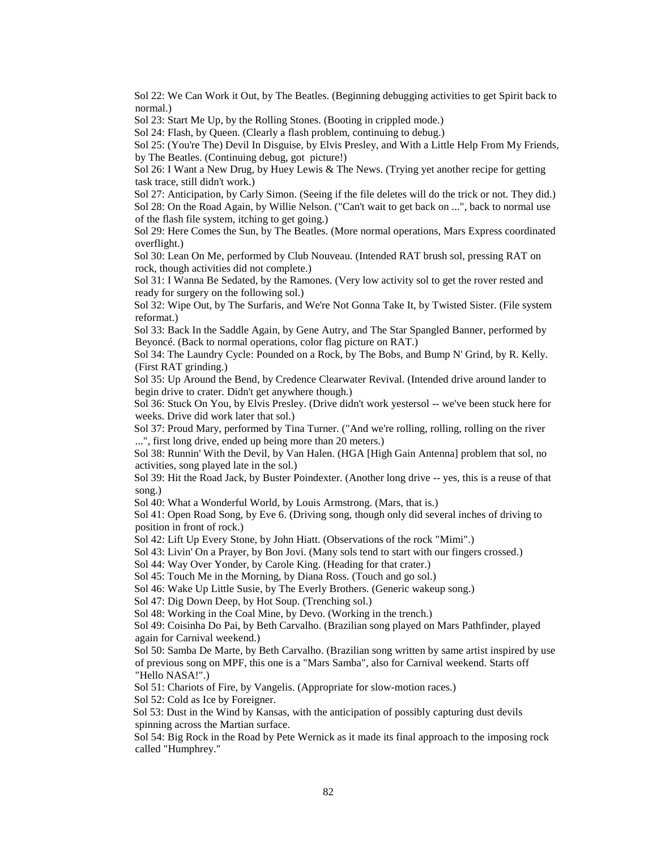Sol 22: We Can Work it Out, by The Beatles. (Beginning debugging activities to get Spirit back to normal.)

Sol 23: Start Me Up, by the Rolling Stones. (Booting in crippled mode.)

Sol 24: Flash, by Queen. (Clearly a flash problem, continuing to debug.)

Sol 25: (You're The) Devil In Disguise, by Elvis Presley, and With a Little Help From My Friends, by The Beatles. (Continuing debug, got picture!)

 Sol 26: I Want a New Drug, by Huey Lewis & The News. (Trying yet another recipe for getting task trace, still didn't work.)

 Sol 27: Anticipation, by Carly Simon. (Seeing if the file deletes will do the trick or not. They did.) Sol 28: On the Road Again, by Willie Nelson. ("Can't wait to get back on ...", back to normal use of the flash file system, itching to get going.)

 Sol 29: Here Comes the Sun, by The Beatles. (More normal operations, Mars Express coordinated overflight.)

 Sol 30: Lean On Me, performed by Club Nouveau. (Intended RAT brush sol, pressing RAT on rock, though activities did not complete.)

 Sol 31: I Wanna Be Sedated, by the Ramones. (Very low activity sol to get the rover rested and ready for surgery on the following sol.)

 Sol 32: Wipe Out, by The Surfaris, and We're Not Gonna Take It, by Twisted Sister. (File system reformat.)

 Sol 33: Back In the Saddle Again, by Gene Autry, and The Star Spangled Banner, performed by Beyoncé. (Back to normal operations, color flag picture on RAT.)

 Sol 34: The Laundry Cycle: Pounded on a Rock, by The Bobs, and Bump N' Grind, by R. Kelly. (First RAT grinding.)

 Sol 35: Up Around the Bend, by Credence Clearwater Revival. (Intended drive around lander to begin drive to crater. Didn't get anywhere though.)

 Sol 36: Stuck On You, by Elvis Presley. (Drive didn't work yestersol -- we've been stuck here for weeks. Drive did work later that sol.)

 Sol 37: Proud Mary, performed by Tina Turner. ("And we're rolling, rolling, rolling on the river ...", first long drive, ended up being more than 20 meters.)

 Sol 38: Runnin' With the Devil, by Van Halen. (HGA [High Gain Antenna] problem that sol, no activities, song played late in the sol.)

 Sol 39: Hit the Road Jack, by Buster Poindexter. (Another long drive -- yes, this is a reuse of that song.)

Sol 40: What a Wonderful World, by Louis Armstrong. (Mars, that is.)

 Sol 41: Open Road Song, by Eve 6. (Driving song, though only did several inches of driving to position in front of rock.)

Sol 42: Lift Up Every Stone, by John Hiatt. (Observations of the rock "Mimi".)

Sol 43: Livin' On a Prayer, by Bon Jovi. (Many sols tend to start with our fingers crossed.)

Sol 44: Way Over Yonder, by Carole King. (Heading for that crater.)

Sol 45: Touch Me in the Morning, by Diana Ross. (Touch and go sol.)

Sol 46: Wake Up Little Susie, by The Everly Brothers. (Generic wakeup song.)

Sol 47: Dig Down Deep, by Hot Soup. (Trenching sol.)

Sol 48: Working in the Coal Mine, by Devo. (Working in the trench.)

 Sol 49: Coisinha Do Pai, by Beth Carvalho. (Brazilian song played on Mars Pathfinder, played again for Carnival weekend.)

 Sol 50: Samba De Marte, by Beth Carvalho. (Brazilian song written by same artist inspired by use of previous song on MPF, this one is a "Mars Samba", also for Carnival weekend. Starts off "Hello NASA!".)

Sol 51: Chariots of Fire, by Vangelis. (Appropriate for slow-motion races.)

Sol 52: Cold as Ice by Foreigner.

 Sol 53: Dust in the Wind by Kansas, with the anticipation of possibly capturing dust devils spinning across the Martian surface.

 Sol 54: Big Rock in the Road by Pete Wernick as it made its final approach to the imposing rock called "Humphrey."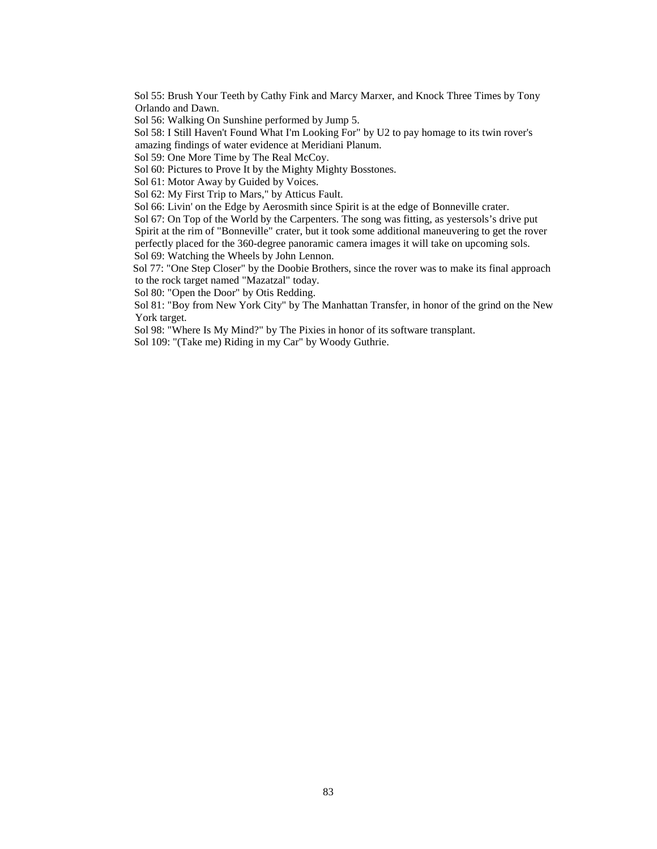Sol 55: Brush Your Teeth by Cathy Fink and Marcy Marxer, and Knock Three Times by Tony Orlando and Dawn.

Sol 56: Walking On Sunshine performed by Jump 5.

 Sol 58: I Still Haven't Found What I'm Looking For" by U2 to pay homage to its twin rover's amazing findings of water evidence at Meridiani Planum.

Sol 59: One More Time by The Real McCoy.

Sol 60: Pictures to Prove It by the Mighty Mighty Bosstones.

Sol 61: Motor Away by Guided by Voices.

Sol 62: My First Trip to Mars," by Atticus Fault.

Sol 66: Livin' on the Edge by Aerosmith since Spirit is at the edge of Bonneville crater.

 Sol 67: On Top of the World by the Carpenters. The song was fitting, as yestersols's drive put Spirit at the rim of "Bonneville" crater, but it took some additional maneuvering to get the rover perfectly placed for the 360-degree panoramic camera images it will take on upcoming sols.

Sol 69: Watching the Wheels by John Lennon.

 Sol 77: "One Step Closer" by the Doobie Brothers, since the rover was to make its final approach to the rock target named "Mazatzal" today.

Sol 80: "Open the Door" by Otis Redding.

 Sol 81: "Boy from New York City" by The Manhattan Transfer, in honor of the grind on the New York target.

Sol 98: "Where Is My Mind?" by The Pixies in honor of its software transplant.

Sol 109: "(Take me) Riding in my Car" by Woody Guthrie.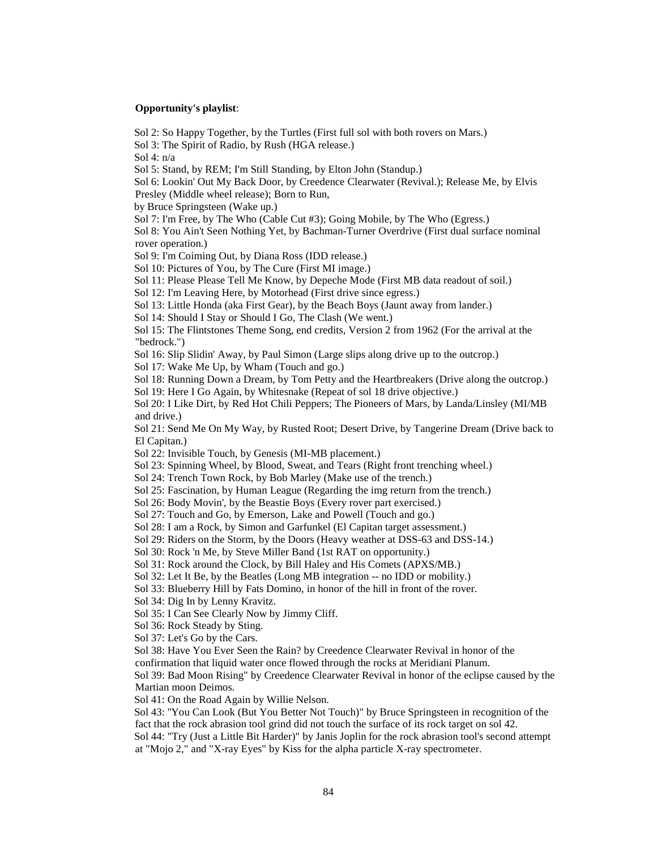#### **Opportunity's playlist**:

Sol 2: So Happy Together, by the Turtles (First full sol with both rovers on Mars.)

Sol 3: The Spirit of Radio, by Rush (HGA release.)

Sol 4: n/a

Sol 5: Stand, by REM; I'm Still Standing, by Elton John (Standup.)

 Sol 6: Lookin' Out My Back Door, by Creedence Clearwater (Revival.); Release Me, by Elvis Presley (Middle wheel release); Born to Run,

by Bruce Springsteen (Wake up.)

Sol 7: I'm Free, by The Who (Cable Cut #3); Going Mobile, by The Who (Egress.)

 Sol 8: You Ain't Seen Nothing Yet, by Bachman-Turner Overdrive (First dual surface nominal rover operation.)

Sol 9: I'm Coiming Out, by Diana Ross (IDD release.)

Sol 10: Pictures of You, by The Cure (First MI image.)

Sol 11: Please Please Tell Me Know, by Depeche Mode (First MB data readout of soil.)

Sol 12: I'm Leaving Here, by Motorhead (First drive since egress.)

Sol 13: Little Honda (aka First Gear), by the Beach Boys (Jaunt away from lander.)

Sol 14: Should I Stay or Should I Go, The Clash (We went.)

 Sol 15: The Flintstones Theme Song, end credits, Version 2 from 1962 (For the arrival at the "bedrock.")

Sol 16: Slip Slidin' Away, by Paul Simon (Large slips along drive up to the outcrop.)

Sol 17: Wake Me Up, by Wham (Touch and go.)

 Sol 18: Running Down a Dream, by Tom Petty and the Heartbreakers (Drive along the outcrop.) Sol 19: Here I Go Again, by Whitesnake (Repeat of sol 18 drive objective.)

 Sol 20: I Like Dirt, by Red Hot Chili Peppers; The Pioneers of Mars, by Landa/Linsley (MI/MB and drive.)

 Sol 21: Send Me On My Way, by Rusted Root; Desert Drive, by Tangerine Dream (Drive back to El Capitan.)

Sol 22: Invisible Touch, by Genesis (MI-MB placement.)

Sol 23: Spinning Wheel, by Blood, Sweat, and Tears (Right front trenching wheel.)

Sol 24: Trench Town Rock, by Bob Marley (Make use of the trench.)

Sol 25: Fascination, by Human League (Regarding the img return from the trench.)

Sol 26: Body Movin', by the Beastie Boys (Every rover part exercised.)

Sol 27: Touch and Go, by Emerson, Lake and Powell (Touch and go.)

Sol 28: I am a Rock, by Simon and Garfunkel (El Capitan target assessment.)

Sol 29: Riders on the Storm, by the Doors (Heavy weather at DSS-63 and DSS-14.)

Sol 30: Rock 'n Me, by Steve Miller Band (1st RAT on opportunity.)

Sol 31: Rock around the Clock, by Bill Haley and His Comets (APXS/MB.)

Sol 32: Let It Be, by the Beatles (Long MB integration -- no IDD or mobility.)

Sol 33: Blueberry Hill by Fats Domino, in honor of the hill in front of the rover.

Sol 34: Dig In by Lenny Kravitz.

Sol 35: I Can See Clearly Now by Jimmy Cliff.

Sol 36: Rock Steady by Sting.

Sol 37: Let's Go by the Cars.

 Sol 38: Have You Ever Seen the Rain? by Creedence Clearwater Revival in honor of the confirmation that liquid water once flowed through the rocks at Meridiani Planum.

 Sol 39: Bad Moon Rising" by Creedence Clearwater Revival in honor of the eclipse caused by the Martian moon Deimos.

Sol 41: On the Road Again by Willie Nelson.

 Sol 43: ''You Can Look (But You Better Not Touch)" by Bruce Springsteen in recognition of the fact that the rock abrasion tool grind did not touch the surface of its rock target on sol 42. Sol 44: "Try (Just a Little Bit Harder)" by Janis Joplin for the rock abrasion tool's second attempt at "Mojo 2," and "X-ray Eyes" by Kiss for the alpha particle X-ray spectrometer.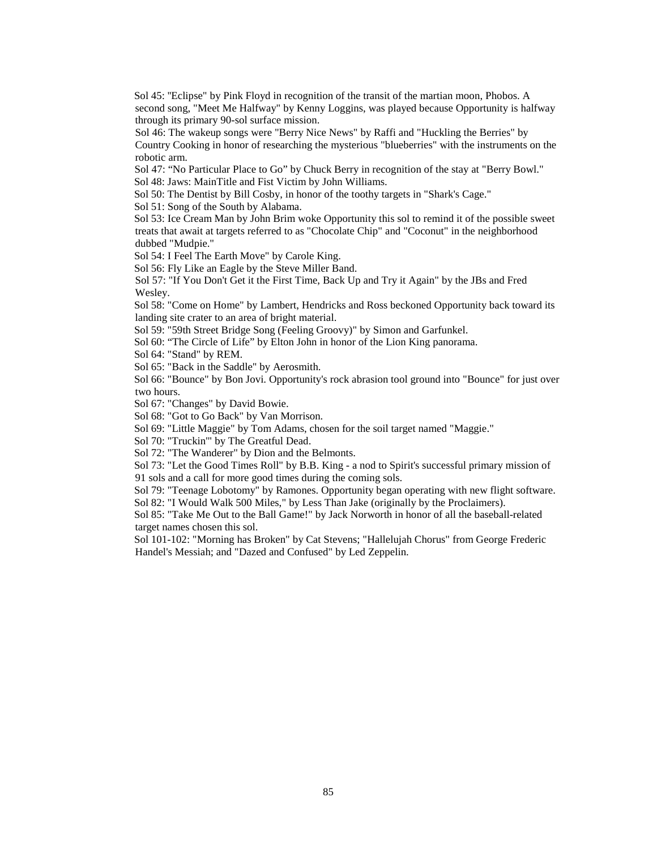Sol 45: "Eclipse" by Pink Floyd in recognition of the transit of the martian moon, Phobos. A second song, "Meet Me Halfway" by Kenny Loggins, was played because Opportunity is halfway through its primary 90-sol surface mission.

 Sol 46: The wakeup songs were "Berry Nice News" by Raffi and "Huckling the Berries" by Country Cooking in honor of researching the mysterious "blueberries" with the instruments on the robotic arm.

 Sol 47: "No Particular Place to Go" by Chuck Berry in recognition of the stay at "Berry Bowl." Sol 48: Jaws: MainTitle and Fist Victim by John Williams.

Sol 50: The Dentist by Bill Cosby, in honor of the toothy targets in "Shark's Cage."

Sol 51: Song of the South by Alabama.

 Sol 53: Ice Cream Man by John Brim woke Opportunity this sol to remind it of the possible sweet treats that await at targets referred to as "Chocolate Chip" and "Coconut" in the neighborhood dubbed "Mudpie."

Sol 54: I Feel The Earth Move" by Carole King.

Sol 56: Fly Like an Eagle by the Steve Miller Band.

 Sol 57: "If You Don't Get it the First Time, Back Up and Try it Again" by the JBs and Fred Wesley.

 Sol 58: "Come on Home" by Lambert, Hendricks and Ross beckoned Opportunity back toward its landing site crater to an area of bright material.

Sol 59: "59th Street Bridge Song (Feeling Groovy)" by Simon and Garfunkel.

Sol 60: "The Circle of Life" by Elton John in honor of the Lion King panorama.

Sol 64: "Stand" by REM.

Sol 65: "Back in the Saddle" by Aerosmith.

 Sol 66: "Bounce" by Bon Jovi. Opportunity's rock abrasion tool ground into "Bounce" for just over two hours.

Sol 67: "Changes" by David Bowie.

Sol 68: "Got to Go Back" by Van Morrison.

Sol 69: "Little Maggie" by Tom Adams, chosen for the soil target named "Maggie."

Sol 70: "Truckin'" by The Greatful Dead.

Sol 72: "The Wanderer" by Dion and the Belmonts.

 Sol 73: "Let the Good Times Roll" by B.B. King - a nod to Spirit's successful primary mission of 91 sols and a call for more good times during the coming sols.

Sol 79: "Teenage Lobotomy" by Ramones. Opportunity began operating with new flight software.

Sol 82: "I Would Walk 500 Miles," by Less Than Jake (originally by the Proclaimers).

 Sol 85: "Take Me Out to the Ball Game!" by Jack Norworth in honor of all the baseball-related target names chosen this sol.

 Sol 101-102: "Morning has Broken" by Cat Stevens; "Hallelujah Chorus" from George Frederic Handel's Messiah; and "Dazed and Confused" by Led Zeppelin.